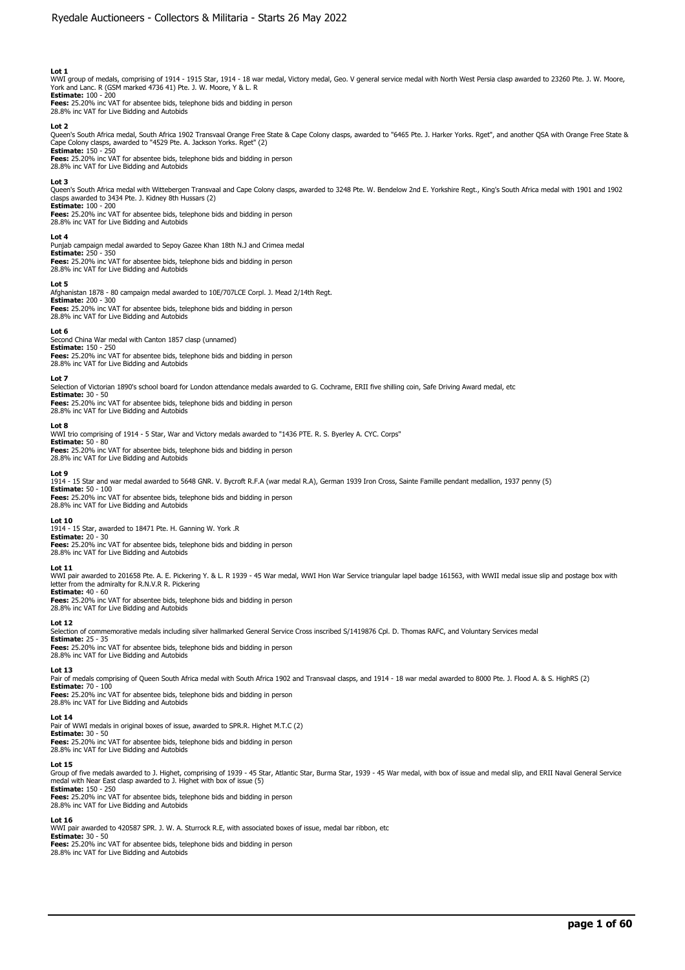WWI group of medals, comprising of 1914 - 1915 Star, 1914 - 18 war medal, Victory medal, Geo. V general service medal with North West Persia clasp awarded to 23260 Pte. J. W. Moore,<br>York and Lanc. R (GSM marked 4736 41) Pt

**Fees:** 25.20% inc VAT for absentee bids, telephone bids and bidding in person 28.8% inc VAT for Live Bidding and Autobids

#### **Lot 2**

Queen's South Africa medal, South Africa 1902 Transvaal Orange Free State & Cape Colony clasps, awarded to "6465 Pte. J. Harker Yorks. Rget", and another QSA with Orange Free State &<br>Cape Colony clasps, awarded to "4529 Pt

**Fees:** 25.20% inc VAT for absentee bids, telephone bids and bidding in person 28.8% inc VAT for Live Bidding and Autobids

#### **Lot 3**

Queen's South Africa medal with Wittebergen Transvaal and Cape Colony clasps, awarded to 3248 Pte. W. Bendelow 2nd E. Yorkshire Regt., King's South Africa medal with 1901 and 1902<br>clasps awarded to 3434 Pte. J. Kidney 8th **Estimate:** 100 - 200

**Fees:** 25.20% inc VAT for absentee bids, telephone bids and bidding in person 28.8% inc VAT for Live Bidding and Autobids

#### **Lot 4**

Punjab campaign medal awarded to Sepoy Gazee Khan 18th N.J and Crimea medal **Estimate:** 250 - 350 **Fees:** 25.20% inc VAT for absentee bids, telephone bids and bidding in person 28.8% inc VAT for Live Bidding and Autobids

# **Lot 5**

Afghanistan 1878 - 80 campaign medal awarded to 10E/707LCE Corpl. J. Mead 2/14th Regt. **Estimate:** 200 - 300 **Fees:** 25.20% inc VAT for absentee bids, telephone bids and bidding in person 28.8% inc VAT for Live Bidding and Autobids

#### **Lot 6**

Second China War medal with Canton 1857 clasp (unnamed) **Estimate:** 150 - 250 **Fees:** 25.20% inc VAT for absentee bids, telephone bids and bidding in person 28.8% inc VAT for Live Bidding and Autobids

#### **Lot 7**

Selection of Victorian 1890's school board for London attendance medals awarded to G. Cochrame, ERII five shilling coin, Safe Driving Award medal, etc

# **Estimate:** 30 - 50

**Fees:** 25.20% inc VAT for absentee bids, telephone bids and bidding in person 28.8% inc VAT for Live Bidding and Autobids

#### **Lot 8**

WWI trio comprising of 1914 - 5 Star, War and Victory medals awarded to "1436 PTE. R. S. Byerley A. CYC. Corps" **Estimate:** 50 - 80 **Fees:** 25.20% inc VAT for absentee bids, telephone bids and bidding in person 28.8% inc VAT for Live Bidding and Autobids

#### **Lot 9**

1914 - 15 Star and war medal awarded to 5648 GNR. V. Bycroft R.F.A (war medal R.A), German 1939 Iron Cross, Sainte Famille pendant medallion, 1937 penny (5) **Estimate:** 50 - 100

**Fees:** 25.20% inc VAT for absentee bids, telephone bids and bidding in person 28.8% inc VAT for Live Bidding and Autobids

### **Lot 10**

1914 - 15 Star, awarded to 18471 Pte. H. Ganning W. York .R **Estimate:** 20 - 30 **Fees:** 25.20% inc VAT for absentee bids, telephone bids and bidding in person 28.8% inc VAT for Live Bidding and Autobids

#### **Lot 11**

WWI pair awarded to 201658 Pte. A. E. Pickering Y. & L. R 1939 - 45 War medal, WWI Hon War Service triangular lapel badge 161563, with WWII medal issue slip and postage box with letter from the admiralty for R.N.V.R R. Pickering **Estimate:** 40 - 60

# **Fees:** 25.20% inc VAT for absentee bids, telephone bids and bidding in person 28.8% inc VAT for Live Bidding and Autobids

#### **Lot 12**

Selection of commemorative medals including silver hallmarked General Service Cross inscribed S/1419876 Cpl. D. Thomas RAFC, and Voluntary Services medal **Estimate:** 25 - 35

**Fees:** 25.20% inc VAT for absentee bids, telephone bids and bidding in person 28.8% inc VAT for Live Bidding and Autobids

# **Lot 13**

Pair of medals comprising of Queen South Africa medal with South Africa 1902 and Transvaal clasps, and 1914 - 18 war medal awarded to 8000 Pte. J. Flood A. & S. HighRS (2) **Estimate:** 70 - 100 **Fees:** 25.20% inc VAT for absentee bids, telephone bids and bidding in person

28.8% inc VAT for Live Bidding and Autobids

# **Lot 14**

Pair of WWI medals in original boxes of issue, awarded to SPR.R. Highet M.T.C (2)

**Estimate:** 30 - 50<br>**Fees:** 25.20% inc VAT for absentee bids, telephone bids and bidding in person<br>28.8% inc VAT for Live Bidding and Autobids

### **Lot 15**

Group of five medals awarded to J. Highet, comprising of 1939 - 45 Star, Atlantic Star, Burma Star, 1939 - 45 War medal, with box of issue and medal slip, and ERII Naval General Service medal with Near East clasp awarded to J. Highet with box of issue (5) **Estimate:** 150 - 250

**Fees:** 25.20% inc VAT for absentee bids, telephone bids and bidding in person 28.8% inc VAT for Live Bidding and Autobids

#### **Lot 16**

WWI pair awarded to 420587 SPR. J. W. A. Sturrock R.E, with associated boxes of issue, medal bar ribbon, etc

**Estimate:** 30 - 50 **Fees:** 25.20% inc VAT for absentee bids, telephone bids and bidding in person

28.8% inc VAT for Live Bidding and Autobids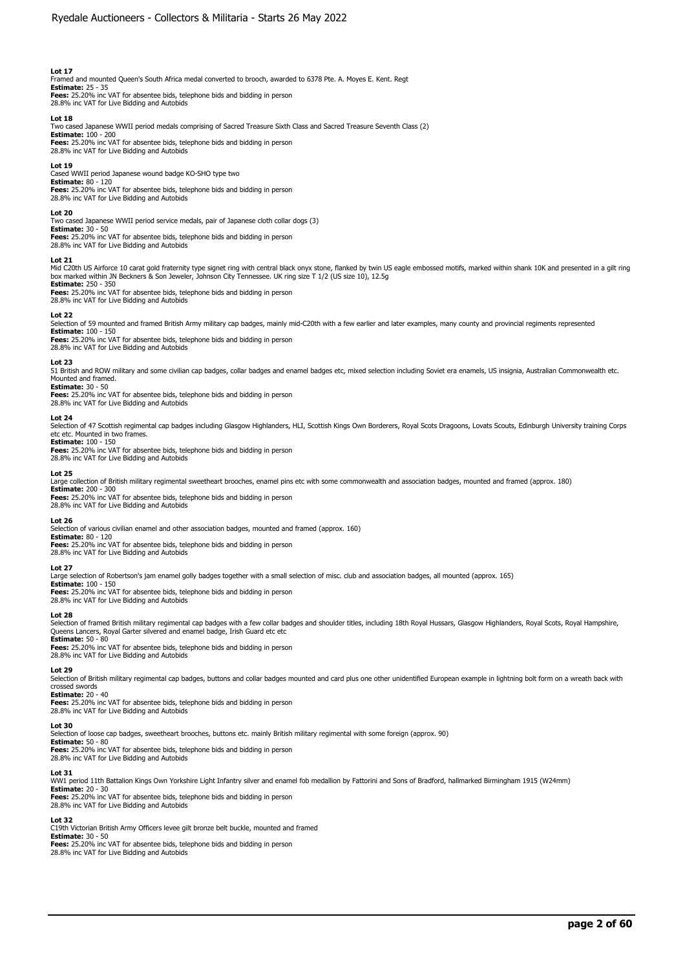Framed and mounted Queen's South Africa medal converted to brooch, awarded to 6378 Pte. A. Moyes E. Kent. Regt **Estimate:** 25 - 35 **Fees:** 25.20% inc VAT for absentee bids, telephone bids and bidding in person

28.8% inc VAT for Live Bidding and Autobids

## **Lot 18**

Two cased Japanese WWII period medals comprising of Sacred Treasure Sixth Class and Sacred Treasure Seventh Class (2)

**Estimate:** 100 - 200<br>**Fees:** 25.20% inc VAT for absentee bids, telephone bids and bidding in person<br>28.8% inc VAT for Live Bidding and Autobids

#### **Lot 19**

Cased WWII period Japanese wound badge KO-SHO type two **Estimate:** 80 - 120

**Fees:** 25.20% inc VAT for absentee bids, telephone bids and bidding in person 28.8% inc VAT for Live Bidding and Autobids

# **Lot 20**

Two cased Japanese WWII period service medals, pair of Japanese cloth collar dogs (3)

# **Estimate:** 30 - 50

**Fees:** 25.20% inc VAT for absentee bids, telephone bids and bidding in person 28.8% inc VAT for Live Bidding and Autobids

#### **Lot 21**

Mid C20th US Airforce 10 carat gold fraternity type signet ring with central black onyx stone, flanked by twin US eagle embossed motifs, marked within shank 10K and presented in a gilt ring<br>box marked within JN Beckners & **Estimate:** 250 - 350

**Fees:** 25.20% inc VAT for absentee bids, telephone bids and bidding in person 28.8% inc VAT for Live Bidding and Autobids

#### **Lot 22**

Selection of 59 mounted and framed British Army military cap badges, mainly mid-C20th with a few earlier and later examples, many county and provincial regiments represented

**Estimate:** 100 - 150 **Fees:** 25.20% inc VAT for absentee bids, telephone bids and bidding in person 28.8% inc VAT for Live Bidding and Autobids

## **Lot 23**

51 British and ROW military and some civilian cap badges, collar badges and enamel badges etc, mixed selection including Soviet era enamels, US insignia, Australian Commonwealth etc. Mounted and framed.

# **Estimate:** 30 - 50

**Fees:** 25.20% inc VAT for absentee bids, telephone bids and bidding in person 28.8% inc VAT for Live Bidding and Autobids

# **Lot 24**

Selection of 47 Scottish regimental cap badges including Glasgow Highlanders, HLI, Scottish Kings Own Borderers, Royal Scots Dragoons, Lovats Scouts, Edinburgh University training Corps etc etc. Mounted in two frames.

**Estimate:** 100 - 150 **Fees:** 25.20% inc VAT for absentee bids, telephone bids and bidding in person 28.8% inc VAT for Live Bidding and Autobids

#### **Lot 25**

Large collection of British military regimental sweetheart brooches, enamel pins etc with some commonwealth and association badges, mounted and framed (approx. 180)

# **Estimate:** 200 - 300

**Fees:** 25.20% inc VAT for absentee bids, telephone bids and bidding in person 28.8% inc VAT for Live Bidding and Autobids

#### **Lot 26**

Selection of various civilian enamel and other association badges, mounted and framed (approx. 160) **Estimate:** 80 - 120

**Fees:** 25.20% inc VAT for absentee bids, telephone bids and bidding in person 28.8% inc VAT for Live Bidding and Autobids

#### **Lot 27**

Large selection of Robertson's jam enamel golly badges together with a small selection of misc. club and association badges, all mounted (approx. 165)

**Estimate:** 100 - 150 **Fees:** 25.20% inc VAT for absentee bids, telephone bids and bidding in person

28.8% inc VAT for Live Bidding and Autobids

#### **Lot 28**

Selection of framed British military regimental cap badges with a few collar badges and shoulder titles, including 18th Royal Hussars, Glasgow Highlanders, Royal Scots, Royal Hampshire, Queens Lancers, Royal Garter silvered and enamel badge, Irish Guard etc etc

# **Estimate:** 50 - 80

**Fees:** 25.20% inc VAT for absentee bids, telephone bids and bidding in person 28.8% inc VAT for Live Bidding and Autobids

#### **Lot 29**

Selection of British military regimental cap badges, buttons and collar badges mounted and card plus one other unidentified European example in lightning bolt form on a wreath back with crossed swords **Estimate:** 20 - 40

**Fees:** 25.20% inc VAT for absentee bids, telephone bids and bidding in person 28.8% inc VAT for Live Bidding and Autobids

# **Lot 30**

Selection of loose cap badges, sweetheart brooches, buttons etc. mainly British military regimental with some foreign (approx. 90) **Estimate:** 50 - 80

**Fees:** 25.20% inc VAT for absentee bids, telephone bids and bidding in person 28.8% inc VAT for Live Bidding and Autobids

#### **Lot 31**

WW1 period 11th Battalion Kings Own Yorkshire Light Infantry silver and enamel fob medallion by Fattorini and Sons of Bradford, hallmarked Birmingham 1915 (W24mm)

**Estimate:** 20 - 30<br>**Fees:** 25.20% inc VAT for absentee bids, telephone bids and bidding in person<br>28.8% inc VAT for Live Bidding and Autobids

#### **Lot 32**

C19th Victorian British Army Officers levee gilt bronze belt buckle, mounted and framed<br> **Estimate:** 30 - 50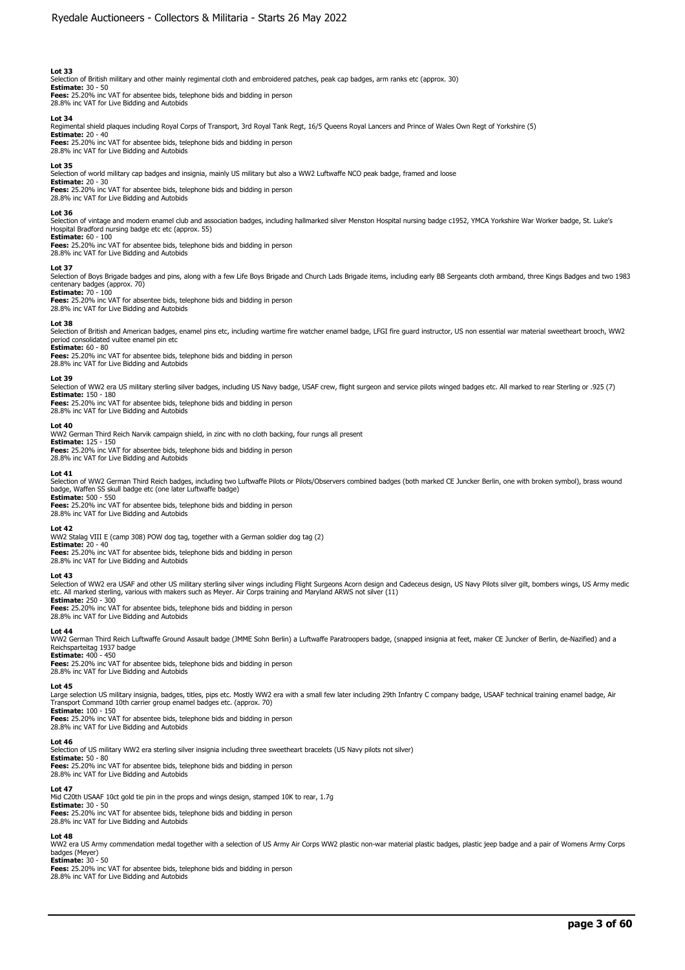Selection of British military and other mainly regimental cloth and embroidered patches, peak cap badges, arm ranks etc (approx. 30)

**Estimate:** 30 - 50 **Fees:** 25.20% inc VAT for absentee bids, telephone bids and bidding in person 28.8% inc VAT for Live Bidding and Autobids

**Lot 34**  Regimental shield plaques including Royal Corps of Transport, 3rd Royal Tank Regt, 16/5 Queens Royal Lancers and Prince of Wales Own Regt of Yorkshire (5)

**Estimate:** 20 - 40 **Fees:** 25.20% inc VAT for absentee bids, telephone bids and bidding in person 28.8% inc VAT for Live Bidding and Autobids

#### **Lot 35**

Selection of world military cap badges and insignia, mainly US military but also a WW2 Luftwaffe NCO peak badge, framed and loose **Estimate:** 20 - 30

**Fees:** 25.20% inc VAT for absentee bids, telephone bids and bidding in person 28.8% inc VAT for Live Bidding and Autobids

#### **Lot 36**

Selection of vintage and modern enamel club and association badges, including hallmarked silver Menston Hospital nursing badge c1952, YMCA Yorkshire War Worker badge, St. Luke's Hospital Bradford nursing badge etc etc (approx. 55)

# **Estimate:** 60 - 100

**Fees:** 25.20% inc VAT for absentee bids, telephone bids and bidding in person 28.8% inc VAT for Live Bidding and Autobids

#### **Lot 37**

Selection of Boys Brigade badges and pins, along with a few Life Boys Brigade and Church Lads Brigade items, including early BB Sergeants cloth armband, three Kings Badges and two 1983 centenary badges (approx. 70)

# **Estimate:** 70 - 100

**Fees:** 25.20% inc VAT for absentee bids, telephone bids and bidding in person 28.8% inc VAT for Live Bidding and Autobids

#### **Lot 38**

Selection of British and American badges, enamel pins etc, including wartime fire watcher enamel badge, LFGI fire guard instructor, US non essential war material sweetheart brooch, WW2<br>period consolidated vultee enamel pin **Estimate:** 60 - 80

**Fees:** 25.20% inc VAT for absentee bids, telephone bids and bidding in person 28.8% inc VAT for Live Bidding and Autobids

#### **Lot 39**

Selection of WW2 era US military sterling silver badges, including US Navy badge, USAF crew, flight surgeon and service pilots winged badges etc. All marked to rear Sterling or .925 (7) **Estimate:** 150 - 180

**Fees:** 25.20% inc VAT for absentee bids, telephone bids and bidding in person 28.8% inc VAT for Live Bidding and Autobids

#### **Lot 40**

WW2 German Third Reich Narvik campaign shield, in zinc with no cloth backing, four rungs all present **Estimate:** 125 - 150 **Fees:** 25.20% inc VAT for absentee bids, telephone bids and bidding in person

28.8% inc VAT for Live Bidding and Autobids

28.8% inc VAT for Live Bidding and Autobids

### **Lot 41**

Selection of WW2 German Third Reich badges, including two Luftwaffe Pilots or Pilots/Observers combined badges (both marked CE Juncker Berlin, one with broken symbol), brass wound badge, Waffen SS skull badge etc (one later Luftwaffe badge) **Estimate:** 500 - 550

**Fees:** 25.20% inc VAT for absentee bids, telephone bids and bidding in person 28.8% inc VAT for Live Bidding and Autobids

#### **Lot 42**

WW2 Stalag VIII E (camp 308) POW dog tag, together with a German soldier dog tag (2)

**Estimate:** 20 - 40 **Fees:** 25.20% inc VAT for absentee bids, telephone bids and bidding in person

# **Lot 43**

Selection of WW2 era USAF and other US military sterling silver wings including Flight Surgeons Acorn design and Cadeceus design, US Navy Pilots silver gilt, bombers wings, US Army medic<br>etc. All marked sterling, various w **Estimate:** 250 - 300

**Fees:** 25.20% inc VAT for absentee bids, telephone bids and bidding in person 28.8% inc VAT for Live Bidding and Autobids

#### **Lot 44**

WW2 German Third Reich Luftwaffe Ground Assault badge (JMME Sohn Berlin) a Luftwaffe Paratroopers badge, (snapped insignia at feet, maker CE Juncker of Berlin, de-Nazified) and a Reichsparteitag 1937 badge **Estimate:** 400 - 450

**Fees:** 25.20% inc VAT for absentee bids, telephone bids and bidding in person 28.8% inc VAT for Live Bidding and Autobids

# **Lot 45**

Large selection US military insignia, badges, titles, pips etc. Mostly WW2 era with a small few later including 29th Infantry C company badge, USAAF technical training enamel badge, Air Transport Command 10th carrier group enamel badges etc. (approx. 70)

**Estimate:** 100 - 150 **Fees:** 25.20% inc VAT for absentee bids, telephone bids and bidding in person 28.8% inc VAT for Live Bidding and Autobids

# **Lot 46**

Selection of US military WW2 era sterling silver insignia including three sweetheart bracelets (US Navy pilots not silver)

**Estimate:** 50 - 80<br>**Fees:** 25.20% inc VAT for absentee bids, telephone bids and bidding in person<br>28.8% inc VAT for Live Bidding and Autobids

#### **Lot 47**

Mid C20th USAAF 10ct gold tie pin in the props and wings design, stamped 10K to rear, 1.7g **Estimate:** 30 - 50 **Fees:** 25.20% inc VAT for absentee bids, telephone bids and bidding in person 28.8% inc VAT for Live Bidding and Autobids

#### **Lot 48**

WW2 era US Army commendation medal together with a selection of US Army Air Corps WW2 plastic non-war material plastic badges, plastic jeep badge and a pair of Womens Army Corps badges (Meyer) **Estimate:** 30 - 50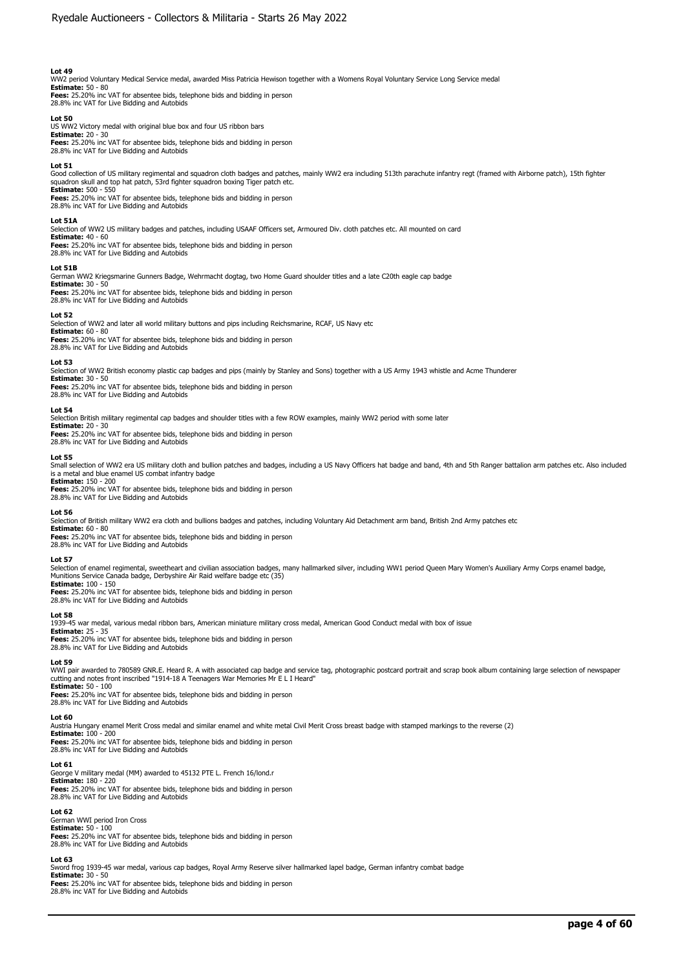WW2 period Voluntary Medical Service medal, awarded Miss Patricia Hewison together with a Womens Royal Voluntary Service Long Service medal

**Estimate:** 50 - 80 **Fees:** 25.20% inc VAT for absentee bids, telephone bids and bidding in person 28.8% inc VAT for Live Bidding and Autobids

#### **Lot 50**

US WW2 Victory medal with original blue box and four US ribbon bars **Estimate:** 20 - 30 **Fees:** 25.20% inc VAT for absentee bids, telephone bids and bidding in person

#### **Lot 51**

Good collection of US military regimental and squadron cloth badges and patches, mainly WW2 era including 513th parachute infantry regt (framed with Airborne patch), 15th fighter<br>squadron skull and top hat patch, 53rd figh **Estimate:** 500 - 550

**Fees:** 25.20% inc VAT for absentee bids, telephone bids and bidding in person 28.8% inc VAT for Live Bidding and Autobids

### **Lot 51A**

Selection of WW2 US military badges and patches, including USAAF Officers set, Armoured Div. cloth patches etc. All mounted on card

# **Estimate:** 40 - 60

28.8% inc VAT for Live Bidding and Autobids

**Fees:** 25.20% inc VAT for absentee bids, telephone bids and bidding in person 28.8% inc VAT for Live Bidding and Autobids

#### **Lot 51B**

German WW2 Kriegsmarine Gunners Badge, Wehrmacht dogtag, two Home Guard shoulder titles and a late C20th eagle cap badge **Estimate:** 30 - 50

**Fees:** 25.20% inc VAT for absentee bids, telephone bids and bidding in person 28.8% inc VAT for Live Bidding and Autobids

#### **Lot 52**

Selection of WW2 and later all world military buttons and pips including Reichsmarine, RCAF, US Navy etc

**Estimate:** 60 - 80 **Fees:** 25.20% inc VAT for absentee bids, telephone bids and bidding in person

28.8% inc VAT for Live Bidding and Autobids

#### **Lot 53**

Selection of WW2 British economy plastic cap badges and pips (mainly by Stanley and Sons) together with a US Army 1943 whistle and Acme Thunderer **Estimate:** 30 - 50

**Fees:** 25.20% inc VAT for absentee bids, telephone bids and bidding in person 28.8% inc VAT for Live Bidding and Autobids

## **Lot 54**

Selection British military regimental cap badges and shoulder titles with a few ROW examples, mainly WW2 period with some later **Estimate:** 20 - 30

**Fees:** 25.20% inc VAT for absentee bids, telephone bids and bidding in person 28.8% inc VAT for Live Bidding and Autobids

### **Lot 55**

Small selection of WW2 era US military cloth and bullion patches and badges, including a US Navy Officers hat badge and band, 4th and 5th Ranger battalion arm patches etc. Also included is a metal and blue enamel US combat infantry badge **Estimate:** 150 - 200

**Fees:** 25.20% inc VAT for absentee bids, telephone bids and bidding in person 28.8% inc VAT for Live Bidding and Autobids

#### **Lot 56**

Selection of British military WW2 era cloth and bullions badges and patches, including Voluntary Aid Detachment arm band, British 2nd Army patches etc

**Estimate:** 60 - 80 **Fees:** 25.20% inc VAT for absentee bids, telephone bids and bidding in person 28.8% inc VAT for Live Bidding and Autobids

#### **Lot 57**

Selection of enamel regimental, sweetheart and civilian association badges, many hallmarked silver, including WW1 period Queen Mary Women's Auxiliary Army Corps enamel badge Munitions Service Canada badge, Derbyshire Air Raid welfare badge etc (35)

**Estimate:** 100 - 150

**Fees:** 25.20% inc VAT for absentee bids, telephone bids and bidding in person 28.8% inc VAT for Live Bidding and Autobids

#### **Lot 58**

1939-45 war medal, various medal ribbon bars, American miniature military cross medal, American Good Conduct medal with box of issue

**Estimate:** 25 - 35 **Fees:** 25.20% inc VAT for absentee bids, telephone bids and bidding in person 28.8% inc VAT for Live Bidding and Autobids

#### **Lot 59**

WWI pair awarded to 780589 GNR.E. Heard R. A with associated cap badge and service tag, photographic postcard portrait and scrap book album containing large selection of newspaper cutting and notes front inscribed "1914-18 A Teenagers War Memories Mr E L I Heard" **Estimate:** 50 - 100

**Fees:** 25.20% inc VAT for absentee bids, telephone bids and bidding in person 28.8% inc VAT for Live Bidding and Autobids

**Lot 60** 

Austria Hungary enamel Merit Cross medal and similar enamel and white metal Civil Merit Cross breast badge with stamped markings to the reverse (2)

**Estimate:**  $100 - 200$ **Fees:** 25.20% inc VAT for absentee bids, telephone bids and bidding in person 28.8% inc VAT for Live Bidding and Autobids

#### **Lot 61**

George V military medal (MM) awarded to 45132 PTE L. French 16/lond.r **Estimate:** 180 - 220

**Fees:** 25.20% inc VAT for absentee bids, telephone bids and bidding in person 28.8% inc VAT for Live Bidding and Autobids

#### **Lot 62**

German WWI period Iron Cross

**Estimate:** 50 - 100 **Fees:** 25.20% inc VAT for absentee bids, telephone bids and bidding in person 28.8% inc VAT for Live Bidding and Autobids

# **Lot 63**

Sword frog 1939-45 war medal, various cap badges, Royal Army Reserve silver hallmarked lapel badge, German infantry combat badge

**Estimate:** 30 - 50 **Fees:** 25.20% inc VAT for absentee bids, telephone bids and bidding in person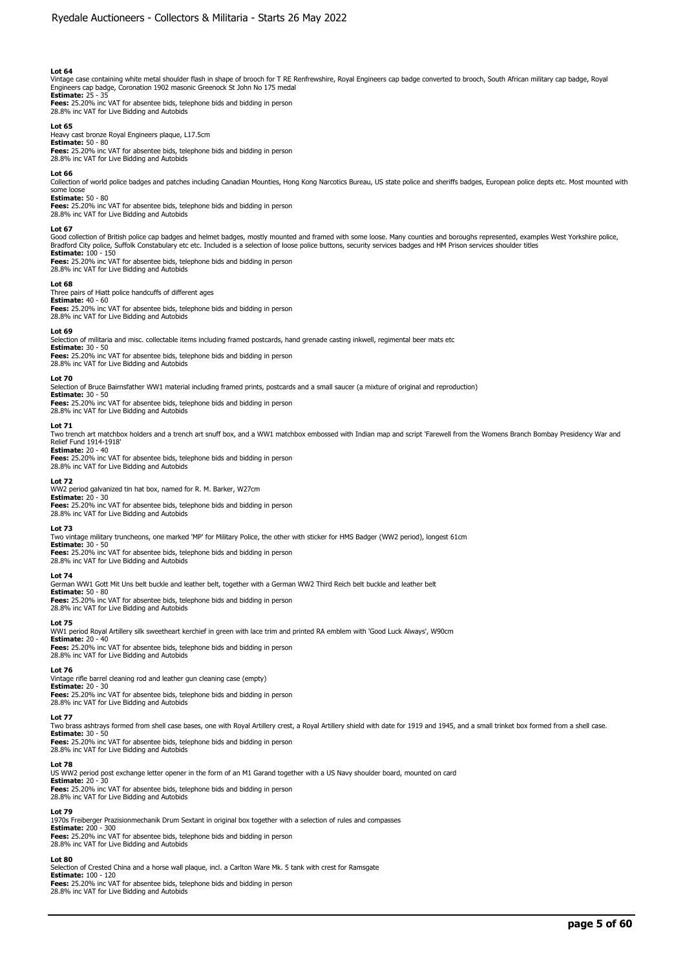Vintage case containing white metal shoulder flash in shape of brooch for T RE Renfrewshire, Royal Engineers cap badge converted to brooch, South African military cap badge, Royal<br>Engineers cap badge, Coronation 1902 mason **Estimate:** 25 - 35

**Fees:** 25.20% inc VAT for absentee bids, telephone bids and bidding in person 28.8% inc VAT for Live Bidding and Autobids

# **Lot 65**

Heavy cast bronze Royal Engineers plaque, L17.5cm **Estimate:** 50 - 80 **Fees:** 25.20% inc VAT for absentee bids, telephone bids and bidding in person 28.8% inc VAT for Live Bidding and Autobids

#### **Lot 66**

Collection of world police badges and patches including Canadian Mounties, Hong Kong Narcotics Bureau, US state police and sheriffs badges, European police depts etc. Most mounted with some loose **Estimate:** 50 - 80

**Fees:** 25.20% inc VAT for absentee bids, telephone bids and bidding in person 28.8% inc VAT for Live Bidding and Autobids

## **Lot 67**

Good collection of British police cap badges and helmet badges, mostly mounted and framed with some loose. Many counties and boroughs represented, examples West Yorkshire police,<br>Bradford City police, Suffolk Constabulary **Estimate:** 100 - 150

**Fees:** 25.20% inc VAT for absentee bids, telephone bids and bidding in person 28.8% inc VAT for Live Bidding and Autobids

#### **Lot 68**

Three pairs of Hiatt police handcuffs of different ages **Estimate:** 40 - 60 **Fees:** 25.20% inc VAT for absentee bids, telephone bids and bidding in person 28.8% inc VAT for Live Bidding and Autobids

#### **Lot 69**

.<br>ection of militaria and misc. collectable items including framed postcards, hand grenade casting inkwell, regimental beer mats etc

**Estimate:** 30 - 50 **Fees:** 25.20% inc VAT for absentee bids, telephone bids and bidding in person 28.8% inc VAT for Live Bidding and Autobids

#### **Lot 70**

Selection of Bruce Bairnsfather WW1 material including framed prints, postcards and a small saucer (a mixture of original and reproduction)

# **Estimate:** 30 - 50

**Fees:** 25.20% inc VAT for absentee bids, telephone bids and bidding in person 28.8% inc VAT for Live Bidding and Autobids

#### **Lot 71**

Two trench art matchbox holders and a trench art snuff box, and a WW1 matchbox embossed with Indian map and script 'Farewell from the Womens Branch Bombay Presidency War and Relief Fund 1914-1918' **Estimate:** 20 - 40

**Fees:** 25.20% inc VAT for absentee bids, telephone bids and bidding in person 28.8% inc VAT for Live Bidding and Autobids

### **Lot 72**

WW2 period galvanized tin hat box, named for R. M. Barker, W27cm **Estimate:** 20 - 30 **Fees:** 25.20% inc VAT for absentee bids, telephone bids and bidding in person 28.8% inc VAT for Live Bidding and Autobids

#### **Lot 73**

Two vintage military truncheons, one marked 'MP' for Military Police, the other with sticker for HMS Badger (WW2 period), longest 61cm

**Estimate:** 30 - 50 **Fees:** 25.20% inc VAT for absentee bids, telephone bids and bidding in person

28.8% inc VAT for Live Bidding and Autobids

# **Lot 74**

German WW1 Gott Mit Uns belt buckle and leather belt, together with a German WW2 Third Reich belt buckle and leather belt

**Estimate:** 50 - 80 **Fees:** 25.20% inc VAT for absentee bids, telephone bids and bidding in person 28.8% inc VAT for Live Bidding and Autobids

#### **Lot 75**

WW1 period Royal Artillery silk sweetheart kerchief in green with lace trim and printed RA emblem with 'Good Luck Always', W90cm **Estimate:** 20 - 40 **Fees:** 25.20% inc VAT for absentee bids, telephone bids and bidding in person 28.8% inc VAT for Live Bidding and Autobids

#### **Lot 76**

Vintage rifle barrel cleaning rod and leather gun cleaning case (empty) **Estimate:** 20 - 30 **Fees:** 25.20% inc VAT for absentee bids, telephone bids and bidding in person 28.8% inc VAT for Live Bidding and Autobids

# **Lot 77**

Two brass ashtrays formed from shell case bases, one with Royal Artillery crest, a Royal Artillery shield with date for 1919 and 1945, and a small trinket box formed from a shell case.

**Estimate:** 30 - 50<br>**Fees:** 25.20% inc VAT for absentee bids, telephone bids and bidding in person<br>28.8% inc VAT for Live Bidding and Autobids

# **Lot 78**

US WW2 period post exchange letter opener in the form of an M1 Garand together with a US Navy shoulder board, mounted on card **Estimate:** 20 - 30

**Fees:** 25.20% inc VAT for absentee bids, telephone bids and bidding in person 28.8% inc VAT for Live Bidding and Autobids

# **Lot 79**

1970s Freiberger Prazisionmechanik Drum Sextant in original box together with a selection of rules and compasses **Estimate:** 200 - 300 **Fees:** 25.20% inc VAT for absentee bids, telephone bids and bidding in person 28.8% inc VAT for Live Bidding and Autobids

### **Lot 80**

Selection of Crested China and a horse wall plaque, incl. a Carlton Ware Mk. 5 tank with crest for Ramsgate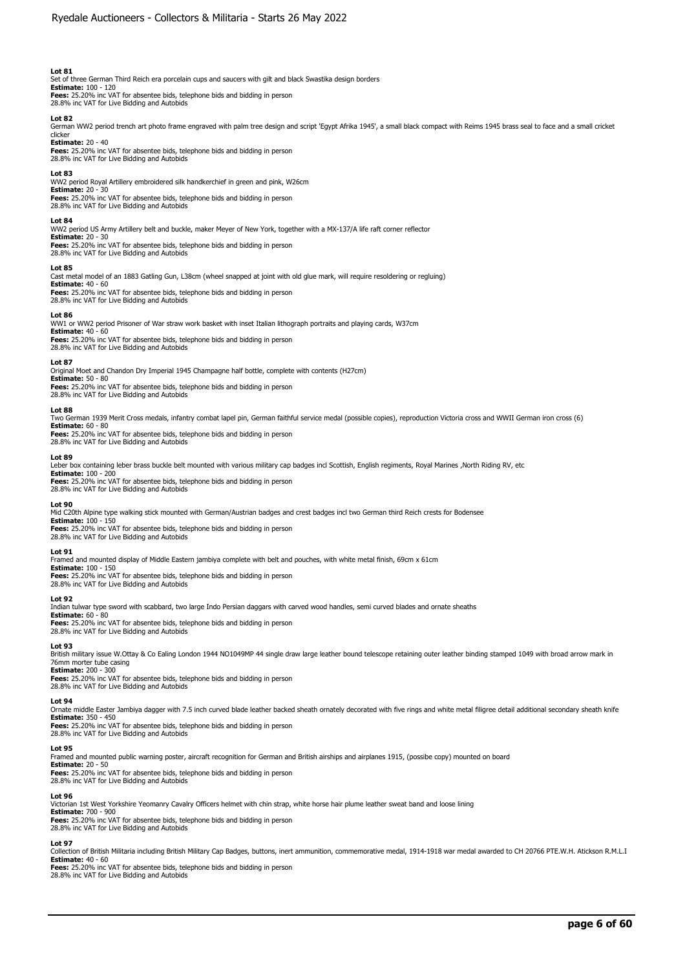Set of three German Third Reich era porcelain cups and saucers with gilt and black Swastika design borders **Estimate:** 100 - 120 **Fees:** 25.20% inc VAT for absentee bids, telephone bids and bidding in person

28.8% inc VAT for Live Bidding and Autobids

**Lot 82**<br>German WW2 period trench art photo frame engraved with palm tree design and script 'Egypt Afrika 1945', a small black compact with Reims 1945 brass seal to face and a small cricket clicker

**Estimate:** 20 - 40 **Fees:** 25.20% inc VAT for absentee bids, telephone bids and bidding in person 28.8% inc VAT for absence bids, tell<br>28.8% inc VAT for Live Bidding and Autobids

# **Lot 83**

WW2 period Royal Artillery embroidered silk handkerchief in green and pink, W26cm **Estimate:** 20 - 30 **Fees:** 25.20% inc VAT for absentee bids, telephone bids and bidding in person 28.8% inc VAT for Live Bidding and Autobids

#### **Lot 84**

WW2 period US Army Artillery belt and buckle, maker Meyer of New York, together with a MX-137/A life raft corner reflector

# **Estimate:** 20 - 30

**Fees:** 25.20% inc VAT for absentee bids, telephone bids and bidding in person 28.8% inc VAT for Live Bidding and Autobids

### **Lot 85**

Cast metal model of an 1883 Gatling Gun, L38cm (wheel snapped at joint with old glue mark, will require resoldering or regluing) **Estimate:** 40 - 60

**Fees:** 25.20% inc VAT for absentee bids, telephone bids and bidding in person 28.8% inc VAT for Live Bidding and Autobids

#### **Lot 86**

WW1 or WW2 period Prisoner of War straw work basket with inset Italian lithograph portraits and playing cards, W37cm **Estimate:** 40 - 60 **Fees:** 25.20% inc VAT for absentee bids, telephone bids and bidding in person

28.8% inc VAT for Live Bidding and Autobids

# **Lot 87**

Original Moet and Chandon Dry Imperial 1945 Champagne half bottle, complete with contents (H27cm) **Estimate:** 50 - 80 **Fees:** 25.20% inc VAT for absentee bids, telephone bids and bidding in person 28.8% inc VAT for Live Bidding and Autobids

#### **Lot 88**

Two German 1939 Merit Cross medals, infantry combat lapel pin, German faithful service medal (possible copies), reproduction Victoria cross and WWII German iron cross (6) **Estimate:** 60 - 80

**Fees:** 25.20% inc VAT for absentee bids, telephone bids and bidding in person 28.8% inc VAT for Live Bidding and Autobids

#### **Lot 89**

Leber box containing leber brass buckle belt mounted with various military cap badges incl Scottish, English regiments, Royal Marines ,North Riding RV, etc

**Estimate:** 100 - 200 **Fees:** 25.20% inc VAT for absentee bids, telephone bids and bidding in person

28.8% inc VAT for Live Bidding and Autobids

**Lot 90**  Mid C20th Alpine type walking stick mounted with German/Austrian badges and crest badges incl two German third Reich crests for Bodensee

**Estimate:** 100 - 150

**Fees:** 25.20% inc VAT for absentee bids, telephone bids and bidding in person 28.8% inc VAT for Live Bidding and Autobids

#### **Lot 91**

Framed and mounted display of Middle Eastern jambiya complete with belt and pouches, with white metal finish, 69cm x 61cm

**Estimate:** 100 - 150 **Fees:** 25.20% inc VAT for absentee bids, telephone bids and bidding in person 28.8% inc VAT for Live Bidding and Autobids

#### **Lot 92**

Indian tulwar type sword with scabbard, two large Indo Persian daggars with carved wood handles, semi curved blades and ornate sheaths<br>**Estimate:** 60 - 80<br>**Fees:** 25.20% inc VAT for absentee bids, telephone bids and biddin

28.8% inc VAT for Live Bidding and Autobids

# **Lot 93**

British military issue W.Ottay & Co Ealing London 1944 NO1049MP 44 single draw large leather bound telescope retaining outer leather binding stamped 1049 with broad arrow mark in 76mm morter tube casing **Estimate:** 200 - 300

**Fees:** 25.20% inc VAT for absentee bids, telephone bids and bidding in person 28.8% inc VAT for Live Bidding and Autobids

# **Lot 94**

Ornate middle Easter Jambiya dagger with 7.5 inch curved blade leather backed sheath ornately decorated with five rings and white metal filigree detail additional secondary sheath knife **Estimate:** 350 - 450 **Fees:** 25.20% inc VAT for absentee bids, telephone bids and bidding in person

28.8% inc VAT for Live Bidding and Autobids

#### **Lot 95**

Framed and mounted public warning poster, aircraft recognition for German and British airships and airplanes 1915, (possibe copy) mounted on board

**Estimate:** 20 - 50 **Fees:** 25.20% inc VAT for absentee bids, telephone bids and bidding in person 28.8% inc VAT for Live Bidding and Autobids

#### **Lot 96**

Victorian 1st West Yorkshire Yeomanry Cavalry Officers helmet with chin strap, white horse hair plume leather sweat band and loose lining **Estimate:** 700 - 900

**Fees:** 25.20% inc VAT for absentee bids, telephone bids and bidding in person 28.8% inc VAT for Live Bidding and Autobids

# **Lot 97**

Collection of British Militaria including British Military Cap Badges, buttons, inert ammunition, commemorative medal, 1914-1918 war medal awarded to CH 20766 PTE.W.H. Atickson R.M.L.I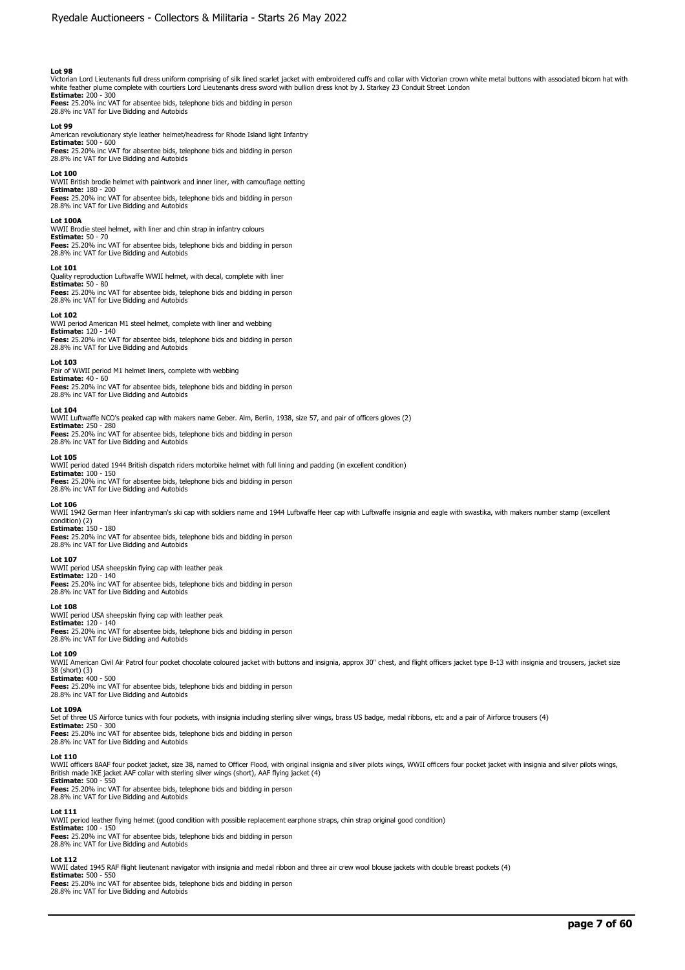Victorian Lord Lieutenants full dress uniform comprising of silk lined scarlet jacket with embroidered cuffs and collar with Victorian crown white metal buttons with associated bicorn hat with<br>white feather plume complete

**Fees:** 25.20% inc VAT for absentee bids, telephone bids and bidding in person 28.8% inc VAT for Live Bidding and Autobids

#### **Lot 99**

American revolutionary style leather helmet/headress for Rhode Island light Infantry **Estimate:** 500 - 600 **Fees:** 25.20% inc VAT for absentee bids, telephone bids and bidding in person 28.8% inc VAT for Live Bidding and Autobids

### **Lot 100**

WWII British brodie helmet with paintwork and inner liner, with camouflage netting **Estimate:** 180 - 200 **Fees:** 25.20% inc VAT for absentee bids, telephone bids and bidding in person 28.8% inc VAT for Live Bidding and Autobids

#### **Lot 100A**

WWII Brodie steel helmet, with liner and chin strap in infantry colours **Estimate:** 50 - 70 **Fees:** 25.20% inc VAT for absentee bids, telephone bids and bidding in person 28.8% inc VAT for Live Bidding and Autobids

#### **Lot 101**

Quality reproduction Luftwaffe WWII helmet, with decal, complete with liner **Estimate:** 50 - 80

**Fees:** 25.20% inc VAT for absentee bids, telephone bids and bidding in person 28.8% inc VAT for Live Bidding and Autobids

#### **Lot 102**

WWI period American M1 steel helmet, complete with liner and webbing **Estimate:** 120 - 140 **Fees:** 25.20% inc VAT for absentee bids, telephone bids and bidding in person 28.8% inc VAT for Live Bidding and Autobids

#### **Lot 103**

Pair of WWII period M1 helmet liners, complete with webbing **Estimate:** 40 - 60 **Fees:** 25.20% inc VAT for absentee bids, telephone bids and bidding in person 28.8% inc VAT for Live Bidding and Autobids

#### **Lot 104**

WWII Luftwaffe NCO's peaked cap with makers name Geber. Alm, Berlin, 1938, size 57, and pair of officers gloves (2) **Estimate:** 250 - 280 **Fees:** 25.20% inc VAT for absentee bids, telephone bids and bidding in person

28.8% inc VAT for Live Bidding and Autobids

#### **Lot 105**

WWII period dated 1944 British dispatch riders motorbike helmet with full lining and padding (in excellent condition) **Estimate:** 100 - 150 **Fees:** 25.20% inc VAT for absentee bids, telephone bids and bidding in person 28.8% inc VAT for Live Bidding and Autobids

**Lot 106**<br>WWII 1942 German Heer infantryman's ski cap with soldiers name and 1944 Luftwaffe Heer cap with Luftwaffe insignia and eagle with swastika, with makers number stamp (excellent condition) (2) **Estimate:** 150 - 180

**Fees:** 25.20% inc VAT for absentee bids, telephone bids and bidding in person 28.8% inc VAT for Live Bidding and Autobids

#### **Lot 107**

WWII period USA sheepskin flying cap with leather peak **Estimate:** 120 - 140 **Fees:** 25.20% inc VAT for absentee bids, telephone bids and bidding in person 28.8% inc VAT for Live Bidding and Autobids

#### **Lot 108**

WWII period USA sheepskin flying cap with leather peak **Estimate:** 120 - 140

**Fees:** 25.20% inc VAT for absentee bids, telephone bids and bidding in person 28.8% inc VAT for Live Bidding and Autobids

# **Lot 109**

THIM American Civil Air Patrol four pocket chocolate coloured jacket with buttons and insignia, approx 30" chest, and flight officers jacket type B-13 with insignia and trousers, jacket size 38 (short) (3)

**Estimate:** 400 - 500 **Fees:** 25.20% inc VAT for absentee bids, telephone bids and bidding in person 28.8% inc VAT for Live Bidding and Autobids

**Lot 109A**<br>Set of three US Airforce tunics with four pockets, with insignia including sterling silver wings, brass US badge, medal ribbons, etc and a pair of Airforce trousers (4)<br>**Estimate:** 250 - 300

**Fees:** 25.20% inc VAT for absentee bids, telephone bids and bidding in person 28.8% inc VAT for Live Bidding and Autobids

#### **Lot 110**

WWII officers 8AAF four pocket jacket, size 38, named to Officer Flood, with original insignia and silver pilots wings, WWII officers four pocket jacket with insignia and silver pilots wings,<br>Br**i**tish made IKE jacket AAF

**Fees:** 25.20% inc VAT for absentee bids, telephone bids and bidding in person

# 28.8% inc VAT for Live Bidding and Autobids

**Lot 111** 

WWII period leather flying helmet (good condition with possible replacement earphone straps, chin strap original good condition)<br>**Estimate:** 100 - 150<br>**Fees:** 25.20% inc VAT for absentee bids, telephone bids and bidding in

28.8% inc VAT for Live Bidding and Autobids

**Lot 112**  WWII dated 1945 RAF flight lieutenant navigator with insignia and medal ribbon and three air crew wool blouse jackets with double breast pockets (4)

**Estimate:** 500 - 550 **Fees:** 25.20% inc VAT for absentee bids, telephone bids and bidding in person

28.8% inc VAT for Live Bidding and Autobids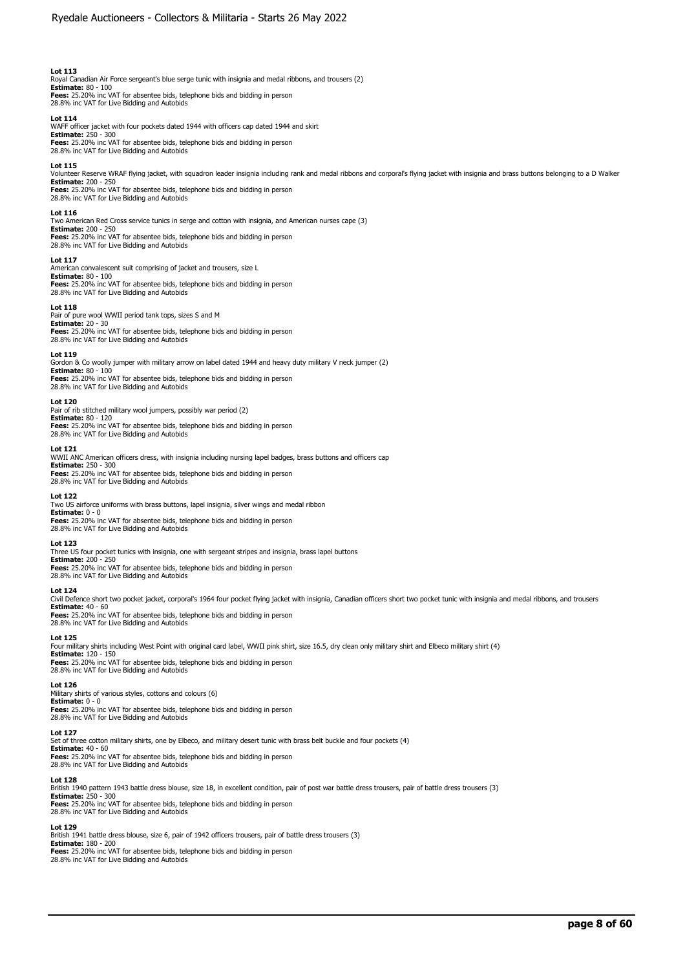Royal Canadian Air Force sergeant's blue serge tunic with insignia and medal ribbons, and trousers (2) **Estimate:** 80 - 100 **Fees:** 25.20% inc VAT for absentee bids, telephone bids and bidding in person 28.8% inc VAT for Live Bidding and Autobids

**Lot 114**  WAFF officer jacket with four pockets dated 1944 with officers cap dated 1944 and skirt **Estimate:** 250 - 300 **Fees:** 25.20% inc VAT for absentee bids, telephone bids and bidding in person 28.8% inc VAT for Live Bidding and Autobids

#### **Lot 115**

Volunteer Reserve WRAF flying jacket, with squadron leader insignia including rank and medal ribbons and corporal's flying jacket with insignia and brass buttons belonging to a D Walker **Estimate:** 200 - 250

**Fees:** 25.20% inc VAT for absentee bids, telephone bids and bidding in person 28.8% inc VAT for Live Bidding and Autobids

#### **Lot 116**

Two American Red Cross service tunics in serge and cotton with insignia, and American nurses cape (3) **Estimate:** 200 - 250

**Fees:** 25.20% inc VAT for absentee bids, telephone bids and bidding in person 28.8% inc VAT for Live Bidding and Autobids

#### **Lot 117**

American convalescent suit comprising of jacket and trousers, size L **Estimate:** 80 - 100 **Fees:** 25.20% inc VAT for absentee bids, telephone bids and bidding in person 28.8% inc VAT for Live Bidding and Autobids

#### **Lot 118**

Pair of pure wool WWII period tank tops, sizes S and M

**Estimate:** 20 - 30<br>**Fees:** 25.20% inc VAT for absentee bids, telephone bids and bidding in person<br>28.8% inc VAT for Live Bidding and Autobids

**Lot 119**  Gordon & Co woolly jumper with military arrow on label dated 1944 and heavy duty military V neck jumper (2)

**Estimate:** 80 - 100<br>**Fees:** 25.20% inc VAT for absentee bids, telephone bids and bidding in person<br>28.8% inc VAT for Live Bidding and Autobids

### **Lot 120**

Pair of rib stitched military wool jumpers, possibly war period (2) **Estimate:** 80 - 120 **Fees:** 25.20% inc VAT for absentee bids, telephone bids and bidding in person 28.8% inc VAT for Live Bidding and Autobids

## **Lot 121**

WWII ANC American officers dress, with insignia including nursing lapel badges, brass buttons and officers cap **Estimate:** 250 - 300 **Fees:** 25.20% inc VAT for absentee bids, telephone bids and bidding in person 28.8% inc VAT for Live Bidding and Autobids

### **Lot 122**

Two US airforce uniforms with brass buttons, lapel insignia, silver wings and medal ribbon **Estimate:** 0 - 0 **Fees:** 25.20% inc VAT for absentee bids, telephone bids and bidding in person 28.8% inc VAT for Live Bidding and Autobids

#### **Lot 123**

Three US four pocket tunics with insignia, one with sergeant stripes and insignia, brass lapel buttons **Estimate:** 200 - 250 **Fees:** 25.20% inc VAT for absentee bids, telephone bids and bidding in person 28.8% inc VAT for Live Bidding and Autobids

#### **Lot 124**

Civil Defence short two pocket jacket, corporal's 1964 four pocket flying jacket with insignia, Canadian officers short two pocket tunic with insignia and medal ribbons, and trousers **Estimate:** 40 - 60 **Fees:** 25.20% inc VAT for absentee bids, telephone bids and bidding in person

28.8% inc VAT for Live Bidding and Autobids

#### **Lot 125**

Four military shirts including West Point with original card label, WWII pink shirt, size 16.5, dry clean only military shirt and Elbeco military shirt (4) **Estimate:** 120 - 150 **Fees:** 25.20% inc VAT for absentee bids, telephone bids and bidding in person 28.8% inc VAT for Live Bidding and Autobids

#### **Lot 126**

Military shirts of various styles, cottons and colours (6) **Estimate:** 0 - 0 **Fees:** 25.20% inc VAT for absentee bids, telephone bids and bidding in person<br>28.8% inc VAT for Live Bidding and Autobids

#### **Lot 127**

Set of three cotton military shirts, one by Elbeco, and military desert tunic with brass belt buckle and four pockets (4) **Estimate:** 40 - 60 **Fees:** 25.20% inc VAT for absentee bids, telephone bids and bidding in person 28.8% inc VAT for Live Bidding and Autobids

#### **Lot 128**

British 1940 pattern 1943 battle dress blouse, size 18, in excellent condition, pair of post war battle dress trousers, pair of battle dress trousers (3) **Estimate:** 250 - 300 **Fees:** 25.20% inc VAT for absentee bids, telephone bids and bidding in person 28.8% inc VAT for Live Bidding and Autobids

#### **Lot 129**

British 1941 battle dress blouse, size 6, pair of 1942 officers trousers, pair of battle dress trousers (3) **Estimate:** 180 - 200 **Fees:** 25.20% inc VAT for absentee bids, telephone bids and bidding in person 28.8% inc VAT for Live Bidding and Autobids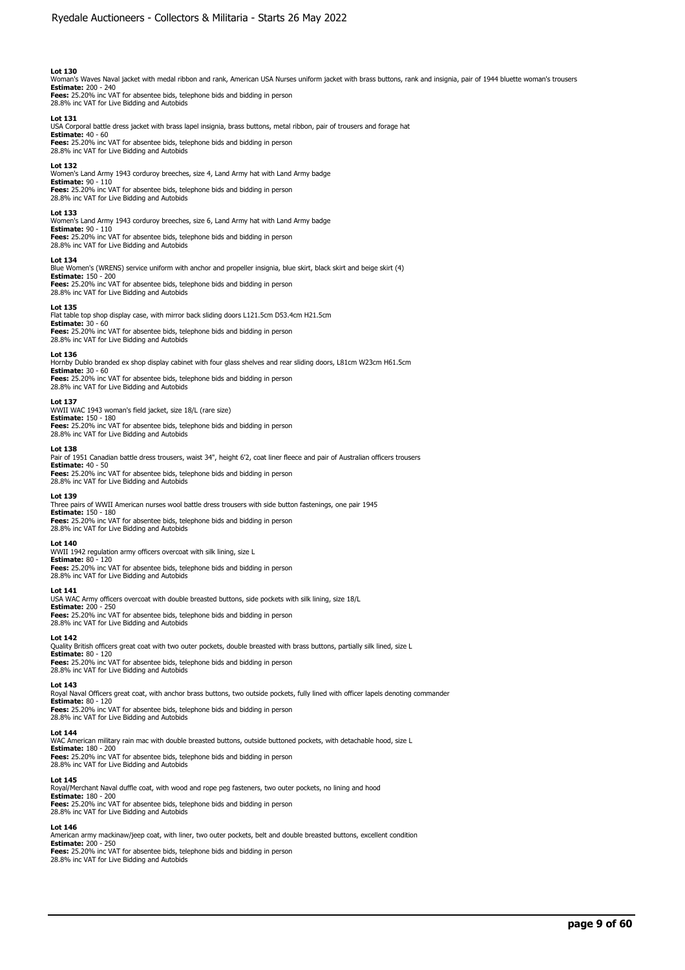Woman's Waves Naval jacket with medal ribbon and rank, American USA Nurses uniform jacket with brass buttons, rank and insignia, pair of 1944 bluette woman's trousers **Estimate:** 200 - 240 **Fees:** 25.20% inc VAT for absentee bids, telephone bids and bidding in person 28.8% inc VAT for Live Bidding and Autobids

#### **Lot 131**

USA Corporal battle dress jacket with brass lapel insignia, brass buttons, metal ribbon, pair of trousers and forage hat **Estimate:** 40 - 60 **Fees:** 25.20% inc VAT for absentee bids, telephone bids and bidding in person 28.8% inc VAT for Live Bidding and Autobids

#### **Lot 132**

Women's Land Army 1943 corduroy breeches, size 4, Land Army hat with Land Army badge **Estimate:** 90 - 110 **Fees:** 25.20% inc VAT for absentee bids, telephone bids and bidding in person 28.8% inc VAT for Live Bidding and Autobids

#### **Lot 133**

Women's Land Army 1943 corduroy breeches, size 6, Land Army hat with Land Army badge

**Estimate:** 90 - 110 **Fees:** 25.20% inc VAT for absentee bids, telephone bids and bidding in person 28.8% inc VAT for Live Bidding and Autobids

#### **Lot 134**

Blue Women's (WRENS) service uniform with anchor and propeller insignia, blue skirt, black skirt and beige skirt (4) **Estimate:** 150 - 200 **Fees:** 25.20% inc VAT for absentee bids, telephone bids and bidding in person 28.8% inc VAT for Live Bidding and Autobids

#### **Lot 135**

Flat table top shop display case, with mirror back sliding doors L121.5cm D53.4cm H21.5cm **Estimate:** 30 - 60 **Fees:** 25.20% inc VAT for absentee bids, telephone bids and bidding in person 28.8% inc VAT for Live Bidding and Autobids

**Lot 136**  Hornby Dublo branded ex shop display cabinet with four glass shelves and rear sliding doors, L81cm W23cm H61.5cm **Estimate:** 30 - 60

**Fees:** 25.20% inc VAT for absentee bids, telephone bids and bidding in person 28.8% inc VAT for Live Bidding and Autobids

### **Lot 137**

WWII WAC 1943 woman's field jacket, size 18/L (rare size) **Estimate:** 150 - 180 **Fees:** 25.20% inc VAT for absentee bids, telephone bids and bidding in person 28.8% inc VAT for Live Bidding and Autobids

### **Lot 138**

Pair of 1951 Canadian battle dress trousers, waist 34", height 6'2, coat liner fleece and pair of Australian officers trousers **Estimate:** 40 - 50 **Fees:** 25.20% inc VAT for absentee bids, telephone bids and bidding in person 28.8% inc VAT for Live Bidding and Autobids

#### **Lot 139**

Three pairs of WWII American nurses wool battle dress trousers with side button fastenings, one pair 1945 **Estimate:** 150 - 180 **Fees:** 25.20% inc VAT for absentee bids, telephone bids and bidding in person 28.8% inc VAT for Live Bidding and Autobids

#### **Lot 140**

WWII 1942 regulation army officers overcoat with silk lining, size L **Estimate:** 80 - 120 **Fees:** 25.20% inc VAT for absentee bids, telephone bids and bidding in person 28.8% inc VAT for Live Bidding and Autobids

#### **Lot 141**

USA WAC Army officers overcoat with double breasted buttons, side pockets with silk lining, size 18/L

**Estimate:** 200 - 250 **Fees:** 25.20% inc VAT for absentee bids, telephone bids and bidding in person 28.8% inc VAT for Live Bidding and Autobids

#### **Lot 142**

Quality British officers great coat with two outer pockets, double breasted with brass buttons, partially silk lined, size L

**Estimate:** 80 - 120<br>**Fees:** 25.20% inc VAT for absentee bids, telephone bids and bidding in person<br>28.8% inc VAT for Live Bidding and Autobids

### **Lot 143**

Royal Naval Officers great coat, with anchor brass buttons, two outside pockets, fully lined with officer lapels denoting commander **Estimate:** 80 - 120

**Fees:** 25.20% inc VAT for absentee bids, telephone bids and bidding in person<br>28.8% inc VAT for Live Bidding and Autobids

## **Lot 144**

WAC American military rain mac with double breasted buttons, outside buttoned pockets, with detachable hood, size L **Estimate:** 180 - 200 **Fees:** 25.20% inc VAT for absentee bids, telephone bids and bidding in person 28.8% inc VAT for Live Bidding and Autobids

#### **Lot 145**

Royal/Merchant Naval duffle coat, with wood and rope peg fasteners, two outer pockets, no lining and hood **Estimate:** 180 - 200 **Fees:** 25.20% inc VAT for absentee bids, telephone bids and bidding in person 28.8% inc VAT for Live Bidding and Autobids

#### **Lot 146**

American army mackinaw/jeep coat, with liner, two outer pockets, belt and double breasted buttons, excellent condition **Estimate:** 200 - 250 **Fees:** 25.20% inc VAT for absentee bids, telephone bids and bidding in person 28.8% inc VAT for Live Bidding and Autobids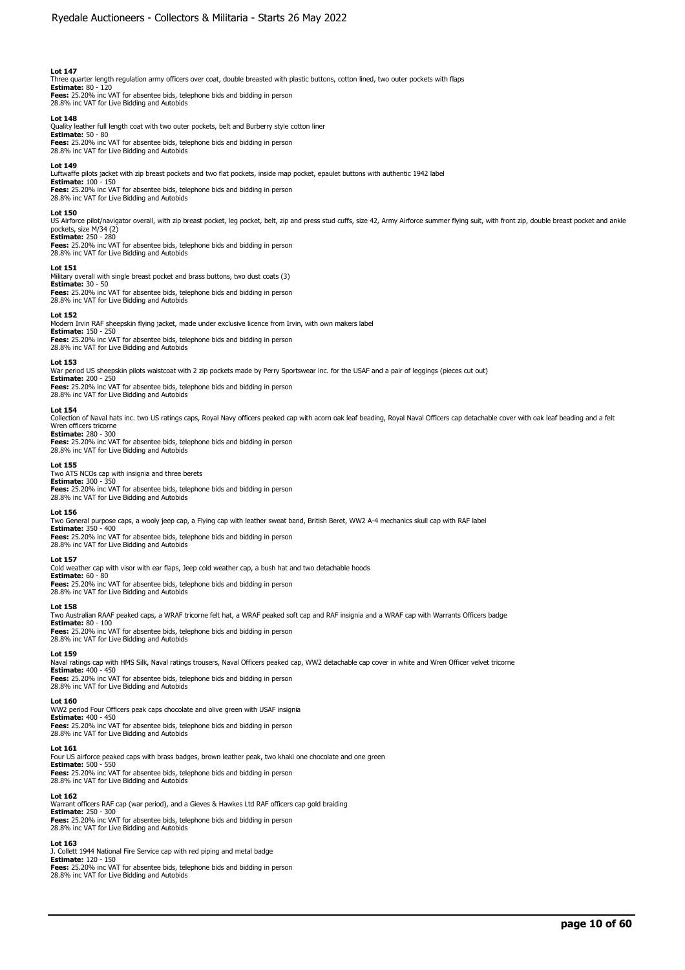Three quarter length regulation army officers over coat, double breasted with plastic buttons, cotton lined, two outer pockets with flaps<br>**Estimate:** 80 - 120<br>**Fees:** 25.20% inc VAT for absentee bids, telephone bids and bi

28.8% inc VAT for Live Bidding and Autobids

# **Lot 148**

Quality leather full length coat with two outer pockets, belt and Burberry style cotton liner **Estimate:** 50 - 80 **Fees:** 25.20% inc VAT for absentee bids, telephone bids and bidding in person 28.8% inc VAT for Live Bidding and Autobids

#### **Lot 149**

Luftwaffe pilots jacket with zip breast pockets and two flat pockets, inside map pocket, epaulet buttons with authentic 1942 label **Estimate:** 100 - 150

**Fees:** 25.20% inc VAT for absentee bids, telephone bids and bidding in person 28.8% inc VAT for Live Bidding and Autobids

# **Lot 150**

US Airforce pilot/navigator overall, with zip breast pocket, leg pocket, belt, zip and press stud cuffs, size 42, Army Airforce summer flying suit, with front zip, double breast pocket and ankle pockets, size M/34 (2) **Estimate:** 250 - 280

**Fees:** 25.20% inc VAT for absentee bids, telephone bids and bidding in person 28.8% inc VAT for Live Bidding and Autobids

## **Lot 151**

Military overall with single breast pocket and brass buttons, two dust coats (3) **Estimate:** 30 - 50

**Fees:** 25.20% inc VAT for absentee bids, telephone bids and bidding in person 28.8% inc VAT for Live Bidding and Autobids

#### **Lot 152**

Modern Irvin RAF sheepskin flying jacket, made under exclusive licence from Irvin, with own makers label **Estimate:** 150 - 250 **Fees:** 25.20% inc VAT for absentee bids, telephone bids and bidding in person 28.8% inc VAT for Live Bidding and Autobids

#### **Lot 153**

War period US sheepskin pilots waistcoat with 2 zip pockets made by Perry Sportswear inc. for the USAF and a pair of leggings (pieces cut out) **Estimate:** 200 - 250

**Fees:** 25.20% inc VAT for absentee bids, telephone bids and bidding in person 28.8% inc VAT for Live Bidding and Autobids

#### **Lot 154**

Collection of Naval hats inc. two US ratings caps, Royal Navy officers peaked cap with acorn oak leaf beading, Royal Naval Officers cap detachable cover with oak leaf beading and a felt Wren officers tricorne **Estimate:** 280 - 300

**Fees:** 25.20% inc VAT for absentee bids, telephone bids and bidding in person 28.8% inc VAT for Live Bidding and Autobids

**Lot 155**  Two ATS NCOs cap with insignia and three berets

**Estimate:** 300 - 350 **Fees:** 25.20% inc VAT for absentee bids, telephone bids and bidding in person 28.8% inc VAT for Live Bidding and Autobids

#### **Lot 156**

Two General purpose caps, a wooly jeep cap, a Flying cap with leather sweat band, British Beret, WW2 A-4 mechanics skull cap with RAF label **Estimate:** 350 - 400

**Fees:** 25.20% inc VAT for absentee bids, telephone bids and bidding in person 28.8% inc VAT for Live Bidding and Autobids

### **Lot 157**

Cold weather cap with visor with ear flaps, Jeep cold weather cap, a bush hat and two detachable hoods

**Estimate:** 60 - 80 **Fees:** 25.20% inc VAT for absentee bids, telephone bids and bidding in person 28.8% inc VAT for Live Bidding and Autobids

#### **Lot 158**

Two Australian RAAF peaked caps, a WRAF tricorne felt hat, a WRAF peaked soft cap and RAF insignia and a WRAF cap with Warrants Officers badge

**Estimate:** 80 - 100 **Fees:** 25.20% inc VAT for absentee bids, telephone bids and bidding in person 28.8% inc VAT for Live Bidding and Autobids

#### **Lot 159**

Naval ratings cap with HMS Silk, Naval ratings trousers, Naval Officers peaked cap, WW2 detachable cap cover in white and Wren Officer velvet tricorne **Estimate:** 400 - 450

**Fees:** 25.20% inc VAT for absentee bids, telephone bids and bidding in person 28.8% inc VAT for Live Bidding and Autobids

# **Lot 160**

WW2 period Four Officers peak caps chocolate and olive green with USAF insignia<br>**Estimate:** 400 - 450<br>**Fees:** 25.20% inc VAT for absentee bids, telephone bids and bidding in person 28.8% inc VAT for Live Bidding and Autobids

#### **Lot 161**

Four US airforce peaked caps with brass badges, brown leather peak, two khaki one chocolate and one green **Estimate:** 500 - 550

**Fees:** 25.20% inc VAT for absentee bids, telephone bids and bidding in person 28.8% inc VAT for Live Bidding and Autobids

**Lot 162** 

Warrant officers RAF cap (war period), and a Gieves & Hawkes Ltd RAF officers cap gold braiding **Estimate:** 250 - 300

**Fees:** 25.20% inc VAT for absentee bids, telephone bids and bidding in person 28.8% inc VAT for Live Bidding and Autobids

# **Lot 163**

J. Collett 1944 National Fire Service cap with red piping and metal badge **Estimate:** 120 - 150 **Fees:** 25.20% inc VAT for absentee bids, telephone bids and bidding in person

28.8% inc VAT for Live Bidding and Autobids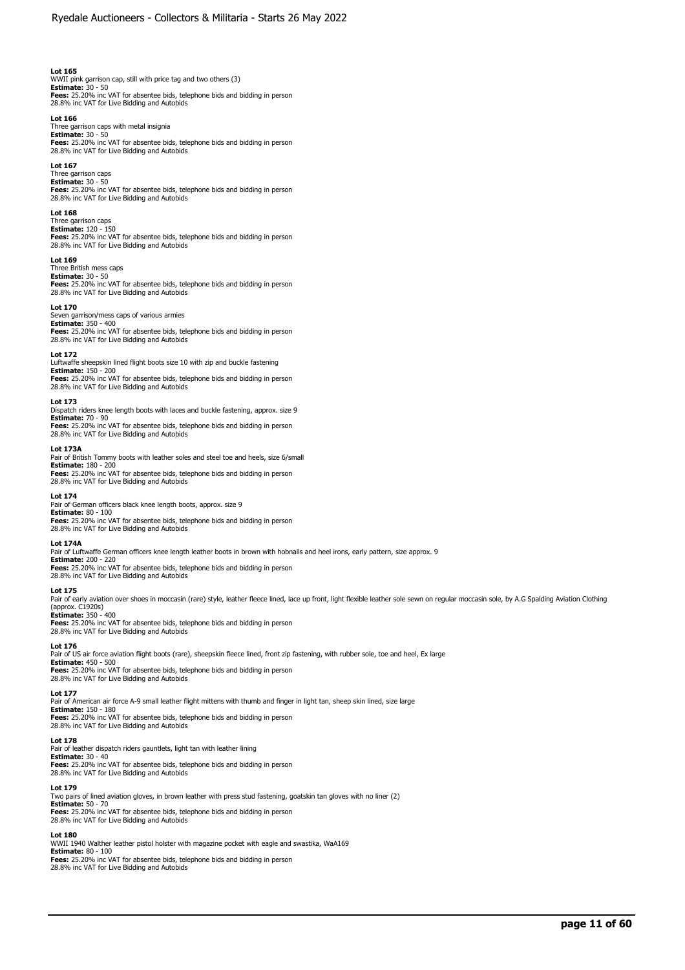WWII pink garrison cap, still with price tag and two others (3) **Estimate:** 30 - 50 **Fees:** 25.20% inc VAT for absentee bids, telephone bids and bidding in person 28.8% inc VAT for Live Bidding and Autobids

#### **Lot 166**

Three garrison caps with metal insignia **Estimate:** 30 - 50<br>**Fees:** 25.20% inc VAT for absentee bids, telephone bids and bidding in person<br>28.8% inc VAT for Live Bidding and Autobids

## **Lot 167**

Three garrison caps **Estimate:** 30 - 50 **Fees:** 25.20% inc VAT for absentee bids, telephone bids and bidding in person 28.8% inc VAT for Live Bidding and Autobids

#### **Lot 168**

Three garrison caps **Estimate:** 120 - 150 **Fees:** 25.20% inc VAT for absentee bids, telephone bids and bidding in person 28.8% inc VAT for Live Bidding and Autobids

#### **Lot 169**

Three British mess caps **Estimate:** 30 - 50

**Fees:** 25.20% inc VAT for absentee bids, telephone bids and bidding in person 28.8% inc VAT for Live Bidding and Autobids

#### **Lot 170**

Seven garrison/mess caps of various armies **Estimate:** 350 - 400

**Fees:** 25.20% inc VAT for absentee bids, telephone bids and bidding in person 28.8% inc VAT for Live Bidding and Autobids

**Lot 172**  Luftwaffe sheepskin lined flight boots size 10 with zip and buckle fastening **Estimate:** 150 - 200<br>**Fees:** 25.20% inc VAT for absentee bids, telephone bids and bidding in person<br>28.8% inc VAT for Live Bidding and Autobids

#### **Lot 173**

Dispatch riders knee length boots with laces and buckle fastening, approx. size 9 **Estimate:** 70 - 90 **Fees:** 25.20% inc VAT for absentee bids, telephone bids and bidding in person 28.8% inc VAT for Live Bidding and Autobids

### **Lot 173A**

Pair of British Tommy boots with leather soles and steel toe and heels, size 6/small **Estimate:** 180 - 200 **Fees:** 25.20% inc VAT for absentee bids, telephone bids and bidding in person 28.8% inc VAT for Live Bidding and Autobids

#### **Lot 174**

Pair of German officers black knee length boots, approx. size 9 **Estimate:** 80 - 100 **Fees:** 25.20% inc VAT for absentee bids, telephone bids and bidding in person 28.8% inc VAT for Live Bidding and Autobids

#### **Lot 174A**

Pair of Luftwaffe German officers knee length leather boots in brown with hobnails and heel irons, early pattern, size approx. 9 **Estimate:** 200 - 220 **Fees:** 25.20% inc VAT for absentee bids, telephone bids and bidding in person 28.8% inc VAT for Live Bidding and Autobids

#### **Lot 175**

Pair of early aviation over shoes in moccasin (rare) style, leather fleece lined, lace up front, light flexible leather sole sewn on regular moccasin sole, by A.G Spalding Aviation Clothing (approx. C1920s) **Estimate:** 350 - 400

**Fees:** 25.20% inc VAT for absentee bids, telephone bids and bidding in person<br>28.8% inc VAT for Live Bidding and Autobids

### **Lot 176**

Pair of US air force aviation flight boots (rare), sheepskin fleece lined, front zip fastening, with rubber sole, toe and heel, Ex large **Estimate:** 450 - 500 **Fees:** 25.20% inc VAT for absentee bids, telephone bids and bidding in person 28.8% inc VAT for Live Bidding and Autobids

#### **Lot 177**

Pair of American air force A-9 small leather flight mittens with thumb and finger in light tan, sheep skin lined, size large **Estimate:** 150 - 180 **Fees:** 25.20% inc VAT for absentee bids, telephone bids and bidding in person 28.8% inc VAT for Live Bidding and Autobids

### **Lot 178**

Pair of leather dispatch riders gauntlets, light tan with leather lining **Estimate:** 30 - 40 **Fees:** 25.20% inc VAT for absentee bids, telephone bids and bidding in person 28.8% inc VAT for Live Bidding and Autobids

**Lot 179** 

Two pairs of lined aviation gloves, in brown leather with press stud fastening, goatskin tan gloves with no liner (2) **Estimate:** 50 - 70 **Fees:** 25.20% inc VAT for absentee bids, telephone bids and bidding in person 28.8% inc VAT for Live Bidding and Autobids

#### **Lot 180**

WWII 1940 Walther leather pistol holster with magazine pocket with eagle and swastika, WaA169 **Estimate:** 80 - 100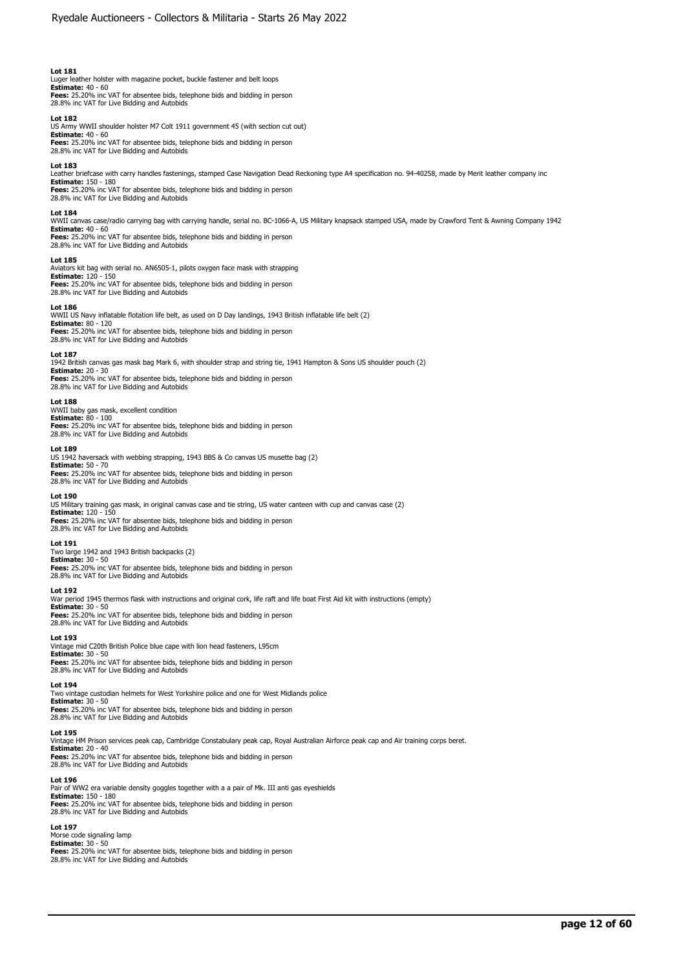Luger leather holster with magazine pocket, buckle fastener and belt loops **Estimate:** 40 - 60 **Fees:** 25.20% inc VAT for absentee bids, telephone bids and bidding in person 28.8% inc VAT for Live Bidding and Autobids

**Lot 182**  US Army WWII shoulder holster M7 Colt 1911 government 45 (with section cut out) **Estimate:** 40 - 60 **Fees:** 25.20% inc VAT for absentee bids, telephone bids and bidding in person 28.8% inc VAT for Live Bidding and Autobids

#### **Lot 183**

Leather briefcase with carry handles fastenings, stamped Case Navigation Dead Reckoning type A4 specification no. 94-40258, made by Merit leather company inc<br>**Estimate:** 150 - 180

**Fees:** 25.20% inc VAT for absentee bids, telephone bids and bidding in person 28.8% inc VAT for Live Bidding and Autobids

# **Lot 184**

WWII canvas case/radio carrying bag with carrying handle, serial no. BC-1066-A, US Military knapsack stamped USA, made by Crawford Tent & Awning Company 1942 **Estimate:** 40 - 60 **Fees:** 25.20% inc VAT for absentee bids, telephone bids and bidding in person

28.8% inc VAT for Live Bidding and Autobids

### **Lot 185**

Aviators kit bag with serial no. AN6505-1, pilots oxygen face mask with strapping **Estimate:** 120 - 150 **Fees:** 25.20% inc VAT for absentee bids, telephone bids and bidding in person 28.8% inc VAT for Live Bidding and Autobids

#### **Lot 186**

WWII US Navy inflatable flotation life belt, as used on D Day landings, 1943 British inflatable life belt (2) **Estimate:** 80 - 120<br>**Fees:** 25.20% inc VAT for absentee bids, telephone bids and bidding in person<br>28.8% inc VAT for Live Bidding and Autobids

**Lot 187**  1942 British canvas gas mask bag Mark 6, with shoulder strap and string tie, 1941 Hampton & Sons US shoulder pouch (2) **Estimate:** 20 - 30

**Fees:** 25.20% inc VAT for absentee bids, telephone bids and bidding in person 28.8% inc VAT for Live Bidding and Autobids

# **Lot 188**

# WWII baby gas mask, excellent condition **Estimate:** 80 - 100

**Fees:** 25.20% inc VAT for absentee bids, telephone bids and bidding in person 28.8% inc VAT for Live Bidding and Autobids

# **Lot 189**

US 1942 haversack with webbing strapping, 1943 BBS & Co canvas US musette bag (2) **Estimate:** 50 - 70 **Fees:** 25.20% inc VAT for absentee bids, telephone bids and bidding in person 28.8% inc VAT for Live Bidding and Autobids

#### **Lot 190**

US Military training gas mask, in original canvas case and tie string, US water canteen with cup and canvas case (2) **Estimate:** 120 - 150 **Fees:** 25.20% inc VAT for absentee bids, telephone bids and bidding in person 28.8% inc VAT for Live Bidding and Autobids

### **Lot 191**

Two large 1942 and 1943 British backpacks (2) **Estimate:** 30 - 50 **Fees:** 25.20% inc VAT for absentee bids, telephone bids and bidding in person 28.8% inc VAT for Live Bidding and Autobids

#### **Lot 192**

War period 1945 thermos flask with instructions and original cork, life raft and life boat First Aid kit with instructions (empty)

**Estimate:** 30 - 50 **Fees:** 25.20% inc VAT for absentee bids, telephone bids and bidding in person 28.8% inc VAT for Live Bidding and Autobids

#### **Lot 193**

Vintage mid C20th British Police blue cape with lion head fasteners, L95cm **Estimate:** 30 - 50<br>**Fees:** 25.20% inc VAT for absentee bids, telephone bids and bidding in person<br>28.8% inc VAT for Live Bidding and Autobids

#### **Lot 194**

Two vintage custodian helmets for West Yorkshire police and one for West Midlands police **Estimate:** 30 - 50 **Fees:** 25.20% inc VAT for absentee bids, telephone bids and bidding in person 28.8% inc VAT for Live Bidding and Autobids

#### **Lot 195**

Vintage HM Prison services peak cap, Cambridge Constabulary peak cap, Royal Australian Airforce peak cap and Air training corps beret. **Estimate:** 20 - 40 **Fees:** 25.20% inc VAT for absentee bids, telephone bids and bidding in person 28.8% inc VAT for Live Bidding and Autobids

#### **Lot 196**

Pair of WW2 era variable density goggles together with a a pair of Mk. III anti gas eyeshields **Estimate:** 150 - 180 **Fees:** 25.20% inc VAT for absentee bids, telephone bids and bidding in person 28.8% inc VAT for Live Bidding and Autobids

#### **Lot 197**

Morse code signaling lamp **Estimate:** 30 - 50 **Fees:** 25.20% inc VAT for absentee bids, telephone bids and bidding in person 28.8% inc VAT for Live Bidding and Autobids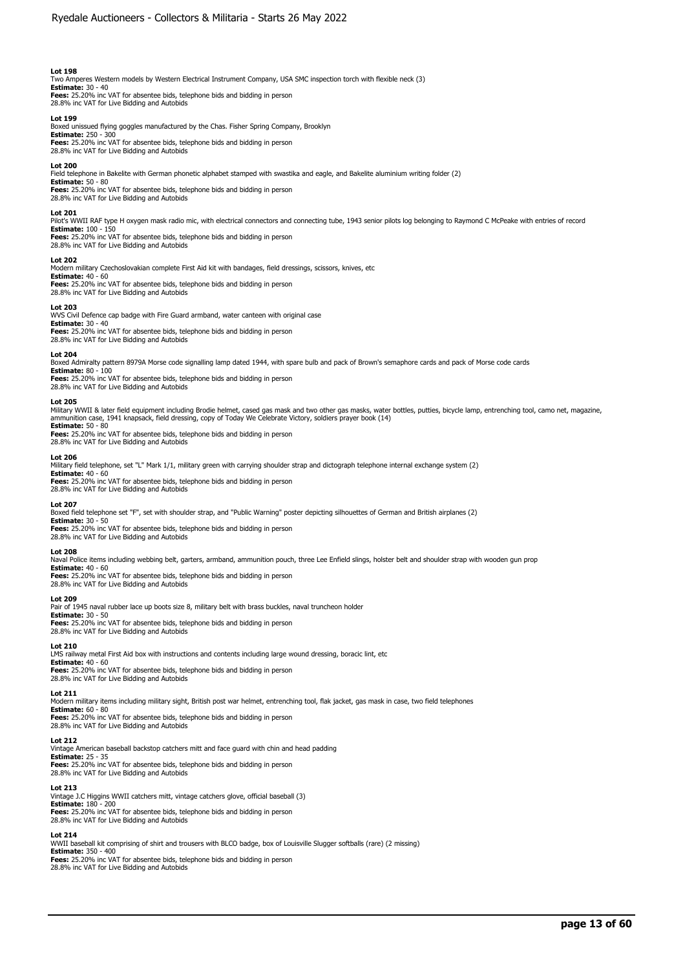Two Amperes Western models by Western Electrical Instrument Company, USA SMC inspection torch with flexible neck (3) **Estimate:** 30 - 40 **Fees:** 25.20% inc VAT for absentee bids, telephone bids and bidding in person

28.8% inc VAT for Live Bidding and Autobids

# **Lot 199**

Boxed unissued flying goggles manufactured by the Chas. Fisher Spring Company, Brooklyn **Estimate:** 250 - 300 **Fees:** 25.20% inc VAT for absentee bids, telephone bids and bidding in person 28.8% inc VAT for Live Bidding and Autobids

**Lot 200** 

Field telephone in Bakelite with German phonetic alphabet stamped with swastika and eagle, and Bakelite aluminium writing folder (2)

**Estimate:** 50 - 80 **Fees:** 25.20% inc VAT for absentee bids, telephone bids and bidding in person 28.8% inc VAT for Live Bidding and Autobids

# **Lot 201**

Pilot's WWII RAF type H oxygen mask radio mic, with electrical connectors and connecting tube, 1943 senior pilots log belonging to Raymond C McPeake with entries of record **Estimate:** 100 - 150

**Fees:** 25.20% inc VAT for absentee bids, telephone bids and bidding in person 28.8% inc VAT for Live Bidding and Autobids

#### **Lot 202**

Modern military Czechoslovakian complete First Aid kit with bandages, field dressings, scissors, knives, etc **Estimate:** 40 - 60 **Fees:** 25.20% inc VAT for absentee bids, telephone bids and bidding in person

28.8% inc VAT for Live Bidding and Autobids

### **Lot 203**

WVS Civil Defence cap badge with Fire Guard armband, water canteen with original case

**Estimate:** 30 - 40<br>**Fees:** 25.20% inc VAT for absentee bids, telephone bids and bidding in person<br>28.8% inc VAT for Live Bidding and Autobids

#### **Lot 204**

Boxed Admiralty pattern 8979A Morse code signalling lamp dated 1944, with spare bulb and pack of Brown's semaphore cards and pack of Morse code cards

**Estimate:** 80 - 100 **Fees:** 25.20% inc VAT for absentee bids, telephone bids and bidding in person 28.8% inc VAT for Live Bidding and Autobids

#### **Lot 205**

Military WWII & later field equipment including Brodie helmet, cased gas mask and two other gas masks, water bottles, putties, bicycle lamp, entrenching tool, camo net, magazine,<br>ammunition case, 1941 knapsack, field dress **Estimate:** 50 - 80

**Fees:** 25.20% inc VAT for absentee bids, telephone bids and bidding in person 28.8% inc VAT for Live Bidding and Autobids

#### **Lot 206**

Military field telephone, set "L" Mark 1/1, military green with carrying shoulder strap and dictograph telephone internal exchange system (2)

**Estimate:** 40 - 60 **Fees:** 25.20% inc VAT for absentee bids, telephone bids and bidding in person

28.8% inc VAT for Live Bidding and Autobids

### **Lot 207**

Boxed field telephone set "F", set with shoulder strap, and "Public Warning" poster depicting silhouettes of German and British airplanes (2)

**Estimate:** 30 - 50 **Fees:** 25.20% inc VAT for absentee bids, telephone bids and bidding in person 28.8% inc VAT for Live Bidding and Autobids

#### **Lot 208**

Naval Police items including webbing belt, garters, armband, ammunition pouch, three Lee Enfield slings, holster belt and shoulder strap with wooden gun prop

**Estimate:** 40 - 60 **Fees:** 25.20% inc VAT for absentee bids, telephone bids and bidding in person 28.8% inc VAT for Live Bidding and Autobids

#### **Lot 209**

Pair of 1945 naval rubber lace up boots size 8, military belt with brass buckles, naval truncheon holder

**Estimate:** 30 - 50 **Fees:** 25.20% inc VAT for absentee bids, telephone bids and bidding in person

# 28.8% inc VAT for Live Bidding and Autobids

**Lot 210** 

LMS railway metal First Aid box with instructions and contents including large wound dressing, boracic lint, etc **Estimate:** 40 - 60 **Fees:** 25.20% inc VAT for absentee bids, telephone bids and bidding in person 28.8% inc VAT for Live Bidding and Autobids

#### **Lot 211**

Modern military items including military sight, British post war helmet, entrenching tool, flak jacket, gas mask in case, two field telephones

**Estimate:** 60 - 80 **Fees:** 25.20% inc VAT for absentee bids, telephone bids and bidding in person 28.8% inc VAT for Live Bidding and Autobids

#### **Lot 212**

Vintage American baseball backstop catchers mitt and face guard with chin and head padding **Estimate:** 25 - 35

**Fees:** 25.20% inc VAT for absentee bids, telephone bids and bidding in person 28.8% inc VAT for Live Bidding and Autobids

#### **Lot 213**

Vintage J.C Higgins WWII catchers mitt, vintage catchers glove, official baseball (3) **Estimate:** 180 - 200 **Fees:** 25.20% inc VAT for absentee bids, telephone bids and bidding in person

28.8% inc VAT for Live Bidding and Autobids

# **Lot 214**

WWII baseball kit comprising of shirt and trousers with BLCO badge, box of Louisville Slugger softballs (rare) (2 missing) **Estimate:** 350 - 400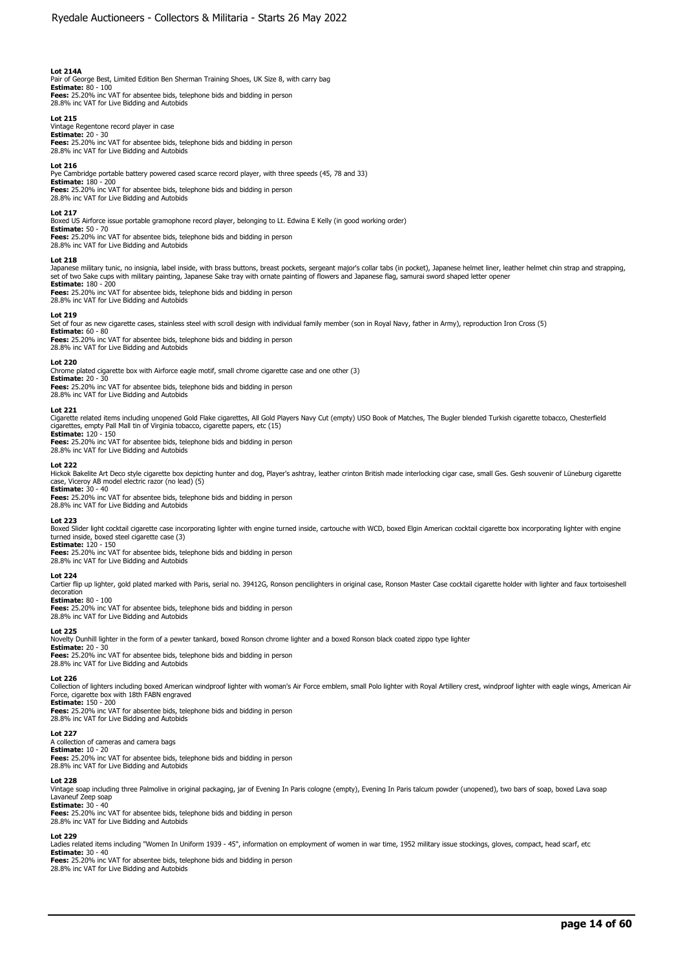# **Lot 214A**

Pair of George Best, Limited Edition Ben Sherman Training Shoes, UK Size 8, with carry bag **Estimate:** 80 - 100 **Fees:** 25.20% inc VAT for absentee bids, telephone bids and bidding in person

28.8% inc VAT for Live Bidding and Autobids **Lot 215** 

Vintage Regentone record player in case **Estimate:** 20 - 30 **Fees:** 25.20% inc VAT for absentee bids, telephone bids and bidding in person 28.8% inc VAT for Live Bidding and Autobids

#### **Lot 216**

Pye Cambridge portable battery powered cased scarce record player, with three speeds (45, 78 and 33) **Estimate:** 180 - 200 **Fees:** 25.20% inc VAT for absentee bids, telephone bids and bidding in person 28.8% inc VAT for Live Bidding and Autobids

#### **Lot 217**

Boxed US Airforce issue portable gramophone record player, belonging to Lt. Edwina E Kelly (in good working order)

**Estimate:** 50 - 70 **Fees:** 25.20% inc VAT for absentee bids, telephone bids and bidding in person 28.8% inc VAT for Live Bidding and Autobids

#### **Lot 218**

Japanese military tunic, no insignia, label inside, with brass buttons, breast pockets, sergeant major's collar tabs (in pocket), Japanese helmet liner, leather helmet chin strap and strapping,<br>set of two Sake cups with mi **Estimate:** 180 - 200

**Fees:** 25.20% inc VAT for absentee bids, telephone bids and bidding in person 28.8% inc VAT for Live Bidding and Autobids

#### **Lot 219**

Set of four as new cigarette cases, stainless steel with scroll design with individual family member (son in Royal Navy, father in Army), reproduction Iron Cross (5)

**Estimate:** 60 - 80 **Fees:** 25.20% inc VAT for absentee bids, telephone bids and bidding in person 28.8% inc VAT for Live Bidding and Autobids

#### **Lot 220**

Chrome plated cigarette box with Airforce eagle motif, small chrome cigarette case and one other (3)

**Estimate:** 20 - 30

**Fees:** 25.20% inc VAT for absentee bids, telephone bids and bidding in person 28.8% inc VAT for Live Bidding and Autobids

## **Lot 221**

Cigarette related items including unopened Gold Flake cigarettes, All Gold Players Navy Cut (empty) USO Book of Matches, The Bugler blended Turkish cigarette tobacco, Chesterfield<br>cigarettes, empty Pall Mall tin of Virgini **Estimate:** 120 - 150

**Fees:** 25.20% inc VAT for absentee bids, telephone bids and bidding in person 28.8% inc VAT for Live Bidding and Autobids

#### **Lot 222**

Hickok Bakelite Art Deco style cigarette box depicting hunter and dog, Player's ashtray, leather crinton British made interlocking cigar case, small Ges. Gesh souvenir of Lüneburg cigarette case, Viceroy AB model electric razor (no lead) (5)

**Estimate:** 30 - 40

**Fees:** 25.20% inc VAT for absentee bids, telephone bids and bidding in person 28.8% inc VAT for Live Bidding and Autobids

# **Lot 223**

Boxed Slider light cocktail cigarette case incorporating lighter with engine turned inside, cartouche with WCD, boxed Elgin American cocktail cigarette box incorporating lighter with engine turned inside, boxed steel cigarette case (3) **Estimate:** 120 - 150

**Fees:** 25.20% inc VAT for absentee bids, telephone bids and bidding in person

# **Lot 224**

Cartier flip up lighter, gold plated marked with Paris, serial no. 39412G, Ronson pencilighters in original case, Ronson Master Case cocktail cigarette holder with lighter and faux tortoiseshell decoration **Estimate:** 80 - 100

28.8% inc VAT for Live Bidding and Autobids

**Fees:** 25.20% inc VAT for absentee bids, telephone bids and bidding in person 28.8% inc VAT for Live Bidding and Autobids

#### **Lot 225**

Novelty Dunhill lighter in the form of a pewter tankard, boxed Ronson chrome lighter and a boxed Ronson black coated zippo type lighter

**Estimate:** 20 - 30<br>**Fees:** 25.20% inc VAT for absentee bids, telephone bids and bidding in person<br>28.8% inc VAT for Live Bidding and Autobids

# **Lot 226**

Collection of lighters including boxed American windproof lighter with woman's Air Force emblem, small Polo lighter with Royal Artillery crest, windproof lighter with eagle wings, American Air<br>Force, cigarette box with 18t **Estimate:** 150 - 200

**Fees:** 25.20% inc VAT for absentee bids, telephone bids and bidding in person 28.8% inc VAT for Live Bidding and Autobids

### **Lot 227**

A collection of cameras and camera bags **Estimate:** 10 - 20

**Fees:** 25.20% inc VAT for absentee bids, telephone bids and bidding in person 28.8% inc VAT for Live Bidding and Autobids

#### **Lot 228**

Vintage soap including three Palmolive in original packaging, jar of Evening In Paris cologne (empty), Evening In Paris talcum powder (unopened), two bars of soap, boxed Lava soap Lavaneuf Zeep soap **Estimate:** 30 - 40

**Fees:** 25.20% inc VAT for absentee bids, telephone bids and bidding in person 28.8% inc VAT for Live Bidding and Autobids

# **Lot 229**

Ladies related items including "Women In Uniform 1939 - 45", information on employment of women in war time, 1952 military issue stockings, gloves, compact, head scarf, etc **Estimate:** 30 - 40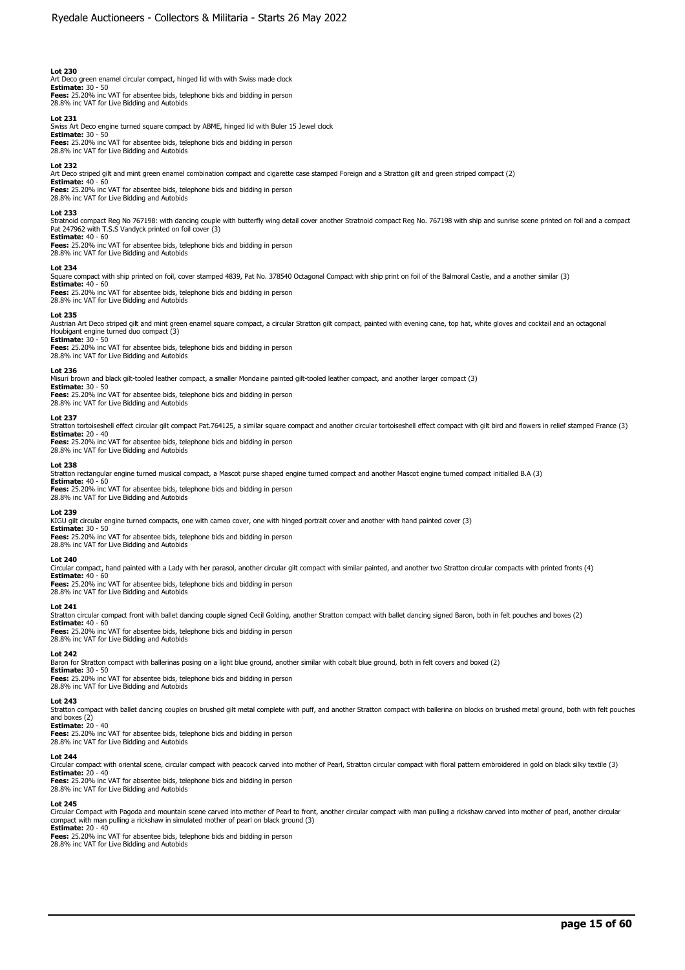Art Deco green enamel circular compact, hinged lid with with Swiss made clock<br>**Estimate:** 30 - 50<br>**Fees:** 25.20% inc VAT for absentee bids, telephone bids and bidding in person 28.8% inc VAT for Live Bidding and Autobids

**Lot 231** 

Swiss Art Deco engine turned square compact by ABME, hinged lid with Buler 15 Jewel clock **Estimate:** 30 - 50

**Fees:** 25.20% inc VAT for absentee bids, telephone bids and bidding in person 28.8% inc VAT for Live Bidding and Autobids

#### **Lot 232**

Art Deco striped gilt and mint green enamel combination compact and cigarette case stamped Foreign and a Stratton gilt and green striped compact (2) **Estimate:** 40 - 60

**Fees:** 25.20% inc VAT for absentee bids, telephone bids and bidding in person 28.8% inc VAT for Live Bidding and Autobids

## **Lot 233**

Stratnoid compact Reg No 767198: with dancing couple with butterfly wing detail cover another Stratnoid compact Reg No. 767198 with ship and sunrise scene printed on foil and a compact<br>Pat 247962 with T.S.S Vandyck printed

# **Estimate:** 40 - 60

**Fees:** 25.20% inc VAT for absentee bids, telephone bids and bidding in person 28.8% inc VAT for Live Bidding and Autobids

#### **Lot 234**

Square compact with ship printed on foil, cover stamped 4839, Pat No. 378540 Octagonal Compact with ship print on foil of the Balmoral Castle, and a another similar (3) **Estimate:** 40 - 60

**Fees:** 25.20% inc VAT for absentee bids, telephone bids and bidding in person 28.8% inc VAT for Live Bidding and Autobids

#### **Lot 235**

Austrian Art Deco striped gilt and mint green enamel square compact, a circular Stratton gilt compact, painted with evening cane, top hat, white gloves and cocktail and an octagonal Houbigant engine turned duo compact (3) **Estimate:** 30 - 50

**Fees:** 25.20% inc VAT for absentee bids, telephone bids and bidding in person 28.8% inc VAT for Live Bidding and Autobids

#### **Lot 236**

Misuri brown and black gilt-tooled leather compact, a smaller Mondaine painted gilt-tooled leather compact, and another larger compact (3) **Estimate:** 30 - 50

**Fees:** 25.20% inc VAT for absentee bids, telephone bids and bidding in person

28.8% inc VAT for Live Bidding and Autobids

#### **Lot 237**

Stratton tortoiseshell effect circular gilt compact Pat.764125, a similar square compact and another circular tortoiseshell effect compact with gilt bird and flowers in relief stamped France (3) **Estimate:** 20 - 40

**Fees:** 25.20% inc VAT for absentee bids, telephone bids and bidding in person 28.8% inc VAT for Live Bidding and Autobids

#### **Lot 238**

Stratton rectangular engine turned musical compact, a Mascot purse shaped engine turned compact and another Mascot engine turned compact initialled B.A (3)

**Estimate:** 40 - 60 **Fees:** 25.20% inc VAT for absentee bids, telephone bids and bidding in person 28.8% inc VAT for Live Bidding and Autobids

#### **Lot 239**

KIGU gilt circular engine turned compacts, one with cameo cover, one with hinged portrait cover and another with hand painted cover (3) **Estimate:** 30 - 50

**Fees:** 25.20% inc VAT for absentee bids, telephone bids and bidding in person 28.8% inc VAT for Live Bidding and Autobids

#### **Lot 240**

Circular compact, hand painted with a Lady with her parasol, another circular gilt compact with similar painted, and another two Stratton circular compacts with printed fronts (4) **Estimate:** 40 - 60

**Fees:** 25.20% inc VAT for absentee bids, telephone bids and bidding in person 28.8% inc VAT for Live Bidding and Autobids

### **Lot 241**

Stratton circular compact front with ballet dancing couple signed Cecil Golding, another Stratton compact with ballet dancing signed Baron, both in felt pouches and boxes (2) **Estimate:** 40 - 60

**Fees:** 25.20% inc VAT for absentee bids, telephone bids and bidding in person 28.8% inc VAT for Live Bidding and Autobids

# **Lot 242**

Baron for Stratton compact with ballerinas posing on a light blue ground, another similar with cobalt blue ground, both in felt covers and boxed (2) **Estimate:** 30 - 50

**Fees:** 25.20% inc VAT for absentee bids, telephone bids and bidding in person 28.8% inc VAT for Live Bidding and Autobids

# **Lot 243**

Stratton compact with ballet dancing couples on brushed gilt metal complete with puff, and another Stratton compact with ballerina on blocks on brushed metal ground, both with felt pouches<br>and boxes (2)<br>**Estimate:** 20 - 40

**Fees:** 25.20% inc VAT for absentee bids, telephone bids and bidding in person 28.8% inc VAT for Live Bidding and Autobids

### **Lot 244**

Circular compact with oriental scene, circular compact with peacock carved into mother of Pearl, Stratton circular compact with floral pattern embroidered in gold on black silky textile (3)

**Estimate:** 20 - 40 **Fees:** 25.20% inc VAT for absentee bids, telephone bids and bidding in person 28.8% inc VAT for Live Bidding and Autobids

## **Lot 245**

Circular Compact with Pagoda and mountain scene carved into mother of Pearl to front, another circular compact with man pulling a rickshaw carved into mother of pearl, another circular compact with man pulling a rickshaw in simulated mother of pearl on black ground (3) **Estimate:** 20 - 40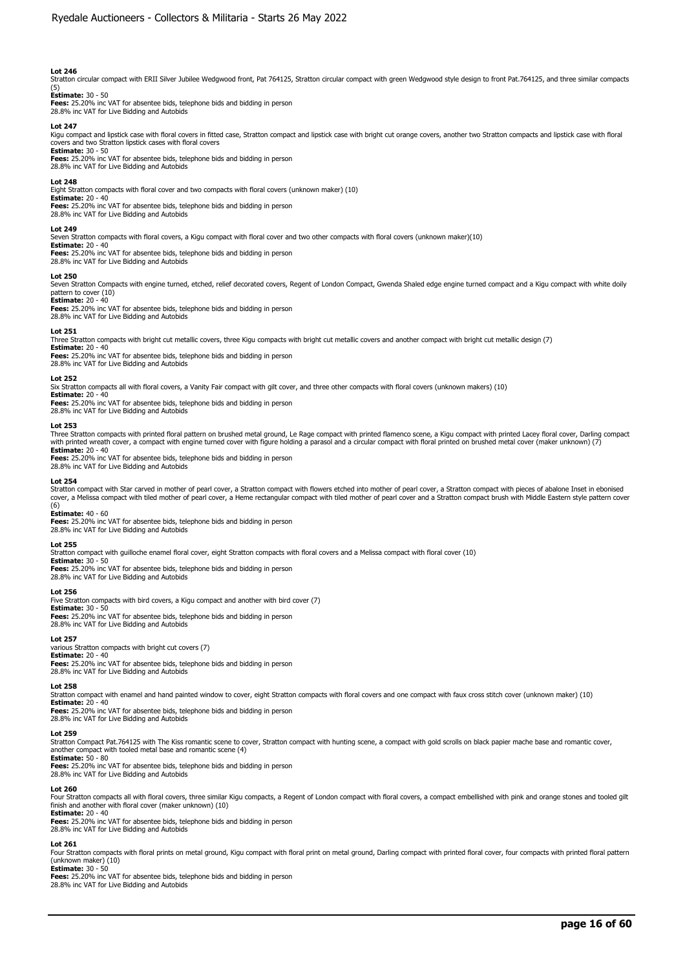Stratton circular compact with ERII Silver Jubilee Wedgwood front, Pat 764125, Stratton circular compact with green Wedgwood style design to front Pat.764125, and three similar compacts

# (5) **Estimate:** 30 - 50

**Fees:** 25.20% inc VAT for absentee bids, telephone bids and bidding in person 28.8% inc VAT for Live Bidding and Autobids

#### **Lot 247**

Kigu compact and lipstick case with floral covers in fitted case, Stratton compact and lipstick case with bright cut orange covers, another two Stratton compacts and lipstick case with floral<br>covers and two Stratton lipsti **Estimate:** 30 - 50

**Fees:** 25.20% inc VAT for absentee bids, telephone bids and bidding in person 28.8% inc VAT for Live Bidding and Autobids

#### **Lot 248**

Eight Stratton compacts with floral cover and two compacts with floral covers (unknown maker) (10) **Estimate:** 20 - 40

**Fees:** 25.20% inc VAT for absentee bids, telephone bids and bidding in person

28.8% inc VAT for Live Bidding and Autobids

# **Lot 249**

Seven Stratton compacts with floral covers, a Kigu compact with floral cover and two other compacts with floral covers (unknown maker)(10)

**Estimate:** 20 - 40 **Fees:** 25.20% inc VAT for absentee bids, telephone bids and bidding in person 28.8% inc VAT for Live Bidding and Autobids

#### **Lot 250**

Seven Stratton Compacts with engine turned, etched, relief decorated covers, Regent of London Compact, Gwenda Shaled edge engine turned compact and a Kigu compact with white doily

# pattern to cover (10) **Estimate:** 20 - 40

**Fees:** 25.20% inc VAT for absentee bids, telephone bids and bidding in person 28.8% inc VAT for Live Bidding and Autobids

### **Lot 251**

Three Stratton compacts with bright cut metallic covers, three Kigu compacts with bright cut metallic covers and another compact with bright cut metallic design (7)

**Estimate:** 20 - 40 **Fees:** 25.20% inc VAT for absentee bids, telephone bids and bidding in person 28.8% inc VAT for Live Bidding and Autobids

#### **Lot 252**

Six Stratton compacts all with floral covers, a Vanity Fair compact with gilt cover, and three other compacts with floral covers (unknown makers) (10) **Estimate:** 20 - 40

**Fees:** 25.20% inc VAT for absentee bids, telephone bids and bidding in person 28.8% inc VAT for Live Bidding and Autobids

#### **Lot 253**

Three Stratton compacts with printed floral pattern on brushed metal ground, Le Rage compact with printed flamenco scene, a Kigu compact with printed Lacey floral cover, Darling compact with printed wreath cover, a compact with engine turned cover with figure holding a parasol and a circular compact with floral printed on brushed metal cover (maker unknown) (7) **Estimate:** 20 - 40

**Fees:** 25.20% inc VAT for absentee bids, telephone bids and bidding in person 28.8% inc VAT for Live Bidding and Autobids

#### **Lot 254**

Stratton compact with Star carved in mother of pearl cover, a Stratton compact with flowers etched into mother of pearl cover, a Stratton compact with pieces of abalone Inset in ebonised cover, a Melissa compact with tiled mother of pearl cover, a Heme rectangular compact with tiled mother of pearl cover and a Stratton compact brush with Middle Eastern style pattern cover (6)

# **Estimate:** 40 - 60

**Fees:** 25.20% inc VAT for absentee bids, telephone bids and bidding in person 28.8% inc VAT for Live Bidding and Autobids

#### **Lot 255**

Stratton compact with guilloche enamel floral cover, eight Stratton compacts with floral covers and a Melissa compact with floral cover (10)

**Estimate:** 30 - 50 **Fees:** 25.20% inc VAT for absentee bids, telephone bids and bidding in person

28.8% inc VAT for Live Bidding and Autobids

### **Lot 256**

Five Stratton compacts with bird covers, a Kigu compact and another with bird cover (7)

**Estimate:** 30 - 50 **Fees:** 25.20% inc VAT for absentee bids, telephone bids and bidding in person

28.8% inc VAT for Live Bidding and Autobids

# **Lot 257**

various Stratton compacts with bright cut covers (7)

**Estimate:** 20 - 40 **Fees:** 25.20% inc VAT for absentee bids, telephone bids and bidding in person 28.8% inc VAT for Live Bidding and Autobids

# **Lot 258**

Stratton compact with enamel and hand painted window to cover, eight Stratton compacts with floral covers and one compact with faux cross stitch cover (unknown maker) (10) **Estimate:** 20 - 40

**Fees:** 25.20% inc VAT for absentee bids, telephone bids and bidding in person 28.8% inc VAT for Live Bidding and Autobids

# **Lot 259**

Stratton Compact Pat.764125 with The Kiss romantic scene to cover, Stratton compact with hunting scene, a compact with gold scrolls on black papier mache base and romantic cover, another compact with tooled metal base and romantic scene (4) **Estimate:** 50 - 80

**Fees:** 25.20% inc VAT for absentee bids, telephone bids and bidding in person 28.8% inc VAT for Live Bidding and Autobids

#### **Lot 260**

Four Stratton compacts all with floral covers, three similar Kigu compacts, a Regent of London compact with floral covers, a compact embellished with pink and orange stones and tooled gilt<br>finish and another with floral co

# **Estimate:** 20 - 40

**Fees:** 25.20% inc VAT for absentee bids, telephone bids and bidding in person 28.8% inc VAT for Live Bidding and Autobids

# **Lot 261**

Four Stratton compacts with floral prints on metal ground, Kigu compact with floral print on metal ground, Darling compact with printed floral cover, four compacts with printed floral pattern (unknown maker) (10)

# **Estimate:** 30 - 50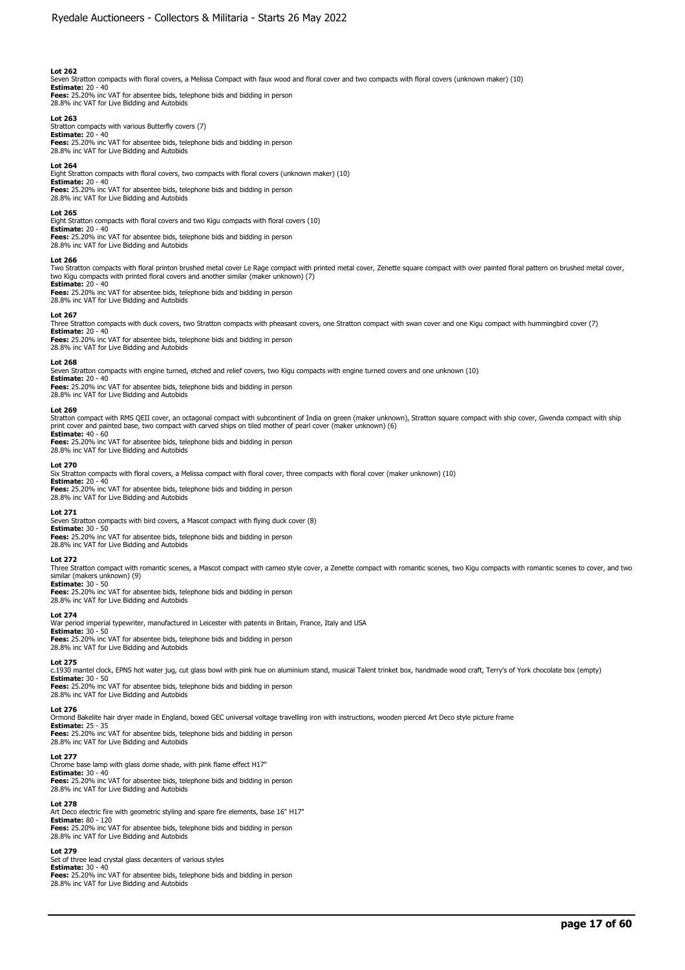Seven Stratton compacts with floral covers, a Melissa Compact with faux wood and floral cover and two compacts with floral covers (unknown maker) (10)

**Estimate:** 20 - 40 **Fees:** 25.20% inc VAT for absentee bids, telephone bids and bidding in person 28.8% inc VAT for Live Bidding and Autobids

# **Lot 263**

Stratton compacts with various Butterfly covers (7) **Estimate:** 20 - 40

**Fees:** 25.20% inc VAT for absentee bids, telephone bids and bidding in person 28.8% inc VAT for Live Bidding and Autobids

### **Lot 264**

Eight Stratton compacts with floral covers, two compacts with floral covers (unknown maker) (10) **Estimate:** 20 - 40

**Fees:** 25.20% inc VAT for absentee bids, telephone bids and bidding in person 28.8% inc VAT for Live Bidding and Autobids

### **Lot 265**

Eight Stratton compacts with floral covers and two Kigu compacts with floral covers (10)

**Estimate:** 20 - 40 **Fees:** 25.20% inc VAT for absentee bids, telephone bids and bidding in person 28.8% inc VAT for Live Bidding and Autobids

#### **Lot 266**

Two Stratton compacts with floral printon brushed metal cover Le Rage compact with printed metal cover, Zenette square compact with over painted floral pattern on brushed metal cover,<br>two Kigu compacts with printed floral **Estimate:** 20 - 40

**Fees:** 25.20% inc VAT for absentee bids, telephone bids and bidding in person 28.8% inc VAT for Live Bidding and Autobids

#### **Lot 267**

Three Stratton compacts with duck covers, two Stratton compacts with pheasant covers, one Stratton compact with swan cover and one Kigu compact with hummingbird cover (7)

**Estimate:** 20 - 40 **Fees:** 25.20% inc VAT for absentee bids, telephone bids and bidding in person 28.8% inc VAT for Live Bidding and Autobids

#### **Lot 268**

Seven Stratton compacts with engine turned, etched and relief covers, two Kigu compacts with engine turned covers and one unknown (10)

**Estimate:** 20 - 40

28.8% inc VAT for Live Bidding and Autobids

**Fees:** 25.20% inc VAT for absentee bids, telephone bids and bidding in person 28.8% inc VAT for Live Bidding and Autobids

#### **Lot 269**

Stratton compact with RMS QEII cover, an octagonal compact with subcontinent of India on green (maker unknown), Stratton square compact with ship cover, Gwenda compact with ship<br>print cover and painted base, two compact wi **Estimate:** 40 - 60

**Fees:** 25.20% inc VAT for absentee bids, telephone bids and bidding in person 28.8% inc VAT for Live Bidding and Autobids

#### **Lot 270**

Six Stratton compacts with floral covers, a Melissa compact with floral cover, three compacts with floral cover (maker unknown) (10)

**Estimate:** 20 - 40 **Fees:** 25.20% inc VAT for absentee bids, telephone bids and bidding in person

28.8% inc VAT for Live Bidding and Autobids

### **Lot 271**

Seven Stratton compacts with bird covers, a Mascot compact with flying duck cover (8)

**Estimate:** 30 - 50 **Fees:** 25.20% inc VAT for absentee bids, telephone bids and bidding in person

# **Lot 272**

Three Stratton compact with romantic scenes, a Mascot compact with cameo style cover, a Zenette compact with romantic scenes, two Kigu compacts with romantic scenes to cover, and two similar (makers unknown) (9) **Estimate:** 30 - 50

**Fees:** 25.20% inc VAT for absentee bids, telephone bids and bidding in person 28.8% inc VAT for Live Bidding and Autobids

#### **Lot 274**

War period imperial typewriter, manufactured in Leicester with patents in Britain, France, Italy and USA **Estimate:** 30 - 50

**Fees:** 25.20% inc VAT for absentee bids, telephone bids and bidding in person 28.8% inc VAT for Live Bidding and Autobids

## **Lot 275**

c.1930 mantel clock, EPNS hot water jug, cut glass bowl with pink hue on aluminium stand, musical Talent trinket box, handmade wood craft, Terry's of York chocolate box (empty) **Estimate:** 30 - 50 **Fees:** 25.20% inc VAT for absentee bids, telephone bids and bidding in person

28.8% inc VAT for Live Bidding and Autobids

# **Lot 276**

Ormond Bakelite hair dryer made in England, boxed GEC universal voltage travelling iron with instructions, wooden pierced Art Deco style picture frame **Estimate:** 25 - 35

**Fees:** 25.20% inc VAT for absentee bids, telephone bids and bidding in person<br>28.8% inc VAT for Live Bidding and Autobids

# **Lot 277**

Chrome base lamp with glass dome shade, with pink flame effect H17" **Estimate:** 30 - 40

**Fees:** 25.20% inc VAT for absentee bids, telephone bids and bidding in person 28.8% inc VAT for Live Bidding and Autobids

# **Lot 278**

Art Deco electric fire with geometric styling and spare fire elements, base 16" H17" **Estimate:** 80 - 120 **Fees:** 25.20% inc VAT for absentee bids, telephone bids and bidding in person 28.8% inc VAT for Live Bidding and Autobids

### **Lot 279**

Set of three lead crystal glass decanters of various styles **Estimate:** 30 - 40 **Fees:** 25.20% inc VAT for absentee bids, telephone bids and bidding in person 28.8% inc VAT for Live Bidding and Autobids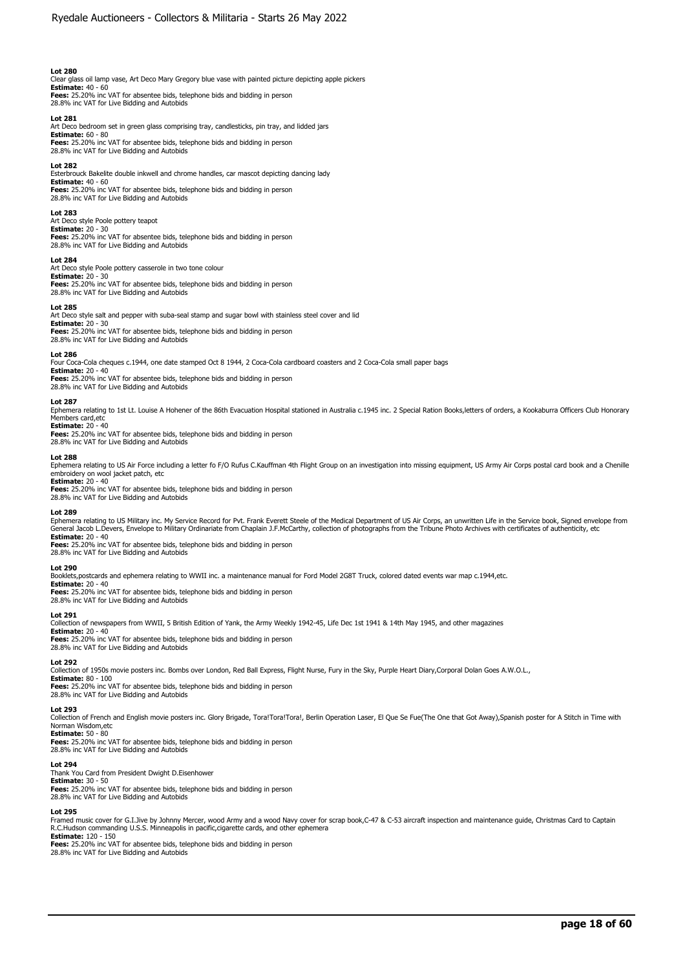Clear glass oil lamp vase, Art Deco Mary Gregory blue vase with painted picture depicting apple pickers **Estimate:** 40 - 60 **Fees:** 25.20% inc VAT for absentee bids, telephone bids and bidding in person 28.8% inc VAT for Live Bidding and Autobids

#### **Lot 281**

Art Deco bedroom set in green glass comprising tray, candlesticks, pin tray, and lidded jars **Estimate:** 60 - 80 **Fees:** 25.20% inc VAT for absentee bids, telephone bids and bidding in person

28.8% inc VAT for Live Bidding and Autobids

#### **Lot 282**

Esterbrouck Bakelite double inkwell and chrome handles, car mascot depicting dancing lady **Estimate:** 40 - 60 **Fees:** 25.20% inc VAT for absentee bids, telephone bids and bidding in person 28.8% inc VAT for Live Bidding and Autobids

# **Lot 283**

Art Deco style Poole pottery teapot **Estimate:** 20 - 30 **Fees:** 25.20% inc VAT for absentee bids, telephone bids and bidding in person 28.8% inc VAT for Live Bidding and Autobids

#### **Lot 284**

Art Deco style Poole pottery casserole in two tone colour **Estimate:** 20 - 30 **Fees:** 25.20% inc VAT for absentee bids, telephone bids and bidding in person 28.8% inc VAT for Live Bidding and Autobids

#### **Lot 285**

Art Deco style salt and pepper with suba-seal stamp and sugar bowl with stainless steel cover and lid

**Estimate:** 20 - 30 **Fees:** 25.20% inc VAT for absentee bids, telephone bids and bidding in person 28.8% inc VAT for Live Bidding and Autobids

#### **Lot 286**

Four Coca-Cola cheques c.1944, one date stamped Oct 8 1944, 2 Coca-Cola cardboard coasters and 2 Coca-Cola small paper bags **Estimate:** 20 - 40

**Fees:** 25.20% inc VAT for absentee bids, telephone bids and bidding in person 28.8% inc VAT for Live Bidding and Autobids

#### **Lot 287**

Ephemera relating to 1st Lt. Louise A Hohener of the 86th Evacuation Hospital stationed in Australia c.1945 inc. 2 Special Ration Books,letters of orders, a Kookaburra Officers Club Honorary Members card, etc. **Estimate:** 20 - 40

**Fees:** 25.20% inc VAT for absentee bids, telephone bids and bidding in person 28.8% inc VAT for Live Bidding and Autobids

#### **Lot 288**

Ephemera relating to US Air Force including a letter fo F/O Rufus C.Kauffman 4th Flight Group on an investigation into missing equipment, US Army Air Corps postal card book and a Chenille embroidery on wool jacket patch, etc **Estimate:** 20 - 40

**Fees:** 25.20% inc VAT for absentee bids, telephone bids and bidding in person 28.8% inc VAT for Live Bidding and Autobids

#### **Lot 289**

Ephemera relating to US Military inc. My Service Record for Pvt. Frank Everett Steele of the Medical Department of US Air Corps, an unwritten Life in the Service book, Signed envelope from<br>General Jacob L.Devers, Envelope **Estimate:** 20 - 40

**Fees:** 25.20% inc VAT for absentee bids, telephone bids and bidding in person 28.8% inc VAT for Live Bidding and Autobids

# **Lot 290**

Booklets,postcards and ephemera relating to WWII inc. a maintenance manual for Ford Model 2G8T Truck, colored dated events war map c.1944,etc.

**Estimate:** 20 - 40 **Fees:** 25.20% inc VAT for absentee bids, telephone bids and bidding in person

28.8% inc VAT for Live Bidding and Autobids

# **Lot 291**

Collection of newspapers from WWII, 5 British Edition of Yank, the Army Weekly 1942-45, Life Dec 1st 1941 & 14th May 1945, and other magazines **Estimate:** 20 - 40

**Fees:** 25.20% inc VAT for absentee bids, telephone bids and bidding in person 28.8% inc VAT for Live Bidding and Autobids

# **Lot 292**

Collection of 1950s movie posters inc. Bombs over London, Red Ball Express, Flight Nurse, Fury in the Sky, Purple Heart Diary,Corporal Dolan Goes A.W.O.L.,

**Estimate:** 80 - 100 **Fees:** 25.20% inc VAT for absentee bids, telephone bids and bidding in person 28.8% inc VAT for Live Bidding and Autobids

# **Lot 293**

Collection of French and English movie posters inc. Glory Brigade, Tora!Tora!Tora!, Berlin Operation Laser, El Que Se Fue(The One that Got Away),Spanish poster for A Stitch in Time with Norman Wisdom,etc

# **Estimate:** 50 - 80

**Fees:** 25.20% inc VAT for absentee bids, telephone bids and bidding in person 28.8% inc VAT for Live Bidding and Autobids

# **Lot 294**

Thank You Card from President Dwight D.Eisenhower **Estimate:** 30 - 50

## **Fees:** 25.20% inc VAT for absentee bids, telephone bids and bidding in person

28.8% inc VAT for Live Bidding and Autobids

# **Lot 295**

Framed music cover for G.I.Jive by Johnny Mercer, wood Army and a wood Navy cover for scrap book,C-47 & C-53 aircraft inspection and maintenance guide, Christmas Card to Captain<br>R.C.Hudson commanding U.S.S. Minneapolis in **Estimate:** 120 - 150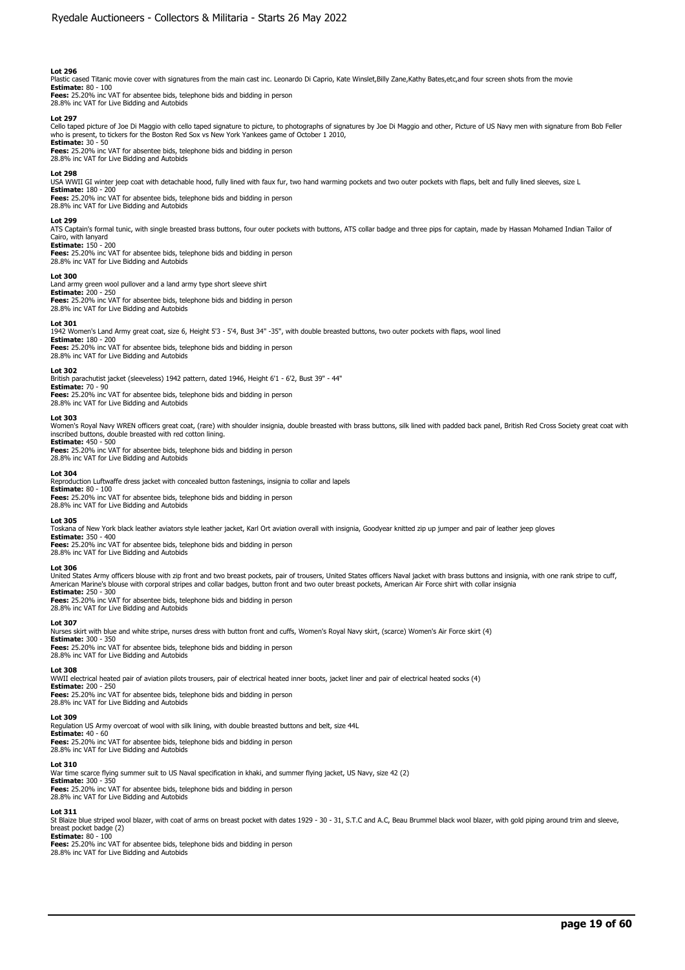Plastic cased Titanic movie cover with signatures from the main cast inc. Leonardo Di Caprio, Kate Winslet,Billy Zane,Kathy Bates,etc,and four screen shots from the movie

**Estimate:** 80 - 100 **Fees:** 25.20% inc VAT for absentee bids, telephone bids and bidding in person 28.8% inc VAT for Live Bidding and Autobids

### **Lot 297**

Cello taped picture of Joe Di Maggio with cello taped signature to picture, to photographs of signatures by Joe Di Maggio and other, Picture of US Navy men with signature from Bob Feller who is present, to tickers for the Boston Red Sox vs New York Yankees game of October 1 2010,

**Estimate:** 30 - 50 **Fees:** 25.20% inc VAT for absentee bids, telephone bids and bidding in person 28.8% inc VAT for Live Bidding and Autobids

#### **Lot 298**

USA WWII GI winter jeep coat with detachable hood, fully lined with faux fur, two hand warming pockets and two outer pockets with flaps, belt and fully lined sleeves, size L

**Estimate:** 180 - 200 **Fees:** 25.20% inc VAT for absentee bids, telephone bids and bidding in person

28.8% inc VAT for Live Bidding and Autobids

#### **Lot 299**

ATS Captain's formal tunic, with single breasted brass buttons, four outer pockets with buttons, ATS collar badge and three pips for captain, made by Hassan Mohamed Indian Tailor of Cairo, with lanyard

**Estimate:** 150 - 200 **Fees:** 25.20% inc VAT for absentee bids, telephone bids and bidding in person 28.8% inc VAT for Live Bidding and Autobids

#### **Lot 300**

Land army green wool pullover and a land army type short sleeve shirt **Estimate:** 200 - 250 **Fees:** 25.20% inc VAT for absentee bids, telephone bids and bidding in person 28.8% inc VAT for Live Bidding and Autobids

#### **Lot 301**

1942 Women's Land Army great coat, size 6, Height 5'3 - 5'4, Bust 34" -35", with double breasted buttons, two outer pockets with flaps, wool lined **Estimate:** 180 - 200

**Fees:** 25.20% inc VAT for absentee bids, telephone bids and bidding in person 28.8% inc VAT for Live Bidding and Autobids

# **Lot 302**

British parachutist jacket (sleeveless) 1942 pattern, dated 1946, Height 6'1 - 6'2, Bust 39" - 44" **Estimate:** 70 - 90

**Fees:** 25.20% inc VAT for absentee bids, telephone bids and bidding in person 28.8% inc VAT for Live Bidding and Autobids

#### **Lot 303**

Women's Royal Navy WREN officers great coat, (rare) with shoulder insignia, double breasted with brass buttons, silk lined with padded back panel, British Red Cross Society great coat with inscribed buttons, double breasted with red cotton lining.

**Estimate:** 450 - 500 **Fees:** 25.20% inc VAT for absentee bids, telephone bids and bidding in person 28.8% inc VAT for Live Bidding and Autobids

## **Lot 304**

Reproduction Luftwaffe dress jacket with concealed button fastenings, insignia to collar and lapels

**Estimate:** 80 - 100 **Fees:** 25.20% inc VAT for absentee bids, telephone bids and bidding in person 28.8% inc VAT for Live Bidding and Autobids

### **Lot 305**

Toskana of New York black leather aviators style leather jacket. Karl Ort aviation overall with insignia, Goodyear knitted zip up jumper and pair of leather jeep gloves

**Estimate:** 350 - 400 **Fees:** 25.20% inc VAT for absentee bids, telephone bids and bidding in person 28.8% inc VAT for Live Bidding and Autobids

#### **Lot 306**

United States Army officers blouse with zip front and two breast pockets, pair of trousers, United States officers Naval jacket with brass buttons and insignia, with one rank stripe to cuff, American Marine's blouse with corporal stripes and collar badges, button front and two outer breast pockets, American Air Force shirt with collar insignia **Estimate:** 250 - 300

**Fees:** 25.20% inc VAT for absentee bids, telephone bids and bidding in person 28.8% inc VAT for Live Bidding and Autobids

# **Lot 307**

Nurses skirt with blue and white stripe, nurses dress with button front and cuffs, Women's Royal Navy skirt, (scarce) Women's Air Force skirt (4) **Estimate:** 300 - 350

**Fees:** 25.20% inc VAT for absentee bids, telephone bids and bidding in person 28.8% inc VAT for Live Bidding and Autobids

# **Lot 308**

WWII electrical heated pair of aviation pilots trousers, pair of electrical heated inner boots, jacket liner and pair of electrical heated socks (4)

**Estimate:** 200 - 250 **Fees:** 25.20% inc VAT for absentee bids, telephone bids and bidding in person 28.8% inc VAT for Live Bidding and Autobids

# **Lot 309**

Regulation US Army overcoat of wool with silk lining, with double breasted buttons and belt, size 44L

**Estimate: 4**0 - 60<br>**Fees:** 25.20% inc VAT for absentee bids, telephone bids and bidding in person<br>28.8% inc VAT for Live Bidding and Autobids

## **Lot 310**

War time scarce flying summer suit to US Naval specification in khaki, and summer flying jacket, US Navy, size 42 (2) **Estimate:** 300 - 350

**Fees:** 25.20% inc VAT for absentee bids, telephone bids and bidding in person 28.8% inc VAT for Live Bidding and Autobids

#### **Lot 311**

St Blaize blue striped wool blazer, with coat of arms on breast pocket with dates 1929 - 30 - 31, S.T.C and A.C, Beau Brummel black wool blazer, with gold piping around trim and sleeve, breast pocket badge (2) **Estimate:** 80 - 100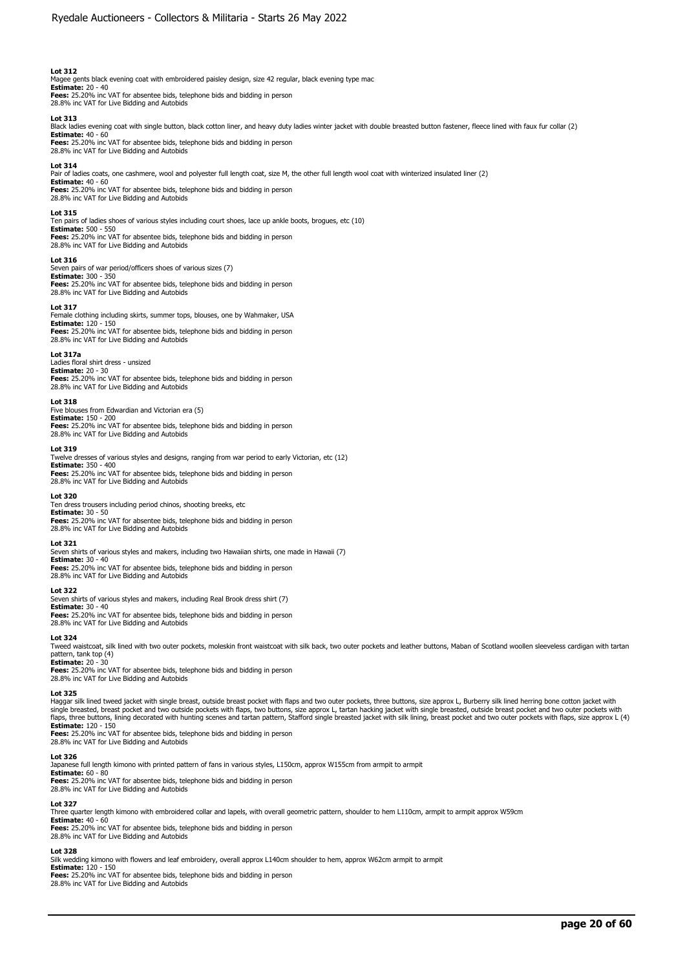Magee gents black evening coat with embroidered paisley design, size 42 regular, black evening type mac<br>**Estimate:** 20 - 40<br>**Fees:** 25.20% inc VAT for absentee bids, telephone bids and bidding in person

28.8% inc VAT for Live Bidding and Autobids **Lot 313** 

Black ladies evening coat with single button, black cotton liner, and heavy duty ladies winter jacket with double breasted button fastener, fleece lined with faux fur collar (2) **Estimate:** 40 - 60

**Fees:** 25.20% inc VAT for absentee bids, telephone bids and bidding in person 28.8% inc VAT for Live Bidding and Autobids

#### **Lot 314**

Pair of ladies coats, one cashmere, wool and polyester full length coat, size M, the other full length wool coat with winterized insulated liner (2) **Estimate:** 40 - 60

**Fees:** 25.20% inc VAT for absentee bids, telephone bids and bidding in person 28.8% inc VAT for Live Bidding and Autobids

#### **Lot 315**

Ten pairs of ladies shoes of various styles including court shoes, lace up ankle boots, brogues, etc (10) **Estimate:** 500 - 550 **Fees:** 25.20% inc VAT for absentee bids, telephone bids and bidding in person

28.8% inc VAT for Live Bidding and Autobids

## **Lot 316**

Seven pairs of war period/officers shoes of various sizes (7) **Estimate:** 300 - 350 **Fees:** 25.20% inc VAT for absentee bids, telephone bids and bidding in person 28.8% inc VAT for Live Bidding and Autobids

#### **Lot 317**

Female clothing including skirts, summer tops, blouses, one by Wahmaker, USA **Estimate:** 120 - 150

**Fees:** 25.20% inc VAT for absentee bids, telephone bids and bidding in person 28.8% inc VAT for Live Bidding and Autobids

### **Lot 317a**

Ladies floral shirt dress - unsized **Estimate:** 20 - 30 **Fees:** 25.20% inc VAT for absentee bids, telephone bids and bidding in person 28.8% inc VAT for Live Bidding and Autobids

#### **Lot 318**

Five blouses from Edwardian and Victorian era (5) **Estimate:** 150 - 200

**Fees:** 25.20% inc VAT for absentee bids, telephone bids and bidding in person 28.8% inc VAT for Live Bidding and Autobids

#### **Lot 319**

Twelve dresses of various styles and designs, ranging from war period to early Victorian, etc (12) **Estimate:** 350 - 400 **Fees:** 25.20% inc VAT for absentee bids, telephone bids and bidding in person 28.8% inc VAT for Live Bidding and Autobids

#### **Lot 320**

Ten dress trousers including period chinos, shooting breeks, etc **Estimate:** 30 - 50 **Fees:** 25.20% inc VAT for absentee bids, telephone bids and bidding in person 28.8% inc VAT for Live Bidding and Autobids

#### **Lot 321**

Seven shirts of various styles and makers, including two Hawaiian shirts, one made in Hawaii (7) **Estimate:** 30 - 40 **Fees:** 25.20% inc VAT for absentee bids, telephone bids and bidding in person 28.8% inc VAT for Live Bidding and Autobids

#### **Lot 322**

Seven shirts of various styles and makers, including Real Brook dress shirt (7) **Estimate:** 30 - 40 **Fees:** 25.20% inc VAT for absentee bids, telephone bids and bidding in person 28.8% inc VAT for Live Bidding and Autobids

#### **Lot 324**

Tweed waistcoat, silk lined with two outer pockets, moleskin front waistcoat with silk back, two outer pockets and leather buttons, Maban of Scotland woollen sleeveless cardigan with tartan

pattern, tank top (4)<br>**Estimate:** 20 - 30<br>**Fees:** 25.20% inc VAT for absentee bids, telephone bids and bidding in person 28.8% inc VAT for Live Bidding and Autobids

#### **Lot 325**

Haggar silk lined tweed jacket with single breast, outside breast pocket with flaps and two outer pockets, three buttons, size approx L, Burberry silk lined herring bone cotton jacket with single breasted, breast pocket and two outside pockets with flaps, two buttons, size approx L, tartan hacking jacket with single breasted, outside breast pocket and two outer pockets with<br>flaps, three buttons, lining decor

**Fees:** 25.20% inc VAT for absentee bids, telephone bids and bidding in person<br>28.8% inc VAT for Live Bidding and Autobids

#### **Lot 326**

Japanese full length kimono with printed pattern of fans in various styles, L150cm, approx W155cm from armpit to armpit

**Estimate:** 60 - 80 **Fees:** 25.20% inc VAT for absentee bids, telephone bids and bidding in person 28.8% inc VAT for Live Bidding and Autobids

# **Lot 327**

Three quarter length kimono with embroidered collar and lapels, with overall geometric pattern, shoulder to hem L110cm, armpit to armpit approx W59cm

**Estimate:** 40 - 60 **Fees:** 25.20% inc VAT for absentee bids, telephone bids and bidding in person 28.8% inc VAT for Live Bidding and Autobids

#### **Lot 328**

Silk wedding kimono with flowers and leaf embroidery, overall approx L140cm shoulder to hem, approx W62cm armpit to armpit **Estimate:** 120 - 150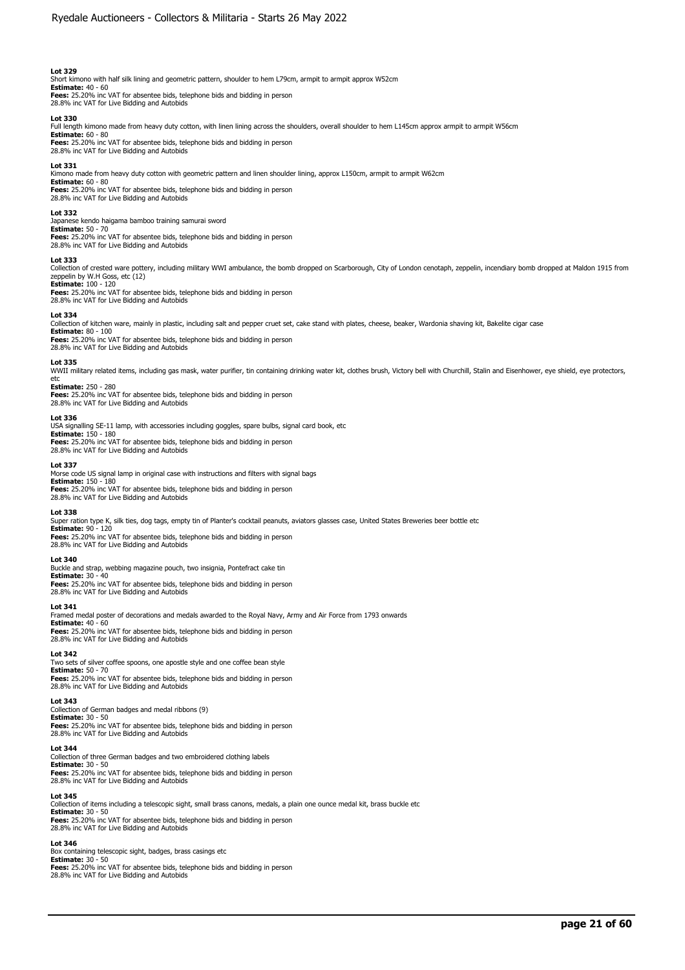Short kimono with half silk lining and geometric pattern, shoulder to hem L79cm, armpit to armpit approx W52cm **Estimate:** 40 - 60 **Fees:** 25.20% inc VAT for absentee bids, telephone bids and bidding in person

28.8% inc VAT for Live Bidding and Autobids

# **Lot 330**

Full length kimono made from heavy duty cotton, with linen lining across the shoulders, overall shoulder to hem L145cm approx armpit to armpit W56cm

**Estimate:** 60 - 80 **Fees:** 25.20% inc VAT for absentee bids, telephone bids and bidding in person 28.8% inc VAT for Live Bidding and Autobids

#### **Lot 331**

Kimono made from heavy duty cotton with geometric pattern and linen shoulder lining, approx L150cm, armpit to armpit W62cm<br>**Estimate:** 60 - 80

**Fees:** 25.20% inc VAT for absentee bids, telephone bids and bidding in person 28.8% inc VAT for Live Bidding and Autobids

### **Lot 332**

Japanese kendo haigama bamboo training samurai sword **Estimate:** 50 - 70 **Fees:** 25.20% inc VAT for absentee bids, telephone bids and bidding in person 28.8% inc VAT for Live Bidding and Autobids

#### **Lot 333**

Collection of crested ware pottery, including military WWI ambulance, the bomb dropped on Scarborough, City of London cenotaph, zeppelin, incendiary bomb dropped at Maldon 1915 from zeppelin by W.H Goss, etc (12) **Estimate:** 100 - 120

**Fees:** 25.20% inc VAT for absentee bids, telephone bids and bidding in person 28.8% inc VAT for Live Bidding and Autobids

#### **Lot 334**

Collection of kitchen ware, mainly in plastic, including salt and pepper cruet set, cake stand with plates, cheese, beaker, Wardonia shaving kit, Bakelite cigar case

**Estimate:** 80 - 100 **Fees:** 25.20% inc VAT for absentee bids, telephone bids and bidding in person 28.8% inc VAT for Live Bidding and Autobids

#### **Lot 335**

WWII military related items, including gas mask, water purifier, tin containing drinking water kit, clothes brush, Victory bell with Churchill, Stalin and Eisenhower, eye shield, eye protectors, etc **Estimate:** 250 - 280

**Fees:** 25.20% inc VAT for absentee bids, telephone bids and bidding in person 28.8% inc VAT for Live Bidding and Autobids

#### **Lot 336**

USA signalling SE-11 lamp, with accessories including goggles, spare bulbs, signal card book, etc **Estimate:** 150 - 180

**Fees:** 25.20% inc VAT for absentee bids, telephone bids and bidding in person 28.8% inc VAT for Live Bidding and Autobids

#### **Lot 337**

Morse code US signal lamp in original case with instructions and filters with signal bags **Estimate:** 150 - 180 **Fees:** 25.20% inc VAT for absentee bids, telephone bids and bidding in person

28.8% inc VAT for Live Bidding and Autobids

# **Lot 338**

Super ration type K, silk ties, dog tags, empty tin of Planter's cocktail peanuts, aviators glasses case, United States Breweries beer bottle etc **Estimate:** 90 - 120

**Fees:** 25.20% inc VAT for absentee bids, telephone bids and bidding in person 28.8% inc VAT for Live Bidding and Autobids

## **Lot 340**

Buckle and strap, webbing magazine pouch, two insignia, Pontefract cake tin **Estimate:** 30 - 40 **Fees:** 25.20% inc VAT for absentee bids, telephone bids and bidding in person 28.8% inc VAT for Live Bidding and Autobids

**Lot 341** 

Framed medal poster of decorations and medals awarded to the Royal Navy, Army and Air Force from 1793 onwards

**Estimate: 4**0 - 60<br>**Fees:** 25.20% inc VAT for absentee bids, telephone bids and bidding in person<br>28.8% inc VAT for Live Bidding and Autobids

#### **Lot 342**

Two sets of silver coffee spoons, one apostle style and one coffee bean style **Estimate:** 50 - 70 **Fees:** 25.20% inc VAT for absentee bids, telephone bids and bidding in person 28.8% inc VAT for Live Bidding and Autobids

#### **Lot 343**

Collection of German badges and medal ribbons (9) **Estimate:** 30 - 50 **Fees:** 25.20% inc VAT for absentee bids, telephone bids and bidding in person 28.8% inc VAT for Live Bidding and Autobids

#### **Lot 344**

Collection of three German badges and two embroidered clothing labels **Estimate:** 30 - 50

**Fees:** 25.20% inc VAT for absentee bids, telephone bids and bidding in person 28.8% inc VAT for Live Bidding and Autobids

# **Lot 345**

Collection of items including a telescopic sight, small brass canons, medals, a plain one ounce medal kit, brass buckle etc **Estimate:** 30 - 50

**Fees:** 25.20% inc VAT for absentee bids, telephone bids and bidding in person 28.8% inc VAT for Live Bidding and Autobids

### **Lot 346**

Box containing telescopic sight, badges, brass casings etc **Estimate:** 30 - 50 **Fees:** 25.20% inc VAT for absentee bids, telephone bids and bidding in person

28.8% inc VAT for Live Bidding and Autobids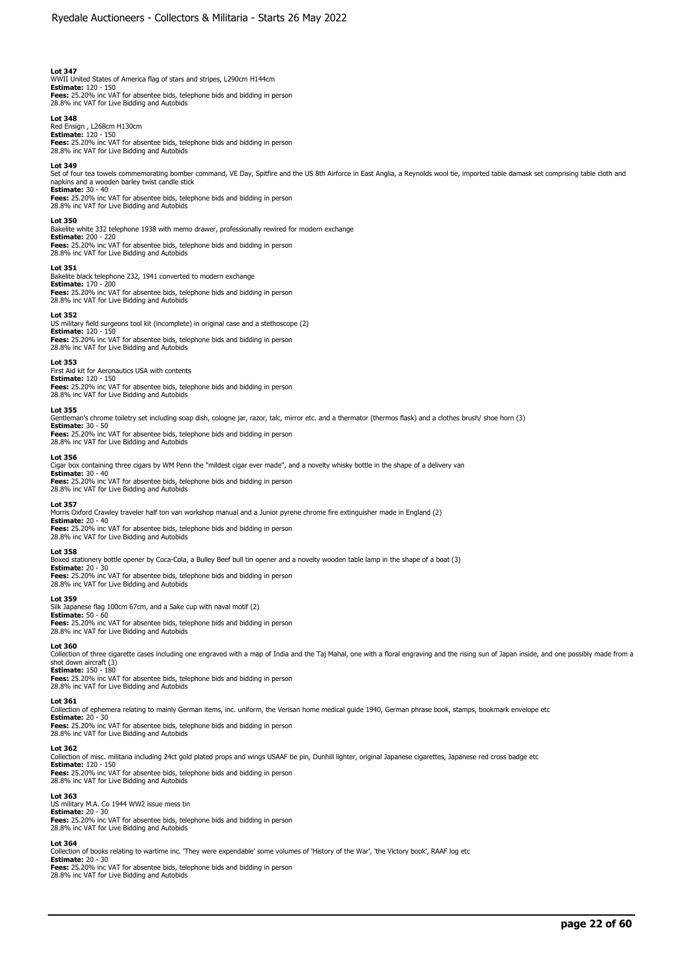WWII United States of America flag of stars and stripes, L290cm H144cm **Estimate:** 120 - 150 **Fees:** 25.20% inc VAT for absentee bids, telephone bids and bidding in person 28.8% inc VAT for Live Bidding and Autobids

#### **Lot 348**

Red Ensign , L268cm H130cm **Estimate:** 120 - 150 **Fees:** 25.20% inc VAT for absentee bids, telephone bids and bidding in person 28.8% inc VAT for Live Bidding and Autobids

#### **Lot 349**

Set of four tea towels commemorating bomber command, VE Day, Spitfire and the US 8th Airforce in East Anglia, a Reynolds wool tie, imported table damask set comprising table cloth and<br>napkins and a wooden barley twist cand

**Estimate:** 30 - 40 **Fees:** 25.20% inc VAT for absentee bids, telephone bids and bidding in person 28.8% inc VAT for Live Bidding and Autobids

## **Lot 350**

Bakelite white 332 telephone 1938 with memo drawer, professionally rewired for modern exchange **Estimate:** 200 - 220

**Fees:** 25.20% inc VAT for absentee bids, telephone bids and bidding in person 28.8% inc VAT for Live Bidding and Autobids

#### **Lot 351**

Bakelite black telephone 232, 1941 converted to modern exchange **Estimate:** 170 - 200

# **Fees:** 25.20% inc VAT for absentee bids, telephone bids and bidding in person 28.8% inc VAT for Live Bidding and Autobids

**Lot 352**  US military field surgeons tool kit (incomplete) in original case and a stethoscope (2) **Estimate:** 120 - 150 **Fees:** 25.20% inc VAT for absentee bids, telephone bids and bidding in person 28.8% inc VAT for Live Bidding and Autobids

#### **Lot 353**

First Aid kit for Aeronautics USA with contents **Estimate:** 120 - 150 **Fees:** 25.20% inc VAT for absentee bids, telephone bids and bidding in person 28.8% inc VAT for Live Bidding and Autobids

#### **Lot 355**

Gentleman's chrome toiletry set including soap dish, cologne jar, razor, talc, mirror etc. and a thermator (thermos flask) and a clothes brush/ shoe horn (3) **Estimate:** 30 - 50

**Fees:** 25.20% inc VAT for absentee bids, telephone bids and bidding in person 28.8% inc VAT for Live Bidding and Autobids

#### **Lot 356**

Cigar box containing three cigars by WM Penn the "mildest cigar ever made", and a novelty whisky bottle in the shape of a delivery van

**Estimate:** 30 - 40 **Fees:** 25.20% inc VAT for absentee bids, telephone bids and bidding in person 28.8% inc VAT for Live Bidding and Autobids

# **Lot 357**

Morris Oxford Crawley traveler half ton van workshop manual and a Junior pyrene chrome fire extinguisher made in England (2) **Estimate:** 20 - 40

**Fees:** 25.20% inc VAT for absentee bids, telephone bids and bidding in person 28.8% inc VAT for Live Bidding and Autobids

#### **Lot 358**

Boxed stationery bottle opener by Coca-Cola, a Bulley Beef bull tin opener and a novelty wooden table lamp in the shape of a boat (3) **Estimate:** 20 - 30

**Fees:** 25.20% inc VAT for absentee bids, telephone bids and bidding in person 28.8% inc VAT for Live Bidding and Autobids

### **Lot 359**

Silk Japanese flag 100cm 67cm, and a Sake cup with naval motif (2) **Estimate:** 50 - 60 **Fees:** 25.20% inc VAT for absentee bids, telephone bids and bidding in person 28.8% inc VAT for Live Bidding and Autobids

#### **Lot 360**

Collection of three cigarette cases including one engraved with a map of India and the Taj Mahal, one with a floral engraving and the rising sun of Japan inside, and one possibly made from a shot down aircraft (3) **Estimate:** 150 - 180

**Fees:** 25.20% inc VAT for absentee bids, telephone bids and bidding in person 28.8% inc VAT for Live Bidding and Autobids

# **Lot 361**

Collection of ephemera relating to mainly German items, inc. uniform, the Verisan home medical guide 1940, German phrase book, stamps, bookmark envelope etc

**Estimate:** 20 - 30 **Fees:** 25.20% inc VAT for absentee bids, telephone bids and bidding in person

28.8% inc VAT for Live Bidding and Autobids

# **Lot 362**

Collection of misc. militaria including 24ct gold plated props and wings USAAF tie pin, Dunhill lighter, original Japanese cigarettes, Japanese red cross badge etc **Estimate:** 120 - 150 **Fees:** 25.20% inc VAT for absentee bids, telephone bids and bidding in person 28.8% inc VAT for Live Bidding and Autobids

#### **Lot 363**

US military M.A. Co 1944 WW2 issue mess tin **Estimate:** 20 - 30 **Fees:** 25.20% inc VAT for absentee bids, telephone bids and bidding in person 28.8% inc VAT for Live Bidding and Autobids

### **Lot 364**

Collection of books relating to wartime inc. 'They were expendable' some volumes of 'History of the War', 'the Victory book', RAAF log etc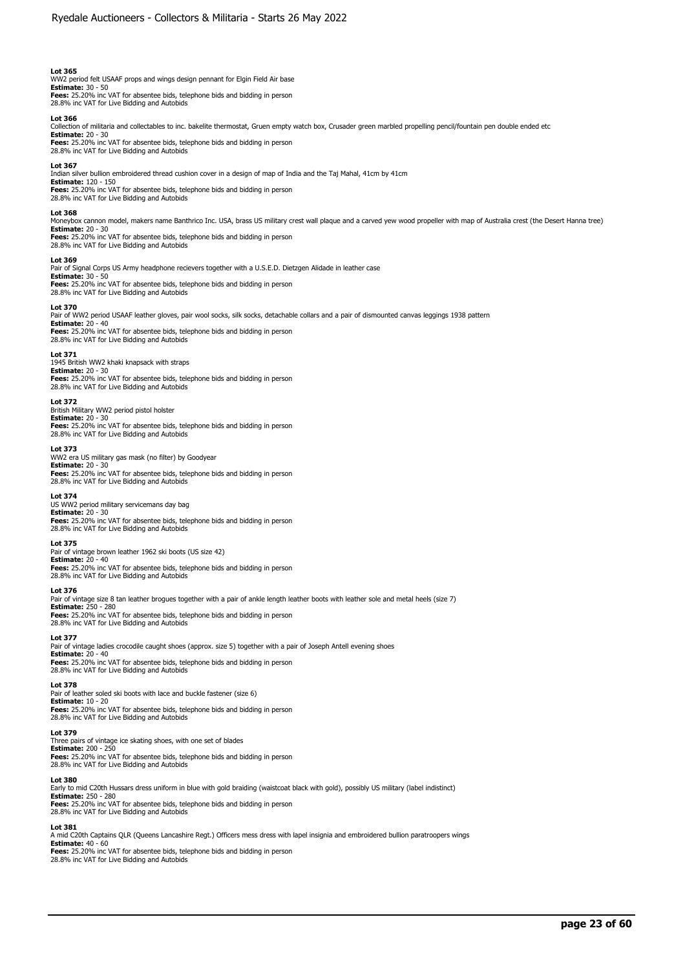WW2 period felt USAAF props and wings design pennant for Elgin Field Air base **Estimate:** 30 - 50 **Fees:** 25.20% inc VAT for absentee bids, telephone bids and bidding in person 28.8% inc VAT for Live Bidding and Autobids

#### **Lot 366**

Collection of militaria and collectables to inc. bakelite thermostat, Gruen empty watch box, Crusader green marbled propelling pencil/fountain pen double ended etc

**Estimate:** 20 - 30 **Fees:** 25.20% inc VAT for absentee bids, telephone bids and bidding in person 28.8% inc VAT for Live Bidding and Autobids

#### **Lot 367**

Indian silver bullion embroidered thread cushion cover in a design of map of India and the Taj Mahal, 41cm by 41cm **Estimate:** 120 - 150 **Fees:** 25.20% inc VAT for absentee bids, telephone bids and bidding in person 28.8% inc VAT for Live Bidding and Autobids

#### **Lot 368**

Moneybox cannon model, makers name Banthrico Inc. USA, brass US military crest wall plaque and a carved yew wood propeller with map of Australia crest (the Desert Hanna tree) **Estimate:** 20 - 30 **Fees:** 25.20% inc VAT for absentee bids, telephone bids and bidding in person

# 28.8% inc VAT for Live Bidding and Autobids

### **Lot 369**

Pair of Signal Corps US Army headphone recievers together with a U.S.E.D. Dietzgen Alidade in leather case **Estimate:** 30 - 50 **Fees:** 25.20% inc VAT for absentee bids, telephone bids and bidding in person 28.8% inc VAT for Live Bidding and Autobids

#### **Lot 370**

Pair of WW2 period USAAF leather gloves, pair wool socks, silk socks, detachable collars and a pair of dismounted canvas leggings 1938 pattern **Estimate:** 20 - 40

**Fees:** 25.20% inc VAT for absentee bids, telephone bids and bidding in person 28.8% inc VAT for Live Bidding and Autobids

**Lot 371**  1945 British WW2 khaki knapsack with straps **Estimate:** 20 - 30 **Fees:** 25.20% inc VAT for absentee bids, telephone bids and bidding in person 28.8% inc VAT for Live Bidding and Autobids

### **Lot 372**

British Military WW2 period pistol holster **Estimate:** 20 - 30

**Fees:** 25.20% inc VAT for absentee bids, telephone bids and bidding in person 28.8% inc VAT for Live Bidding and Autobids

**Lot 373** 

WW2 era US military gas mask (no filter) by Goodyear

**Estimate:** 20 - 30 **Fees:** 25.20% inc VAT for absentee bids, telephone bids and bidding in person 28.8% inc VAT for Live Bidding and Autobids

## **Lot 374**

US WW2 period military servicemans day bag **Estimate:** 20 - 30 **Fees:** 25.20% inc VAT for absentee bids, telephone bids and bidding in person 28.8% inc VAT for Live Bidding and Autobids

#### **Lot 375**

Pair of vintage brown leather 1962 ski boots (US size 42) **Estimate:** 20 - 40 **Fees:** 25.20% inc VAT for absentee bids, telephone bids and bidding in person 28.8% inc VAT for Live Bidding and Autobids

#### **Lot 376**

Pair of vintage size 8 tan leather brogues together with a pair of ankle length leather boots with leather sole and metal heels (size 7)

**Estimate:** 250 - 280 **Fees:** 25.20% inc VAT for absentee bids, telephone bids and bidding in person 28.8% inc VAT for Live Bidding and Autobids

#### **Lot 377**

Pair of vintage ladies crocodile caught shoes (approx. size 5) together with a pair of Joseph Antell evening shoes **Estimate:** 20 - 40<br>**Fees:** 25.20% inc VAT for absentee bids, telephone bids and bidding in person<br>28.8% inc VAT for Live Bidding and Autobids

### **Lot 378**

Pair of leather soled ski boots with lace and buckle fastener (size 6) **Estimate:** 10 - 20 **Fees:** 25.20% inc VAT for absentee bids, telephone bids and bidding in person<br>28.8% inc VAT for Live Bidding and Autobids

#### **Lot 379**

Three pairs of vintage ice skating shoes, with one set of blades **Estimate:** 200 - 250 **Fees:** 25.20% inc VAT for absentee bids, telephone bids and bidding in person 28.8% inc VAT for Live Bidding and Autobids

#### **Lot 380**

Early to mid C20th Hussars dress uniform in blue with gold braiding (waistcoat black with gold), possibly US military (label indistinct) **Estimate:** 250 - 280 **Fees:** 25.20% inc VAT for absentee bids, telephone bids and bidding in person 28.8% inc VAT for Live Bidding and Autobids

#### **Lot 381**

A mid C20th Captains QLR (Queens Lancashire Regt.) Officers mess dress with lapel insignia and embroidered bullion paratroopers wings **Estimate:** 40 - 60 **Fees:** 25.20% inc VAT for absentee bids, telephone bids and bidding in person 28.8% inc VAT for Live Bidding and Autobids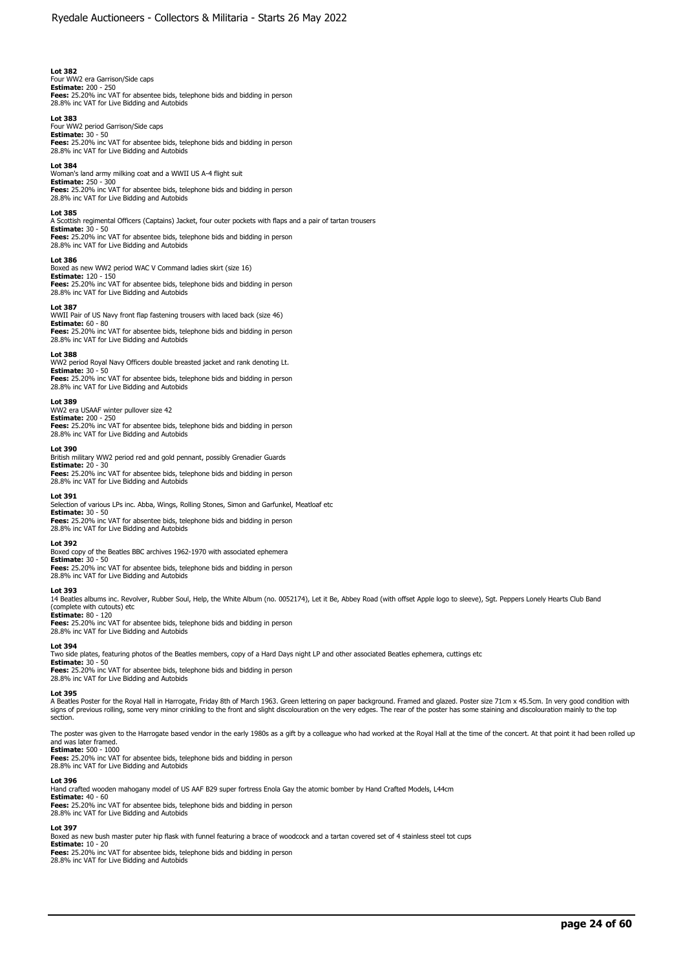Four WW2 era Garrison/Side caps **Estimate:** 200 - 250 **Fees:** 25.20% inc VAT for absentee bids, telephone bids and bidding in person 28.8% inc VAT for Live Bidding and Autobids

### **Lot 383**

Four WW2 period Garrison/Side caps **Estimate:** 30 - 50 **Fees:** 25.20% inc VAT for absentee bids, telephone bids and bidding in person 28.8% inc VAT for Live Bidding and Autobids

#### **Lot 384**

Woman's land army milking coat and a WWII US A-4 flight suit **Estimate:** 250 - 300 **Fees:** 25.20% inc VAT for absentee bids, telephone bids and bidding in person 28.8% inc VAT for Live Bidding and Autobids

### **Lot 385**

A Scottish regimental Officers (Captains) Jacket, four outer pockets with flaps and a pair of tartan trousers **Estimate:** 30 - 50

**Fees:** 25.20% inc VAT for absentee bids, telephone bids and bidding in person 28.8% inc VAT for Live Bidding and Autobids

#### **Lot 386**

Boxed as new WW2 period WAC V Command ladies skirt (size 16) **Estimate:** 120 - 150 **Fees:** 25.20% inc VAT for absentee bids, telephone bids and bidding in person 28.8% inc VAT for Live Bidding and Autobids

### **Lot 387**

WWII Pair of US Navy front flap fastening trousers with laced back (size 46)

**Estimate:** 60 - 80<br>**Fees:** 25.20% inc VAT for absentee bids, telephone bids and bidding in person<br>28.8% inc VAT for Live Bidding and Autobids

#### **Lot 388**

WW2 period Royal Navy Officers double breasted jacket and rank denoting Lt. **Estimate:** 30 - 50 **Fees:** 25.20% inc VAT for absentee bids, telephone bids and bidding in person 28.8% inc VAT for Live Bidding and Autobids

#### **Lot 389**

# WW2 era USAAF winter pullover size 42 **Estimate:** 200 - 250

**Fees:** 25.20% inc VAT for absentee bids, telephone bids and bidding in person 28.8% inc VAT for Live Bidding and Autobids

### **Lot 390**

British military WW2 period red and gold pennant, possibly Grenadier Guards **Estimate:** 20 - 30 **Fees:** 25.20% inc VAT for absentee bids, telephone bids and bidding in person 28.8% inc VAT for Live Bidding and Autobids

#### **Lot 391**

ection of various LPs inc. Abba, Wings, Rolling Stones, Simon and Garfunkel, Meatloaf etc

**Estimate:** 30 - 50

**Fees:** 25.20% inc VAT for absentee bids, telephone bids and bidding in person 28.8% inc VAT for Live Bidding and Autobids

# **Lot 392**

Boxed copy of the Beatles BBC archives 1962-1970 with associated ephemera **Estimate:** 30 - 50

**Fees:** 25.20% inc VAT for absentee bids, telephone bids and bidding in person 28.8% inc VAT for Live Bidding and Autobids

#### **Lot 393**

14 Beatles albums inc. Revolver, Rubber Soul, Help, the White Album (no. 0052174), Let it Be, Abbey Road (with offset Apple logo to sleeve), Sgt. Peppers Lonely Hearts Club Band (complete with cutouts) etc

**Estimate:** 80 - 120

**Fees:** 25.20% inc VAT for absentee bids, telephone bids and bidding in person 28.8% inc VAT for Live Bidding and Autobids

#### **Lot 394**

Two side plates, featuring photos of the Beatles members, copy of a Hard Days night LP and other associated Beatles ephemera, cuttings etc

**Estimate:** 30 - 50 **Fees:** 25.20% inc VAT for absentee bids, telephone bids and bidding in person 28.8% inc VAT for Live Bidding and Autobids

#### **Lot 395**

A Beatles Poster for the Royal Hall in Harrogate, Friday 8th of March 1963. Green lettering on paper background. Framed and glazed. Poster size 71cm x 45.5cm. In very good condition with signs of previous rolling, some very minor crinkling to the front and slight discolouration on the very edges. The rear of the poster has some staining and discolouration mainly to the top section.

The poster was given to the Harrogate based vendor in the early 1980s as a gift by a colleague who had worked at the Royal Hall at the time of the concert. At that point it had been rolled up and was later framed. **Estimate:** 500 - 1000

**Fees:** 25.20% inc VAT for absentee bids, telephone bids and bidding in person 28.8% inc VAT for Live Bidding and Autobids

#### **Lot 396**

Hand crafted wooden mahogany model of US AAF B29 super fortress Enola Gay the atomic bomber by Hand Crafted Models, L44cm

**Estimate:** 40 - 60 **Fees:** 25.20% inc VAT for absentee bids, telephone bids and bidding in person

28.8% inc VAT for Live Bidding and Autobids

# **Lot 397**

Boxed as new bush master puter hip flask with funnel featuring a brace of woodcock and a tartan covered set of 4 stainless steel tot cups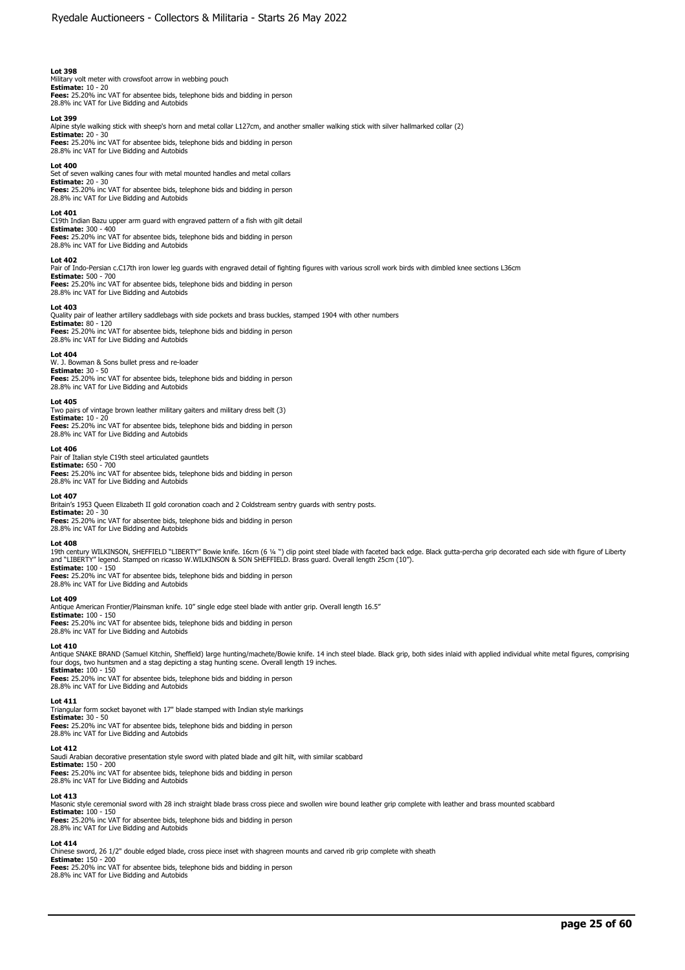Military volt meter with crowsfoot arrow in webbing pouch<br>**Estimate:** 10 - 20<br>**Fees:** 25.20% inc VAT for absentee bids, telephone bids and bidding in person 28.8% inc VAT for Live Bidding and Autobids

#### **Lot 399**

Alpine style walking stick with sheep's horn and metal collar L127cm, and another smaller walking stick with silver hallmarked collar (2)

**Estimate:** 20 - 30 **Fees:** 25.20% inc VAT for absentee bids, telephone bids and bidding in person 28.8% inc VAT for Live Bidding and Autobids

#### **Lot 400**

Set of seven walking canes four with metal mounted handles and metal collars **Estimate:** 20 - 30

**Fees:** 25.20% inc VAT for absentee bids, telephone bids and bidding in person 28.8% inc VAT for Live Bidding and Autobids

#### **Lot 401**

C19th Indian Bazu upper arm guard with engraved pattern of a fish with gilt detail

# **Estimate:** 300 - 400 **Fees:** 25.20% inc VAT for absentee bids, telephone bids and bidding in person

28.8% inc VAT for Live Bidding and Autobids

## **Lot 402**

Pair of Indo-Persian c.C17th iron lower leg guards with engraved detail of fighting figures with various scroll work birds with dimbled knee sections L36cm **Estimate:** 500 - 700 **Fees:** 25.20% inc VAT for absentee bids, telephone bids and bidding in person

28.8% inc VAT for Live Bidding and Autobids

#### **Lot 403**

Quality pair of leather artillery saddlebags with side pockets and brass buckles, stamped 1904 with other numbers **Estimate:** 80 - 120

**Fees:** 25.20% inc VAT for absentee bids, telephone bids and bidding in person 28.8% inc VAT for Live Bidding and Autobids

#### **Lot 404**

W. J. Bowman & Sons bullet press and re-loader **Estimate:** 30 - 50 **Fees:** 25.20% inc VAT for absentee bids, telephone bids and bidding in person

28.8% inc VAT for Live Bidding and Autobids

# **Lot 405**

Two pairs of vintage brown leather military gaiters and military dress belt (3) **Estimate:** 10 - 20 **Fees:** 25.20% inc VAT for absentee bids, telephone bids and bidding in person 28.8% inc VAT for Live Bidding and Autobids

#### **Lot 406**

Pair of Italian style C19th steel articulated gauntlets **Estimate:** 650 - 700 **Fees:** 25.20% inc VAT for absentee bids, telephone bids and bidding in person 28.8% inc VAT for Live Bidding and Autobids

#### **Lot 407**

Britain's 1953 Queen Elizabeth II gold coronation coach and 2 Coldstream sentry guards with sentry posts.

**Estimate:** 20 - 30 **Fees:** 25.20% inc VAT for absentee bids, telephone bids and bidding in person 28.8% inc VAT for Live Bidding and Autobids

#### **Lot 408**

19th century WILKINSON, SHEFFIELD "LIBERTY" Bowie knife. 16cm (6 ¼ ") clip point steel blade with faceted back edge. Black gutta-percha grip decorated each side with figure of Liberty<br>and "LIBERTY" legend. Stamped on ricas

**Fees:** 25.20% inc VAT for absentee bids, telephone bids and bidding in person 28.8% inc VAT for Live Bidding and Autobids

#### **Lot 409**

Antique American Frontier/Plainsman knife. 10" single edge steel blade with antler grip. Overall length 16.5"

**Estimate:** 100 - 150

**Fees:** 25.20% inc VAT for absentee bids, telephone bids and bidding in person<br>28.8% inc VAT for Live Bidding and Autobids

### **Lot 410**

Antique SNAKE BRAND (Samuel Kitchin, Sheffield) large hunting/machete/Bowie knife. 14 inch steel blade. Black grip, both sides inlaid with applied individual white metal figures, comprising<br>four dogs, two huntsmen and a st **Estimate:** 100 - 150

**Fees:** 25.20% inc VAT for absentee bids, telephone bids and bidding in person 28.8% inc VAT for Live Bidding and Autobids

# **Lot 411**

Triangular form socket bayonet with 17" blade stamped with Indian style markings<br>**Estimate:** 30 - 50<br>**Fees:** 25.20% inc VAT for absentee bids, telephone bids and bidding in person

28.8% inc VAT for Live Bidding and Autobids

### **Lot 412**

Saudi Arabian decorative presentation style sword with plated blade and gilt hilt, with similar scabbard **Estimate:** 150 - 200

**Fees:** 25.20% inc VAT for absentee bids, telephone bids and bidding in person 28.8% inc VAT for Live Bidding and Autobids

#### **Lot 413**

Masonic style ceremonial sword with 28 inch straight blade brass cross piece and swollen wire bound leather grip complete with leather and brass mounted scabbard

**Estimate:** 100 - 150 **Fees:** 25.20% inc VAT for absentee bids, telephone bids and bidding in person 28.8% inc VAT for Live Bidding and Autobids

# **Lot 414**

Chinese sword, 26 1/2" double edged blade, cross piece inset with shagreen mounts and carved rib grip complete with sheath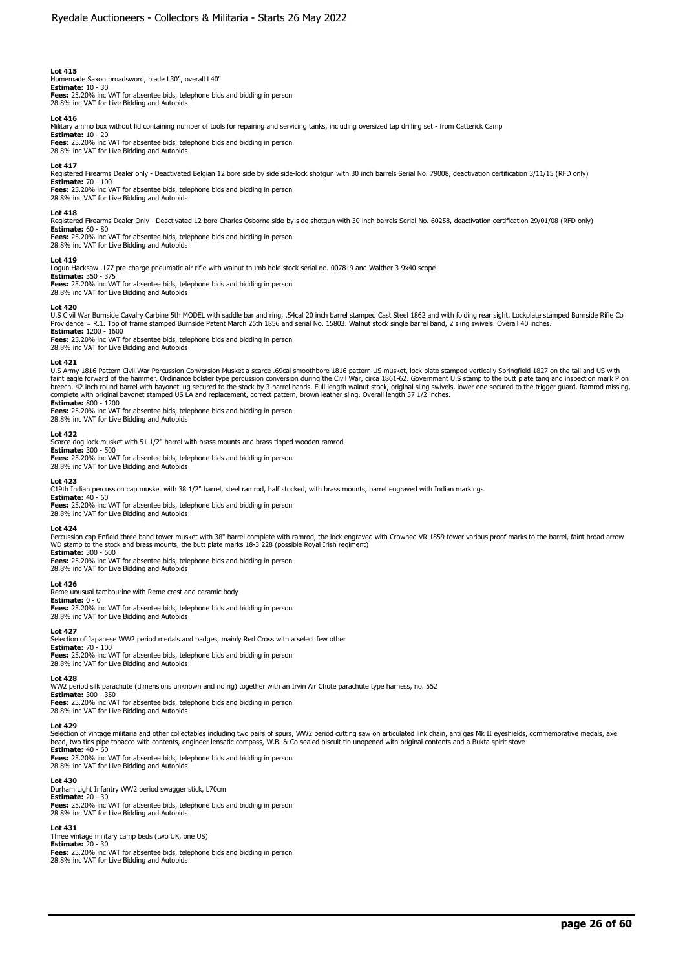Homemade Saxon broadsword, blade L30", overall L40" **Estimate:** 10 - 30 **Fees:** 25.20% inc VAT for absentee bids, telephone bids and bidding in person 28.8% inc VAT for Live Bidding and Autobids

#### **Lot 416**

Military ammo box without lid containing number of tools for repairing and servicing tanks, including oversized tap drilling set - from Catterick Camp

**Estimate:** 10 - 20 **Fees:** 25.20% inc VAT for absentee bids, telephone bids and bidding in person 28.8% inc VAT for Live Bidding and Autobids

#### **Lot 417**

Registered Firearms Dealer only - Deactivated Belgian 12 bore side by side side-lock shotgun with 30 inch barrels Serial No. 79008, deactivation certification 3/11/15 (RFD only) **Estimate:** 70 - 100

**Fees:** 25.20% inc VAT for absentee bids, telephone bids and bidding in person 28.8% inc VAT for Live Bidding and Autobids

#### **Lot 418**

Registered Firearms Dealer Only - Deactivated 12 bore Charles Osborne side-by-side shotgun with 30 inch barrels Serial No. 60258, deactivation certification 29/01/08 (RFD only)

# **Estimate:** 60 - 80

**Fees:** 25.20% inc VAT for absentee bids, telephone bids and bidding in person 28.8% inc VAT for Live Bidding and Autobids

#### **Lot 419**

Logun Hacksaw .177 pre-charge pneumatic air rifle with walnut thumb hole stock serial no. 007819 and Walther 3-9x40 scope

**Estimate:** 350 - 375 **Fees:** 25.20% inc VAT for absentee bids, telephone bids and bidding in person 28.8% inc VAT for Live Bidding and Autobids

#### **Lot 420**

U.S Civil War Burnside Cavalry Carbine 5th MODEL with saddle bar and ring, .54cal 20 inch barrel stamped Cast Steel 1862 and with folding rear sight. Lockplate stamped Burnside Rifle Co<br>Providence = R.1. Top of frame stamp **Estimate:** 1200 - 1600

**Fees:** 25.20% inc VAT for absentee bids, telephone bids and bidding in person 28.8% inc VAT for Live Bidding and Autobids

Lot 421<br>U.S Army 1816 Pattern Civil War Percussion Conversion Musket a scarce .69cal smoothbore 1816 pattern US musket, lock plate stamped vertically Springfield 1827 on the tail and US with<br>faint eagle forward of the hamm

**Estimate:** 800 - 1200 **Fees:** 25.20% inc VAT for absentee bids, telephone bids and bidding in person 28.8% inc VAT for Live Bidding and Autobids

**Lot 422**  Scarce dog lock musket with 51 1/2" barrel with brass mounts and brass tipped wooden ramrod **Estimate:** 300 - 500

**Fees:** 25.20% inc VAT for absentee bids, telephone bids and bidding in person 28.8% inc VAT for Live Bidding and Autobids

#### **Lot 423**

C19th Indian percussion cap musket with 38 1/2" barrel, steel ramrod, half stocked, with brass mounts, barrel engraved with Indian markings

**Estimate:** 40 - 60 **Fees:** 25.20% inc VAT for absentee bids, telephone bids and bidding in person 28.8% inc VAT for Live Bidding and Autobids

#### **Lot 424**

Percussion cap Enfield three band tower musket with 38" barrel complete with ramrod, the lock engraved with Crowned VR 1859 tower various proof marks to the barrel, faint broad arrow WD stamp to the stock and brass mounts, the butt plate marks 18-3 228 (possible Royal Irish regiment) **Estimate:** 300 - 500

# **Fees:** 25.20% inc VAT for absentee bids, telephone bids and bidding in person

28.8% inc VAT for Live Bidding and Autobids

# **Lot 426**

Reme unusual tambourine with Reme crest and ceramic body **Estimate:** 0 - 0 **Fees:** 25.20% inc VAT for absentee bids, telephone bids and bidding in person 28.8% inc VAT for Live Bidding and Autobids

#### **Lot 427**

Selection of Japanese WW2 period medals and badges, mainly Red Cross with a select few other

**Estimate:** 70 - 100<br>**Fees:** 25.20% inc VAT for absentee bids, telephone bids and bidding in person<br>28.8% inc VAT for Live Bidding and Autobids

#### **Lot 428**

WW2 period silk parachute (dimensions unknown and no rig) together with an Irvin Air Chute parachute type harness, no. 552

**Estimate:** 300 - 350 **Fees:** 25.20% inc VAT for absentee bids, telephone bids and bidding in person 28.8% inc VAT for Live Bidding and Autobids

# **Lot 429**

Selection of vintage militaria and other collectables including two pairs of spurs, WW2 period cutting saw on articulated link chain, anti gas Mk II eyeshields, commemorative medals, axe<br>he**ad, two t**ins pipe tobacco with

**Fees:** 25.20% inc VAT for absentee bids, telephone bids and bidding in person 28.8% inc VAT for Live Bidding and Autobids

#### **Lot 430**

Durham Light Infantry WW2 period swagger stick, L70cm **Estimate:** 20 - 30 **Fees:** 25.20% inc VAT for absentee bids, telephone bids and bidding in person

28.8% inc VAT for Live Bidding and Autobids

# **Lot 431**

Three vintage military camp beds (two UK, one US) **Estimate:** 20 - 30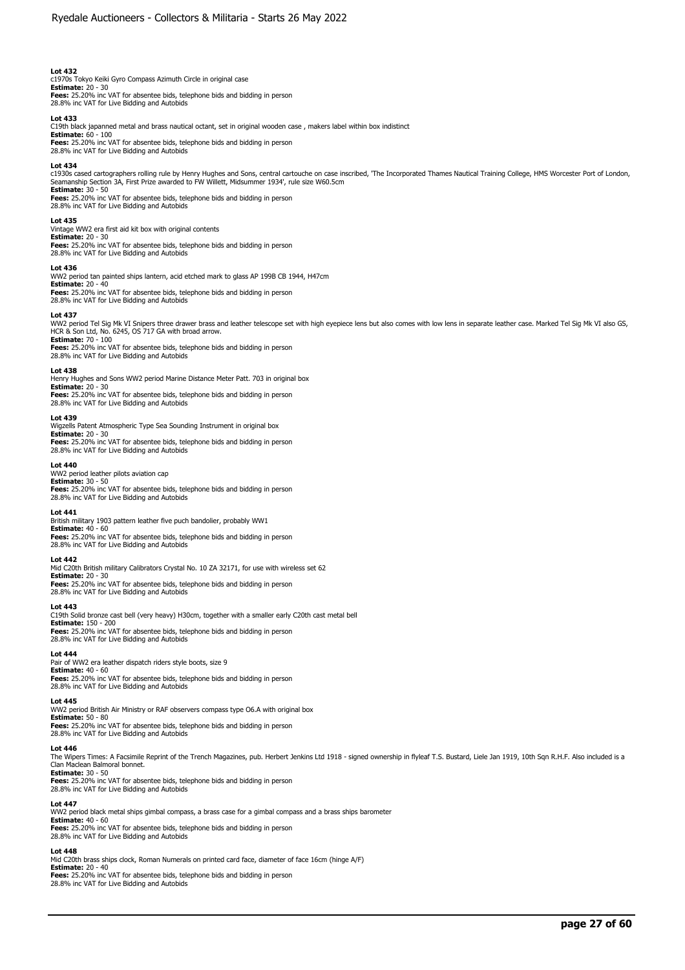c1970s Tokyo Keiki Gyro Compass Azimuth Circle in original case **Estimate:** 20 - 30 **Fees:** 25.20% inc VAT for absentee bids, telephone bids and bidding in person 28.8% inc VAT for Live Bidding and Autobids

#### **Lot 433**

C19th black japanned metal and brass nautical octant, set in original wooden case , makers label within box indistinct

**Estimate:** 60 - 100 **Fees:** 25.20% inc VAT for absentee bids, telephone bids and bidding in person 28.8% inc VAT for Live Bidding and Autobids

### **Lot 434**

c1930s cased cartographers rolling rule by Henry Hughes and Sons, central cartouche on case inscribed, 'The Incorporated Thames Nautical Training College, HMS Worcester Port of London,<br>Seamanship Section 3A, First Prize aw **Estimate:** 30 - 50 **Fees:** 25.20% inc VAT for absentee bids, telephone bids and bidding in person

28.8% inc VAT for Live Bidding and Autobids

#### **Lot 435**

Vintage WW2 era first aid kit box with original contents **Estimate:** 20 - 30 **Fees:** 25.20% inc VAT for absentee bids, telephone bids and bidding in person 28.8% inc VAT for Live Bidding and Autobids

### **Lot 436**

WW2 period tan painted ships lantern, acid etched mark to glass AP 199B CB 1944, H47cm **Estimate:** 20 - 40

**Fees:** 25.20% inc VAT for absentee bids, telephone bids and bidding in person 28.8% inc VAT for Live Bidding and Autobids

#### **Lot 437**

WW2 period Tel Sig Mk VI Snipers three drawer brass and leather telescope set with high eyepiece lens but also comes with low lens in separate leather case. Marked Tel Sig Mk VI also GS, HCR & Son Ltd, No. 6245, OS 717 GA with broad arrow. **Estimate:** 70 - 100

**Fees:** 25.20% inc VAT for absentee bids, telephone bids and bidding in person 28.8% inc VAT for Live Bidding and Autobids

### **Lot 438**

Henry Hughes and Sons WW2 period Marine Distance Meter Patt. 703 in original box **Estimate:** 20 - 30

**Fees:** 25.20% inc VAT for absentee bids, telephone bids and bidding in person 28.8% inc VAT for Live Bidding and Autobids

#### **Lot 439**

Wigzells Patent Atmospheric Type Sea Sounding Instrument in original box **Estimate:** 20 - 30<br>**Fees:** 25.20% inc VAT for absentee bids, telephone bids and bidding in person<br>28.8% inc VAT for Live Bidding and Autobids

#### **Lot 440**

WW2 period leather pilots aviation cap **Estimate:** 30 - 50

**Fees:** 25.20% inc VAT for absentee bids, telephone bids and bidding in person 28.8% inc VAT for Live Bidding and Autobids

### **Lot 441**

British military 1903 pattern leather five puch bandolier, probably WW1 **Estimate:** 40 - 60

**Fees:** 25.20% inc VAT for absentee bids, telephone bids and bidding in person 28.8% inc VAT for Live Bidding and Autobids

#### **Lot 442**

Mid C20th British military Calibrators Crystal No. 10 ZA 32171, for use with wireless set 62

**Estimate:** 20 - 30<br>**Fees:** 25.20% inc VAT for absentee bids, telephone bids and bidding in person<br>28.8% inc VAT for Live Bidding and Autobids

#### **Lot 443**

C19th Solid bronze cast bell (very heavy) H30cm, together with a smaller early C20th cast metal bell **Estimate:** 150 - 200 **Fees:** 25.20% inc VAT for absentee bids, telephone bids and bidding in person

# 28.8% inc VAT for Live Bidding and Autobids

**Lot 444**  Pair of WW2 era leather dispatch riders style boots, size 9 **Estimate:** 40 - 60 **Fees:** 25.20% inc VAT for absentee bids, telephone bids and bidding in person 28.8% inc VAT for Live Bidding and Autobids

#### **Lot 445**

WW2 period British Air Ministry or RAF observers compass type O6.A with original box **Estimate:** 50 - 80 **Fees:** 25.20% inc VAT for absentee bids, telephone bids and bidding in person 28.8% inc VAT for Live Bidding and Autobids

#### **Lot 446**

The Wipers Times: A Facsimile Reprint of the Trench Magazines, pub. Herbert Jenkins Ltd 1918 - signed ownership in flyleaf T.S. Bustard, Liele Jan 1919, 10th Sqn R.H.F. Also included is a Clan Maclean Balmoral bonnet.

**Estimate:** 30 - 50 **Fees:** 25.20% inc VAT for absentee bids, telephone bids and bidding in person 28.8% inc VAT for Live Bidding and Autobids

### **Lot 447**

WW2 period black metal ships gimbal compass, a brass case for a gimbal compass and a brass ships barometer

**Estimate:** 40 - 60 **Fees:** 25.20% inc VAT for absentee bids, telephone bids and bidding in person 28.8% inc VAT for Live Bidding and Autobids

#### **Lot 448**

Mid C20th brass ships clock, Roman Numerals on printed card face, diameter of face 16cm (hinge A/F) **Estimate:** 20 - 40 **Fees:** 25.20% inc VAT for absentee bids, telephone bids and bidding in person 28.8% inc VAT for Live Bidding and Autobids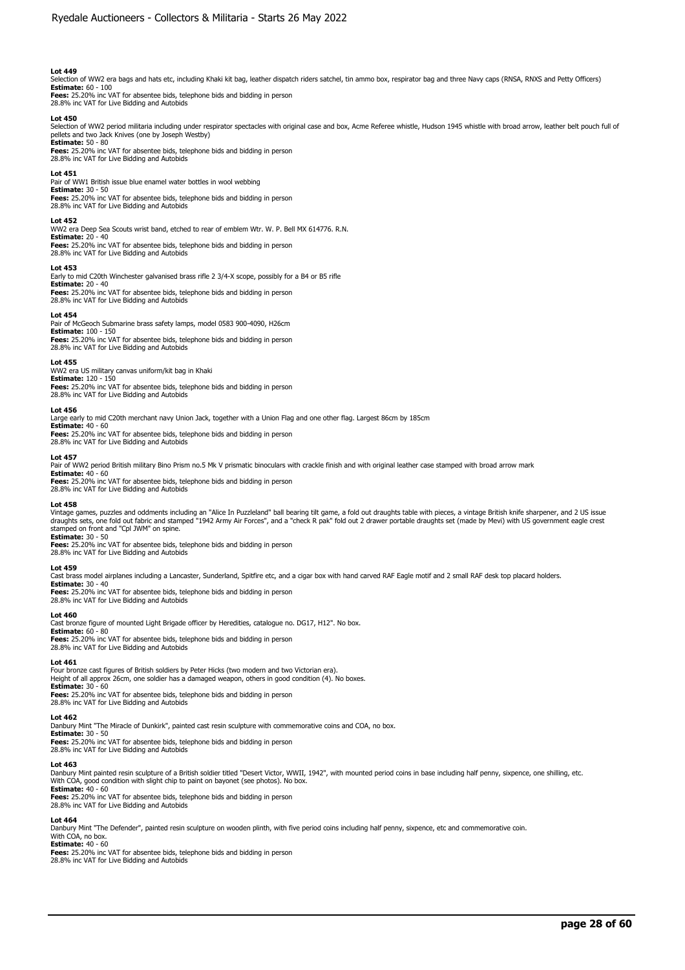Selection of WW2 era bags and hats etc, including Khaki kit bag, leather dispatch riders satchel, tin ammo box, respirator bag and three Navy caps (RNSA, RNXS and Petty Officers)

**Estimate:** 60 - 100 **Fees:** 25.20% inc VAT for absentee bids, telephone bids and bidding in person 28.8% inc VAT for Live Bidding and Autobids

### **Lot 450**

Selection of WW2 period militaria including under respirator spectacles with original case and box, Acme Referee whistle, Hudson 1945 whistle with broad arrow, leather belt pouch full of pellets and two Jack Knives (one by Joseph Westby)

**Estimate:** 50 - 80 **Fees:** 25.20% inc VAT for absentee bids, telephone bids and bidding in person 28.8% inc VAT for Live Bidding and Autobids

#### **Lot 451**

Pair of WW1 British issue blue enamel water bottles in wool webbing **Estimate:** 30 - 50 **Fees:** 25.20% inc VAT for absentee bids, telephone bids and bidding in person 28.8% inc VAT for Live Bidding and Autobids

## **Lot 452**

WW2 era Deep Sea Scouts wrist band, etched to rear of emblem Wtr. W. P. Bell MX 614776. R.N. **Estimate:** 20 - 40

**Fees:** 25.20% inc VAT for absentee bids, telephone bids and bidding in person 28.8% inc VAT for Live Bidding and Autobids

### **Lot 453**

Early to mid C20th Winchester galvanised brass rifle 2 3/4-X scope, possibly for a B4 or B5 rifle **Estimate:** 20 - 40

**Fees:** 25.20% inc VAT for absentee bids, telephone bids and bidding in person 28.8% inc VAT for Live Bidding and Autobids

#### **Lot 454**

Pair of McGeoch Submarine brass safety lamps, model 0583 900-4090, H26cm **Estimate:** 100 - 150 **Fees:** 25.20% inc VAT for absentee bids, telephone bids and bidding in person 28.8% inc VAT for Live Bidding and Autobids

#### **Lot 455**

WW2 era US military canvas uniform/kit bag in Khaki **Estimate:** 120 - 150

**Fees:** 25.20% inc VAT for absentee bids, telephone bids and bidding in person 28.8% inc VAT for Live Bidding and Autobids

#### **Lot 456**

Large early to mid C20th merchant navy Union Jack, together with a Union Flag and one other flag. Largest 86cm by 185cm **Estimate:** 40 - 60

**Fees:** 25.20% inc VAT for absentee bids, telephone bids and bidding in person 28.8% inc VAT for Live Bidding and Autobids

# **Lot 457**

Pair of WW2 period British military Bino Prism no.5 Mk V prismatic binoculars with crackle finish and with original leather case stamped with broad arrow mark

**Estimate:** 40 - 60 **Fees:** 25.20% inc VAT for absentee bids, telephone bids and bidding in person

28.8% inc VAT for Live Bidding and Autobids

#### **Lot 458**

Vintage games, puzzles and oddments including an "Alice In Puzzleland" ball bearing tilt game, a fold out draughts table with pieces, a vintage British knife sharpener, and 2 US issue<br>draughts sets, one fold out fabric and stamped on front and "Cpl JWM" on spine. **Estimate:** 30 - 50

**Fees:** 25.20% inc VAT for absentee bids, telephone bids and bidding in person 28.8% inc VAT for Live Bidding and Autobids

#### **Lot 459**

Cast brass model airplanes including a Lancaster, Sunderland, Spitfire etc, and a cigar box with hand carved RAF Eagle motif and 2 small RAF desk top placard holders.

**Estimate:** 30 - 40 **Fees:** 25.20% inc VAT for absentee bids, telephone bids and bidding in person

28.8% inc VAT for Live Bidding and Autobids

#### **Lot 460**

Cast bronze figure of mounted Light Brigade officer by Heredities, catalogue no. DG17, H12". No box. **Estimate:** 60 - 80

**Fees:** 25.20% inc VAT for absentee bids, telephone bids and bidding in person 28.8% inc VAT for Live Bidding and Autobids

### **Lot 461**

Four bronze cast figures of British soldiers by Peter Hicks (two modern and two Victorian era). Height of all approx 26cm, one soldier has a damaged weapon, others in good condition (4). No boxes **Estimate:** 30 - 60 **Fees:** 25.20% inc VAT for absentee bids, telephone bids and bidding in person

28.8% inc VAT for Live Bidding and Autobids

# **Lot 462**

Danbury Mint "The Miracle of Dunkirk", painted cast resin sculpture with commemorative coins and COA, no box.

**Estimate:** 30 - 50<br>**Fees:** 25.20% inc VAT for absentee bids, telephone bids and bidding in person<br>28.8% inc VAT for Live Bidding and Autobids

#### **Lot 463**

Danbury Mint painted resin sculpture of a British soldier titled "Desert Victor, WWII, 1942", with mounted period coins in base including half penny, sixpence, one shilling, etc. With COA, good condition with slight chip to paint on bayonet (see photos). No box. **Estimate:** 40 - 60

**Fees:** 25.20% inc VAT for absentee bids, telephone bids and bidding in person 28.8% inc VAT for Live Bidding and Autobids

#### **Lot 464**

Danbury Mint "The Defender", painted resin sculpture on wooden plinth, with five period coins including half penny, sixpence, etc and commemorative coin. With COA, no box.

# **Estimate:** 40 - 60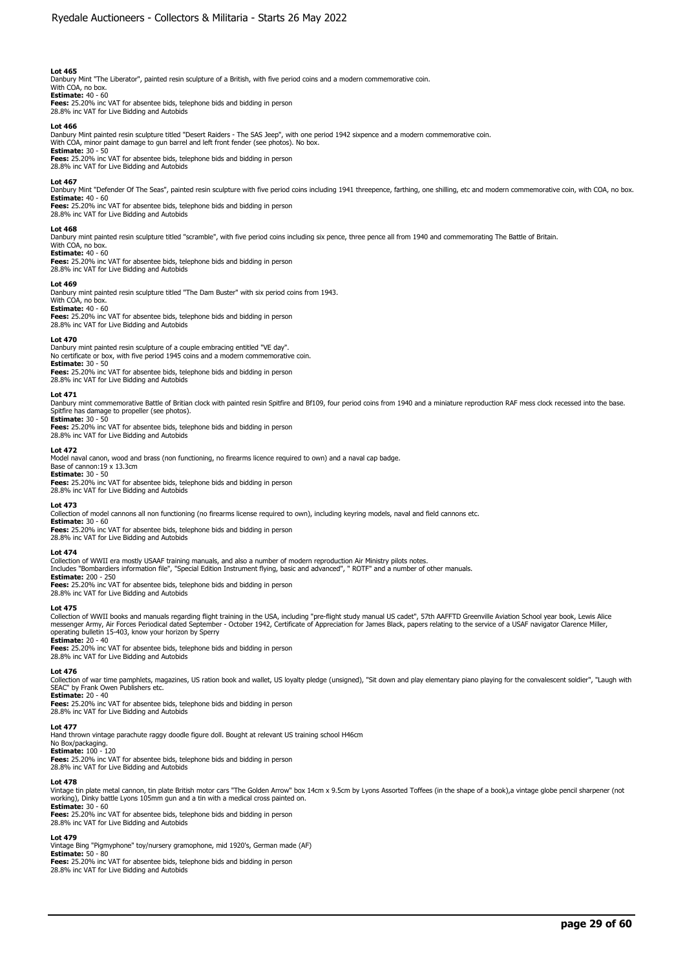Danbury Mint "The Liberator", painted resin sculpture of a British, with five period coins and a modern commemorative coin. With COA, no box.

**Estimate:** 40 - 60

**Fees:** 25.20% inc VAT for absentee bids, telephone bids and bidding in person 28.8% inc VAT for Live Bidding and Autobids

### **Lot 466**

Danbury Mint painted resin sculpture titled "Desert Raiders - The SAS Jeep", with one period 1942 sixpence and a modern commemorative coin.<br>With COA, minor paint damage to gun barrel and left front fender (see photos). No

**Estimate:** 30 - 50

**Fees:** 25.20% inc VAT for absentee bids, telephone bids and bidding in person 28.8% inc VAT for Live Bidding and Autobids

## **Lot 467**

Danbury Mint "Defender Of The Seas", painted resin sculpture with five period coins including 1941 threepence, farthing, one shilling, etc and modern commemorative coin, with COA, no box.<br>**Estimate:** 40 - 60

**Fees:** 25.20% inc VAT for absentee bids, telephone bids and bidding in person 28.8% inc VAT for Live Bidding and Autobids

### **Lot 468**

Danbury mint painted resin sculpture titled "scramble", with five period coins including six pence, three pence all from 1940 and commemorating The Battle of Britain.

#### With COA, no box. **Estimate:** 40 - 60

**Fees:** 25.20% inc VAT for absentee bids, telephone bids and bidding in person 28.8% inc VAT for Live Bidding and Autobids

### **Lot 469**

Danbury mint painted resin sculpture titled "The Dam Buster" with six period coins from 1943. With COA, no box.

### **Estimate:** 40 - 60

**Fees:** 25.20% inc VAT for absentee bids, telephone bids and bidding in person

28.8% inc VAT for Live Bidding and Autobids

# **Lot 470**

Danbury mint painted resin sculpture of a couple embracing entitled "VE day". No certificate or box, with five period 1945 coins and a modern commemorative coin.

# **Estimate:** 30 - 50

**Fees:** 25.20% inc VAT for absentee bids, telephone bids and bidding in person 28.8% inc VAT for Live Bidding and Autobids

#### **Lot 471**

Danbury mint commemorative Battle of Britian clock with painted resin Spitfire and Bf109, four period coins from 1940 and a miniature reproduction RAF mess clock recessed into the base.<br>Spitfire has damage to propeller (se

# **Estimate:** 30 - 50

**Fees:** 25.20% inc VAT for absentee bids, telephone bids and bidding in person 28.8% inc VAT for Live Bidding and Autobids

#### **Lot 472**

Model naval canon, wood and brass (non functioning, no firearms licence required to own) and a naval cap badge. Base of cannon:19 x 13.3cm **Estimate:** 30 - 50 **Fees:** 25.20% inc VAT for absentee bids, telephone bids and bidding in person

28.8% inc VAT for Live Bidding and Autobids

#### **Lot 473**

Collection of model cannons all non functioning (no firearms license required to own), including keyring models, naval and field cannons etc.

**Estimate:** 30 - 60

**Fees:** 25.20% inc VAT for absentee bids, telephone bids and bidding in person 28.8% inc VAT for Live Bidding and Autobids

#### **Lot 474**

Collection of WWII era mostly USAAF training manuals, and also a number of modern reproduction Air Ministry pilots notes.

Includes "Bombardiers information file", "Special Edition Instrument flying, basic and advanced", " ROTF" and a number of other manuals. **Estimate:** 200 - 250

**Fees:** 25.20% inc VAT for absentee bids, telephone bids and bidding in person 28.8% inc VAT for Live Bidding and Autobids

#### **Lot 475**

Collection of WWII books and manuals regarding flight training in the USA, including "pre-flight study manual US cadet", 57th AAFFTD Greenville Aviation School year book, Lewis Alice<br>messenger Army, Air Forces Periodical d operating bulletin 15-403, know your horizon by Sperry

**Estimate:** 20 - 40

**Fees:** 25.20% inc VAT for absentee bids, telephone bids and bidding in person 28.8% inc VAT for Live Bidding and Autobids

#### **Lot 476**

Collection of war time pamphlets, magazines, US ration book and wallet. US lovalty pledge (unsigned), "Sit down and play elementary piano playing for the convalescent soldier", "Laugh with SEAC" by Frank Owen Publishers etc.

**Estimate:** 20 - 40

**Fees:** 25.20% inc VAT for absentee bids, telephone bids and bidding in person 28.8% inc VAT for Live Bidding and Autobids

## **Lot 477**

Hand thrown vintage parachute raggy doodle figure doll. Bought at relevant US training school H46cm

# No Box/packaging. **Estimate:** 100 - 120

**Fees:** 25.20% inc VAT for absentee bids, telephone bids and bidding in person 28.8% inc VAT for Live Bidding and Autobids

#### **Lot 478**

Vintage tin plate metal cannon, tin plate British motor cars "The Golden Arrow" box 14cm x 9.5cm by Lyons Assorted Toffees (in the shape of a book),a vintage globe pencil sharpener (not working), Dinky battle Lyons 105mm gun and a tin with a medical cross painted on. **Estimate:** 30 - 60

**Fees:** 25.20% inc VAT for absentee bids, telephone bids and bidding in person 28.8% inc VAT for Live Bidding and Autobids

# **Lot 479**

Vintage Bing "Pigmyphone" toy/nursery gramophone, mid 1920's, German made (AF) **Estimate:** 50 - 80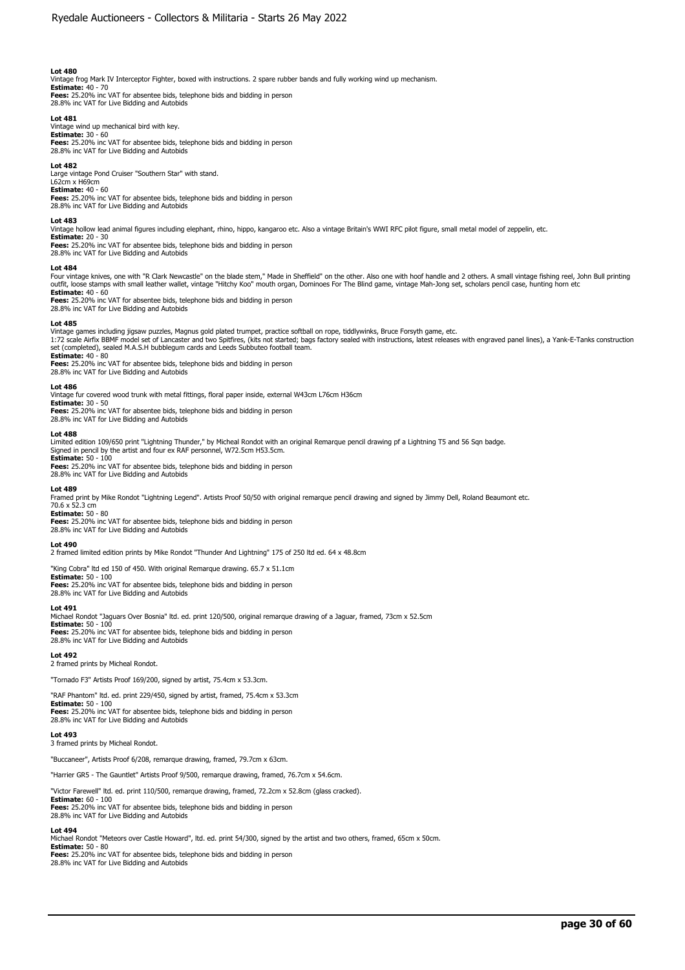Vintage frog Mark IV Interceptor Fighter, boxed with instructions. 2 spare rubber bands and fully working wind up mechanism.<br>**Estimate:** 40 - 70<br>**Fees:** 25.20% inc VAT for absentee bids, telephone bids and bidding in perso

28.8% inc VAT for Live Bidding and Autobids

### **Lot 481**

Vintage wind up mechanical bird with key. **Estimate:** 30 - 60 **Fees:** 25.20% inc VAT for absentee bids, telephone bids and bidding in person 28.8% inc VAT for Live Bidding and Autobids

**Lot 482** 

Large vintage Pond Cruiser "Southern Star" with stand. L62cm x H69cm

**Estimate:** 40 - 60 **Fees:** 25.20% inc VAT for absentee bids, telephone bids and bidding in person 28.8% inc VAT for Live Bidding and Autobids

#### **Lot 483**

Vintage hollow lead animal figures including elephant, rhino, hippo, kangaroo etc. Also a vintage Britain's WWI RFC pilot figure, small metal model of zeppelin, etc.

# **Estimate:** 20 - 30

**Fees:** 25.20% inc VAT for absentee bids, telephone bids and bidding in person 28.8% inc VAT for Live Bidding and Autobids

#### **Lot 484**

Four vintage knives, one with "R Clark Newcastle" on the blade stem," Made in Sheffield" on the other. Also one with hoof handle and 2 others. A small vintage fishing reel, John Bull printing<br>outfit, loose stamps with smal **Estimate:** 40 - 60

**Fees:** 25.20% inc VAT for absentee bids, telephone bids and bidding in person 28.8% inc VAT for Live Bidding and Autobids

#### **Lot 485**

Vintage games including jigsaw puzzles, Magnus gold plated trumpet, practice softball on rope, tiddlywinks, Bruce Forsyth game, etc.<br>1:72 scale Airfix BBMF model set of Lancaster and two Spitfires, (kits not started; bags set (completed), sealed M.A.S.H bubblegum cards and Leeds Subbuteo football team.

**Estimate: 4**0 - 80<br>**Fees:** 25.20% inc VAT for absentee bids, telephone bids and bidding in person<br>28.8% inc VAT for Live Bidding and Autobids

#### **Lot 486**

Vintage fur covered wood trunk with metal fittings, floral paper inside, external W43cm L76cm H36cm

**Estimate:** 30 - 50 **Fees:** 25.20% inc VAT for absentee bids, telephone bids and bidding in person 28.8% inc VAT for Live Bidding and Autobids

#### **Lot 488**

Limited edition 109/650 print "Lightning Thunder," by Micheal Rondot with an original Remarque pencil drawing pf a Lightning T5 and 56 Sqn badge.<br>Signed in pencil by the artist and four ex RAF personnel, W72.5cm H53.5cm.

**Estimate:** 50 - 100

**Fees:** 25.20% inc VAT for absentee bids, telephone bids and bidding in person 28.8% inc VAT for Live Bidding and Autobids

**Lot 489**<br>Framed print by Mike Rondot "Lightning Legend". Artists Proof 50/50 with original remarque pencil drawing and signed by Jimmy Dell, Roland Beaumont etc.<br>70.6 x 52.3 cm

# **Estimate:** 50 - 80

**Fees:** 25.20% inc VAT for absentee bids, telephone bids and bidding in person 28.8% inc VAT for Live Bidding and Autobids

#### **Lot 490**

2 framed limited edition prints by Mike Rondot "Thunder And Lightning" 175 of 250 ltd ed. 64 x 48.8cm

"King Cobra" ltd ed 150 of 450. With original Remarque drawing. 65.7 x 51.1cm

**Estimate:** 50 - 100 **Fees:** 25.20% inc VAT for absentee bids, telephone bids and bidding in person 28.8% inc VAT for Live Bidding and Autobids

#### **Lot 491**

Michael Rondot "Jaguars Over Bosnia" ltd. ed. print 120/500, original remarque drawing of a Jaguar, framed, 73cm x 52.5cm **Estimate:** 50 - 100 **Fees:** 25.20% inc VAT for absentee bids, telephone bids and bidding in person 28.8% inc VAT for Live Bidding and Autobids

# **Lot 492**  2 framed prints by Micheal Rondot.

"Tornado F3" Artists Proof 169/200, signed by artist, 75.4cm x 53.3cm.

"RAF Phantom" ltd. ed. print 229/450, signed by artist, framed, 75.4cm x 53.3cm **Estimate:** 50 - 100 **Fees:** 25.20% inc VAT for absentee bids, telephone bids and bidding in person

28.8% inc VAT for Live Bidding and Autobids

#### **Lot 493**

3 framed prints by Micheal Rondot.

"Buccaneer", Artists Proof 6/208, remarque drawing, framed, 79.7cm x 63cm.

"Harrier GR5 - The Gauntlet" Artists Proof 9/500, remarque drawing, framed, 76.7cm x 54.6cm.

"Victor Farewell" ltd. ed. print 110/500, remarque drawing, framed, 72.2cm x 52.8cm (glass cracked). **Estimate:** 60 - 100

**Fees:** 25.20% inc VAT for absentee bids, telephone bids and bidding in person 28.8% inc VAT for Live Bidding and Autobids

**Lot 494**  Michael Rondot "Meteors over Castle Howard", ltd. ed. print 54/300, signed by the artist and two others, framed, 65cm x 50cm.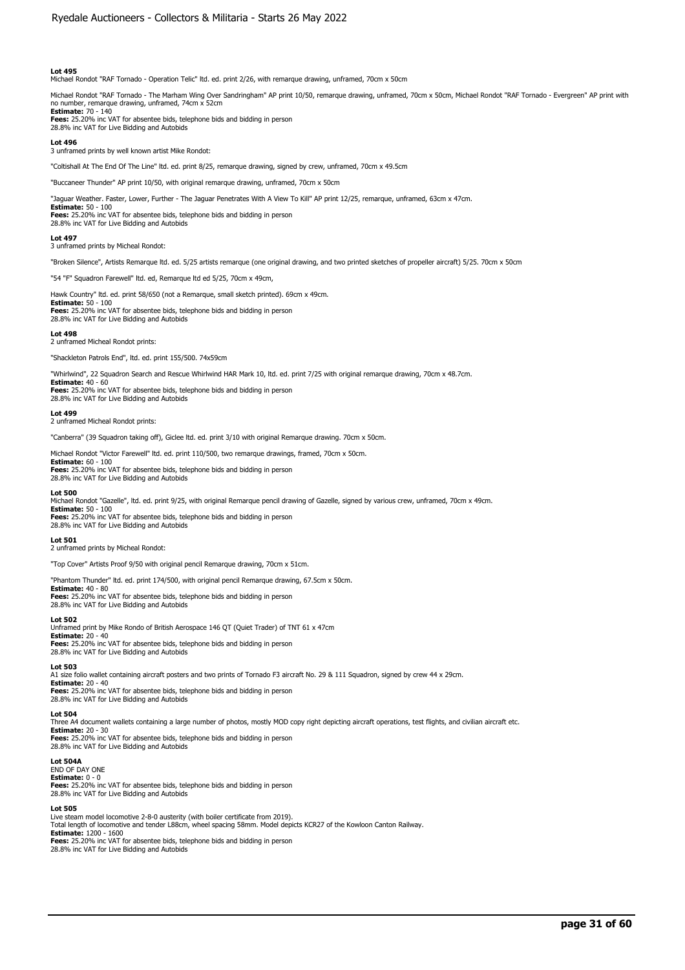Michael Rondot "RAF Tornado - Operation Telic" ltd. ed. print 2/26, with remarque drawing, unframed, 70cm x 50cm

Michael Rondot "RAF Tornado - The Marham Wing Over Sandringham" AP print 10/50, remarque drawing, unframed, 70cm x 50cm, Michael Rondot "RAF Tornado - Evergreen" AP print with no number, remarque drawing, unframed, 74cm x 52cm **Estimate:** 70 - 140

**Fees:** 25.20% inc VAT for absentee bids, telephone bids and bidding in person 28.8% inc VAT for Live Bidding and Autobids

## **Lot 496**

3 unframed prints by well known artist Mike Rondot:

"Coltishall At The End Of The Line" ltd. ed. print 8/25, remarque drawing, signed by crew, unframed, 70cm x 49.5cm

"Buccaneer Thunder" AP print 10/50, with original remarque drawing, unframed, 70cm x 50cm

"Jaguar Weather. Faster, Lower, Further - The Jaguar Penetrates With A View To Kill" AP print 12/25, remarque, unframed, 63cm x 47cm.

**Estimate:** 50 - 100 **Fees:** 25.20% inc VAT for absentee bids, telephone bids and bidding in person 28.8% inc VAT for Live Bidding and Autobids

**Lot 497** 

3 unframed prints by Micheal Rondot:

"Broken Silence", Artists Remarque ltd. ed. 5/25 artists remarque (one original drawing, and two printed sketches of propeller aircraft) 5/25. 70cm x 50cm

"54 "F" Squadron Farewell" ltd. ed, Remarque ltd ed 5/25, 70cm x 49cm,

Hawk Country" ltd. ed. print 58/650 (not a Remarque, small sketch printed). 69cm x 49cm.

**Estimate:** 50 - 100 **Fees:** 25.20% inc VAT for absentee bids, telephone bids and bidding in person 28.8% inc VAT for Live Bidding and Autobids

#### **Lot 498**

2 unframed Micheal Rondot prints:

"Shackleton Patrols End", ltd. ed. print 155/500. 74x59cm

"Whirlwind", 22 Squadron Search and Rescue Whirlwind HAR Mark 10, ltd. ed. print 7/25 with original remarque drawing, 70cm x 48.7cm.

**Estimate: 4**0 - 60<br>**Fees:** 25.20% inc VAT for absentee bids, telephone bids and bidding in person<br>28.8% inc VAT for Live Bidding and Autobids

#### **Lot 499**

2 unframed Micheal Rondot prints:

"Canberra" (39 Squadron taking off), Giclee ltd. ed. print 3/10 with original Remarque drawing. 70cm x 50cm.

Michael Rondot "Victor Farewell" ltd. ed. print 110/500, two remarque drawings, framed, 70cm x 50cm.

**Estimate:** 60 - 100 **Fees:** 25.20% inc VAT for absentee bids, telephone bids and bidding in person 28.8% inc VAT for Live Bidding and Autobids

#### **Lot 500**

Michael Rondot "Gazelle", ltd. ed. print 9/25, with original Remarque pencil drawing of Gazelle, signed by various crew, unframed, 70cm x 49cm. **Estimate:** 50 - 100

**Fees:** 25.20% inc VAT for absentee bids, telephone bids and bidding in person 28.8% inc VAT for Live Bidding and Autobids

## **Lot 501**

2 unframed prints by Micheal Rondot:

"Top Cover" Artists Proof 9/50 with original pencil Remarque drawing, 70cm x 51cm.

"Phantom Thunder" ltd. ed. print 174/500, with original pencil Remarque drawing, 67.5cm x 50cm.

**Estimate:** 40 - 80 **Fees:** 25.20% inc VAT for absentee bids, telephone bids and bidding in person 28.8% inc VAT for Live Bidding and Autobids

#### **Lot 502**

Unframed print by Mike Rondo of British Aerospace 146 QT (Quiet Trader) of TNT 61 x 47cm **Estimate:** 20 - 40 **Fees:** 25.20% inc VAT for absentee bids, telephone bids and bidding in person<br>28.8% inc VAT for Live Bidding and Autobids

# **Lot 503**

A1 size folio wallet containing aircraft posters and two prints of Tornado F3 aircraft No. 29 & 111 Squadron, signed by crew 44 x 29cm. **Estimate:** 20 - 40 **Fees:** 25.20% inc VAT for absentee bids, telephone bids and bidding in person 28.8% inc VAT for Live Bidding and Autobids

#### **Lot 504**

Three A4 document wallets containing a large number of photos, mostly MOD copy right depicting aircraft operations, test flights, and civilian aircraft etc. **Estimate:** 20 - 30 **Fees:** 25.20% inc VAT for absentee bids, telephone bids and bidding in person

28.8% inc VAT for Live Bidding and Autobids

**Lot 504A**  END OF DAY ONE **Estimate:** 0 - 0 **Fees:** 25.20% inc VAT for absentee bids, telephone bids and bidding in person 28.8% inc VAT for Live Bidding and Autobids

### **Lot 505**

Live steam model locomotive 2-8-0 austerity (with boiler certificate from 2019). Total length of locomotive and tender L88cm, wheel spacing 58mm. Model depicts KCR27 of the Kowloon Canton Railway. **Estimate:** 1200 - 1600 **Fees:** 25.20% inc VAT for absentee bids, telephone bids and bidding in person

28.8% inc VAT for Live Bidding and Autobids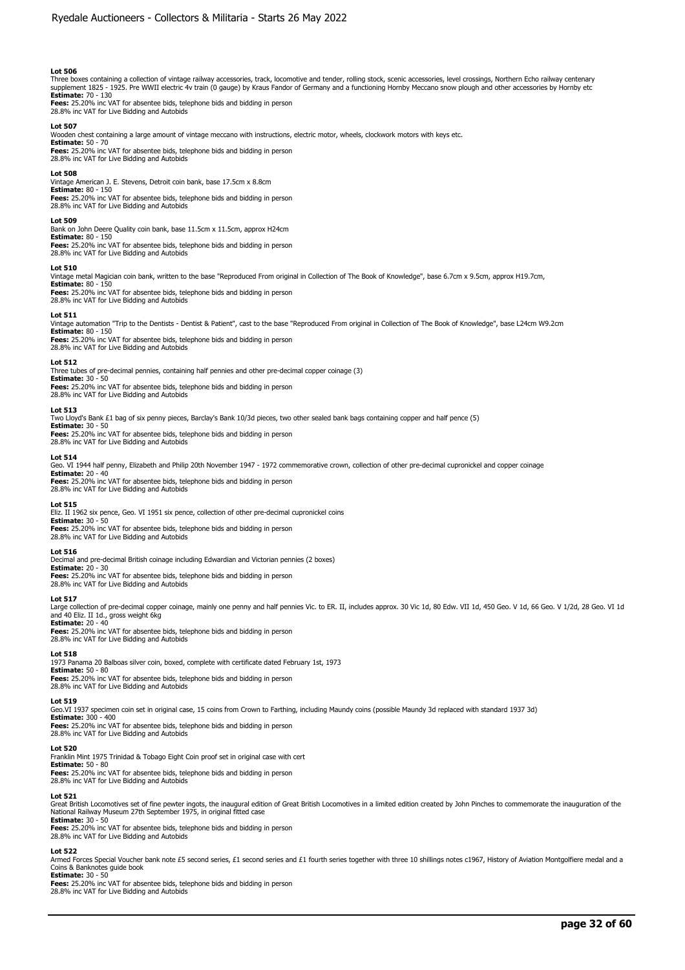Three boxes containing a collection of vintage railway accessories, track, locomotive and tender, rolling stock, scenic accessories, level crossings, Northern Echo railway centenary<br>supplement 1825 - 1925. Pre WWII electri **Estimate:** 70 - 130

**Fees:** 25.20% inc VAT for absentee bids, telephone bids and bidding in person 28.8% inc VAT for Live Bidding and Autobids

**Lot 507**  Wooden chest containing a large amount of vintage meccano with instructions, electric motor, wheels, clockwork motors with keys etc.

**Estimate:** 50 - 70 **Fees:** 25.20% inc VAT for absentee bids, telephone bids and bidding in person 28.8% inc VAT for Live Bidding and Autobids

#### **Lot 508**

Vintage American J. E. Stevens, Detroit coin bank, base 17.5cm x 8.8cm **Estimate:** 80 - 150 **Fees:** 25.20% inc VAT for absentee bids, telephone bids and bidding in person

28.8% inc VAT for Live Bidding and Autobids

#### **Lot 509**

Bank on John Deere Quality coin bank, base 11.5cm x 11.5cm, approx H24cm **Estimate:** 80 - 150 **Fees:** 25.20% inc VAT for absentee bids, telephone bids and bidding in person 28.8% inc VAT for Live Bidding and Autobids

#### **Lot 510**

Vintage metal Magician coin bank, written to the base "Reproduced From original in Collection of The Book of Knowledge", base 6.7cm x 9.5cm, approx H19.7cm,

**Estimate:** 80 - 150 **Fees:** 25.20% inc VAT for absentee bids, telephone bids and bidding in person 28.8% inc VAT for Live Bidding and Autobids

#### **Lot 511**

Vintage automation "Trip to the Dentists - Dentist & Patient", cast to the base "Reproduced From original in Collection of The Book of Knowledge", base L24cm W9.2cm **Estimate:** 80 - 150 **Fees:** 25.20% inc VAT for absentee bids, telephone bids and bidding in person 28.8% inc VAT for Live Bidding and Autobids

**Lot 512**  Three tubes of pre-decimal pennies, containing half pennies and other pre-decimal copper coinage (3) **Estimate:** 30 - 50 **Fees:** 25.20% inc VAT for absentee bids, telephone bids and bidding in person 28.8% inc VAT for Live Bidding and Autobids

#### **Lot 513**

Two Lloyd's Bank £1 bag of six penny pieces, Barclay's Bank 10/3d pieces, two other sealed bank bags containing copper and half pence (5) **Estimate:** 30 - 50

**Fees:** 25.20% inc VAT for absentee bids, telephone bids and bidding in person 28.8% inc VAT for Live Bidding and Autobids

#### **Lot 514**

Geo. VI 1944 half penny, Elizabeth and Philip 20th November 1947 - 1972 commemorative crown, collection of other pre-decimal cupronickel and copper coinage **Estimate:** 20 - 40

**Fees:** 25.20% inc VAT for absentee bids, telephone bids and bidding in person 28.8% inc VAT for Live Bidding and Autobids

**Lot 515**  Eliz. II 1962 six pence, Geo. VI 1951 six pence, collection of other pre-decimal cupronickel coins **Estimate:** 30 - 50 **Fees:** 25.20% inc VAT for absentee bids, telephone bids and bidding in person

28.8% inc VAT for Live Bidding and Autobids

## **Lot 516**

Decimal and pre-decimal British coinage including Edwardian and Victorian pennies (2 boxes)

**Estimate:** 20 - 30 **Fees:** 25.20% inc VAT for absentee bids, telephone bids and bidding in person 28.8% inc VAT for Live Bidding and Autobids

**Lot 517**<br>Large collection of pre-decimal copper coinage, mainly one penny and half pennies Vic. to ER. II, includes approx. 30 Vic 1d, 80 Edw. VII 1d, 450 Geo. V 1d, 66 Geo. V 1/2d, 28 Geo. VI 1d<br>and 40 Eliz. II 1d., gros

**Fees:** 25.20% inc VAT for absentee bids, telephone bids and bidding in person

28.8% inc VAT for Live Bidding and Autobids

# **Lot 518**

1973 Panama 20 Balboas silver coin, boxed, complete with certificate dated February 1st, 1973 **Estimate:** 50 - 80 **Fees:** 25.20% inc VAT for absentee bids, telephone bids and bidding in person 28.8% inc VAT for Live Bidding and Autobids

**Lot 519** 

Geo.VI 1937 specimen coin set in original case, 15 coins from Crown to Farthing, including Maundy coins (possible Maundy 3d replaced with standard 1937 3d)

**Estimate:** 300 - 400 **Fees:** 25.20% inc VAT for absentee bids, telephone bids and bidding in person

28.8% inc VAT for Live Bidding and Autobids

#### **Lot 520**

Franklin Mint 1975 Trinidad & Tobago Eight Coin proof set in original case with cert

**Estimate:** 50 - 80 **Fees:** 25.20% inc VAT for absentee bids, telephone bids and bidding in person 28.8% inc VAT for Live Bidding and Autobids

**Lot 521** 

Great British Locomotives set of fine pewter ingots, the inaugural edition of Great British Locomotives in a limited edition created by John Pinches to commemorate the inauguration of the<br>National Railway Museum 27th Septe **Estimate:** 30 - 50

**Fees:** 25.20% inc VAT for absentee bids, telephone bids and bidding in person 28.8% inc VAT for Live Bidding and Autobids

#### **Lot 522**

Armed Forces Special Voucher bank note £5 second series, £1 second series and £1 fourth series together with three 10 shillings notes c1967, History of Aviation Montgolfiere medal and a Coins & Banknotes guide book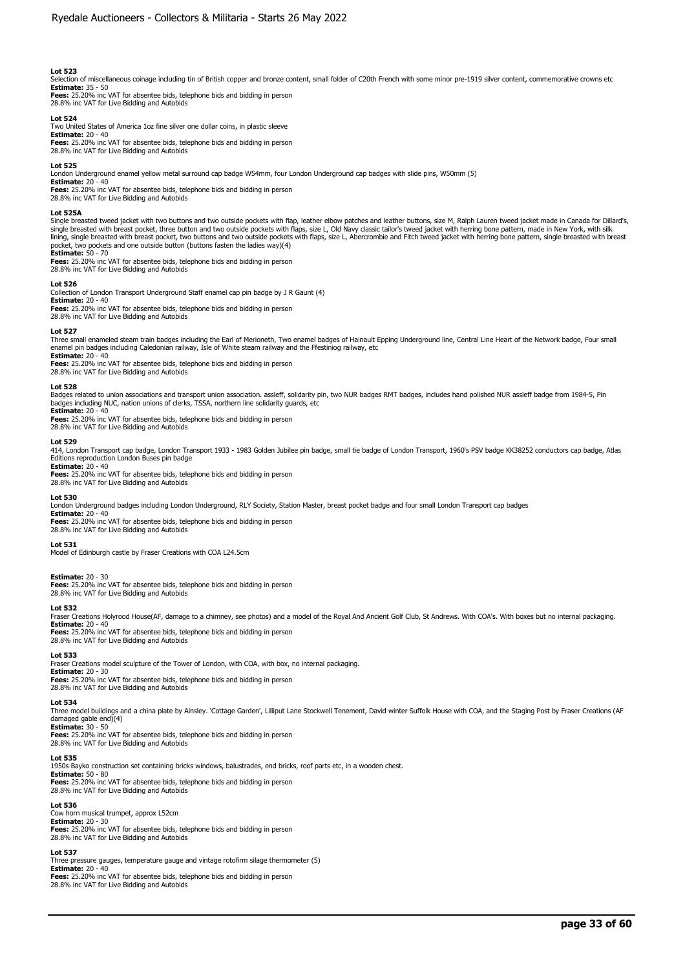Selection of miscellaneous coinage including tin of British copper and bronze content, small folder of C20th French with some minor pre-1919 silver content, commemorative crowns etc

**Estimate:** 35 - 50 **Fees:** 25.20% inc VAT for absentee bids, telephone bids and bidding in person 28.8% inc VAT for Live Bidding and Autobids

**Lot 524**  Two United States of America 1oz fine silver one dollar coins, in plastic sleeve

**Estimate:** 20 - 40 **Fees:** 25.20% inc VAT for absentee bids, telephone bids and bidding in person 28.8% inc VAT for Live Bidding and Autobids

### **Lot 525**

London Underground enamel yellow metal surround cap badge W54mm, four London Underground cap badges with slide pins, W50mm (5) **Estimate:** 20 - 40

**Fees:** 25.20% inc VAT for absentee bids, telephone bids and bidding in person 28.8% inc VAT for Live Bidding and Autobids

### **Lot 525A**

Single breasted tweed jacket with two buttons and two outside pockets with flap, leather elbow patches and leather buttons, size M, Ralph Lauren tweed jacket made in Canada for Dillard's, single breasted with breast pocket, three button and two outside pockets with flaps, size L, Old Navy classic tailor's tweed jacket with herring bone pattern, made in New York, with silk lining, single breasted with breast pocket, two buttons and two outside pockets with flaps, size L, Abercrombie and Fitch tweed jacket with herring bone pattern, single breasted with breast pocket, two pockets and one outside button (buttons fasten the ladies way)(4) **Estimate:** 50 - 70

**Fees:** 25.20% inc VAT for absentee bids, telephone bids and bidding in person 28.8% inc VAT for Live Bidding and Autobids

## **Lot 526**

Collection of London Transport Underground Staff enamel cap pin badge by J R Gaunt (4)

**Estimate:** 20 - 40 **Fees:** 25.20% inc VAT for absentee bids, telephone bids and bidding in person

28.8% inc VAT for Live Bidding and Autobids

## **Lot 527**

Three small enameled steam train badges including the Earl of Merioneth, Two enamel badges of Hainault Epping Underground line, Central Line Heart of the Network badge, Four small enamel pin badges including Caledonian railway, Isle of White steam railway and the Ffestiniog railway, etc

**Estimate:** 20 - 40 **Fees:** 25.20% inc VAT for absentee bids, telephone bids and bidding in person 28.8% inc VAT for Live Bidding and Autobids

#### **Lot 528**

Badges related to union associations and transport union association. assleff, solidarity pin, two NUR badges RMT badges, includes hand polished NUR assleff badge from 1984-5, Pin badges including NUC, nation unions of clerks, TSSA, northern line solidarity guards, etc **Estimate:** 20 - 40

**Fees:** 25.20% inc VAT for absentee bids, telephone bids and bidding in person 28.8% inc VAT for Live Bidding and Autobids

**Lot 529**<br>414, London Transport cap badge, London Transport 1933 - 1983 Golden Jubilee pin badge, small tie badge of London Transport, 1960's PSV badge KK38252 conductors cap badge, Atlas Editions reproduction London Buses pin badge

#### **Estimate:** 20 - 40

**Fees:** 25.20% inc VAT for absentee bids, telephone bids and bidding in person 28.8% inc VAT for Live Bidding and Autobids

#### **Lot 530**

London Underground badges including London Underground, RLY Society, Station Master, breast pocket badge and four small London Transport cap badges

**Estimate:** 20 - 40 **Fees:** 25.20% inc VAT for absentee bids, telephone bids and bidding in person

28.8% inc VAT for Live Bidding and Autobids

# **Lot 531**

Model of Edinburgh castle by Fraser Creations with COA L24.5cm

# **Estimate:** 20 - 30

**Fees:** 25.20% inc VAT for absentee bids, telephone bids and bidding in person 28.8% inc VAT for Live Bidding and Autobids

# **Lot 532**

Fraser Creations Holyrood House(AF, damage to a chimney, see photos) and a model of the Royal And Ancient Golf Club, St Andrews. With COA's. With boxes but no internal packaging. **Estimate:** 20 - 40

**Fees:** 25.20% inc VAT for absentee bids, telephone bids and bidding in person 28.8% inc VAT for Live Bidding and Autobids

# **Lot 533**

Fraser Creations model sculpture of the Tower of London, with COA, with box, no internal packaging.

**Estimate:** 20 - 30 **Fees:** 25.20% inc VAT for absentee bids, telephone bids and bidding in person 28.8% inc VAT for Live Bidding and Autobids

#### **Lot 534**

Three model buildings and a china plate by Ainsley. 'Cottage Garden', Lilliput Lane Stockwell Tenement, David winter Suffolk House with COA, and the Staging Post by Fraser Creations (AF damaged gable end)(4)

**Estimate:** 30 - 50 **Fees:** 25.20% inc VAT for absentee bids, telephone bids and bidding in person 28.8% inc VAT for Live Bidding and Autobids

#### **Lot 535**

1950s Bayko construction set containing bricks windows, balustrades, end bricks, roof parts etc, in a wooden chest. **Estimate:** 50 - 80

**Fees:** 25.20% inc VAT for absentee bids, telephone bids and bidding in person 28.8% inc VAT for Live Bidding and Autobids

# **Lot 536**

Cow horn musical trumpet, approx L52cm **Estimate:** 20 - 30 **Fees:** 25.20% inc VAT for absentee bids, telephone bids and bidding in person 28.8% inc VAT for Live Bidding and Autobids

# **Lot 537**

Three pressure gauges, temperature gauge and vintage rotofirm silage thermometer (5) **Estimate:** 20 - 40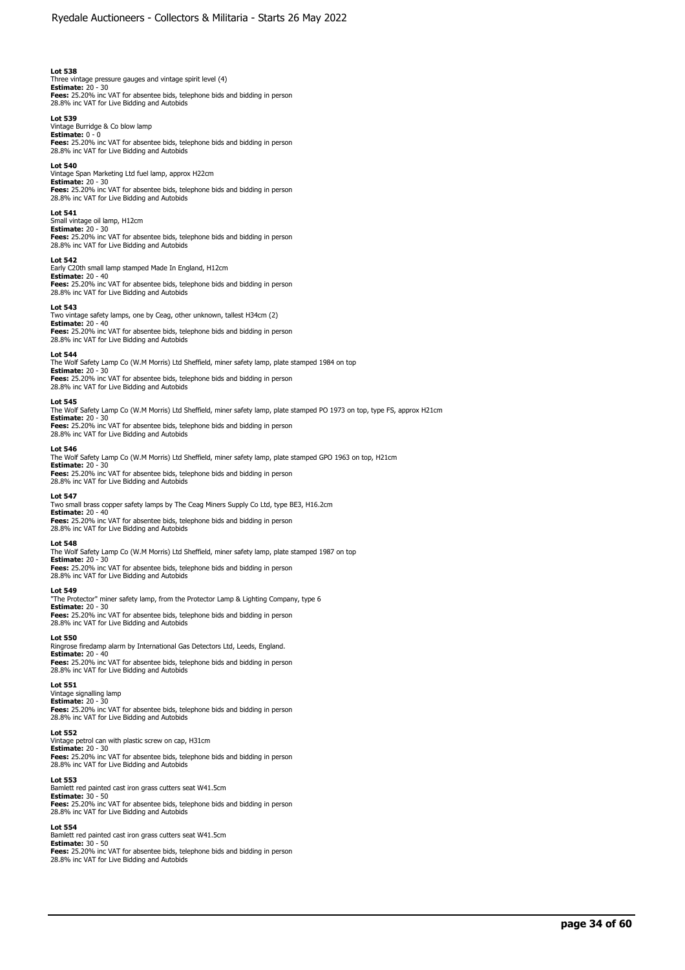Three vintage pressure gauges and vintage spirit level (4) **Estimate:** 20 - 30 **Fees:** 25.20% inc VAT for absentee bids, telephone bids and bidding in person 28.8% inc VAT for Live Bidding and Autobids

### **Lot 539**

Vintage Burridge & Co blow lamp **Estimate:** 0 - 0 **Fees:** 25.20% inc VAT for absentee bids, telephone bids and bidding in person<br>28.8% inc VAT for Live Bidding and Autobids

#### **Lot 540**

Vintage Span Marketing Ltd fuel lamp, approx H22cm **Estimate:** 20 - 30 **Fees:** 25.20% inc VAT for absentee bids, telephone bids and bidding in person 28.8% inc VAT for Live Bidding and Autobids

#### **Lot 541**

Small vintage oil lamp, H12cm **Estimate:** 20 - 30 **Fees:** 25.20% inc VAT for absentee bids, telephone bids and bidding in person 28.8% inc VAT for Live Bidding and Autobids

### **Lot 542**

Early C20th small lamp stamped Made In England, H12cm **Estimate:** 20 - 40 **Fees:** 25.20% inc VAT for absentee bids, telephone bids and bidding in person 28.8% inc VAT for Live Bidding and Autobids

#### **Lot 543**

Two vintage safety lamps, one by Ceag, other unknown, tallest H34cm (2) **Estimate:** 20 - 40 **Fees:** 25.20% inc VAT for absentee bids, telephone bids and bidding in person 28.8% inc VAT for Live Bidding and Autobids

**Lot 544**  The Wolf Safety Lamp Co (W.M Morris) Ltd Sheffield, miner safety lamp, plate stamped 1984 on top

**Estimate:** 20 - 30<br>**Fees:** 25.20% inc VAT for absentee bids, telephone bids and bidding in person<br>28.8% inc VAT for Live Bidding and Autobids

### **Lot 545**

The Wolf Safety Lamp Co (W.M Morris) Ltd Sheffield, miner safety lamp, plate stamped PO 1973 on top, type FS, approx H21cm **Estimate:** 20 - 30 **Fees:** 25.20% inc VAT for absentee bids, telephone bids and bidding in person<br>28.8% inc VAT for Live Bidding and Autobids

#### **Lot 546**

The Wolf Safety Lamp Co (W.M Morris) Ltd Sheffield, miner safety lamp, plate stamped GPO 1963 on top, H21cm **Estimate:** 20 - 30 **Fees:** 25.20% inc VAT for absentee bids, telephone bids and bidding in person 28.8% inc VAT for Live Bidding and Autobids

#### **Lot 547**

Two small brass copper safety lamps by The Ceag Miners Supply Co Ltd, type BE3, H16.2cm **Estimate:** 20 - 40 **Fees:** 25.20% inc VAT for absentee bids, telephone bids and bidding in person 28.8% inc VAT for Live Bidding and Autobids

#### **Lot 548**

The Wolf Safety Lamp Co (W.M Morris) Ltd Sheffield, miner safety lamp, plate stamped 1987 on top **Estimate:** 20 - 30 **Fees:** 25.20% inc VAT for absentee bids, telephone bids and bidding in person 28.8% inc VAT for Live Bidding and Autobids

# **Lot 549**

"The Protector" miner safety lamp, from the Protector Lamp & Lighting Company, type 6 **Estimate:** 20 - 30 **Fees:** 25.20% inc VAT for absentee bids, telephone bids and bidding in person

28.8% inc VAT for Live Bidding and Autobids

#### **Lot 550**

Ringrose firedamp alarm by International Gas Detectors Ltd, Leeds, England. **Estimate:** 20 - 40<br>**Fees:** 25.20% inc VAT for absentee bids, telephone bids and bidding in person<br>28.8% inc VAT for Live Bidding and Autobids

# **Lot 551**

Vintage signalling lamp **Estimate:** 20 - 30

**Fees:** 25.20% inc VAT for absentee bids, telephone bids and bidding in person<br>28.8% inc VAT for Live Bidding and Autobids

### **Lot 552**

Vintage petrol can with plastic screw on cap, H31cm **Estimate:** 20 - 30

**Fees:** 25.20% inc VAT for absentee bids, telephone bids and bidding in person 28.8% inc VAT for Live Bidding and Autobids

#### **Lot 553**

Bamlett red painted cast iron grass cutters seat W41.5cm **Estimate:** 30 - 50 **Fees:** 25.20% inc VAT for absentee bids, telephone bids and bidding in person 28.8% inc VAT for Live Bidding and Autobids

#### **Lot 554**

Bamlett red painted cast iron grass cutters seat W41.5cm **Estimate:** 30 - 50 **Fees:** 25.20% inc VAT for absentee bids, telephone bids and bidding in person 28.8% inc VAT for Live Bidding and Autobids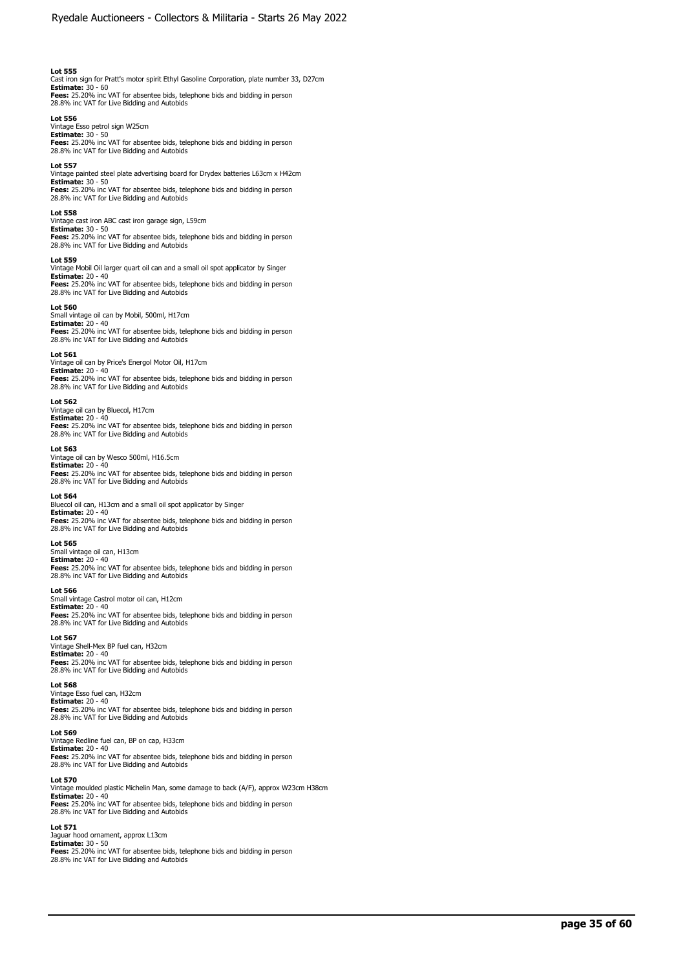Cast iron sign for Pratt's motor spirit Ethyl Gasoline Corporation, plate number 33, D27cm<br>**Estimate:** 30 - 60<br>**Fees:** 25.20% inc VAT for absentee bids, telephone bids and bidding in person 28.8% inc VAT for Live Bidding and Autobids

### **Lot 556**

Vintage Esso petrol sign W25cm **Estimate:** 30 - 50 **Fees:** 25.20% inc VAT for absentee bids, telephone bids and bidding in person 28.8% inc VAT for Live Bidding and Autobids

### **Lot 557**

Vintage painted steel plate advertising board for Drydex batteries L63cm x H42cm **Estimate:** 30 - 50 **Fees:** 25.20% inc VAT for absentee bids, telephone bids and bidding in person 28.8% inc VAT for Live Bidding and Autobids

#### **Lot 558**

Vintage cast iron ABC cast iron garage sign, L59cm **Estimate:** 30 - 50 **Fees:** 25.20% inc VAT for absentee bids, telephone bids and bidding in person 28.8% inc VAT for Live Bidding and Autobids

#### **Lot 559**

Vintage Mobil Oil larger quart oil can and a small oil spot applicator by Singer **Estimate:** 20 - 40 **Fees:** 25.20% inc VAT for absentee bids, telephone bids and bidding in person 28.8% inc VAT for Live Bidding and Autobids

#### **Lot 560**

Small vintage oil can by Mobil, 500ml, H17cm **Estimate:** 20 - 40<br>**Fees:** 25.20% inc VAT for absentee bids, telephone bids and bidding in person<br>28.8% inc VAT for Live Bidding and Autobids

#### **Lot 561**

Vintage oil can by Price's Energol Motor Oil, H17cm **Estimate:** 20 - 40<br>**Fees:** 25.20% inc VAT for absentee bids, telephone bids and bidding in person<br>28.8% inc VAT for Live Bidding and Autobids

### **Lot 562**

Vintage oil can by Bluecol, H17cm **Estimate:** 20 - 40 **Fees:** 25.20% inc VAT for absentee bids, telephone bids and bidding in person 28.8% inc VAT for Live Bidding and Autobids

### **Lot 563**

Vintage oil can by Wesco 500ml, H16.5cm

**Estimate:** 20 - 40 **Fees:** 25.20% inc VAT for absentee bids, telephone bids and bidding in person 28.8% inc VAT for Live Bidding and Autobids

### **Lot 564**

Bluecol oil can, H13cm and a small oil spot applicator by Singer **Estimate:** 20 - 40 **Fees:** 25.20% inc VAT for absentee bids, telephone bids and bidding in person 28.8% inc VAT for Live Bidding and Autobids

### **Lot 565**

Small vintage oil can, H13cm **Estimate:** 20 - 40 **Fees:** 25.20% inc VAT for absentee bids, telephone bids and bidding in person

# **Lot 566**

Small vintage Castrol motor oil can, H12cm

28.8% inc VAT for Live Bidding and Autobids

**Estimate:** 20 - 40 **Fees:** 25.20% inc VAT for absentee bids, telephone bids and bidding in person 28.8% inc VAT for Live Bidding and Autobids

#### **Lot 567**

Vintage Shell-Mex BP fuel can, H32cm **Estimate:** 20 - 40<br>**Fees:** 25.20% inc VAT for absentee bids, telephone bids and bidding in person<br>28.8% inc VAT for Live Bidding and Autobids

### **Lot 568**

Vintage Esso fuel can, H32cm **Estimate:** 20 - 40 **Fees:** 25.20% inc VAT for absentee bids, telephone bids and bidding in person<br>28.8% inc VAT for Live Bidding and Autobids

#### **Lot 569**

Vintage Redline fuel can, BP on cap, H33cm **Estimate:** 20 - 40

**Fees:** 25.20% inc VAT for absentee bids, telephone bids and bidding in person 28.8% inc VAT for Live Bidding and Autobids

#### **Lot 570**

Vintage moulded plastic Michelin Man, some damage to back (A/F), approx W23cm H38cm **Estimate:** 20 - 40 **Fees:** 25.20% inc VAT for absentee bids, telephone bids and bidding in person 28.8% inc VAT for Live Bidding and Autobids

#### **Lot 571**

Jaguar hood ornament, approx L13cm **Estimate:** 30 - 50 **Fees:** 25.20% inc VAT for absentee bids, telephone bids and bidding in person 28.8% inc VAT for Live Bidding and Autobids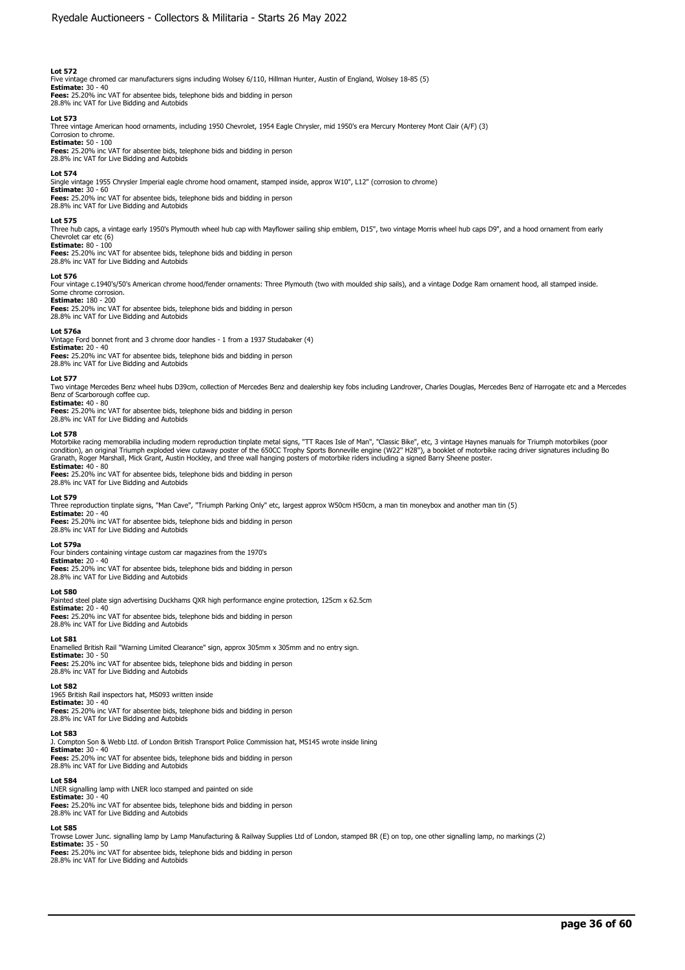Five vintage chromed car manufacturers signs including Wolsey 6/110, Hillman Hunter, Austin of England, Wolsey 18-85 (5)

**Estimate:** 30 - 40 **Fees:** 25.20% inc VAT for absentee bids, telephone bids and bidding in person 28.8% inc VAT for Live Bidding and Autobids

### **Lot 573**

Three vintage American hood ornaments, including 1950 Chevrolet, 1954 Eagle Chrysler, mid 1950's era Mercury Monterey Mont Clair (A/F) (3)

# Corrosion to chrome.

**Estimate:** 50 - 100 **Fees:** 25.20% inc VAT for absentee bids, telephone bids and bidding in person 28.8% inc VAT for Live Bidding and Autobids

#### **Lot 574**

Single vintage 1955 Chrysler Imperial eagle chrome hood ornament, stamped inside, approx W10", L12" (corrosion to chrome)

**Estimate:** 30 - 60 **Fees:** 25.20% inc VAT for absentee bids, telephone bids and bidding in person

28.8% inc VAT for Live Bidding and Autobids

#### **Lot 575**

Three hub caps, a vintage early 1950's Plymouth wheel hub cap with Mayflower sailing ship emblem, D15", two vintage Morris wheel hub caps D9", and a hood ornament from early Chevrolet car etc (6)

**Estimate:** 80 - 100 **Fees:** 25.20% inc VAT for absentee bids, telephone bids and bidding in person 28.8% inc VAT for Live Bidding and Autobids

#### **Lot 576**

Four vintage c.1940's/50's American chrome hood/fender ornaments: Three Plymouth (two with moulded ship sails), and a vintage Dodge Ram ornament hood, all stamped inside. Some chrome corrosion.

# **Estimate:** 180 - 200

**Fees:** 25.20% inc VAT for absentee bids, telephone bids and bidding in person 28.8% inc VAT for Live Bidding and Autobids

## **Lot 576a**

Vintage Ford bonnet front and 3 chrome door handles - 1 from a 1937 Studabaker (4) **Estimate:** 20 - 40 **Fees:** 25.20% inc VAT for absentee bids, telephone bids and bidding in person 28.8% inc VAT for Live Bidding and Autobids

#### **Lot 577**

Two vintage Mercedes Benz wheel hubs D39cm, collection of Mercedes Benz and dealership key fobs including Landrover, Charles Douglas, Mercedes Benz of Harrogate etc and a Mercedes Benz of Scarborough coffee cup. **Estimate:** 40 - 80

**Fees:** 25.20% inc VAT for absentee bids, telephone bids and bidding in person 28.8% inc VAT for Live Bidding and Autobids

#### **Lot 578**

Motorbike racing memorabilia including modern reproduction tinplate metal signs, "TT Races Isle of Man", "Classic Bike", etc, 3 vintage Haynes manuals for Triumph motorbikes (poor<br>condition), an original Triumph exploded v Granath, Roger Marshall, Mick Grant, Austin Hockley, and three wall hanging posters of motorbike riders including a signed Barry Sheene poster. **Estimate:** 40 - 80

**Fees:** 25.20% inc VAT for absentee bids, telephone bids and bidding in person 28.8% inc VAT for Live Bidding and Autobids

#### **Lot 579**

Three reproduction tinplate signs, "Man Cave", "Triumph Parking Only" etc, largest approx W50cm H50cm, a man tin moneybox and another man tin (5)

**Estimate:** 20 - 40 **Fees:** 25.20% inc VAT for absentee bids, telephone bids and bidding in person

28.8% inc VAT for Live Bidding and Autobids

# **Lot 579a**

Four binders containing vintage custom car magazines from the 1970's **Estimate:** 20 - 40 **Fees:** 25.20% inc VAT for absentee bids, telephone bids and bidding in person 28.8% inc VAT for Live Bidding and Autobids

#### **Lot 580**

Painted steel plate sign advertising Duckhams QXR high performance engine protection, 125cm x 62.5cm

**Estimate:** 20 - 40 **Fees:** 25.20% inc VAT for absentee bids, telephone bids and bidding in person 28.8% inc VAT for Live Bidding and Autobids

#### **Lot 581**

Enamelled British Rail "Warning Limited Clearance" sign, approx 305mm x 305mm and no entry sign. **Estimate:** 30 - 50 **Fees:** 25.20% inc VAT for absentee bids, telephone bids and bidding in person 28.8% inc VAT for Live Bidding and Autobids

#### **Lot 582**

1965 British Rail inspectors hat, MS093 written inside **Estimate:** 30 - 40

**Fees:** 25.20% inc VAT for absentee bids, telephone bids and bidding in person 28.8% inc VAT for Live Bidding and Autobids

#### **Lot 583**

J. Compton Son & Webb Ltd. of London British Transport Police Commission hat, MS145 wrote inside lining **Estimate:** 30 - 40

**Fees:** 25.20% inc VAT for absentee bids, telephone bids and bidding in person 28.8% inc VAT for Live Bidding and Autobids

#### **Lot 584**

LNER signalling lamp with LNER loco stamped and painted on side **Estimate:** 30 - 40 **Fees:** 25.20% inc VAT for absentee bids, telephone bids and bidding in person 28.8% inc VAT for Live Bidding and Autobids

#### **Lot 585**

Trowse Lower Junc. signalling lamp by Lamp Manufacturing & Railway Supplies Ltd of London, stamped BR (E) on top, one other signalling lamp, no markings (2)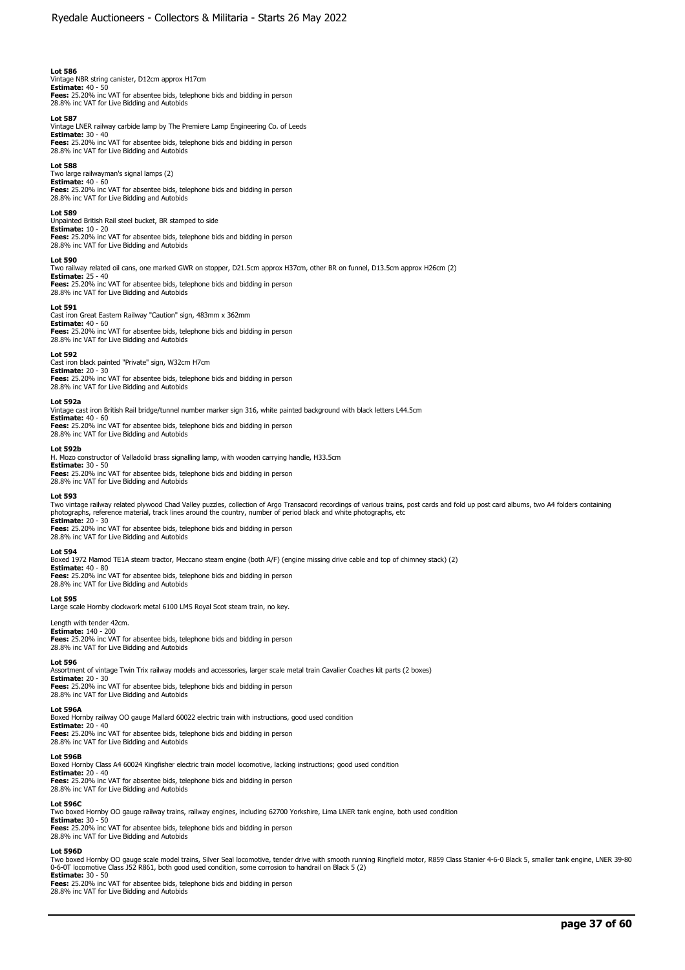Vintage NBR string canister, D12cm approx H17cm **Estimate:** 40 - 50 **Fees:** 25.20% inc VAT for absentee bids, telephone bids and bidding in person 28.8% inc VAT for Live Bidding and Autobids

#### **Lot 587**

Vintage LNER railway carbide lamp by The Premiere Lamp Engineering Co. of Leeds **Estimate:** 30 - 40 **Fees:** 25.20% inc VAT for absentee bids, telephone bids and bidding in person 28.8% inc VAT for Live Bidding and Autobids

**Lot 588** 

Two large railwayman's signal lamps (2) **Estimate:** 40 - 60 **Fees:** 25.20% inc VAT for absentee bids, telephone bids and bidding in person 28.8% inc VAT for Live Bidding and Autobids

#### **Lot 589**

Unpainted British Rail steel bucket, BR stamped to side **Estimate:** 10 - 20 **Fees:** 25.20% inc VAT for absentee bids, telephone bids and bidding in person 28.8% inc VAT for Live Bidding and Autobids

#### **Lot 590**

Two railway related oil cans, one marked GWR on stopper, D21.5cm approx H37cm, other BR on funnel, D13.5cm approx H26cm (2) **Estimate:** 25 - 40 **Fees:** 25.20% inc VAT for absentee bids, telephone bids and bidding in person 28.8% inc VAT for Live Bidding and Autobids

#### **Lot 591**

Cast iron Great Eastern Railway "Caution" sign, 483mm x 362mm **Estimate: 4**0 - 60<br>**Fees:** 25.20% inc VAT for absentee bids, telephone bids and bidding in person<br>28.8% inc VAT for Live Bidding and Autobids

#### **Lot 592**

Cast iron black painted "Private" sign, W32cm H7cm **Estimate:** 20 - 30 **Fees:** 25.20% inc VAT for absentee bids, telephone bids and bidding in person 28.8% inc VAT for Live Bidding and Autobids

#### **Lot 592a**

Vintage cast iron British Rail bridge/tunnel number marker sign 316, white painted background with black letters L44.5cm **Estimate:** 40 - 60 **Fees:** 25.20% inc VAT for absentee bids, telephone bids and bidding in person 28.8% inc VAT for Live Bidding and Autobids

## **Lot 592b**

H. Mozo constructor of Valladolid brass signalling lamp, with wooden carrying handle, H33.5cm **Estimate:** 30 - 50 **Fees:** 25.20% inc VAT for absentee bids, telephone bids and bidding in person 28.8% inc VAT for Live Bidding and Autobids

#### **Lot 593**

Two vintage railway related plywood Chad Valley puzzles, collection of Argo Transacord recordings of various trains, post cards and fold up post card albums, two A4 folders containing photographs, reference material, track lines around the country, number of period black and white photographs, etc **Estimate:** 20 - 30 **Fees:** 25.20% inc VAT for absentee bids, telephone bids and bidding in person

28.8% inc VAT for Live Bidding and Autobids

#### **Lot 594**

Boxed 1972 Mamod TE1A steam tractor, Meccano steam engine (both A/F) (engine missing drive cable and top of chimney stack) (2)

**Estimate:** 40 - 80 **Fees:** 25.20% inc VAT for absentee bids, telephone bids and bidding in person 28.8% inc VAT for Live Bidding and Autobids

**Lot 595** 

Large scale Hornby clockwork metal 6100 LMS Royal Scot steam train, no key.

#### Length with tender 42cm. **Estimate:** 140 - 200

**Fees:** 25.20% inc VAT for absentee bids, telephone bids and bidding in person 28.8% inc VAT for Live Bidding and Autobids

# **Lot 596**

Assortment of vintage Twin Trix railway models and accessories, larger scale metal train Cavalier Coaches kit parts (2 boxes)

**Estimate:** 20 - 30 **Fees:** 25.20% inc VAT for absentee bids, telephone bids and bidding in person 28.8% inc VAT for Live Bidding and Autobids

# **Lot 596A**

Boxed Hornby railway OO gauge Mallard 60022 electric train with instructions, good used condition<br> **Estimate:** 20 - 40

**Estimate:** 20 - 40<br>**Fees:** 25.20% inc VAT for absentee bids, telephone bids and bidding in person<br>28.8% inc VAT for Live Bidding and Autobids

#### **Lot 596B**

Boxed Hornby Class A4 60024 Kingfisher electric train model locomotive, lacking instructions; good used condition<br>**Estimate:** 20 - 40<br>**Fees:** 25.20% inc VAT for absentee bids, telephone bids and bidding in person 28.8% inc VAT for Live Bidding and Autobids

**Lot 596C**  Two boxed Hornby OO gauge railway trains, railway engines, including 62700 Yorkshire, Lima LNER tank engine, both used condition

**Estimate:** 30 - 50 **Fees:** 25.20% inc VAT for absentee bids, telephone bids and bidding in person

28.8% inc VAT for Live Bidding and Autobids

#### **Lot 596D**

Two boxed Hornby OO gauge scale model trains, Silver Seal locomotive, tender drive with smooth running Ringfield motor, R859 Class Stanier 4-6-0 Black 5, smaller tank engine, LNER 39-80<br>0-6-0T locomotive Class J52 R861, bo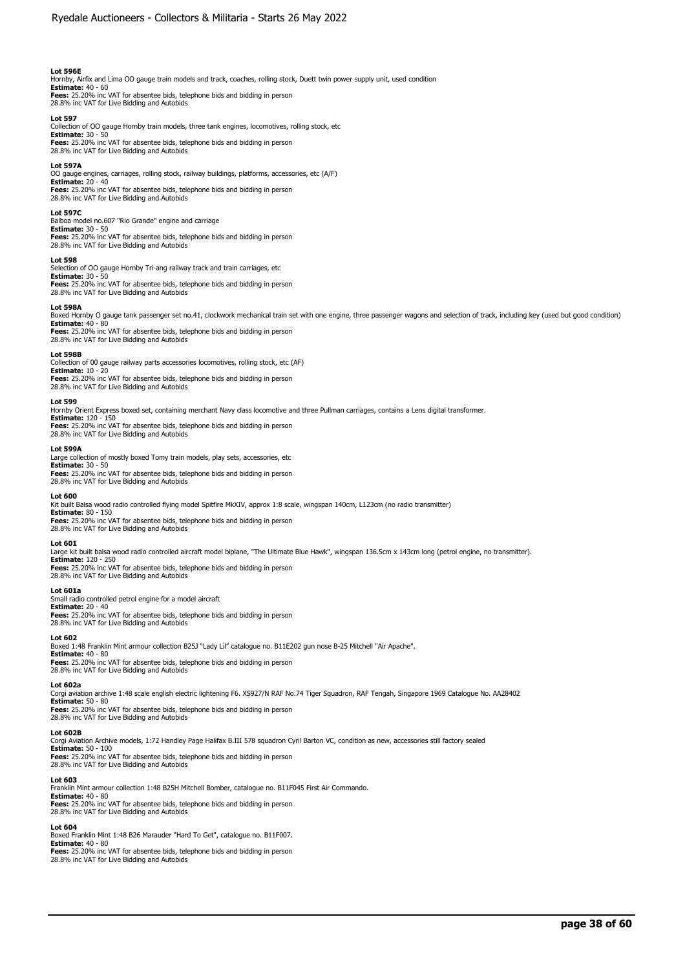# **Lot 596E**

Hornby, Airfix and Lima OO gauge train models and track, coaches, rolling stock, Duett twin power supply unit, used condition<br>**Estimate:** 40 - 60<br>**Fees:** 25.20% inc VAT for absentee bids, telephone bids and bidding in pers

28.8% inc VAT for Live Bidding and Autobids

### **Lot 597**

Collection of OO gauge Hornby train models, three tank engines, locomotives, rolling stock, etc **Estimate:** 30 - 50

**Fees:** 25.20% inc VAT for absentee bids, telephone bids and bidding in person 28.8% inc VAT for Live Bidding and Autobids

#### **Lot 597A**

OO gauge engines, carriages, rolling stock, railway buildings, platforms, accessories, etc (A/F) **Estimate:** 20 - 40 **Fees:** 25.20% inc VAT for absentee bids, telephone bids and bidding in person 28.8% inc VAT for Live Bidding and Autobids

#### **Lot 597C**

Balboa model no.607 "Rio Grande" engine and carriage **Estimate:** 30 - 50 **Fees:** 25.20% inc VAT for absentee bids, telephone bids and bidding in person 28.8% inc VAT for Live Bidding and Autobids

#### **Lot 598**

Selection of OO gauge Hornby Tri-ang railway track and train carriages, etc **Estimate:** 30 - 50 **Fees:** 25.20% inc VAT for absentee bids, telephone bids and bidding in person 28.8% inc VAT for Live Bidding and Autobids

#### **Lot 598A**

Boxed Hornby O gauge tank passenger set no.41, clockwork mechanical train set with one engine, three passenger wagons and selection of track, including key (used but good condition) **Estimate:** 40 - 80

**Fees:** 25.20% inc VAT for absentee bids, telephone bids and bidding in person 28.8% inc VAT for Live Bidding and Autobids

# **Lot 598B**

Collection of 00 gauge railway parts accessories locomotives, rolling stock, etc (AF)

**Estimate:** 10 - 20 **Fees:** 25.20% inc VAT for absentee bids, telephone bids and bidding in person 28.8% inc VAT for Live Bidding and Autobids

## **Lot 599**

Hornby Orient Express boxed set, containing merchant Navy class locomotive and three Pullman carriages, contains a Lens digital transformer. **Estimate:** 120 - 150 **Fees:** 25.20% inc VAT for absentee bids, telephone bids and bidding in person

28.8% inc VAT for Live Bidding and Autobids

# **Lot 599A**

Large collection of mostly boxed Tomy train models, play sets, accessories, etc **Estimate:** 30 - 50 **Fees:** 25.20% inc VAT for absentee bids, telephone bids and bidding in person 28.8% inc VAT for Live Bidding and Autobids

#### **Lot 600**

Kit built Balsa wood radio controlled flying model Spitfire MkXIV, approx 1:8 scale, wingspan 140cm, L123cm (no radio transmitter)

**Estimate:** 80 - 150 **Fees:** 25.20% inc VAT for absentee bids, telephone bids and bidding in person 28.8% inc VAT for Live Bidding and Autobids

#### **Lot 601**

Large kit built balsa wood radio controlled aircraft model biplane, "The Ultimate Blue Hawk", wingspan 136.5cm x 143cm long (petrol engine, no transmitter). **Estimate:** 120 - 250 **Fees:** 25.20% inc VAT for absentee bids, telephone bids and bidding in person 28.8% inc VAT for Live Bidding and Autobids

#### **Lot 601a**

Small radio controlled petrol engine for a model aircraft **Estimate:** 20 - 40 **Fees:** 25.20% inc VAT for absentee bids, telephone bids and bidding in person 28.8% inc VAT for Live Bidding and Autobids

### **Lot 602**

Boxed 1:48 Franklin Mint armour collection B25J "Lady Lil" catalogue no. B11E202 gun nose B-25 Mitchell "Air Apache".

**Estimate:** 40 - 80<br>**Fees:** 25.20% inc VAT for absentee bids, telephone bids and bidding in person<br>28.8% inc VAT for Live Bidding and Autobids

#### **Lot 602a**

Corgi aviation archive 1:48 scale english electric lightening F6. XS927/N RAF No.74 Tiger Squadron, RAF Tengah, Singapore 1969 Catalogue No. AA28402<br>**Estimate:** 50 - 80

**Fees:** 25.20% inc VAT for absentee bids, telephone bids and bidding in person<br>28.8% inc VAT for Live Bidding and Autobids

# **Lot 602B**

Corgi Aviation Archive models, 1:72 Handley Page Halifax B.III 578 squadron Cyril Barton VC, condition as new, accessories still factory sealed **Estimate:** 50 - 100 **Fees:** 25.20% inc VAT for absentee bids, telephone bids and bidding in person 28.8% inc VAT for Live Bidding and Autobids

### **Lot 603**

Franklin Mint armour collection 1:48 B25H Mitchell Bomber, catalogue no. B11F045 First Air Commando.

**Estimate: 4**0 - 80<br>**Fees:** 25.20% inc VAT for absentee bids, telephone bids and bidding in person<br>28.8% inc VAT for Live Bidding and Autobids

# **Lot 604**

Boxed Franklin Mint 1:48 B26 Marauder "Hard To Get", catalogue no. B11F007. **Estimate:** 40 - 80 **Fees:** 25.20% inc VAT for absentee bids, telephone bids and bidding in person 28.8% inc VAT for Live Bidding and Autobids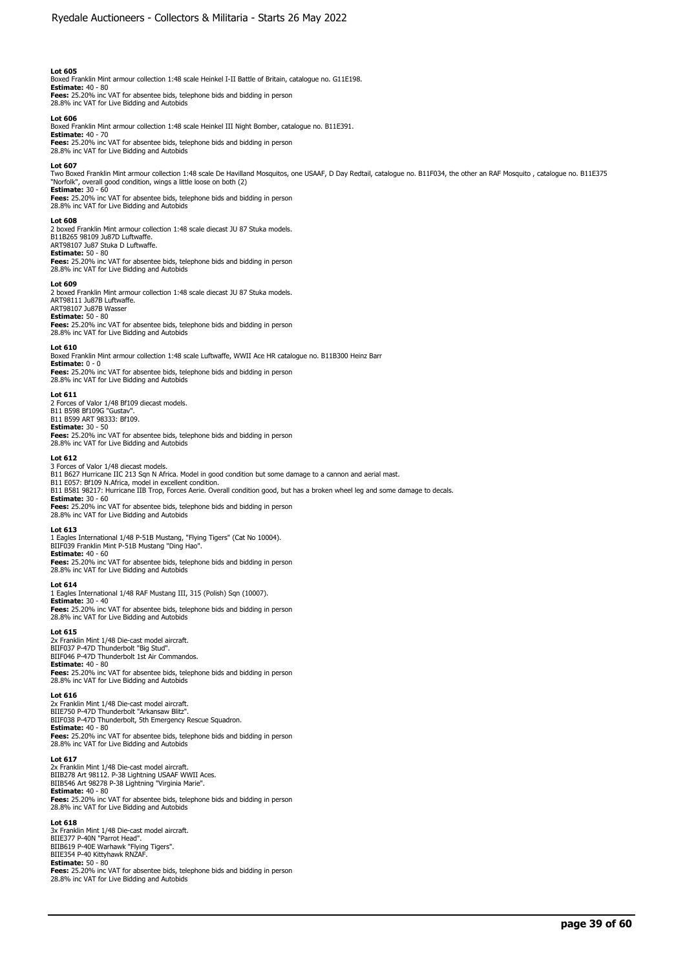Boxed Franklin Mint armour collection 1:48 scale Heinkel I-II Battle of Britain, catalogue no. G11E198. **Estimate:** 40 - 80 **Fees:** 25.20% inc VAT for absentee bids, telephone bids and bidding in person

28.8% inc VAT for Live Bidding and Autobids

# **Lot 606**

Boxed Franklin Mint armour collection 1:48 scale Heinkel III Night Bomber, catalogue no. B11E391.

**Estimate:** 40 - 70 **Fees:** 25.20% inc VAT for absentee bids, telephone bids and bidding in person 28.8% inc VAT for Live Bidding and Autobids

# **Lot 607**

Two Boxed Franklin Mint armour collection 1:48 scale De Havilland Mosquitos, one USAAF, D Day Redtail, catalogue no. B11F034, the other an RAF Mosquito , catalogue no. B11E375<br>"Norfolk", overall good condition, wings a lit

**Estimate:** 30 - 60 **Fees:** 25.20% inc VAT for absentee bids, telephone bids and bidding in person 28.8% inc VAT for Live Bidding and Autobids

#### **Lot 608**

2 boxed Franklin Mint armour collection 1:48 scale diecast JU 87 Stuka models. B11B265 98109 Ju87D Luftwaffe. ART98107 Ju87 Stuka D Luftwaffe. **Estimate:** 50 - 80

**Fees:** 25.20% inc VAT for absentee bids, telephone bids and bidding in person 28.8% inc VAT for Live Bidding and Autobids

#### **Lot 609**

2 boxed Franklin Mint armour collection 1:48 scale diecast JU 87 Stuka models. ART98111 Ju87B Luftwaffe. ART98107 Ju87B Wasser

**Estimate:** 50 - 80<br>**Fees:** 25.20% inc VAT for absentee bids, telephone bids and bidding in person<br>28.8% inc VAT for Live Bidding and Autobids

#### **Lot 610**

Boxed Franklin Mint armour collection 1:48 scale Luftwaffe, WWII Ace HR catalogue no. B11B300 Heinz Barr **Estimate:** 0 - 0

**Fees:** 25.20% inc VAT for absentee bids, telephone bids and bidding in person 28.8% inc VAT for Live Bidding and Autobids

#### **Lot 611**

2 Forces of Valor 1/48 Bf109 diecast models. B11 B598 Bf109G "Gustav". B11 B599 ART 98333: Bf109. **Estimate:** 30 - 50 **Fees:** 25.20% inc VAT for absentee bids, telephone bids and bidding in person 28.8% inc VAT for Live Bidding and Autobids

#### **Lot 612**

3 Forces of Valor 1/48 diecast models. B11 B627 Hurricane IIC 213 Sqn N Africa. Model in good condition but some damage to a cannon and aerial mast. B11 E057: Bf109 N.Africa, model in excellent condition. B11 B581 98217: Hurricane IIB Trop, Forces Aerie. Overall condition good, but has a broken wheel leg and some damage to decals. **Estimate:** 30 - 60

**Fees:** 25.20% inc VAT for absentee bids, telephone bids and bidding in person 28.8% inc VAT for Live Bidding and Autobids

#### **Lot 613**

1 Eagles International 1/48 P-51B Mustang, "Flying Tigers" (Cat No 10004).<br>BIIF039 Franklin Mint P-51B Mustang "Ding Hao".<br>**Estimate:** 40 - 60

**Fees:** 25.20% inc VAT for absentee bids, telephone bids and bidding in person 28.8% inc VAT for Live Bidding and Autobids

# **Lot 614**

1 Eagles International 1/48 RAF Mustang III, 315 (Polish) Sqn (10007). **Estimate:** 30 - 40 **Fees:** 25.20% inc VAT for absentee bids, telephone bids and bidding in person 28.8% inc VAT for Live Bidding and Autobids

#### **Lot 615**

2x Franklin Mint 1/48 Die-cast model aircraft. BIIF037 P-47D Thunderbolt "Big Stud". BIIF046 P-47D Thunderbolt 1st Air Commandos. **Estimate:** 40 - 80 **Fees:** 25.20% inc VAT for absentee bids, telephone bids and bidding in person 28.8% inc VAT for Live Bidding and Autobids

#### **Lot 616**

2x Franklin Mint 1/48 Die-cast model aircraft. BIIE750 P-47D Thunderbolt "Arkansaw Blitz". BIIF038 P-47D Thunderbolt, 5th Emergency Rescue Squadron. **Estimate:** 40 - 80 **Fees:** 25.20% inc VAT for absentee bids, telephone bids and bidding in person 28.8% inc VAT for Live Bidding and Autobids

**Lot 617**  2x Franklin Mint 1/48 Die-cast model aircraft. BIIB278 Art 98112. P-38 Lightning USAAF WWII Aces. BIIB546 Art 98278 P-38 Lightning "Virginia Marie". **Estimate:** 40 - 80 **Fees:** 25.20% inc VAT for absentee bids, telephone bids and bidding in person 28.8% inc VAT for Live Bidding and Autobids

#### **Lot 618**

3x Franklin Mint 1/48 Die-cast model aircraft. BIIE377 P-40N "Parrot Head". BIIB619 P-40E Warhawk "Flying Tigers". BIIE354 P-40 Kittyhawk RNZAF. **Estimate:** 50 - 80 **Fees:** 25.20% inc VAT for absentee bids, telephone bids and bidding in person 28.8% inc VAT for Live Bidding and Autobids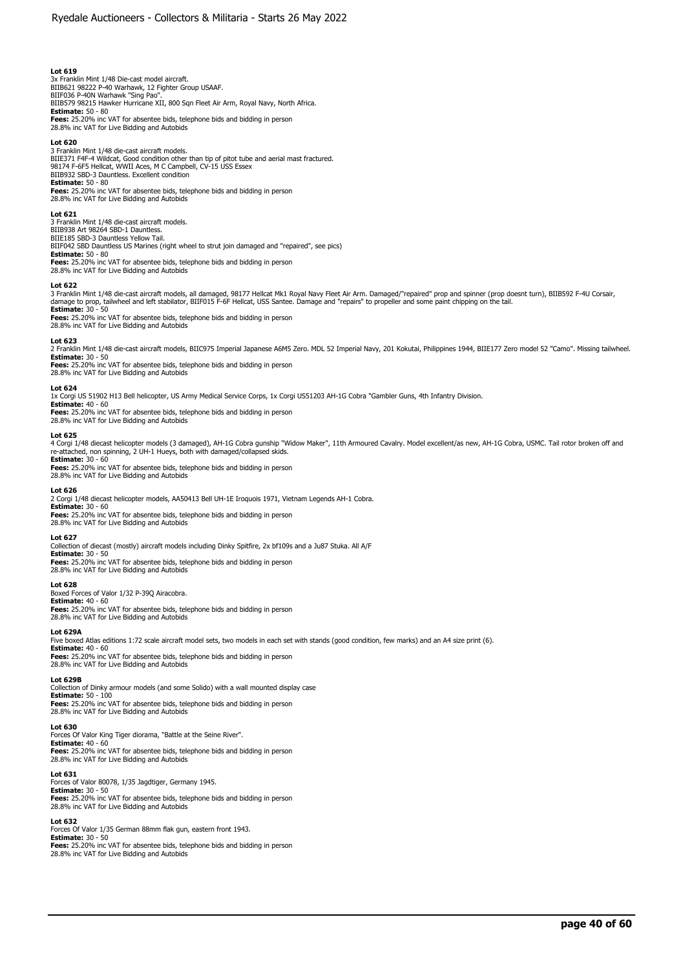3x Franklin Mint 1/48 Die-cast model aircraft. BIIB621 98222 P-40 Warhawk, 12 Fighter Group USAAF. BIIF036 P-40N Warhawk "Sing Pao". BIIB579 98215 Hawker Hurricane XII, 800 Sqn Fleet Air Arm, Royal Navy, North Africa. **Estimate:** 50 - 80 **Fees:** 25.20% inc VAT for absentee bids, telephone bids and bidding in person 28.8% inc VAT for Live Bidding and Autobids

### **Lot 620**

3 Franklin Mint 1/48 die-cast aircraft models. BIIE371 F4F-4 Wildcat, Good condition other than tip of pitot tube and aerial mast fractured. 98174 F-6F5 Hellcat, WWII Aces, M C Campbell, CV-15 USS Essex BIIB932 SBD-3 Dauntless. Excellent condition **Estimate:** 50 - 80

**Fees:** 25.20% inc VAT for absentee bids, telephone bids and bidding in person 28.8% inc VAT for Live Bidding and Autobids

#### **Lot 621**

3 Franklin Mint 1/48 die-cast aircraft models. BIIB938 Art 98264 SBD-1 Dauntless. BIIE185 SBD-3 Dauntless Yellow Tail. BIIF042 SBD Dauntless US Marines (right wheel to strut join damaged and "repaired", see pics) **Estimate:** 50 - 80 **Fees:** 25.20% inc VAT for absentee bids, telephone bids and bidding in person 28.8% inc VAT for Live Bidding and Autobids

#### **Lot 622**

3 Franklin Mint 1/48 die-cast aircraft models, all damaged, 98177 Hellcat Mk1 Royal Navy Fleet Air Arm. Damaged/"repaired" prop and spinner (prop doesnt turn), BIIB592 F-4U Corsair,<br>damage to prop, tailwheel and left stabi

**Estimate:** 30 - 50 **Fees:** 25.20% inc VAT for absentee bids, telephone bids and bidding in person 28.8% inc VAT for Live Bidding and Autobids

#### **Lot 623**

2 Franklin Mint 1/48 die-cast aircraft models, BIIC975 Imperial Japanese A6M5 Zero. MDL 52 Imperial Navy, 201 Kokutai, Philippines 1944, BIIE177 Zero model 52 "Camo". Missing tailwheel. **Estimate:** 30 - 50

**Fees:** 25.20% inc VAT for absentee bids, telephone bids and bidding in person 28.8% inc VAT for Live Bidding and Autobids

### **Lot 624**

1x Corgi US 51902 H13 Bell helicopter, US Army Medical Service Corps, 1x Corgi US51203 AH-1G Cobra "Gambler Guns, 4th Infantry Division.<br>**Estimate:** 40 - 60<br>**Fees:** 25.20% inc VAT for absentee bids, telephone bids and bidd 28.8% inc VAT for Live Bidding and Autobids

#### **Lot 625**

4 Corgi 1/48 diecast helicopter models (3 damaged), AH-1G Cobra gunship "Widow Maker", 11th Armoured Cavalry. Model excellent/as new, AH-1G Cobra, USMC. Tail rotor broken off and re-attached, non spinning, 2 UH-1 Hueys, both with damaged/collapsed skids. **Estimate:** 30 - 60

**Fees:** 25.20% inc VAT for absentee bids, telephone bids and bidding in person<br>28.8% inc VAT for Live Bidding and Autobids

#### **Lot 626**

2 Corgi 1/48 diecast helicopter models, AA50413 Bell UH-1E Iroquois 1971, Vietnam Legends AH-1 Cobra. **Estimate:** 30 - 60 **Fees:** 25.20% inc VAT for absentee bids, telephone bids and bidding in person

28.8% inc VAT for Live Bidding and Autobids

**Lot 627** 

Collection of diecast (mostly) aircraft models including Dinky Spitfire, 2x bf109s and a Ju87 Stuka. All A/F **Estimate:** 30 - 50

**Fees:** 25.20% inc VAT for absentee bids, telephone bids and bidding in person 28.8% inc VAT for Live Bidding and Autobids

**Lot 628** 

Boxed Forces of Valor 1/32 P-39Q Airacobra.

**Estimate:** 40 - 60 **Fees:** 25.20% inc VAT for absentee bids, telephone bids and bidding in person 28.8% inc VAT for Live Bidding and Autobids

#### **Lot 629A**

Five boxed Atlas editions 1:72 scale aircraft model sets, two models in each set with stands (good condition, few marks) and an A4 size print (6).

**Estimate:** 40 - 60 **Fees:** 25.20% inc VAT for absentee bids, telephone bids and bidding in person 28.8% inc VAT for Live Bidding and Autobids

#### **Lot 629B**

Collection of Dinky armour models (and some Solido) with a wall mounted display case

**Estimate:** 50 - 100<br>**Fees:** 25.20% inc VAT for absentee bids, telephone bids and bidding in person<br>28.8% inc VAT for Live Bidding and Autobids

**Lot 630**  Forces Of Valor King Tiger diorama, "Battle at the Seine River".

**Estimate:** 40 - 60 **Fees:** 25.20% inc VAT for absentee bids, telephone bids and bidding in person 28.8% inc VAT for Live Bidding and Autobids

#### **Lot 631**

Forces of Valor 80078, 1/35 Jagdtiger, Germany 1945. **Estimate:** 30 - 50

**Fees:** 25.20% inc VAT for absentee bids, telephone bids and bidding in person 28.8% inc VAT for Live Bidding and Autobids

#### **Lot 632**

Forces Of Valor 1/35 German 88mm flak gun, eastern front 1943. **Estimate:** 30 - 50<br>**Fees:** 25.20% inc VAT for absentee bids, telephone bids and bidding in person<br>28.8% inc VAT for Live Bidding and Autobids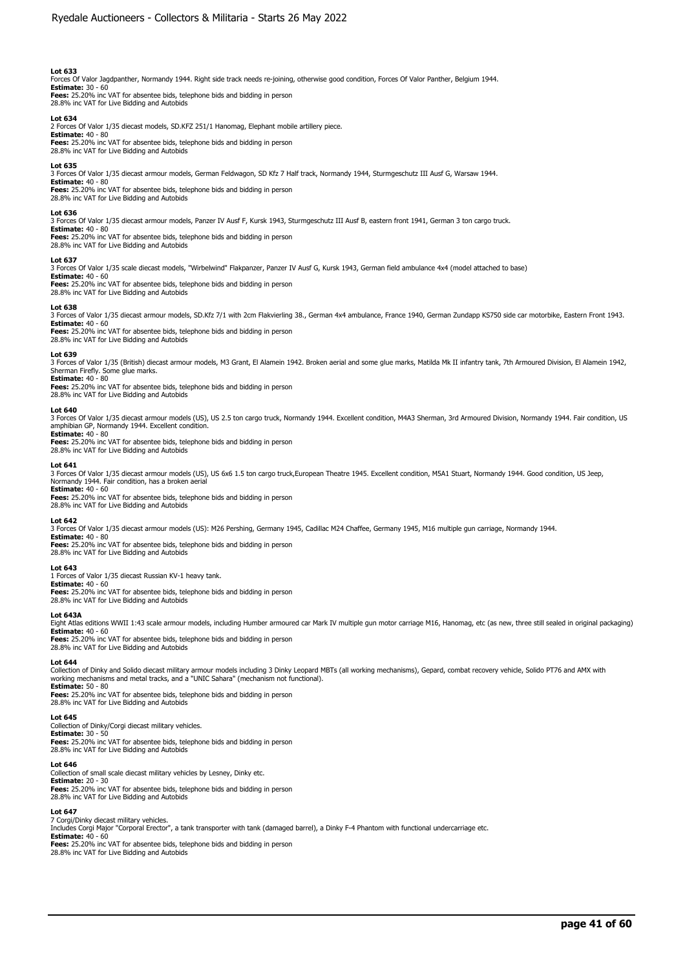Forces Of Valor Jagdpanther, Normandy 1944. Right side track needs re-joining, otherwise good condition, Forces Of Valor Panther, Belgium 1944.

**Estimate:** 30 - 60 **Fees:** 25.20% inc VAT for absentee bids, telephone bids and bidding in person 28.8% inc VAT for Live Bidding and Autobids

**Lot 634**  2 Forces Of Valor 1/35 diecast models, SD.KFZ 251/1 Hanomag, Elephant mobile artillery piece. **Estimate:** 40 - 80 **Fees:** 25.20% inc VAT for absentee bids, telephone bids and bidding in person

28.8% inc VAT for Live Bidding and Autobids

#### **Lot 635**

3 Forces Of Valor 1/35 diecast armour models, German Feldwagon, SD Kfz 7 Half track, Normandy 1944, Sturmgeschutz III Ausf G, Warsaw 1944. **Estimate:** 40 - 80

**Fees:** 25.20% inc VAT for absentee bids, telephone bids and bidding in person 28.8% inc VAT for Live Bidding and Autobids

### **Lot 636**

3 Forces Of Valor 1/35 diecast armour models, Panzer IV Ausf F, Kursk 1943, Sturmgeschutz III Ausf B, eastern front 1941, German 3 ton cargo truck.

**Estimate:** 40 - 80 **Fees:** 25.20% inc VAT for absentee bids, telephone bids and bidding in person 28.8% inc VAT for Live Bidding and Autobids

#### **Lot 637**

3 Forces Of Valor 1/35 scale diecast models, "Wirbelwind" Flakpanzer, Panzer IV Ausf G, Kursk 1943, German field ambulance 4x4 (model attached to base) **Estimate:** 40 - 60

**Fees:** 25.20% inc VAT for absentee bids, telephone bids and bidding in person 28.8% inc VAT for Live Bidding and Autobids

#### **Lot 638**

3 Forces of Valor 1/35 diecast armour models, SD.Kfz 7/1 with 2cm Flakvierling 38., German 4x4 ambulance, France 1940, German Zundapp KS750 side car motorbike, Eastern Front 1943. **Estimate:** 40 - 60

**Fees:** 25.20% inc VAT for absentee bids, telephone bids and bidding in person 28.8% inc VAT for Live Bidding and Autobids

#### **Lot 639**

3 Forces of Valor 1/35 (British) diecast armour models, M3 Grant, El Alamein 1942. Broken aerial and some glue marks, Matilda Mk II infantry tank, 7th Armoured Division, El Alamein 1942, Sherman Firefly. Some glue marks. **Estimate:** 40 - 80

**Fees:** 25.20% inc VAT for absentee bids, telephone bids and bidding in person 28.8% inc VAT for Live Bidding and Autobids

#### **Lot 640**

3 Forces Of Valor 1/35 diecast armour models (US), US 2.5 ton cargo truck, Normandy 1944. Excellent condition, M4A3 Sherman, 3rd Armoured Division, Normandy 1944. Fair condition, US amphibian GP, Normandy 1944. Excellent condition. **Estimate:** 40 - 80

**Fees:** 25.20% inc VAT for absentee bids, telephone bids and bidding in person 28.8% inc VAT for Live Bidding and Autobids

#### **Lot 641**

3 Forces Of Valor 1/35 diecast armour models (US), US 6x6 1.5 ton cargo truck,European Theatre 1945. Excellent condition, M5A1 Stuart, Normandy 1944. Good condition, US Jeep, Normandy 1944. Fair condition, has a broken aerial

#### **Estimate:** 40 - 60

**Fees:** 25.20% inc VAT for absentee bids, telephone bids and bidding in person 28.8% inc VAT for Live Bidding and Autobids

#### **Lot 642**

3 Forces Of Valor 1/35 diecast armour models (US): M26 Pershing, Germany 1945, Cadillac M24 Chaffee, Germany 1945, M16 multiple gun carriage, Normandy 1944.

**Estimate:** 40 - 80 **Fees:** 25.20% inc VAT for absentee bids, telephone bids and bidding in person 28.8% inc VAT for Live Bidding and Autobids

# **Lot 643**

1 Forces of Valor 1/35 diecast Russian KV-1 heavy tank.

28.8% inc VAT for Live Bidding and Autobids

**Estimate:** 40 - 60 **Fees:** 25.20% inc VAT for absentee bids, telephone bids and bidding in person

## **Lot 643A**

Eight Atlas editions WWII 1:43 scale armour models, including Humber armoured car Mark IV multiple gun motor carriage M16, Hanomag, etc (as new, three still sealed in original packaging) **Estimate:** 40 - 60

**Fees:** 25.20% inc VAT for absentee bids, telephone bids and bidding in person 28.8% inc VAT for Live Bidding and Autobids

### **Lot 644**

Collection of Dinky and Solido diecast military armour models including 3 Dinky Leopard MBTs (all working mechanisms), Gepard, combat recovery vehicle, Solido PT76 and AMX with working mechanisms and metal tracks, and a "UNIC Sahara" (mechanism not functional). **Estimate:** 50 - 80

**Fees:** 25.20% inc VAT for absentee bids, telephone bids and bidding in person 28.8% inc VAT for Live Bidding and Autobids

# **Lot 645**

Collection of Dinky/Corgi diecast military vehicles. **Estimate:** 30 - 50<br>**Fees:** 25.20% inc VAT for absentee bids, telephone bids and bidding in person<br>28.8% inc VAT for Live Bidding and Autobids

# **Lot 646**

Collection of small scale diecast military vehicles by Lesney, Dinky etc. **Estimate:** 20 - 30 **Fees:** 25.20% inc VAT for absentee bids, telephone bids and bidding in person 28.8% inc VAT for Live Bidding and Autobids

#### **Lot 647**

7 Corgi/Dinky diecast military vehicles.<br>Includes Corgi Major "Corporal Erector", a tank transporter with tank (damaged barrel), a Dinky F-4 Phantom with functional undercarriage etc. **Estimate:** 40 - 60 **Fees:** 25.20% inc VAT for absentee bids, telephone bids and bidding in person

28.8% inc VAT for Live Bidding and Autobids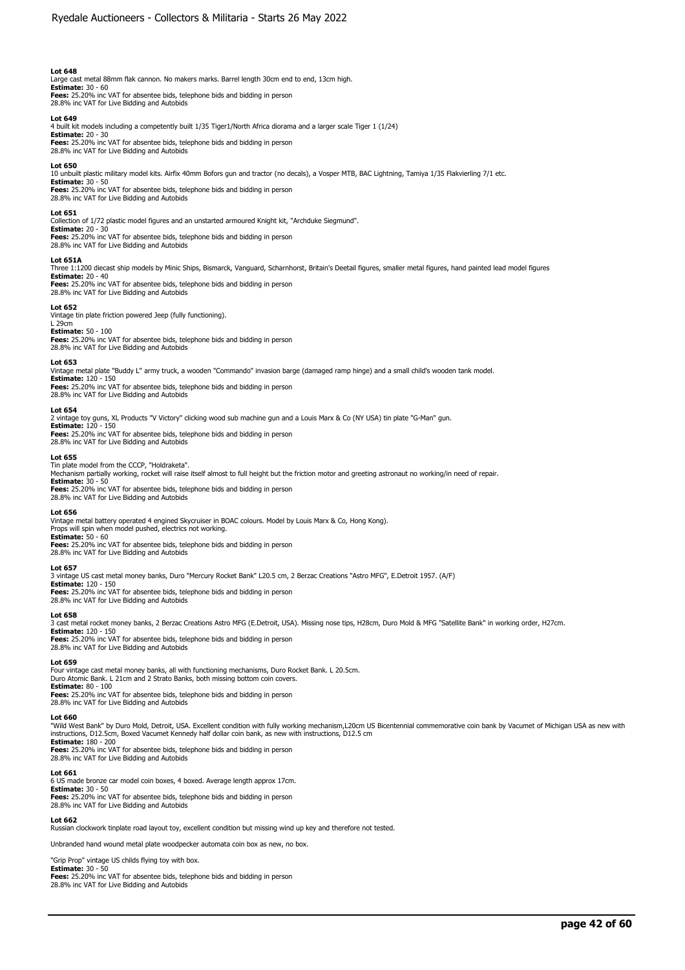Large cast metal 88mm flak cannon. No makers marks. Barrel length 30cm end to end, 13cm high. **Estimate:** 30 - 60 **Fees:** 25.20% inc VAT for absentee bids, telephone bids and bidding in person

28.8% inc VAT for Live Bidding and Autobids

# **Lot 649**

4 built kit models including a competently built 1/35 Tiger1/North Africa diorama and a larger scale Tiger 1 (1/24)

**Estimate:** 20 - 30 **Fees:** 25.20% inc VAT for absentee bids, telephone bids and bidding in person 28.8% inc VAT for Live Bidding and Autobids

#### **Lot 650**

10 unbuilt plastic military model kits. Airfix 40mm Bofors gun and tractor (no decals), a Vosper MTB, BAC Lightning, Tamiya 1/35 Flakvierling 7/1 etc. **Estimate:** 30 - 50

**Fees:** 25.20% inc VAT for absentee bids, telephone bids and bidding in person 28.8% inc VAT for Live Bidding and Autobids

# **Lot 651**

Collection of 1/72 plastic model figures and an unstarted armoured Knight kit, "Archduke Siegmund".

**Estimate:** 20 - 30 **Fees:** 25.20% inc VAT for absentee bids, telephone bids and bidding in person 28.8% inc VAT for Live Bidding and Autobids

#### **Lot 651A**

Three 1:1200 diecast ship models by Minic Ships, Bismarck, Vanguard, Scharnhorst, Britain's Deetail figures, smaller metal figures, hand painted lead model figures **Estimate:** 20 - 40 **Fees:** 25.20% inc VAT for absentee bids, telephone bids and bidding in person

# **Lot 652**

Vintage tin plate friction powered Jeep (fully functioning). L 29cm **Estimate:** 50 - 100

28.8% inc VAT for Live Bidding and Autobids

**Fees:** 25.20% inc VAT for absentee bids, telephone bids and bidding in person 28.8% inc VAT for Live Bidding and Autobids

#### **Lot 653**

Vintage metal plate "Buddy L" army truck, a wooden "Commando" invasion barge (damaged ramp hinge) and a small child's wooden tank model. **Estimate:** 120 - 150

**Fees:** 25.20% inc VAT for absentee bids, telephone bids and bidding in person 28.8% inc VAT for Live Bidding and Autobids

#### **Lot 654**

2 vintage toy guns, XL Products "V Victory" clicking wood sub machine gun and a Louis Marx & Co (NY USA) tin plate "G-Man" gun. **Estimate:** 120 - 150

**Fees:** 25.20% inc VAT for absentee bids, telephone bids and bidding in person 28.8% inc VAT for Live Bidding and Autobids

#### **Lot 655**

Tin plate model from the CCCP, "Holdraketa". Mechanism partially working, rocket will raise itself almost to full height but the friction motor and greeting astronaut no working/in need of repair. **Estimate:** 30 - 50

**Fees:** 25.20% inc VAT for absentee bids, telephone bids and bidding in person 28.8% inc VAT for Live Bidding and Autobids

#### **Lot 656**

Vintage metal battery operated 4 engined Skycruiser in BOAC colours. Model by Louis Marx & Co, Hong Kong). Props will spin when model pushed, electrics not working. **Estimate:** 50 - 60

**Fees:** 25.20% inc VAT for absentee bids, telephone bids and bidding in person 28.8% inc VAT for Live Bidding and Autobids

#### **Lot 657**

3 vintage US cast metal money banks, Duro "Mercury Rocket Bank" L20.5 cm, 2 Berzac Creations "Astro MFG", E.Detroit 1957. (A/F)

**Estimate:** 120 - 150 **Fees:** 25.20% inc VAT for absentee bids, telephone bids and bidding in person 28.8% inc VAT for Live Bidding and Autobids

#### **Lot 658**

3 cast metal rocket money banks, 2 Berzac Creations Astro MFG (E.Detroit, USA). Missing nose tips, H28cm, Duro Mold & MFG "Satellite Bank" in working order, H27cm.

**Estimate:** 120 - 150 **Fees:** 25.20% inc VAT for absentee bids, telephone bids and bidding in person 28.8% inc VAT for Live Bidding and Autobids

#### **Lot 659**

Four vintage cast metal money banks, all with functioning mechanisms, Duro Rocket Bank. L 20.5cm. Duro Atomic Bank. L 21cm and 2 Strato Banks, both missing bottom coin covers. **Estimate:** 80 - 100 **Fees:** 25.20% inc VAT for absentee bids, telephone bids and bidding in person

28.8% inc VAT for Live Bidding and Autobids

# **Lot 660**

"Wild West Bank" by Duro Mold, Detroit, USA. Excellent condition with fully working mechanism,L20cm US Bicentennial commemorative coin bank by Vacumet of Michigan USA as new with instructions, D12.5cm, Boxed Vacumet Kennedy half dollar coin bank, as new with instructions, D12.5 cm **Estimate:** 180 - 200

**Fees:** 25.20% inc VAT for absentee bids, telephone bids and bidding in person 28.8% inc VAT for Live Bidding and Autobids

#### **Lot 661**

6 US made bronze car model coin boxes, 4 boxed. Average length approx 17cm. **Estimate:** 30 - 50<br>**Fees:** 25.20% inc VAT for absentee bids, telephone bids and bidding in person<br>28.8% inc VAT for Live Bidding and Autobids

**Lot 662**  Russian clockwork tinplate road layout toy, excellent condition but missing wind up key and therefore not tested.

Unbranded hand wound metal plate woodpecker automata coin box as new, no box.

"Grip Prop" vintage US childs flying toy with box.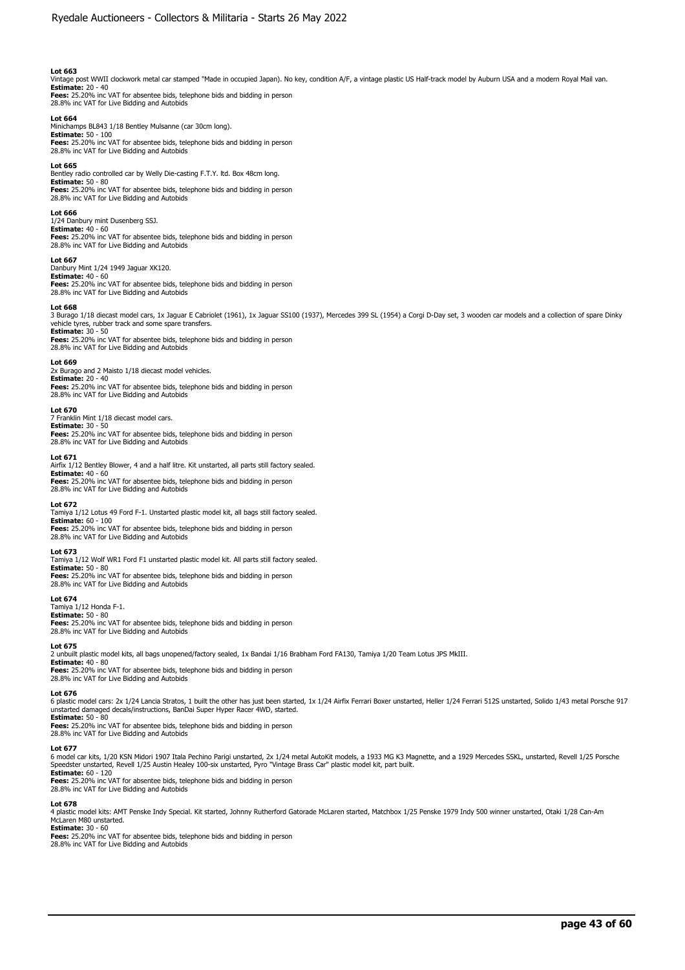Vintage post WWII clockwork metal car stamped "Made in occupied Japan). No key, condition A/F, a vintage plastic US Half-track model by Auburn USA and a modern Royal Mail van.<br>**Estimate:** 20 - 40<br>**Fees:** 25.20% inc VAT for

28.8% inc VAT for Live Bidding and Autobids

**Lot 664**  Minichamps BL843 1/18 Bentley Mulsanne (car 30cm long). **Estimate:** 50 - 100 **Fees:** 25.20% inc VAT for absentee bids, telephone bids and bidding in person 28.8% inc VAT for Live Bidding and Autobids

#### **Lot 665**

Bentley radio controlled car by Welly Die-casting F.T.Y. ltd. Box 48cm long. **Estimate:** 50 - 80

**Fees:** 25.20% inc VAT for absentee bids, telephone bids and bidding in person 28.8% inc VAT for Live Bidding and Autobids

## **Lot 666**

1/24 Danbury mint Dusenberg SSJ. **Estimate:** 40 - 60 **Fees:** 25.20% inc VAT for absentee bids, telephone bids and bidding in person 28.8% inc VAT for Live Bidding and Autobids

#### **Lot 667**

Danbury Mint 1/24 1949 Jaguar XK120. **Estimate:** 40 - 60

**Fees:** 25.20% inc VAT for absentee bids, telephone bids and bidding in person 28.8% inc VAT for Live Bidding and Autobids

#### **Lot 668**

3 Burago 1/18 diecast model cars, 1x Jaguar E Cabriolet (1961), 1x Jaguar SS100 (1937), Mercedes 399 SL (1954) a Corgi D-Day set, 3 wooden car models and a collection of spare Dinky vehicle tyres, rubber track and some spare transfers. **Estimate:** 30 - 50

**Fees:** 25.20% inc VAT for absentee bids, telephone bids and bidding in person 28.8% inc VAT for Live Bidding and Autobids

#### **Lot 669**

2x Burago and 2 Maisto 1/18 diecast model vehicles. **Estimate:** 20 - 40

**Fees:** 25.20% inc VAT for absentee bids, telephone bids and bidding in person 28.8% inc VAT for Live Bidding and Autobids

#### **Lot 670**

7 Franklin Mint 1/18 diecast model cars. **Estimate:** 30 - 50

**Fees:** 25.20% inc VAT for absentee bids, telephone bids and bidding in person 28.8% inc VAT for Live Bidding and Autobids

#### **Lot 671**

Airfix 1/12 Bentley Blower, 4 and a half litre. Kit unstarted, all parts still factory sealed. **Estimate:** 40 - 60 **Fees:** 25.20% inc VAT for absentee bids, telephone bids and bidding in person 28.8% inc VAT for Live Bidding and Autobids

#### **Lot 672**

Tamiya 1/12 Lotus 49 Ford F-1. Unstarted plastic model kit, all bags still factory sealed. **Estimate:** 60 - 100 **Fees:** 25.20% inc VAT for absentee bids, telephone bids and bidding in person

28.8% inc VAT for Live Bidding and Autobids

# **Lot 673**

Tamiya 1/12 Wolf WR1 Ford F1 unstarted plastic model kit. All parts still factory sealed. **Estimate:** 50 - 80

**Fees:** 25.20% inc VAT for absentee bids, telephone bids and bidding in person 28.8% inc VAT for Live Bidding and Autobids

# **Lot 674**

Tamiya 1/12 Honda F-1. **Estimate:** 50 - 80 **Fees:** 25.20% inc VAT for absentee bids, telephone bids and bidding in person 28.8% inc VAT for Live Bidding and Autobids

#### **Lot 675**

2 unbuilt plastic model kits, all bags unopened/factory sealed, 1x Bandai 1/16 Brabham Ford FA130, Tamiya 1/20 Team Lotus JPS MkIII. **Estimate:** 40 - 80

**Fees:** 25.20% inc VAT for absentee bids, telephone bids and bidding in person 28.8% inc VAT for Live Bidding and Autobids

#### **Lot 676**

6 plastic model cars: 2x 1/24 Lancia Stratos, 1 built the other has just been started, 1x 1/24 Airfix Ferrari Boxer unstarted, Heller 1/24 Ferrari 512S unstarted, Solido 1/43 metal Porsche 917

unstarted damaged decals/instructions, BanDai Super Hyper Racer 4WD, started.<br>**Estimate:** 50 - 80<br>**Fees:** 25.20% inc VAT for absentee bids, telephone bids and bidding in person

28.8% inc VAT for Live Bidding and Autobids

#### **Lot 677**

6 model car kits, 1/20 KSN Midori 1907 Itala Pechino Parigi unstarted, 2x 1/24 metal AutoKit models, a 1933 MG K3 Magnette, and a 1929 Mercedes SSKL, unstarted, Revell 1/25 Porsche Speedster unstarted, Revell 1/25 Austin Healey 100-six unstarted, Pyro "Vintage Brass Car" plastic model kit, part built. **Estimate:** 60 - 120

**Fees:** 25.20% inc VAT for absentee bids, telephone bids and bidding in person 28.8% inc VAT for Live Bidding and Autobids

#### **Lot 678**

4 plastic model kits: AMT Penske Indy Special. Kit started, Johnny Rutherford Gatorade McLaren started, Matchbox 1/25 Penske 1979 Indy 500 winner unstarted, Otaki 1/28 Can-Am McLaren M80 unstarted. **Estimate:** 30 - 60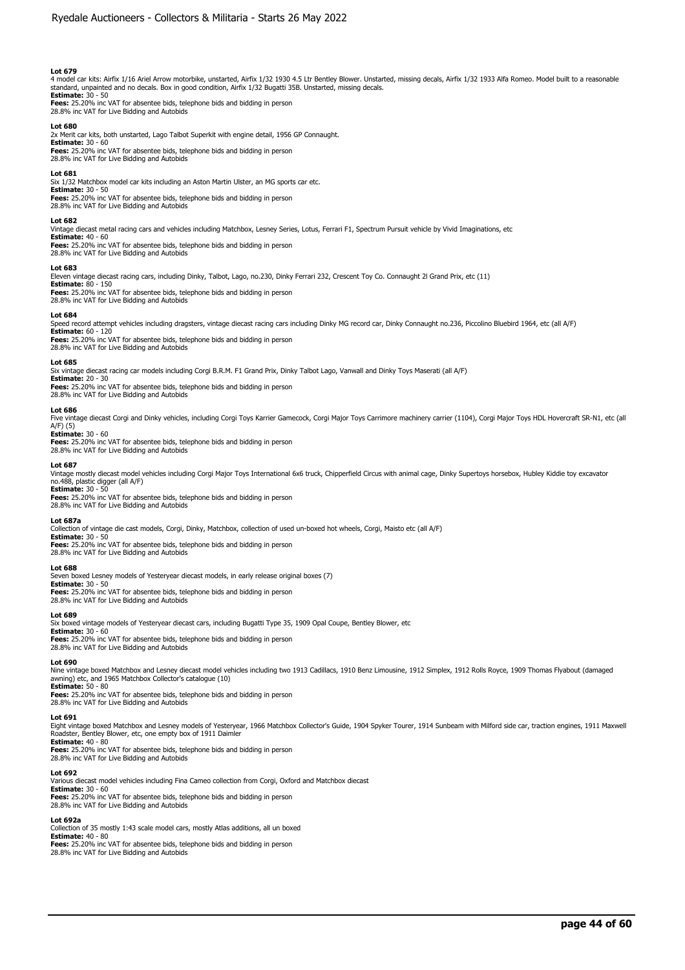4 model car kits: Airfix 1/16 Ariel Arrow motorbike, unstarted, Airfix 1/32 1930 4.5 Ltr Bentley Blower. Unstarted, missing decals, Airfix 1/32 1933 Alfa Romeo. Model built to a reasonable<br>standard, unpainted and no decals **Estimate:** 30 - 50

**Fees:** 25.20% inc VAT for absentee bids, telephone bids and bidding in person 28.8% inc VAT for Live Bidding and Autobids

### **Lot 680**

2x Merit car kits, both unstarted, Lago Talbot Superkit with engine detail, 1956 GP Connaught. **Estimate:** 30 - 60 **Fees:** 25.20% inc VAT for absentee bids, telephone bids and bidding in person 28.8% inc VAT for Live Bidding and Autobids

# **Lot 681**

Six 1/32 Matchbox model car kits including an Aston Martin Ulster, an MG sports car etc.

**Estimate:** 30 - 50 **Fees:** 25.20% inc VAT for absentee bids, telephone bids and bidding in person 28.8% inc VAT for Live Bidding and Autobids

#### **Lot 682**

Vintage diecast metal racing cars and vehicles including Matchbox, Lesney Series, Lotus, Ferrari F1, Spectrum Pursuit vehicle by Vivid Imaginations, etc

# **Estimate:** 40 - 60

**Fees:** 25.20% inc VAT for absentee bids, telephone bids and bidding in person 28.8% inc VAT for Live Bidding and Autobids

### **Lot 683**

Eleven vintage diecast racing cars, including Dinky, Talbot, Lago, no.230, Dinky Ferrari 232, Crescent Toy Co. Connaught 2l Grand Prix, etc (11)

**Estimate:** 80 - 150 **Fees:** 25.20% inc VAT for absentee bids, telephone bids and bidding in person 28.8% inc VAT for Live Bidding and Autobids

#### **Lot 684**

Speed record attempt vehicles including dragsters, vintage diecast racing cars including Dinky MG record car, Dinky Connaught no.236, Piccolino Bluebird 1964, etc (all A/F)

**Estimate:** 60 - 120 **Fees:** 25.20% inc VAT for absentee bids, telephone bids and bidding in person 28.8% inc VAT for Live Bidding and Autobids

# **Lot 685**

Six vintage diecast racing car models including Corgi B.R.M. F1 Grand Prix, Dinky Talbot Lago, Vanwall and Dinky Toys Maserati (all A/F)

**Estimate:** 20 - 30

**Fees:** 25.20% inc VAT for absentee bids, telephone bids and bidding in person 28.8% inc VAT for Live Bidding and Autobids

## **Lot 686**

Five vintage diecast Corgi and Dinky vehicles, including Corgi Toys Karrier Gamecock, Corgi Major Toys Carrimore machinery carrier (1104), Corgi Major Toys HDL Hovercraft SR-N1, etc (all A/F) (5)

# **Estimate:** 30 - 60

**Fees:** 25.20% inc VAT for absentee bids, telephone bids and bidding in person 28.8% inc VAT for Live Bidding and Autobids

#### **Lot 687**

Vintage mostly diecast model vehicles including Corgi Major Toys International 6x6 truck, Chipperfield Circus with animal cage, Dinky Supertoys horsebox, Hubley Kiddie toy excavator no.488, plastic digger (all A/F)

# **Estimate:** 30 - 50

**Fees:** 25.20% inc VAT for absentee bids, telephone bids and bidding in person 28.8% inc VAT for Live Bidding and Autobids

#### **Lot 687a**

Collection of vintage die cast models, Corgi, Dinky, Matchbox, collection of used un-boxed hot wheels, Corgi, Maisto etc (all A/F) **Estimate:** 30 - 50

# **Fees:** 25.20% inc VAT for absentee bids, telephone bids and bidding in person 28.8% inc VAT for Live Bidding and Autobids

# **Lot 688**

Seven boxed Lesney models of Yesteryear diecast models, in early release original boxes (7) **Estimate:** 30 - 50

**Fees:** 25.20% inc VAT for absentee bids, telephone bids and bidding in person

# **Lot 689**

Six boxed vintage models of Yesteryear diecast cars, including Bugatti Type 35, 1909 Opal Coupe, Bentley Blower, etc

# **Estimate:** 30 - 60

**Fees:** 25.20% inc VAT for absentee bids, telephone bids and bidding in person 28.8% inc VAT for Live Bidding and Autobids

#### **Lot 690**

Nine vintage boxed Matchbox and Lesney diecast model vehicles including two 1913 Cadillacs, 1910 Benz Limousine, 1912 Simplex, 1912 Rolls Royce, 1909 Thomas Flyabout (damaged awning) etc, and 1965 Matchbox Collector's catalogue (10) **Estimate:** 50 - 80

**Fees:** 25.20% inc VAT for absentee bids, telephone bids and bidding in person

28.8% inc VAT for Live Bidding and Autobids

### **Lot 691**

Eight vintage boxed Matchbox and Lesney models of Yesteryear, 1966 Matchbox Collector's Guide, 1904 Spyker Tourer, 1914 Sunbeam with Milford side car, traction engines, 1911 Maxwell Roadster, Bentley Blower, etc, one empty box of 1911 Daimler

**Estimate:** 40 - 80 **Fees:** 25.20% inc VAT for absentee bids, telephone bids and bidding in person

28.8% inc VAT for Live Bidding and Autobids

28.8% inc VAT for Live Bidding and Autobids

# **Lot 692**

Various diecast model vehicles including Fina Cameo collection from Corgi, Oxford and Matchbox diecast **Estimate:** 30 - 60<br>**Fees:** 25.20% inc VAT for absentee bids, telephone bids and bidding in person<br>28.8% inc VAT for Live Bidding and Autobids

**Lot 692a**  Collection of 35 mostly 1:43 scale model cars, mostly Atlas additions, all un boxed

**Estimate:** 40 - 80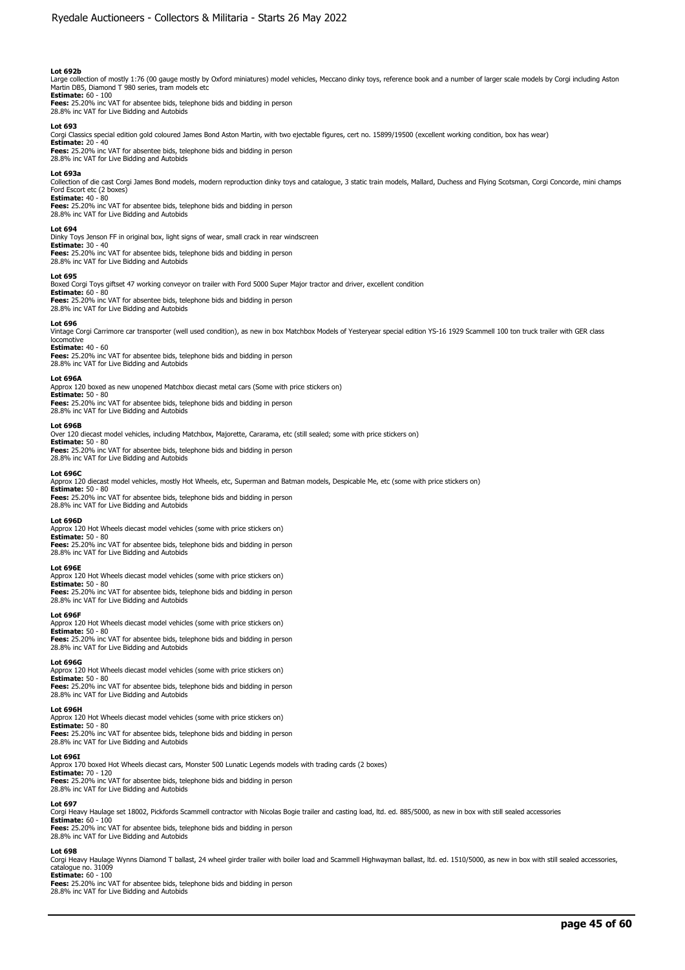# **Lot 692b**

Large collection of mostly 1:76 (00 gauge mostly by Oxford miniatures) model vehicles, Meccano dinky toys, reference book and a number of larger scale models by Corgi including Aston<br>Martin DB5, Diamond T 980 series, tram

**Estimate:** 60 - 100 **Fees:** 25.20% inc VAT for absentee bids, telephone bids and bidding in person 28.8% inc VAT for Live Bidding and Autobids

#### **Lot 693**

Corgi Classics special edition gold coloured James Bond Aston Martin, with two ejectable figures, cert no. 15899/19500 (excellent working condition, box has wear)

**Estimate:** 20 - 40 **Fees:** 25.20% inc VAT for absentee bids, telephone bids and bidding in person 28.8% inc VAT for Live Bidding and Autobids

#### **Lot 693a**

Collection of die cast Corgi James Bond models, modern reproduction dinky toys and catalogue, 3 static train models, Mallard, Duchess and Flying Scotsman, Corgi Concorde, mini champs Ford Escort etc (2 boxes) **Estimate:** 40 - 80

**Fees:** 25.20% inc VAT for absentee bids, telephone bids and bidding in person 28.8% inc VAT for Live Bidding and Autobids

#### **Lot 694**

Dinky Toys Jenson FF in original box, light signs of wear, small crack in rear windscreen

**Estimate:** 30 - 40 **Fees:** 25.20% inc VAT for absentee bids, telephone bids and bidding in person 28.8% inc VAT for Live Bidding and Autobids

#### **Lot 695**

Boxed Corgi Toys giftset 47 working conveyor on trailer with Ford 5000 Super Major tractor and driver, excellent condition

**Estimate:** 60 - 80<br>**Fees:** 25.20% inc VAT for absentee bids, telephone bids and bidding in person<br>28.8% inc VAT for Live Bidding and Autobids

#### **Lot 696**

Vintage Corgi Carrimore car transporter (well used condition), as new in box Matchbox Models of Yesteryear special edition YS-16 1929 Scammell 100 ton truck trailer with GER class locomotive **Estimate:** 40 - 60

**Fees:** 25.20% inc VAT for absentee bids, telephone bids and bidding in person 28.8% inc VAT for Live Bidding and Autobids

#### **Lot 696A**

Approx 120 boxed as new unopened Matchbox diecast metal cars (Some with price stickers on)

**Estimate:** 50 - 80 **Fees:** 25.20% inc VAT for absentee bids, telephone bids and bidding in person 28.8% inc VAT for Live Bidding and Autobids

#### **Lot 696B**

Over 120 diecast model vehicles, including Matchbox, Majorette, Cararama, etc (still sealed; some with price stickers on)

**Estimate:** 50 - 80 **Fees:** 25.20% inc VAT for absentee bids, telephone bids and bidding in person 28.8% inc VAT for Live Bidding and Autobids

#### **Lot 696C**

Approx 120 diecast model vehicles, mostly Hot Wheels, etc, Superman and Batman models, Despicable Me, etc (some with price stickers on)

**Estimate:** 50 - 80 **Fees:** 25.20% inc VAT for absentee bids, telephone bids and bidding in person 28.8% inc VAT for Live Bidding and Autobids

**Lot 696D**  Approx 120 Hot Wheels diecast model vehicles (some with price stickers on) **Estimate:** 50 - 80 **Fees:** 25.20% inc VAT for absentee bids, telephone bids and bidding in person 28.8% inc VAT for Live Bidding and Autobids

#### **Lot 696E**

Approx 120 Hot Wheels diecast model vehicles (some with price stickers on)

**Estimate:** 50 - 80 **Fees:** 25.20% inc VAT for absentee bids, telephone bids and bidding in person 28.8% inc VAT for Live Bidding and Autobids

#### **Lot 696F**

Approx 120 Hot Wheels diecast model vehicles (some with price stickers on) **Estimate:** 50 - 80

**Fees:** 25.20% inc VAT for absentee bids, telephone bids and bidding in person 28.8% inc VAT for Live Bidding and Autobids

# **Lot 696G**

Approx 120 Hot Wheels diecast model vehicles (some with price stickers on) **Estimate:** 50 - 80 **Fees:** 25.20% inc VAT for absentee bids, telephone bids and bidding in person 28.8% inc VAT for Live Bidding and Autobids

#### **Lot 696H**

Approx 120 Hot Wheels diecast model vehicles (some with price stickers on) **Estimate:** 50 - 80

**Fees:** 25.20% inc VAT for absentee bids, telephone bids and bidding in person<br>28.8% inc VAT for Live Bidding and Autobids

#### **Lot 696I**

Approx 170 boxed Hot Wheels diecast cars, Monster 500 Lunatic Legends models with trading cards (2 boxes)<br>**Estimate:** 70 - 120<br>**Fees:** 25.20% inc VAT for absentee bids, telephone bids and bidding in person

28.8% inc VAT for Live Bidding and Autobids

# **Lot 697**

Corgi Heavy Haulage set 18002, Pickfords Scammell contractor with Nicolas Bogie trailer and casting load, ltd. ed. 885/5000, as new in box with still sealed accessories

**Estimate:** 60 - 100 **Fees:** 25.20% inc VAT for absentee bids, telephone bids and bidding in person 28.8% inc VAT for Live Bidding and Autobids

#### **Lot 698**

Corgi Heavy Haulage Wynns Diamond T ballast, 24 wheel girder trailer with boiler load and Scammell Highwayman ballast, ltd. ed. 1510/5000, as new in box with still sealed accessories, catalogue no. 31009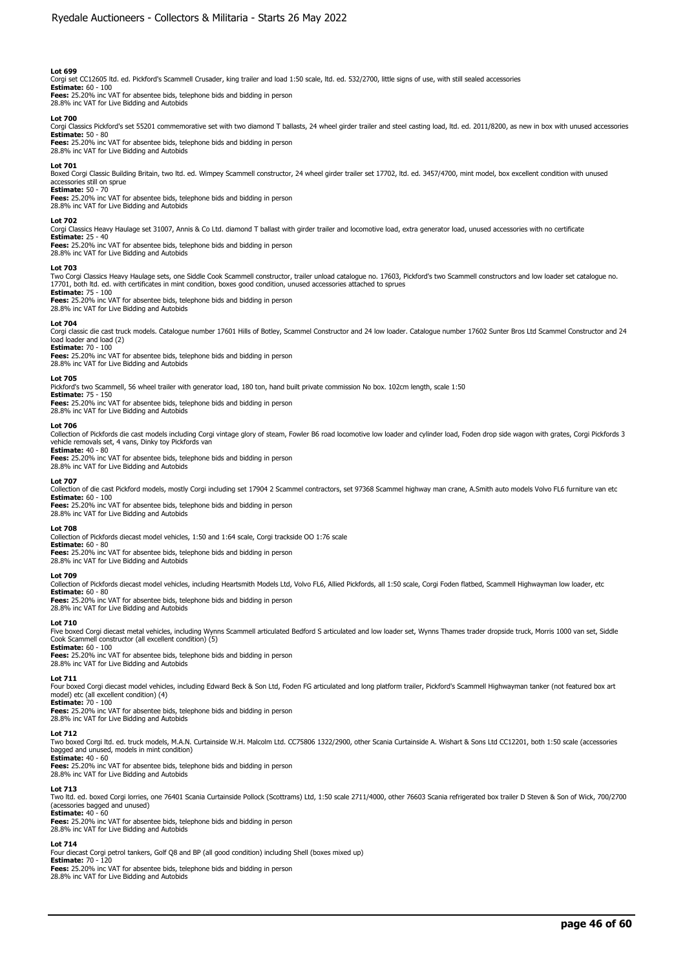Corgi set CC12605 ltd. ed. Pickford's Scammell Crusader, king trailer and load 1:50 scale, ltd. ed. 532/2700, little signs of use, with still sealed accessories<br>**Estimate:** 60 - 100<br>**Fees:** 25.20% inc VAT for absentee bids 28.8% inc VAT for Live Bidding and Autobids

#### **Lot 700**

Corgi Classics Pickford's set 55201 commemorative set with two diamond T ballasts, 24 wheel girder trailer and steel casting load, ltd. ed. 2011/8200, as new in box with unused accessories **Estimate:** 50 - 80 **Fees:** 25.20% inc VAT for absentee bids, telephone bids and bidding in person

28.8% inc VAT for Live Bidding and Autobids

#### **Lot 701**

Boxed Corgi Classic Building Britain, two ltd. ed. Wimpey Scammell constructor, 24 wheel girder trailer set 17702, ltd. ed. 3457/4700, mint model, box excellent condition with unused accessories still on sprue

**Estimate:** 50 - 70 **Fees:** 25.20% inc VAT for absentee bids, telephone bids and bidding in person 28.8% inc VAT for Live Bidding and Autobids

#### **Lot 702**

Corgi Classics Heavy Haulage set 31007, Annis & Co Ltd. diamond T ballast with girder trailer and locomotive load, extra generator load, unused accessories with no certificate **Estimate:** 25 - 40

# **Fees:** 25.20% inc VAT for absentee bids, telephone bids and bidding in person 28.8% inc VAT for Live Bidding and Autobids

#### **Lot 703**

Two Corgi Classics Heavy Haulage sets, one Siddle Cook Scammell constructor, trailer unload catalogue no. 17603, Pickford's two Scammell constructors and low loader set catalogue no.<br>17701, both ltd. ed. with certificates

**Estimate:** 75 - 100<br>**Fees:** 25.20% inc VAT for absentee bids, telephone bids and bidding in person<br>28.8% inc VAT for Live Bidding and Autobids

### **Lot 704**

Corgi classic die cast truck models. Catalogue number 17601 Hills of Botley, Scammel Constructor and 24 low loader. Catalogue number 17602 Sunter Bros Ltd Scammel Constructor and 24<br>load loader and load (2) **Estimate:** 70 - 100

**Fees:** 25.20% inc VAT for absentee bids, telephone bids and bidding in person 28.8% inc VAT for Live Bidding and Autobids

#### **Lot 705**

Pickford's two Scammell, 56 wheel trailer with generator load, 180 ton, hand built private commission No box. 102cm length, scale 1:50

# **Estimate:** 75 - 150

**Fees:** 25.20% inc VAT for absentee bids, telephone bids and bidding in person 28.8% inc VAT for Live Bidding and Autobids

#### **Lot 706**

Collection of Pickfords die cast models including Corgi vintage glory of steam, Fowler B6 road locomotive low loader and cylinder load, Foden drop side wagon with grates, Corgi Pickfords 3 vehicle removals set, 4 vans, Dinky toy Pickfords van **Estimate:** 40 - 80

**Fees:** 25.20% inc VAT for absentee bids, telephone bids and bidding in person 28.8% inc VAT for Live Bidding and Autobids

#### **Lot 707**

Collection of die cast Pickford models, mostly Corgi including set 17904 2 Scammel contractors, set 97368 Scammel highway man crane, A.Smith auto models Volvo FL6 furniture van etc **Estimate:** 60 - 100 **Fees:** 25.20% inc VAT for absentee bids, telephone bids and bidding in person

# 28.8% inc VAT for Live Bidding and Autobids

**Lot 708** 

Collection of Pickfords diecast model vehicles, 1:50 and 1:64 scale, Corgi trackside OO 1:76 scale

**Estimate:** 60 - 80 **Fees:** 25.20% inc VAT for absentee bids, telephone bids and bidding in person 28.8% inc VAT for Live Bidding and Autobids

# **Lot 709**

Collection of Pickfords diecast model vehicles, including Heartsmith Models Ltd, Volvo FL6, Allied Pickfords, all 1:50 scale, Corgi Foden flatbed, Scammell Highwayman low loader, etc

**Estimate:** 60 - 80 **Fees:** 25.20% inc VAT for absentee bids, telephone bids and bidding in person 28.8% inc VAT for Live Bidding and Autobids

#### **Lot 710**

Five boxed Corgi diecast metal vehicles, including Wynns Scammell articulated Bedford S articulated and low loader set, Wynns Thames trader dropside truck, Morris 1000 van set, Siddle Cook Scammell constructor (all excellent condition) (5)

# **Estimate:** 60 - 100

**Fees:** 25.20% inc VAT for absentee bids, telephone bids and bidding in person 28.8% inc VAT for Live Bidding and Autobids

# **Lot 711**

Four boxed Corgi diecast model vehicles, including Edward Beck & Son Ltd, Foden FG articulated and long platform trailer, Pickford's Scammell Highwayman tanker (not featured box art model) etc (all excellent condition) (4) **Estimate: 70 - 100** 

**Fees:** 25.20% inc VAT for absentee bids, telephone bids and bidding in person 28.8% inc VAT for Live Bidding and Autobids

# **Lot 712**

Two boxed Corgi ltd. ed. truck models, M.A.N. Curtainside W.H. Malcolm Ltd. CC75806 1322/2900, other Scania Curtainside A. Wishart & Sons Ltd CC12201, both 1:50 scale (accessories bagged and unused, models in mint condition) **Estimate:** 40 - 60

**Fees:** 25.20% inc VAT for absentee bids, telephone bids and bidding in person 28.8% inc VAT for Live Bidding and Autobids

#### **Lot 713**

Two ltd. ed. boxed Corgi lorries, one 76401 Scania Curtainside Pollock (Scottrams) Ltd, 1:50 scale 2711/4000, other 76603 Scania refrigerated box trailer D Steven & Son of Wick, 700/2700 (acessories bagged and unused)

# **Estimate:** 40 - 60

**Fees:** 25.20% inc VAT for absentee bids, telephone bids and bidding in person 28.8% inc VAT for Live Bidding and Autobids

### **Lot 714**

Four diecast Corgi petrol tankers, Golf Q8 and BP (all good condition) including Shell (boxes mixed up) **Estimate:** 70 - 120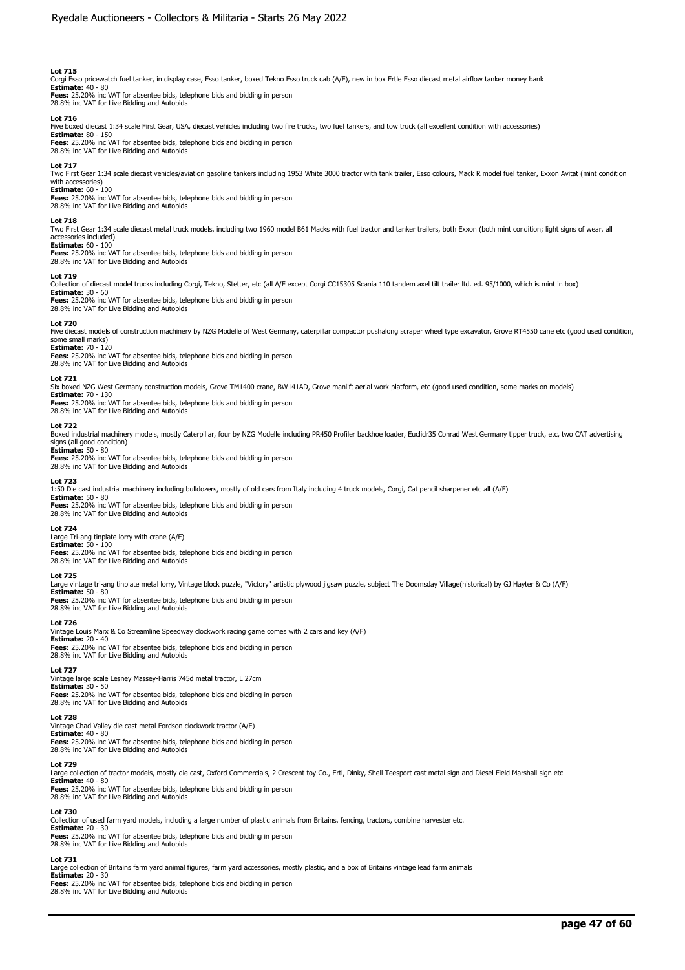Corgi Esso pricewatch fuel tanker, in display case, Esso tanker, boxed Tekno Esso truck cab (A/F), new in box Ertle Esso diecast metal airflow tanker money bank<br>**Estimate:** 40 - 80<br>**Fees:** 25.20% inc VAT for absentee bids,

28.8% inc VAT for Live Bidding and Autobids

# **Lot 716**

Five boxed diecast 1:34 scale First Gear, USA, diecast vehicles including two fire trucks, two fuel tankers, and tow truck (all excellent condition with accessories)

**Estimate:** 80 - 150 **Fees:** 25.20% inc VAT for absentee bids, telephone bids and bidding in person 28.8% inc VAT for Live Bidding and Autobids

### **Lot 717**

Two First Gear 1:34 scale diecast vehicles/aviation gasoline tankers including 1953 White 3000 tractor with tank trailer, Esso colours, Mack R model fuel tanker, Exxon Avitat (mint condition with accessories)

**Estimate:** 60 - 100 **Fees:** 25.20% inc VAT for absentee bids, telephone bids and bidding in person 28.8% inc VAT for Live Bidding and Autobids

#### **Lot 718**

Two First Gear 1:34 scale diecast metal truck models, including two 1960 model B61 Macks with fuel tractor and tanker trailers, both Exxon (both mint condition; light signs of wear, all accessories included)

**Estimate:** 60 - 100 **Fees:** 25.20% inc VAT for absentee bids, telephone bids and bidding in person 28.8% inc VAT for Live Bidding and Autobids

#### **Lot 719**

Collection of diecast model trucks including Corgi, Tekno, Stetter, etc (all A/F except Corgi CC15305 Scania 110 tandem axel tilt trailer ltd. ed. 95/1000, which is mint in box)

**Estimate:** 30 - 60<br>**Fees:** 25.20% inc VAT for absentee bids, telephone bids and bidding in person<br>28.8% inc VAT for Live Bidding and Autobids

#### **Lot 720**

Five diecast models of construction machinery by NZG Modelle of West Germany, caterpillar compactor pushalong scraper wheel type excavator, Grove RT4550 cane etc (good used condition, some small marks) **Estimate: 70 - 120** 

**Fees:** 25.20% inc VAT for absentee bids, telephone bids and bidding in person 28.8% inc VAT for Live Bidding and Autobids

#### **Lot 721**

Six boxed NZG West Germany construction models, Grove TM1400 crane, BW141AD, Grove manlift aerial work platform, etc (good used condition, some marks on models) **Estimate:** 70 - 130

**Fees:** 25.20% inc VAT for absentee bids, telephone bids and bidding in person 28.8% inc VAT for Live Bidding and Autobids

# **Lot 722**

Boxed industrial machinery models, mostly Caterpillar, four by NZG Modelle including PR450 Profiler backhoe loader, Euclidr35 Conrad West Germany tipper truck, etc, two CAT advertising signs (all good condition) **Estimate:** 50 - 80

**Fees:** 25.20% inc VAT for absentee bids, telephone bids and bidding in person 28.8% inc VAT for Live Bidding and Autobids

### **Lot 723**

1:50 Die cast industrial machinery including bulldozers, mostly of old cars from Italy including 4 truck models, Corgi, Cat pencil sharpener etc all (A/F) **Estimate:** 50 - 80 **Fees:** 25.20% inc VAT for absentee bids, telephone bids and bidding in person 28.8% inc VAT for Live Bidding and Autobids

#### **Lot 724**

Large Tri-ang tinplate lorry with crane (A/F) **Estimate:** 50 - 100 **Fees:** 25.20% inc VAT for absentee bids, telephone bids and bidding in person

28.8% inc VAT for Live Bidding and Autobids

# **Lot 725**

Large vintage tri-ang tinplate metal lorry, Vintage block puzzle, "Victory" artistic plywood jigsaw puzzle, subject The Doomsday Village(historical) by GJ Hayter & Co (A/F) **Estimate:** 50 - 80

**Fees:** 25.20% inc VAT for absentee bids, telephone bids and bidding in person 28.8% inc VAT for Live Bidding and Autobids

# **Lot 726**

Vintage Louis Marx & Co Streamline Speedway clockwork racing game comes with 2 cars and key (A/F) **Estimate:** 20 - 40 **Fees:** 25.20% inc VAT for absentee bids, telephone bids and bidding in person 28.8% inc VAT for Live Bidding and Autobids

#### **Lot 727**

Vintage large scale Lesney Massey-Harris 745d metal tractor, L 27cm **Estimate:** 30 - 50 **Fees:** 25.20% inc VAT for absentee bids, telephone bids and bidding in person 28.8% inc VAT for Live Bidding and Autobids

#### **Lot 728**

Vintage Chad Valley die cast metal Fordson clockwork tractor (A/F) **Estimate:** 40 - 80<br>**Fees:** 25.20% inc VAT for absentee bids, telephone bids and bidding in person<br>28.8% inc VAT for Live Bidding and Autobids

#### **Lot 729**

Large collection of tractor models, mostly die cast, Oxford Commercials, 2 Crescent toy Co., Ertl, Dinky, Shell Teesport cast metal sign and Diesel Field Marshall sign etc **Estimate:** 40 - 80

**Fees:** 25.20% inc VAT for absentee bids, telephone bids and bidding in person 28.8% inc VAT for Live Bidding and Autobids

# **Lot 730**

Collection of used farm yard models, including a large number of plastic animals from Britains, fencing, tractors, combine harvester etc.

**Estimate:** 20 - 30 **Fees:** 25.20% inc VAT for absentee bids, telephone bids and bidding in person 28.8% inc VAT for Live Bidding and Autobids

**Lot 731**  Large collection of Britains farm yard animal figures, farm yard accessories, mostly plastic, and a box of Britains vintage lead farm animals

**Estimate:** 20 - 30 **Fees:** 25.20% inc VAT for absentee bids, telephone bids and bidding in person

28.8% inc VAT for Live Bidding and Autobids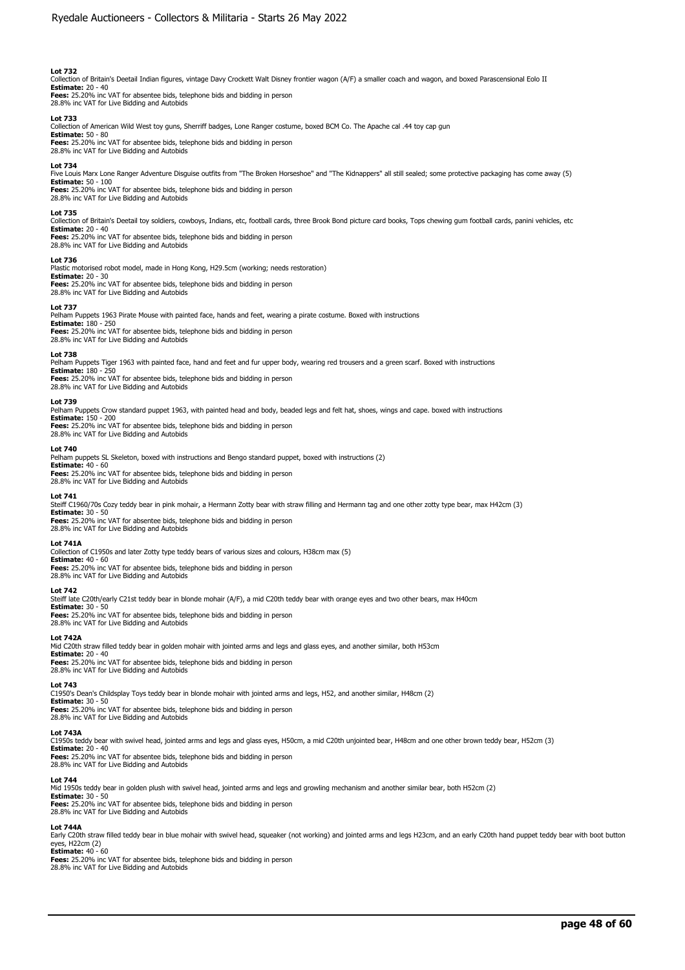Collection of Britain's Deetail Indian figures, vintage Davy Crockett Walt Disney frontier wagon (A/F) a smaller coach and wagon, and boxed Parascensional Eolo II **Estimate:** 20 - 40 **Fees:** 25.20% inc VAT for absentee bids, telephone bids and bidding in person 28.8% inc VAT for Live Bidding and Autobids

#### **Lot 733**

Collection of American Wild West toy guns, Sherriff badges, Lone Ranger costume, boxed BCM Co. The Apache cal .44 toy cap gun

**Estimate:** 50 - 80 **Fees:** 25.20% inc VAT for absentee bids, telephone bids and bidding in person 28.8% inc VAT for Live Bidding and Autobids

#### **Lot 734**

Five Louis Marx Lone Ranger Adventure Disguise outfits from "The Broken Horseshoe" and "The Kidnappers" all still sealed; some protective packaging has come away (5)<br>**Estimate:** 50 - 100

**Fees:** 25.20% inc VAT for absentee bids, telephone bids and bidding in person 28.8% inc VAT for Live Bidding and Autobids

### **Lot 735**

Collection of Britain's Deetail toy soldiers, cowboys, Indians, etc, football cards, three Brook Bond picture card books, Tops chewing gum football cards, panini vehicles, etc **Estimate:** 20 - 40 **Fees:** 25.20% inc VAT for absentee bids, telephone bids and bidding in person

28.8% inc VAT for Live Bidding and Autobids

### **Lot 736**

Plastic motorised robot model, made in Hong Kong, H29.5cm (working; needs restoration) **Estimate:** 20 - 30 **Fees:** 25.20% inc VAT for absentee bids, telephone bids and bidding in person 28.8% inc VAT for Live Bidding and Autobids

#### **Lot 737**

Pelham Puppets 1963 Pirate Mouse with painted face, hands and feet, wearing a pirate costume. Boxed with instructions

**Estimate:** 180 - 250 **Fees:** 25.20% inc VAT for absentee bids, telephone bids and bidding in person 28.8% inc VAT for Live Bidding and Autobids

#### **Lot 738**

Pelham Puppets Tiger 1963 with painted face, hand and feet and fur upper body, wearing red trousers and a green scarf. Boxed with instructions **Estimate:** 180 - 250

**Fees:** 25.20% inc VAT for absentee bids, telephone bids and bidding in person 28.8% inc VAT for Live Bidding and Autobids

#### **Lot 739**

Pelham Puppets Crow standard puppet 1963, with painted head and body, beaded legs and felt hat, shoes, wings and cape. boxed with instructions **Estimate:** 150 - 200 **Fees:** 25.20% inc VAT for absentee bids, telephone bids and bidding in person

28.8% inc VAT for Live Bidding and Autobids

# **Lot 740**

Pelham puppets SL Skeleton, boxed with instructions and Bengo standard puppet, boxed with instructions (2) **Estimate:** 40 - 60 **Fees:** 25.20% inc VAT for absentee bids, telephone bids and bidding in person 28.8% inc VAT for Live Bidding and Autobids

#### **Lot 741**

Steiff C1960/70s Cozy teddy bear in pink mohair, a Hermann Zotty bear with straw filling and Hermann tag and one other zotty type bear, max H42cm (3) **Estimate:** 30 - 50

**Fees:** 25.20% inc VAT for absentee bids, telephone bids and bidding in person

# 28.8% inc VAT for Live Bidding and Autobids

**Lot 741A**  Collection of C1950s and later Zotty type teddy bears of various sizes and colours, H38cm max (5) **Estimate:** 40 - 60

**Fees:** 25.20% inc VAT for absentee bids, telephone bids and bidding in person 28.8% inc VAT for Live Bidding and Autobids

#### **Lot 742**

Steiff late C20th/early C21st teddy bear in blonde mohair (A/F), a mid C20th teddy bear with orange eyes and two other bears, max H40cm

**Estimate:** 30 - 50 **Fees:** 25.20% inc VAT for absentee bids, telephone bids and bidding in person 28.8% inc VAT for Live Bidding and Autobids

#### **Lot 742A**

Mid C20th straw filled teddy bear in golden mohair with jointed arms and legs and glass eyes, and another similar, both H53cm

**Estimate:** 20 - 40<br>**Fees:** 25.20% inc VAT for absentee bids, telephone bids and bidding in person<br>28.8% inc VAT for Live Bidding and Autobids

#### **Lot 743**

C1950's Dean's Childsplay Toys teddy bear in blonde mohair with jointed arms and legs, H52, and another similar, H48cm (2) **Estimate:** 30 - 50

**Fees:** 25.20% inc VAT for absentee bids, telephone bids and bidding in person 28.8% inc VAT for Live Bidding and Autobids

### **Lot 743A**

C1950s teddy bear with swivel head, jointed arms and legs and glass eyes, H50cm, a mid C20th unjointed bear, H48cm and one other brown teddy bear, H52cm (3) **Estimate:** 20 - 40 **Fees:** 25.20% inc VAT for absentee bids, telephone bids and bidding in person 28.8% inc VAT for Live Bidding and Autobids

#### **Lot 744**

Mid 1950s teddy bear in golden plush with swivel head, jointed arms and legs and growling mechanism and another similar bear, both H52cm (2)

**Estimate:** 30 - 50<br>**Fees:** 25.20% inc VAT for absentee bids, telephone bids and bidding in person<br>28.8% inc VAT for Live Bidding and Autobids

# **Lot 744A**

Early C20th straw filled teddy bear in blue mohair with swivel head, squeaker (not working) and jointed arms and legs H23cm, and an early C20th hand puppet teddy bear with boot button eyes, H22cm (2) **Estimate:** 40 - 60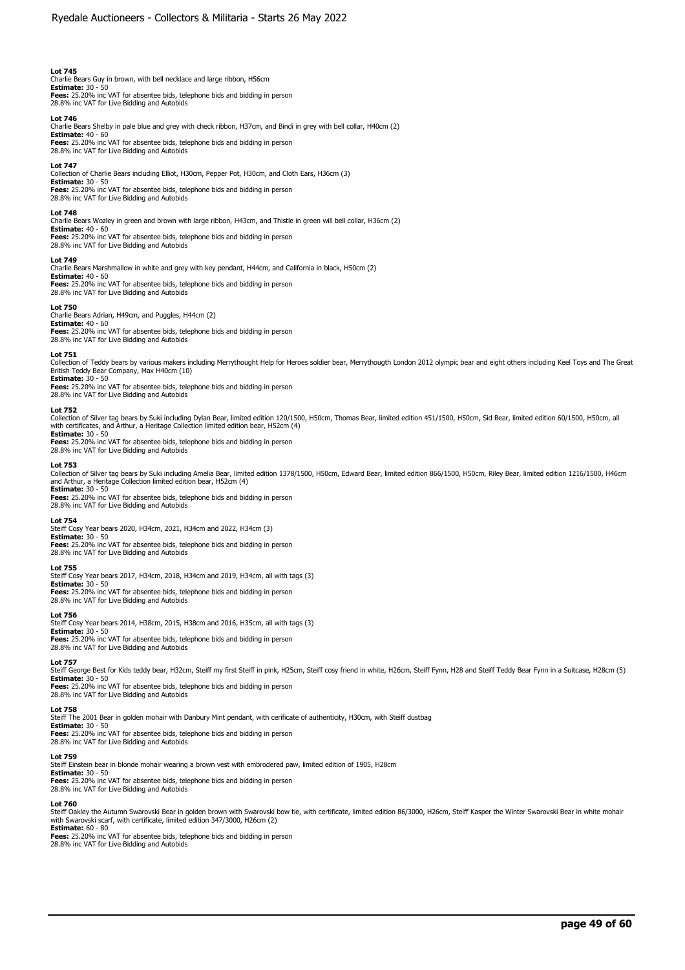Charlie Bears Guy in brown, with bell necklace and large ribbon, H56cm **Estimate:** 30 - 50 **Fees:** 25.20% inc VAT for absentee bids, telephone bids and bidding in person

28.8% inc VAT for Live Bidding and Autobids

# **Lot 746**

Charlie Bears Shelby in pale blue and grey with check ribbon, H37cm, and Bindi in grey with bell collar, H40cm (2) **Estimate:** 40 - 60

**Fees:** 25.20% inc VAT for absentee bids, telephone bids and bidding in person 28.8% inc VAT for Live Bidding and Autobids

### **Lot 747**

Collection of Charlie Bears including Elliot, H30cm, Pepper Pot, H30cm, and Cloth Ears, H36cm (3) **Estimate:** 30 - 50 **Fees:** 25.20% inc VAT for absentee bids, telephone bids and bidding in person 28.8% inc VAT for Live Bidding and Autobids

**Lot 748** 

Charlie Bears Wozley in green and brown with large ribbon, H43cm, and Thistle in green will bell collar, H36cm (2)

**Estimate:** 40 - 60 **Fees:** 25.20% inc VAT for absentee bids, telephone bids and bidding in person 28.8% inc VAT for Live Bidding and Autobids

**Lot 749** 

Charlie Bears Marshmallow in white and grey with key pendant, H44cm, and California in black, H50cm (2) **Estimate:** 40 - 60 **Fees:** 25.20% inc VAT for absentee bids, telephone bids and bidding in person 28.8% inc VAT for Live Bidding and Autobids

#### **Lot 750**

Charlie Bears Adrian, H49cm, and Puggles, H44cm (2)

**Estimate:** 40 - 60 **Fees:** 25.20% inc VAT for absentee bids, telephone bids and bidding in person 28.8% inc VAT for Live Bidding and Autobids

#### **Lot 751**

Collection of Teddy bears by various makers including Merrythought Help for Heroes soldier bear, Merrythougth London 2012 olympic bear and eight others including Keel Toys and The Great British Teddy Bear Company, Max H40cm (10) **Estimate:** 30 - 50

**Fees:** 25.20% inc VAT for absentee bids, telephone bids and bidding in person 28.8% inc VAT for Live Bidding and Autobids

## **Lot 752**

Collection of Silver tag bears by Suki including Dylan Bear, limited edition 120/1500, H50cm, Thomas Bear, limited edition 451/1500, H50cm, Sid Bear, limited edition 60/1500, H50cm, all<br>with certificates, and Arthur, a Her **Estimate:** 30 - 50

**Fees:** 25.20% inc VAT for absentee bids, telephone bids and bidding in person 28.8% inc VAT for Live Bidding and Autobids

# **Lot 753**

Collection of Silver tag bears by Suki including Amelia Bear, limited edition 1378/1500, H50cm, Edward Bear, limited edition 866/1500, H50cm, Riley Bear, limited edition 1216/1500, H46cm<br>and Arthur, a Heritage Collection l

**Estimate:** 30 - 50 **Fees:** 25.20% inc VAT for absentee bids, telephone bids and bidding in person 28.8% inc VAT for Live Bidding and Autobids

**Lot 754**  Steiff Cosy Year bears 2020, H34cm, 2021, H34cm and 2022, H34cm (3) **Estimate:** 30 - 50

**Fees:** 25.20% inc VAT for absentee bids, telephone bids and bidding in person 28.8% inc VAT for Live Bidding and Autobids

#### **Lot 755**

Steiff Cosy Year bears 2017, H34cm, 2018, H34cm and 2019, H34cm, all with tags (3) **Estimate:** 30 - 50

**Fees:** 25.20% inc VAT for absentee bids, telephone bids and bidding in person

28.8% inc VAT for Live Bidding and Autobids

# **Lot 756**

Steiff Cosy Year bears 2014, H38cm, 2015, H38cm and 2016, H35cm, all with tags (3) **Estimate:** 30 - 50

**Fees:** 25.20% inc VAT for absentee bids, telephone bids and bidding in person 28.8% inc VAT for Live Bidding and Autobids

#### **Lot 757**

Steiff George Best for Kids teddy bear, H32cm, Steiff my first Steiff in pink, H25cm, Steiff cosy friend in white, H26cm, Steiff Fynn, H28 and Steiff Teddy Bear Fynn in a Suitcase, H28cm (5) **Estimate:** 30 - 50 **Fees:** 25.20% inc VAT for absentee bids, telephone bids and bidding in person

28.8% inc VAT for Live Bidding and Autobids

# **Lot 758**

Steiff The 2001 Bear in golden mohair with Danbury Mint pendant, with cerificate of authenticity, H30cm, with Steiff dustbag **Estimate:** 30 - 50

**Fees:** 25.20% inc VAT for absentee bids, telephone bids and bidding in person 28.8% inc VAT for Live Bidding and Autobids

#### **Lot 759**

Steiff Einstein bear in blonde mohair wearing a brown vest with embrodered paw, limited edition of 1905, H28cm

**Estimate:** 30 - 50 **Fees:** 25.20% inc VAT for absentee bids, telephone bids and bidding in person 28.8% inc VAT for Live Bidding and Autobids

**Lot 760**<br>Steiff Oakley the Autumn Swarovski Bear in golden brown with Swarovski bow tie, with certificate, limited edition 86/3000, H26cm, Steiff Kasper the Winter Swarovski Bear in white mohair<br>with Swarovski scarf, with with Swarovski scarf, with certificate, limited edition 347/3000, H26cm (2) **Estimate:** 60 - 80

**Fees:** 25.20% inc VAT for absentee bids, telephone bids and bidding in person

28.8% inc VAT for Live Bidding and Autobids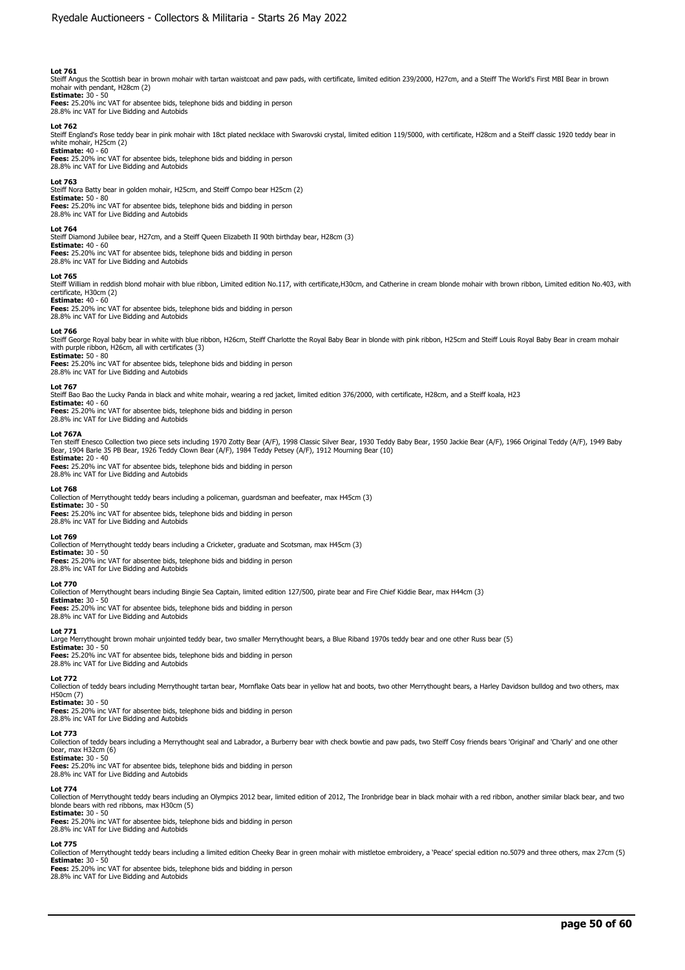Steiff Angus the Scottish bear in brown mohair with tartan waistcoat and paw pads, with certificate, limited edition 239/2000, H27cm, and a Steiff The World's First MBI Bear in brown mohair with pendant, H28cm (2)

**Estimate:** 30 - 50 **Fees:** 25.20% inc VAT for absentee bids, telephone bids and bidding in person 28.8% inc VAT for Live Bidding and Autobids

#### **Lot 762**

Steiff England's Rose teddy bear in pink mohair with 18ct plated necklace with Swarovski crystal, limited edition 119/5000, with certificate, H28cm and a Steiff classic 1920 teddy bear in white mohair, H25cm (2) **Estimate:** 40 - 60

**Fees:** 25.20% inc VAT for absentee bids, telephone bids and bidding in person 28.8% inc VAT for Live Bidding and Autobids

### **Lot 763**

Steiff Nora Batty bear in golden mohair, H25cm, and Steiff Compo bear H25cm (2) **Estimate:** 50 - 80 **Fees:** 25.20% inc VAT for absentee bids, telephone bids and bidding in person 28.8% inc VAT for Live Bidding and Autobids

#### **Lot 764**

Steiff Diamond Jubilee bear, H27cm, and a Steiff Queen Elizabeth II 90th birthday bear, H28cm (3)

**Estimate:** 40 - 60 **Fees:** 25.20% inc VAT for absentee bids, telephone bids and bidding in person 28.8% inc VAT for Live Bidding and Autobids

#### **Lot 765**

Steiff William in reddish blond mohair with blue ribbon, Limited edition No.117, with certificate,H30cm, and Catherine in cream blonde mohair with brown ribbon, Limited edition No.403, with certificate, H30cm (2)

# **Estimate:** 40 - 60

**Fees:** 25.20% inc VAT for absentee bids, telephone bids and bidding in person 28.8% inc VAT for Live Bidding and Autobids

#### **Lot 766**

Steiff George Royal baby bear in white with blue ribbon, H26cm, Steiff Charlotte the Royal Baby Bear in blonde with pink ribbon, H25cm and Steiff Louis Royal Baby Bear in cream mohair with purple ribbon, H26cm, all with certificates (3)

**Estimate:** 50 - 80 **Fees:** 25.20% inc VAT for absentee bids, telephone bids and bidding in person 28.8% inc VAT for Live Bidding and Autobids

#### **Lot 767**

Steiff Bao Bao the Lucky Panda in black and white mohair, wearing a red jacket, limited edition 376/2000, with certificate, H28cm, and a Steiff koala, H23

**Estimate:** 40 - 60 **Fees:** 25.20% inc VAT for absentee bids, telephone bids and bidding in person 28.8% inc VAT for Live Bidding and Autobids

#### **Lot 767A**

Ten steiff Enesco Collection two piece sets including 1970 Zotty Bear (A/F), 1998 Classic Silver Bear, 1930 Teddy Baby Bear, 1950 Jackie Bear (A/F), 1966 Original Teddy (A/F), 1949 Baby<br>Bear, 1904 Barle 35 PB Bear, 1926 Te

**Estimate:** 20 - 40 **Fees:** 25.20% inc VAT for absentee bids, telephone bids and bidding in person 28.8% inc VAT for Live Bidding and Autobids

#### **Lot 768**

Collection of Merrythought teddy bears including a policeman, guardsman and beefeater, max H45cm (3) **Estimate:** 30 - 50

**Fees:** 25.20% inc VAT for absentee bids, telephone bids and bidding in person 28.8% inc VAT for Live Bidding and Autobids

### **Lot 769**

Collection of Merrythought teddy bears including a Cricketer, graduate and Scotsman, max H45cm (3)

**Estimate:** 30 - 50 **Fees:** 25.20% inc VAT for absentee bids, telephone bids and bidding in person

28.8% inc VAT for Live Bidding and Autobids

#### **Lot 770**

Collection of Merrythought bears including Bingie Sea Captain, limited edition 127/500, pirate bear and Fire Chief Kiddie Bear, max H44cm (3)

**Estimate:** 30 - 50

**Fees:** 25.20% inc VAT for absentee bids, telephone bids and bidding in person 28.8% inc VAT for Live Bidding and Autobids

# **Lot 771**

Large Merrythought brown mohair unjointed teddy bear, two smaller Merrythought bears, a Blue Riband 1970s teddy bear and one other Russ bear (5)

**Estimate:** 30 - 50<br>**Fees:** 25.20% inc VAT for absentee bids, telephone bids and bidding in person<br>28.8% inc VAT for Live Bidding and Autobids

# **Lot 772**

Collection of teddy bears including Merrythought tartan bear, Mornflake Oats bear in yellow hat and boots, two other Merrythought bears, a Harley Davidson bulldog and two others, max H50cm (7)

# **Estimate:** 30 - 50

**Fees:** 25.20% inc VAT for absentee bids, telephone bids and bidding in person 28.8% inc VAT for Live Bidding and Autobids

# **Lot 773**

Collection of teddy bears including a Merrythought seal and Labrador, a Burberry bear with check bowtie and paw pads, two Steiff Cosy friends bears 'Original' and 'Charly' and one other bear, max H32cm (6) **Estimate:** 30 - 50

**Fees:** 25.20% inc VAT for absentee bids, telephone bids and bidding in person 28.8% inc VAT for Live Bidding and Autobids

#### **Lot 774**

Collection of Merrythought teddy bears including an Olympics 2012 bear, limited edition of 2012, The Ironbridge bear in black mohair with a red ribbon, another similar black bear, and two<br>blonde bears with red ribbons, max

# **Estimate:** 30 - 50

**Fees:** 25.20% inc VAT for absentee bids, telephone bids and bidding in person 28.8% inc VAT for Live Bidding and Autobids

# **Lot 775**

Collection of Merrythought teddy bears including a limited edition Cheeky Bear in green mohair with mistletoe embroidery, a 'Peace' special edition no.5079 and three others, max 27cm (5) **Estimate:** 30 - 50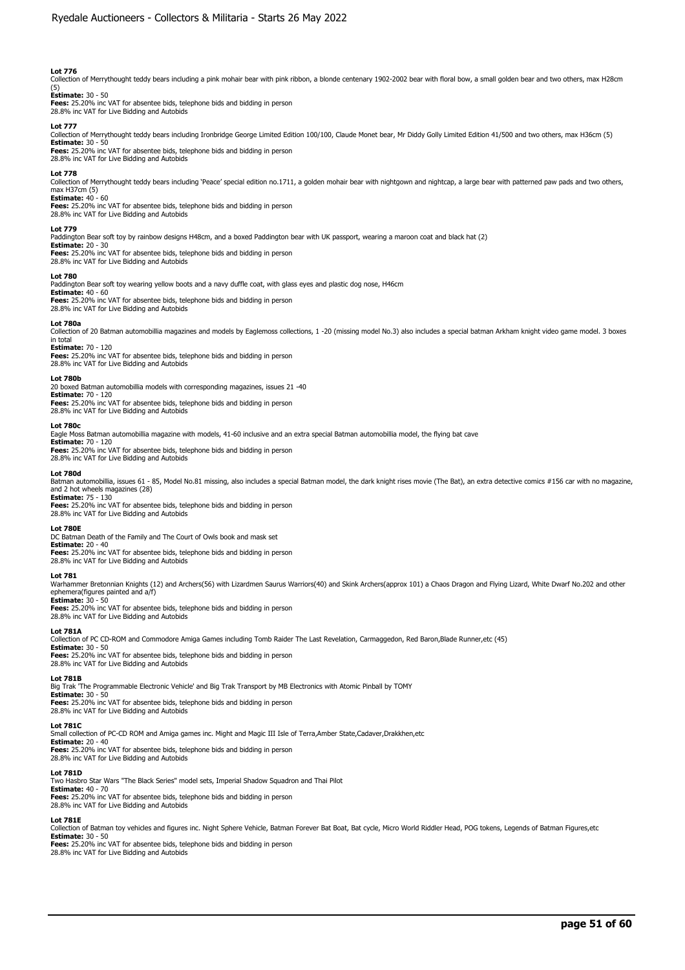Collection of Merrythought teddy bears including a pink mohair bear with pink ribbon, a blonde centenary 1902-2002 bear with floral bow, a small golden bear and two others, max H28cm

# (5) **Estimate:** 30 - 50

**Fees:** 25.20% inc VAT for absentee bids, telephone bids and bidding in person 28.8% inc VAT for Live Bidding and Autobids

#### **Lot 777**

Collection of Merrythought teddy bears including Ironbridge George Limited Edition 100/100, Claude Monet bear, Mr Diddy Golly Limited Edition 41/500 and two others, max H36cm (5)

**Estimate:** 30 - 50 **Fees:** 25.20% inc VAT for absentee bids, telephone bids and bidding in person 28.8% inc VAT for Live Bidding and Autobids

### **Lot 778**

Collection of Merrythought teddy bears including 'Peace' special edition no.1711, a golden mohair bear with nightgown and nightcap, a large bear with patterned paw pads and two others, max H37cm (5) **Estimate:** 40 - 60

**Fees:** 25.20% inc VAT for absentee bids, telephone bids and bidding in person 28.8% inc VAT for Live Bidding and Autobids

#### **Lot 779**

Paddington Bear soft toy by rainbow designs H48cm, and a boxed Paddington bear with UK passport, wearing a maroon coat and black hat (2)

**Estimate:** 20 - 30 **Fees:** 25.20% inc VAT for absentee bids, telephone bids and bidding in person

28.8% inc VAT for Live Bidding and Autobids

#### **Lot 780**

Paddington Bear soft toy wearing yellow boots and a navy duffle coat, with glass eyes and plastic dog nose, H46cm

**Estimate: 4**0 - 60<br>**Fees:** 25.20% inc VAT for absentee bids, telephone bids and bidding in person<br>28.8% inc VAT for Live Bidding and Autobids

#### **Lot 780a**

Collection of 20 Batman automobillia magazines and models by Eaglemoss collections, 1 -20 (missing model No.3) also includes a special batman Arkham knight video game model. 3 boxes in total **Estimate:** 70 - 120

**Fees:** 25.20% inc VAT for absentee bids, telephone bids and bidding in person 28.8% inc VAT for Live Bidding and Autobids

#### **Lot 780b**

20 boxed Batman automobillia models with corresponding magazines, issues 21 -40 **Estimate:** 70 - 120 **Fees:** 25.20% inc VAT for absentee bids, telephone bids and bidding in person 28.8% inc VAT for Live Bidding and Autobids

#### **Lot 780c**

Eagle Moss Batman automobillia magazine with models, 41-60 inclusive and an extra special Batman automobillia model, the flying bat cave

# **Estimate:** 70 - 120 **Fees:** 25.20% inc VAT for absentee bids, telephone bids and bidding in person

28.8% inc VAT for Live Bidding and Autobids

### **Lot 780d**

Batman automobillia, issues 61 - 85, Model No.81 missing, also includes a special Batman model, the dark knight rises movie (The Bat), an extra detective comics #156 car with no magazine, and 2 hot wheels magazines (28)

**Estimate:** 75 - 130 **Fees:** 25.20% inc VAT for absentee bids, telephone bids and bidding in person 28.8% inc VAT for Live Bidding and Autobids

#### **Lot 780E**

DC Batman Death of the Family and The Court of Owls book and mask set

**Estimate:** 20 - 40 **Fees:** 25.20% inc VAT for absentee bids, telephone bids and bidding in person 28.8% inc VAT for Live Bidding and Autobids

#### **Lot 781**

Warhammer Bretonnian Knights (12) and Archers(56) with Lizardmen Saurus Warriors(40) and Skink Archers(approx 101) a Chaos Dragon and Flying Lizard, White Dwarf No.202 and other<br>ephemera(figures painted and a/f) **Estimate:** 30 - 50

**Fees:** 25.20% inc VAT for absentee bids, telephone bids and bidding in person 28.8% inc VAT for Live Bidding and Autobids

#### **Lot 781A**

Collection of PC CD-ROM and Commodore Amiga Games including Tomb Raider The Last Revelation, Carmaggedon, Red Baron,Blade Runner,etc (45)

**Estimate:** 30 - 50<br>**Fees:** 25.20% inc VAT for absentee bids, telephone bids and bidding in person<br>28.8% inc VAT for Live Bidding and Autobids

# **Lot 781B**

Big Trak 'The Programmable Electronic Vehicle' and Big Trak Transport by MB Electronics with Atomic Pinball by TOMY

#### **Estimate:** 30 - 50 **Fees:** 25.20% inc VAT for absentee bids, telephone bids and bidding in person

28.8% inc VAT for Live Bidding and Autobids

# **Lot 781C**

Small collection of PC-CD ROM and Amiga games inc. Might and Magic III Isle of Terra,Amber State,Cadaver,Drakkhen,etc **Estimate:** 20 - 40

**Fees:** 25.20% inc VAT for absentee bids, telephone bids and bidding in person 28.8% inc VAT for Live Bidding and Autobids

#### **Lot 781D**

Two Hasbro Star Wars "The Black Series" model sets, Imperial Shadow Squadron and Thai Pilot **Estimate: 4**0 - 70<br>**Fees:** 25.20% inc VAT for absentee bids, telephone bids and bidding in person<br>28.8% inc VAT for Live Bidding and Autobids

# **Lot 781E**

Collection of Batman toy vehicles and figures inc. Night Sphere Vehicle, Batman Forever Bat Boat, Bat cycle, Micro World Riddler Head, POG tokens, Legends of Batman Figures,etc **Estimate:** 30 - 50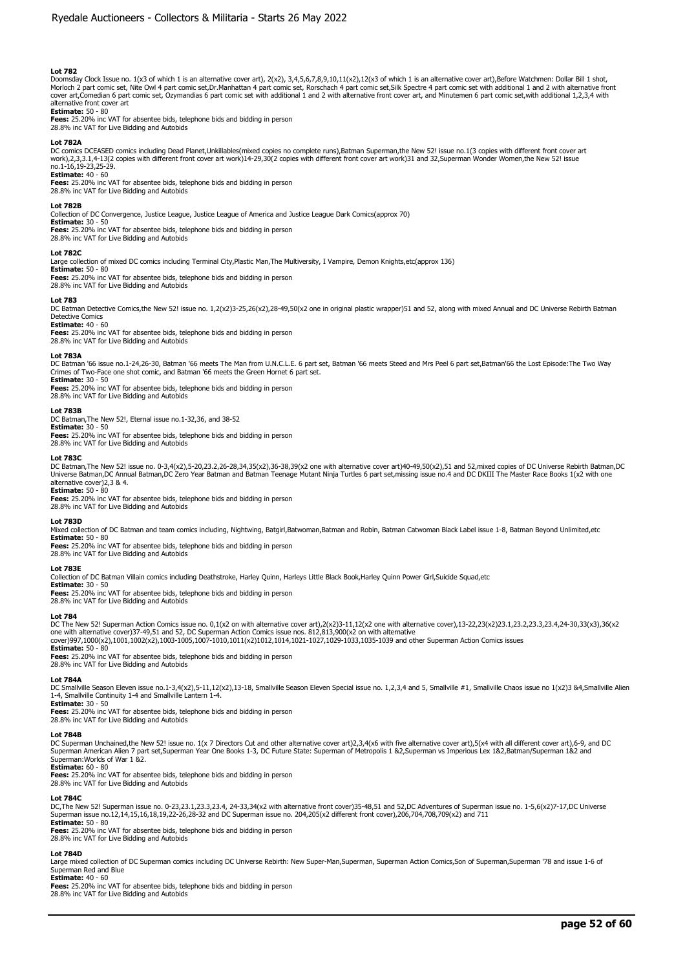Doomsday Clock Issue no. 1(x3 of which 1 is an alternative cover art), 2(x2), 3,4,5,6,7,8,9,10,11(x2),12(x3 of which 1 is an alternative cover art),Before Watchmen: Dollar Bill 1 shot,<br>Morloch 2 part comic set, Nite Owl 4 alternative front cover art

**Estimate:** 50 - 80 **Fees:** 25.20% inc VAT for absentee bids, telephone bids and bidding in person

28.8% inc VAT for Live Bidding and Autobids

#### **Lot 782A**

DC comics DCEASED comics including Dead Planet,Unkillables(mixed copies no complete runs),Batman Superman,the New 52! issue no.1(3 copies with different front cover art work),2,3,3.1,4-13(2 copies with different front cover art work)14-29,30(2 copies with different front cover art work)31 and 32,Superman Wonder Women,the New 52! issue no.1-16,19-23,25-29.

# **Estimate:** 40 - 60

**Fees:** 25.20% inc VAT for absentee bids, telephone bids and bidding in person 28.8% inc VAT for Live Bidding and Autobids

#### **Lot 782B**

Collection of DC Convergence, Justice League, Justice League of America and Justice League Dark Comics(approx 70) **Estimate:** 30 - 50

**Fees:** 25.20% inc VAT for absentee bids, telephone bids and bidding in person

# 28.8% inc VAT for Live Bidding and Autobids

**Lot 782C** 

Large collection of mixed DC comics including Terminal City,Plastic Man,The Multiversity, I Vampire, Demon Knights,etc(approx 136)

**Estimate:** 50 - 80 **Fees:** 25.20% inc VAT for absentee bids, telephone bids and bidding in person 28.8% inc VAT for Live Bidding and Autobids

## **Lot 783**

DC Batman Detective Comics,the New 52! issue no. 1,2(x2)3-25,26(x2),28-49,50(x2 one in original plastic wrapper)51 and 52, along with mixed Annual and DC Universe Rebirth Batman Detective Comics

# **Estimate:** 40 - 60

**Fees:** 25.20% inc VAT for absentee bids, telephone bids and bidding in person 28.8% inc VAT for Live Bidding and Autobids

#### **Lot 783A**

DC Batman '66 issue no.1-24,26-30, Batman '66 meets The Man from U.N.C.L.E. 6 part set, Batman '66 meets Steed and Mrs Peel 6 part set,Batman'66 the Lost Episode:The Two Way Crimes of Two-Face one shot comic, and Batman '66 meets the Green Hornet 6 part set. **Estimate:** 30 - 50

**Fees:** 25.20% inc VAT for absentee bids, telephone bids and bidding in person

28.8% inc VAT for Live Bidding and Autobids

### **Lot 783B**

DC Batman,The New 52!, Eternal issue no.1-32,36, and 38-52 **Estimate:** 30 - 50

**Fees:** 25.20% inc VAT for absentee bids, telephone bids and bidding in person 28.8% inc VAT for Live Bidding and Autobids

**Lot 783C** 

DC Batman,The New 52! issue no. 0-3,4(x2),5-20,23.2,26-28,34,35(x2),36-38,39(x2 one with alternative cover art)40-49,50(x2),51 and 52,mixed copies of DC Universe Rebirth Batman,DC Universe Batman,DC Annual Batman,DC Zero Year Batman and Batman Teenage Mutant Ninja Turtles 6 part set,missing issue no.4 and DC DKIII The Master Race Books 1(x2 with one alternative cover)2,3 & 4.

**Estimate:** 50 - 80

**Fees:** 25.20% inc VAT for absentee bids, telephone bids and bidding in person 28.8% inc VAT for Live Bidding and Autobids

### **Lot 783D**

Mixed collection of DC Batman and team comics including, Nightwing, Batgirl,Batwoman,Batman and Robin, Batman Catwoman Black Label issue 1-8, Batman Beyond Unlimited,etc

# **Estimate:** 50 - 80

**Fees:** 25.20% inc VAT for absentee bids, telephone bids and bidding in person 28.8% inc VAT for Live Bidding and Autobids

#### **Lot 783E**

Collection of DC Batman Villain comics including Deathstroke, Harley Quinn, Harleys Little Black Book,Harley Quinn Power Girl,Suicide Squad,etc

# **Estimate:** 30 - 50

**Fees:** 25.20% inc VAT for absentee bids, telephone bids and bidding in person 28.8% inc VAT for Live Bidding and Autobids

**Lot 784** 

DC The New 52! Superman Action Comics issue no. 0,1(x2 on with alternative cover art),2(x2)3-11,12(x2 one with alternative cover),13-22,23(x2)23.1,23.2,23.3,23.4,24-30,33(x3),36(x2<br>one with alternative cover)37-49,51 and 5

cover)997,1000(x2),1001,1002(x2),1003-1005,1007-1010,1011(x2)1012,1014,1021-1027,1029-1033,1035-1039 and other Superman Action Comics issues

**Estimate:** 50 - 80 **Fees:** 25.20% inc VAT for absentee bids, telephone bids and bidding in person

28.8% inc VAT for Live Bidding and Autobids

#### **Lot 784A**

DC Smallville Season Eleven issue no.1-3,4(x2),5-11,12(x2),13-18, Smallville Season Eleven Special issue no. 1,2,3,4 and 5, Smallville #1, Smallville Chaos issue no 1(x2)3 &4,Smallville Alien 1-4, Smallville Continuity 1-4 and Smallville Lantern 1-4.

**Estimate:** 30 - 50

**Fees:** 25.20% inc VAT for absentee bids, telephone bids and bidding in person 28.8% inc VAT for Live Bidding and Autobids

# **Lot 784B**

DC Superman Unchained,the New 52! issue no. 1(x 7 Directors Cut and other alternative cover art)2,3,4(x6 with five alternative cover art),5(x4 with all different cover art),6-9, and DC Superman American Alien 7 part set,Superman Year One Books 1-3, DC Future State: Superman of Metropolis 1 &2,Superman vs Imperious Lex 1&2,Batman/Superman 1&2 and Superman:Worlds of War 1 &2.

# **Estimate:** 60 - 80

**Fees:** 25.20% inc VAT for absentee bids, telephone bids and bidding in person 28.8% inc VAT for Live Bidding and Autobids

**Lot 784C** 

DC,The New 52! Superman issue no. 0-23,23.1,23.3,23.4, 24-33,34(x2 with alternative front cover)35-48,51 and 52,DC Adventures of Superman issue no. 1-5,6(x2)7-17,DC Universe<br>Superman issue no.12,14,15,16,18,19,22-26,28-32 **Estimate:** 50 - 80

**Fees:** 25.20% inc VAT for absentee bids, telephone bids and bidding in person 28.8% inc VAT for Live Bidding and Autobids

# **Lot 784D**

Large mixed collection of DC Superman comics including DC Universe Rebirth: New Super-Man,Superman, Superman Action Comics,Son of Superman,Superman '78 and issue 1-6 of Superman Red and Blue

**Estimate:** 40 - 60

**Fees:** 25.20% inc VAT for absentee bids, telephone bids and bidding in person

28.8% inc VAT for Live Bidding and Autobids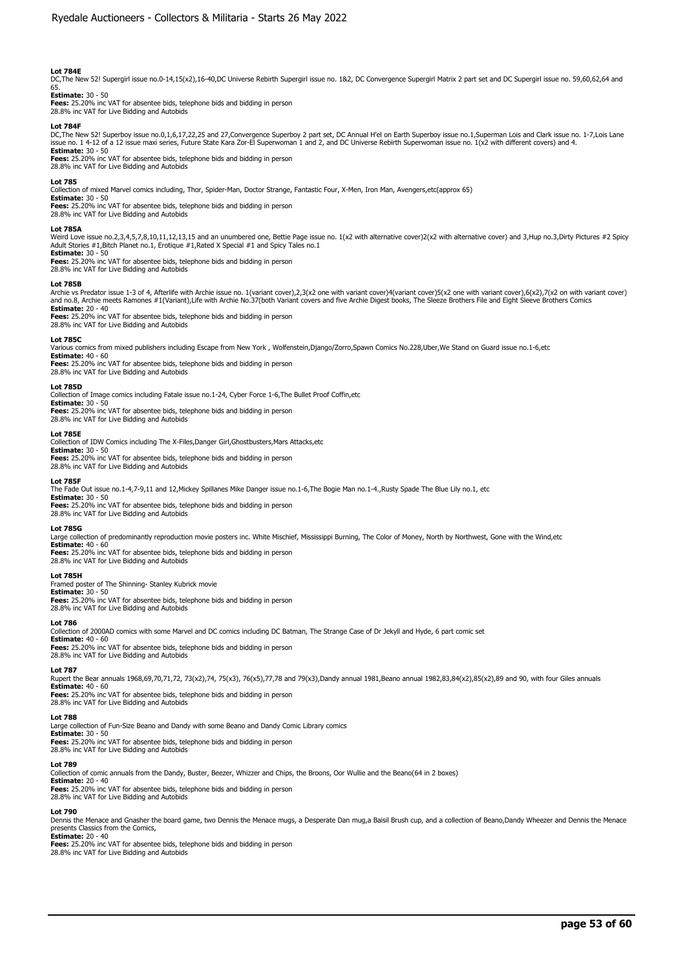# **Lot 784E**

DC,The New 52! Supergirl issue no.0-14,15(x2),16-40,DC Universe Rebirth Supergirl issue no. 1&2, DC Convergence Supergirl Matrix 2 part set and DC Supergirl issue no. 59,60,62,64 and

# 65. **Estimate:** 30 - 50

**Fees:** 25.20% inc VAT for absentee bids, telephone bids and bidding in person 28.8% inc VAT for Live Bidding and Autobids

### **Lot 784F**

DC,The New 52! Superboy issue no.0,1,6,17,22,25 and 27,Convergence Superboy 2 part set, DC Annual H'el on Earth Superboy issue no.1,Superman Lois and Clark issue no. 1-7,Lois Lane<br>issue no. 1 4-12 of a 12 issue maxi series **Estimate:** 30 - 50

**Fees:** 25.20% inc VAT for absentee bids, telephone bids and bidding in person 28.8% inc VAT for Live Bidding and Autobids

# **Lot 785**

Collection of mixed Marvel comics including, Thor, Spider-Man, Doctor Strange, Fantastic Four, X-Men, Iron Man, Avengers,etc(approx 65)

**Estimate:** 30 - 50 **Fees:** 25.20% inc VAT for absentee bids, telephone bids and bidding in person

28.8% inc VAT for Live Bidding and Autobids

#### **Lot 785A**

Weird Love issue no.2,3,4,5,7,8,10,11,12,13,15 and an unumbered one, Bettie Page issue no. 1(x2 with alternative cover) ard thernative cover) and 3,Hup no.3,Dirty Pictures #2 Spicy<br>Adult Stories #1,Bitch Planet no.1, Eroti **Estimate:** 30 - 50

**Fees:** 25.20% inc VAT for absentee bids, telephone bids and bidding in person 28.8% inc VAT for Live Bidding and Autobids

#### **Lot 785B**

Archie vs Predator issue 1-3 of 4, Afterlife with Archie issue no. 1(variant cover),2,3(x2 one with variant cover)(variant cover)5(x2 one with variant cover),6(x2),7(x2 on with variant cover)<br>and no.8, Archie meets Ramones **Estimate:** 20 - 40

**Fees:** 25.20% inc VAT for absentee bids, telephone bids and bidding in person 28.8% inc VAT for Live Bidding and Autobids

# **Lot 785C**

Various comics from mixed publishers including Escape from New York , Wolfenstein,Django/Zorro,Spawn Comics No.228,Uber,We Stand on Guard issue no.1-6,etc **Estimate:** 40 - 60 **Fees:** 25.20% inc VAT for absentee bids, telephone bids and bidding in person

28.8% inc VAT for Live Bidding and Autobids

# **Lot 785D**

Collection of Image comics including Fatale issue no.1-24, Cyber Force 1-6,The Bullet Proof Coffin,etc

**Estimate:** 30 - 50 **Fees:** 25.20% inc VAT for absentee bids, telephone bids and bidding in person 28.8% inc VAT for Live Bidding and Autobids

#### **Lot 785E**

Collection of IDW Comics including The X-Files,Danger Girl,Ghostbusters,Mars Attacks,etc<br>**Estimate:** 30 - 50

**Fees:** 25.20% inc VAT for absentee bids, telephone bids and bidding in person 28.8% inc VAT for Live Bidding and Autobids

## **Lot 785F**

The Fade Out issue no.1-4,7-9,11 and 12,Mickey Spillanes Mike Danger issue no.1-6,The Bogie Man no.1-4.,Rusty Spade The Blue Lily no.1, etc **Estimate:** 30 - 50 **Fees:** 25.20% inc VAT for absentee bids, telephone bids and bidding in person 28.8% inc VAT for Live Bidding and Autobids

#### **Lot 785G**

Large collection of predominantly reproduction movie posters inc. White Mischief, Mississippi Burning, The Color of Money, North by Northwest, Gone with the Wind,etc **Estimate:** 40 - 60 **Fees:** 25.20% inc VAT for absentee bids, telephone bids and bidding in person

28.8% inc VAT for Live Bidding and Autobids

#### **Lot 785H**

Framed poster of The Shinning- Stanley Kubrick movie **Estimate:** 30 - 50 **Fees:** 25.20% inc VAT for absentee bids, telephone bids and bidding in person 28.8% inc VAT for Live Bidding and Autobids

#### **Lot 786**

Collection of 2000AD comics with some Marvel and DC comics including DC Batman, The Strange Case of Dr Jekyll and Hyde, 6 part comic set **Estimate:** 40 - 60 **Fees:** 25.20% inc VAT for absentee bids, telephone bids and bidding in person 28.8% inc VAT for Live Bidding and Autobids

#### **Lot 787**

Rupert the Bear annuals 1968,69,70,71,72, 73(x2),74, 75(x3), 76(x5),77,78 and 79(x3),Dandy annual 1981,Beano annual 1982,83,84(x2),85(x2),89 and 90, with four Giles annuals **Estimate:** 40 - 60 **Fees:** 25.20% inc VAT for absentee bids, telephone bids and bidding in person

28.8% inc VAT for Live Bidding and Autobids

# **Lot 788**

Large collection of Fun-Size Beano and Dandy with some Beano and Dandy Comic Library comics

**Estimate:** 30 - 50<br>**Fees:** 25.20% inc VAT for absentee bids, telephone bids and bidding in person<br>28.8% inc VAT for Live Bidding and Autobids

## **Lot 789**

Collection of comic annuals from the Dandy, Buster, Beezer, Whizzer and Chips, the Broons, Oor Wullie and the Beano(64 in 2 boxes)

**Estimate:** 20 - 40 **Fees:** 25.20% inc VAT for absentee bids, telephone bids and bidding in person 28.8% inc VAT for Live Bidding and Autobids

#### **Lot 790**

Dennis the Menace and Gnasher the board game, two Dennis the Menace mugs, a Desperate Dan mug,a Baisil Brush cup, and a collection of Beano,Dandy Wheezer and Dennis the Menace<br>presents Classics from the Comics, **Estimate:** 20 - 40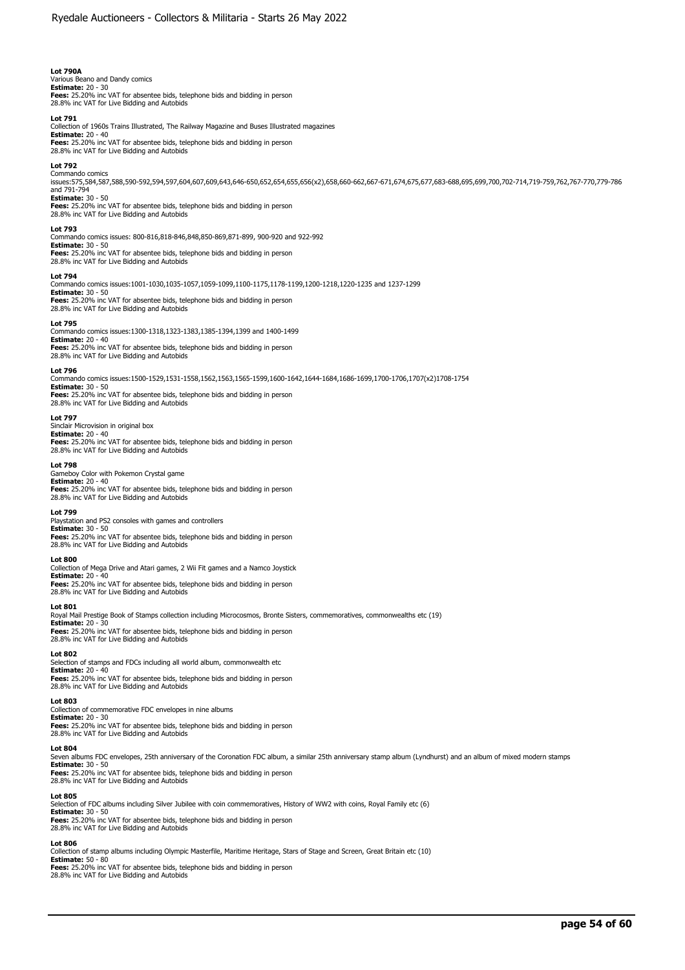# **Lot 790A**

Various Beano and Dandy comics **Estimate:** 20 - 30 **Fees:** 25.20% inc VAT for absentee bids, telephone bids and bidding in person 28.8% inc VAT for Live Bidding and Autobids

#### **Lot 791**

Collection of 1960s Trains Illustrated, The Railway Magazine and Buses Illustrated magazines **Estimate:** 20 - 40 **Fees:** 25.20% inc VAT for absentee bids, telephone bids and bidding in person 28.8% inc VAT for Live Bidding and Autobids

#### **Lot 792**

Commando comics<br>issues:575,584,587,588,590-592,594,597,604,607,609,643,646-650,652,654,655,656(x2),658,660-662,667-671,674,675,677,683-688,695,699,700,702-714,719-759,762,767-770,779-786 and 791-794 **Estimate:** 30 - 50

**Fees:** 25.20% inc VAT for absentee bids, telephone bids and bidding in person 28.8% inc VAT for Live Bidding and Autobids

#### **Lot 793**

Commando comics issues: 800-816,818-846,848,850-869,871-899, 900-920 and 922-992

**Estimate:** 30 - 50 **Fees:** 25.20% inc VAT for absentee bids, telephone bids and bidding in person 28.8% inc VAT for Live Bidding and Autobids

#### **Lot 794**

Commando comics issues:1001-1030,1035-1057,1059-1099,1100-1175,1178-1199,1200-1218,1220-1235 and 1237-1299

**Estimate:** 30 - 50<br>**Fees:** 25.20% inc VAT for absentee bids, telephone bids and bidding in person<br>28.8% inc VAT for Live Bidding and Autobids

#### **Lot 795**

Commando comics issues:1300-1318,1323-1383,1385-1394,1399 and 1400-1499 **Estimate:** 20 - 40 **Fees:** 25.20% inc VAT for absentee bids, telephone bids and bidding in person 28.8% inc VAT for Live Bidding and Autobids

# **Lot 796**

Commando comics issues:1500-1529,1531-1558,1562,1563,1565-1599,1600-1642,1644-1684,1686-1699,1700-1706,1707(x2)1708-1754 **Estimate:** 30 - 50

**Fees:** 25.20% inc VAT for absentee bids, telephone bids and bidding in person 28.8% inc VAT for Live Bidding and Autobids

#### **Lot 797**

Sinclair Microvision in original box **Estimate:** 20 - 40<br>**Fees:** 25.20% inc VAT for absentee bids, telephone bids and bidding in person<br>28.8% inc VAT for Live Bidding and Autobids

### **Lot 798**

Gameboy Color with Pokemon Crystal game **Estimate:** 20 - 40 **Fees:** 25.20% inc VAT for absentee bids, telephone bids and bidding in person 28.8% inc VAT for Live Bidding and Autobids

#### **Lot 799**

Playstation and PS2 consoles with games and controllers **Estimate:** 30 - 50 **Fees:** 25.20% inc VAT for absentee bids, telephone bids and bidding in person 28.8% inc VAT for Live Bidding and Autobids

### **Lot 800**

Collection of Mega Drive and Atari games, 2 Wii Fit games and a Namco Joystick **Estimate:** 20 - 40<br>**Fees:** 25.20% inc VAT for absentee bids, telephone bids and bidding in person<br>28.8% inc VAT for Live Bidding and Autobids

**Lot 801**  Royal Mail Prestige Book of Stamps collection including Microcosmos, Bronte Sisters, commemoratives, commonwealths etc (19) **Estimate:** 20 - 30<br>**Fees:** 25.20% inc VAT for absentee bids, telephone bids and bidding in person<br>28.8% inc VAT for Live Bidding and Autobids

#### **Lot 802**

Selection of stamps and FDCs including all world album, commonwealth etc **Estimate:** 20 - 40 **Fees:** 25.20% inc VAT for absentee bids, telephone bids and bidding in person 28.8% inc VAT for Live Bidding and Autobids

#### **Lot 803**

Collection of commemorative FDC envelopes in nine albums **Estimate:** 20 - 30 **Fees:** 25.20% inc VAT for absentee bids, telephone bids and bidding in person 28.8% inc VAT for Live Bidding and Autobids

#### **Lot 804**

Seven albums FDC envelopes, 25th anniversary of the Coronation FDC album, a similar 25th anniversary stamp album (Lyndhurst) and an album of mixed modern stamps

**Estimate:** 30 - 50<br>**Fees:** 25.20% inc VAT for absentee bids, telephone bids and bidding in person<br>28.8% inc VAT for Live Bidding and Autobids

#### **Lot 805**

Selection of FDC albums including Silver Jubilee with coin commemoratives, History of WW2 with coins, Royal Family etc (6) **Estimate:** 30 - 50

**Fees:** 25.20% inc VAT for absentee bids, telephone bids and bidding in person 28.8% inc VAT for Live Bidding and Autobids

### **Lot 806**

Collection of stamp albums including Olympic Masterfile, Maritime Heritage, Stars of Stage and Screen, Great Britain etc (10)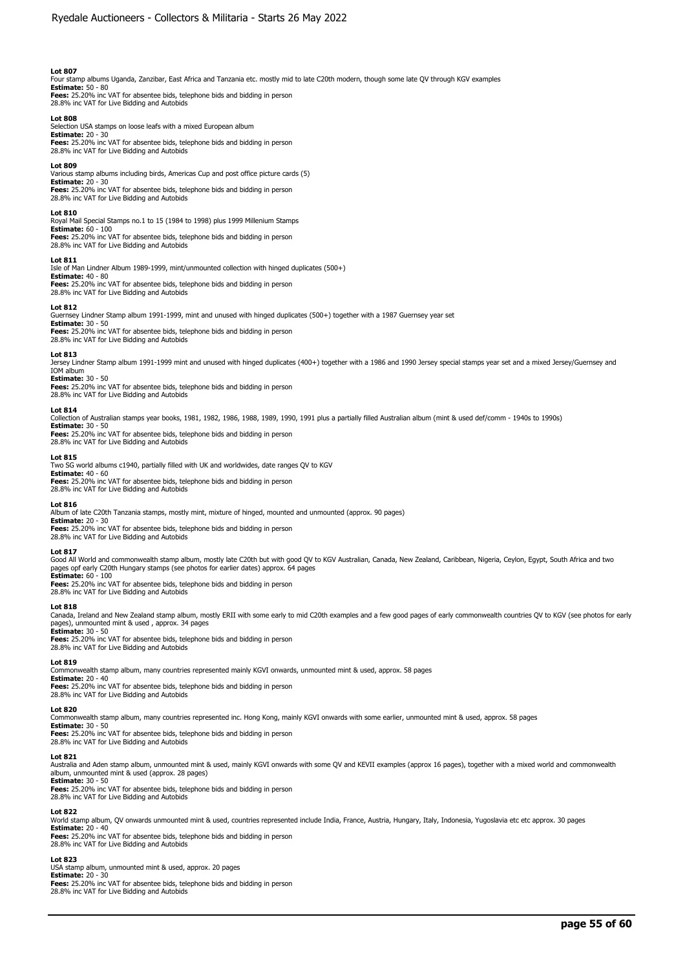Four stamp albums Uganda, Zanzibar, East Africa and Tanzania etc. mostly mid to late C20th modern, though some late QV through KGV examples

**Estimate:** 50 - 80 **Fees:** 25.20% inc VAT for absentee bids, telephone bids and bidding in person 28.8% inc VAT for Live Bidding and Autobids

### **Lot 808**

Selection USA stamps on loose leafs with a mixed European album **Estimate:** 20 - 30 **Fees:** 25.20% inc VAT for absentee bids, telephone bids and bidding in person 28.8% inc VAT for Live Bidding and Autobids

#### **Lot 809**

Various stamp albums including birds, Americas Cup and post office picture cards (5) **Estimate:** 20 - 30

**Fees:** 25.20% inc VAT for absentee bids, telephone bids and bidding in person 28.8% inc VAT for Live Bidding and Autobids

#### **Lot 810**

Royal Mail Special Stamps no.1 to 15 (1984 to 1998) plus 1999 Millenium Stamps **Estimate:** 60 - 100

**Fees:** 25.20% inc VAT for absentee bids, telephone bids and bidding in person 28.8% inc VAT for Live Bidding and Autobids

#### **Lot 811**

Isle of Man Lindner Album 1989-1999, mint/unmounted collection with hinged duplicates (500+) **Estimate:** 40 - 80 **Fees:** 25.20% inc VAT for absentee bids, telephone bids and bidding in person 28.8% inc VAT for Live Bidding and Autobids

#### **Lot 812**

Guernsey Lindner Stamp album 1991-1999, mint and unused with hinged duplicates (500+) together with a 1987 Guernsey year set

**Estimate:** 30 - 50 **Fees:** 25.20% inc VAT for absentee bids, telephone bids and bidding in person 28.8% inc VAT for Live Bidding and Autobids

### **Lot 813**

Jersey Lindner Stamp album 1991-1999 mint and unused with hinged duplicates (400+) together with a 1986 and 1990 Jersey special stamps year set and a mixed Jersey/Guernsey and IOM album

# **Estimate:** 30 - 50

**Fees:** 25.20% inc VAT for absentee bids, telephone bids and bidding in person 28.8% inc VAT for Live Bidding and Autobids

#### **Lot 814**

Collection of Australian stamps year books, 1981, 1982, 1986, 1988, 1989, 1990, 1991 plus a partially filled Australian album (mint & used def/comm - 1940s to 1990s) **Estimate:** 30 - 50

**Fees:** 25.20% inc VAT for absentee bids, telephone bids and bidding in person 28.8% inc VAT for Live Bidding and Autobids

### **Lot 815**

Two SG world albums c1940, partially filled with UK and worldwides, date ranges QV to KGV **Estimate:** 40 - 60 **Fees:** 25.20% inc VAT for absentee bids, telephone bids and bidding in person

28.8% inc VAT for Live Bidding and Autobids

**Lot 816**  Album of late C20th Tanzania stamps, mostly mint, mixture of hinged, mounted and unmounted (approx. 90 pages)

# **Estimate:** 20 - 30

**Fees:** 25.20% inc VAT for absentee bids, telephone bids and bidding in person 28.8% inc VAT for Live Bidding and Autobids

#### **Lot 817**

Good All World and commonwealth stamp album, mostly late C20th but with good QV to KGV Australian, Canada, New Zealand, Caribbean, Nigeria, Ceylon, Egypt, South Africa and two pages opf early C20th Hungary stamps (see photos for earlier dates) approx. 64 pages **Estimate:** 60 - 100

**Fees:** 25.20% inc VAT for absentee bids, telephone bids and bidding in person 28.8% inc VAT for Live Bidding and Autobids

#### **Lot 818**

Canada, Ireland and New Zealand stamp album, mostly ERII with some early to mid C20th examples and a few good pages of early commonwealth countries QV to KGV (see photos for early pages), unmounted mint & used , approx. 34 pages

#### **Estimate:** 30 - 50 **Fees:** 25.20% inc VAT for absentee bids, telephone bids and bidding in person 28.8% inc VAT for Live Bidding and Autobids

#### **Lot 819**

Commonwealth stamp album, many countries represented mainly KGVI onwards, unmounted mint & used, approx. 58 pages

**Estimate:** 20 - 40 **Fees:** 25.20% inc VAT for absentee bids, telephone bids and bidding in person 28.8% inc VAT for Live Bidding and Autobids

# **Lot 820**

Commonwealth stamp album, many countries represented inc. Hong Kong, mainly KGVI onwards with some earlier, unmounted mint & used, approx. 58 pages

**Estimate:** 30 - 50 **Fees:** 25.20% inc VAT for absentee bids, telephone bids and bidding in person 28.8% inc VAT for Live Bidding and Autobids

#### **Lot 821**

Australia and Aden stamp album, unmounted mint & used, mainly KGVI onwards with some QV and KEVII examples (approx 16 pages), together with a mixed world and commonwealth album, unmounted mint & used (approx. 28 pages)

### **Estimate:** 30 - 50

**Fees:** 25.20% inc VAT for absentee bids, telephone bids and bidding in person 28.8% inc VAT for Live Bidding and Autobids

### **Lot 822**

World stamp album, QV onwards unmounted mint & used, countries represented include India, France, Austria, Hungary, Italy, Indonesia, Yugoslavia etc etc approx. 30 pages<br>**Estimate:** 20 - 40

**Fees:** 25.20% inc VAT for absentee bids, telephone bids and bidding in person 28.8% inc VAT for Live Bidding and Autobids

# **Lot 823**

USA stamp album, unmounted mint & used, approx. 20 pages **Estimate:** 20 - 30 **Fees:** 25.20% inc VAT for absentee bids, telephone bids and bidding in person

28.8% inc VAT for Live Bidding and Autobids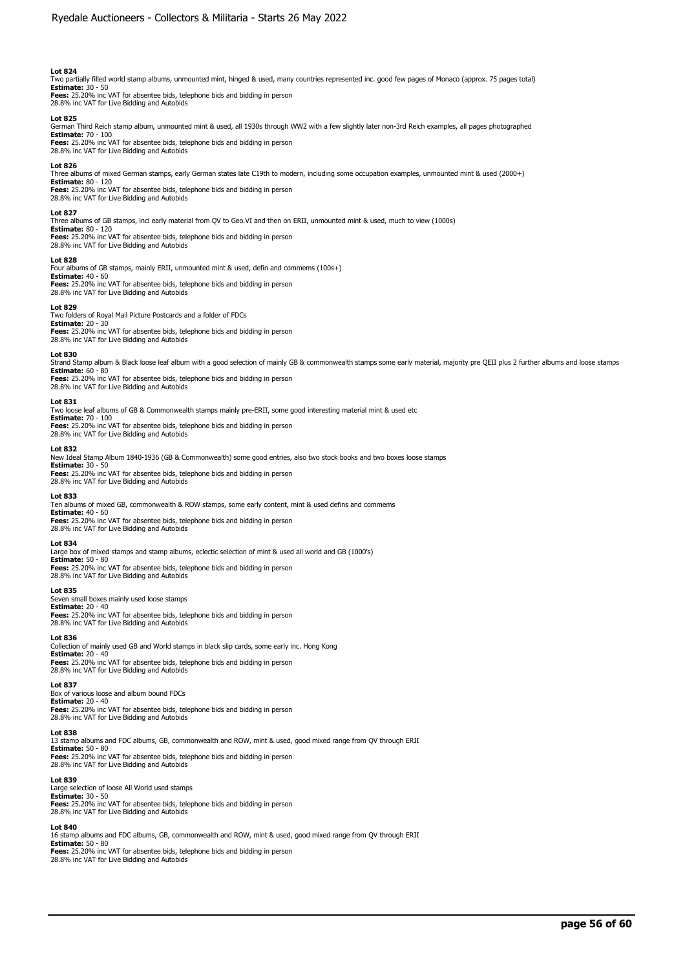Two partially filled world stamp albums, unmounted mint, hinged & used, many countries represented inc. good few pages of Monaco (approx. 75 pages total)

**Estimate:** 30 - 50 **Fees:** 25.20% inc VAT for absentee bids, telephone bids and bidding in person 28.8% inc VAT for Live Bidding and Autobids

## **Lot 825**

German Third Reich stamp album, unmounted mint & used, all 1930s through WW2 with a few slightly later non-3rd Reich examples, all pages photographed **Estimate:** 70 - 100

**Fees:** 25.20% inc VAT for absentee bids, telephone bids and bidding in person 28.8% inc VAT for Live Bidding and Autobids

### **Lot 826**

Three albums of mixed German stamps, early German states late C19th to modern, including some occupation examples, unmounted mint & used (2000+) **Estimate:** 80 - 120

**Fees:** 25.20% inc VAT for absentee bids, telephone bids and bidding in person 28.8% inc VAT for Live Bidding and Autobids

### **Lot 827**

Three albums of GB stamps, incl early material from QV to Geo.VI and then on ERII, unmounted mint & used, much to view (1000s)

**Estimate:** 80 - 120 **Fees:** 25.20% inc VAT for absentee bids, telephone bids and bidding in person 28.8% inc VAT for Live Bidding and Autobids

### **Lot 828**

Four albums of GB stamps, mainly ERII, unmounted mint & used, defin and commems (100s+) **Estimate:** 40 - 60 **Fees:** 25.20% inc VAT for absentee bids, telephone bids and bidding in person 28.8% inc VAT for Live Bidding and Autobids

#### **Lot 829**

Two folders of Royal Mail Picture Postcards and a folder of FDCs **Estimate:** 20 - 30<br>**Fees:** 25.20% inc VAT for absentee bids, telephone bids and bidding in person<br>28.8% inc VAT for Live Bidding and Autobids

#### **Lot 830**

Strand Stamp album & Black loose leaf album with a good selection of mainly GB & commonwealth stamps some early material, majority pre QEII plus 2 further albums and loose stamps **Estimate:** 60 - 80

**Fees:** 25.20% inc VAT for absentee bids, telephone bids and bidding in person 28.8% inc VAT for Live Bidding and Autobids

### **Lot 831**

Two loose leaf albums of GB & Commonwealth stamps mainly pre-ERII, some good interesting material mint & used etc **Estimate:** 70 - 100 **Fees:** 25.20% inc VAT for absentee bids, telephone bids and bidding in person 28.8% inc VAT for Live Bidding and Autobids

#### **Lot 832**

New Ideal Stamp Album 1840-1936 (GB & Commonwealth) some good entries, also two stock books and two boxes loose stamps **Estimate:** 30 - 50 **Fees:** 25.20% inc VAT for absentee bids, telephone bids and bidding in person 28.8% inc VAT for Live Bidding and Autobids

#### **Lot 833**

Ten albums of mixed GB, commonwealth & ROW stamps, some early content, mint & used defins and commems **Estimate:** 40 - 60 **Fees:** 25.20% inc VAT for absentee bids, telephone bids and bidding in person

28.8% inc VAT for Live Bidding and Autobids

# **Lot 834**

Large box of mixed stamps and stamp albums, eclectic selection of mint & used all world and GB (1000's) **Estimate:** 50 - 80 **Fees:** 25.20% inc VAT for absentee bids, telephone bids and bidding in person 28.8% inc VAT for Live Bidding and Autobids

#### **Lot 835**

Seven small boxes mainly used loose stamps

**Estimate:** 20 - 40 **Fees:** 25.20% inc VAT for absentee bids, telephone bids and bidding in person 28.8% inc VAT for Live Bidding and Autobids

#### **Lot 836**

Collection of mainly used GB and World stamps in black slip cards, some early inc. Hong Kong **Estimate:** 20 - 40<br>**Fees:** 25.20% inc VAT for absentee bids, telephone bids and bidding in person<br>28.8% inc VAT for Live Bidding and Autobids

#### **Lot 837**

Box of various loose and album bound FDCs **Estimate:** 20 - 40

**Fees:** 25.20% inc VAT for absentee bids, telephone bids and bidding in person<br>28.8% inc VAT for Live Bidding and Autobids

#### **Lot 838**

13 stamp albums and FDC albums, GB, commonwealth and ROW, mint & used, good mixed range from QV through ERII **Estimate:** 50 - 80 **Fees:** 25.20% inc VAT for absentee bids, telephone bids and bidding in person 28.8% inc VAT for Live Bidding and Autobids

### **Lot 839**

Large selection of loose All World used stamps **Estimate:** 30 - 50<br>**Fees:** 25.20% inc VAT for absentee bids, telephone bids and bidding in person<br>28.8% inc VAT for Live Bidding and Autobids

#### **Lot 840**

16 stamp albums and FDC albums, GB, commonwealth and ROW, mint & used, good mixed range from QV through ERII **Estimate:** 50 - 80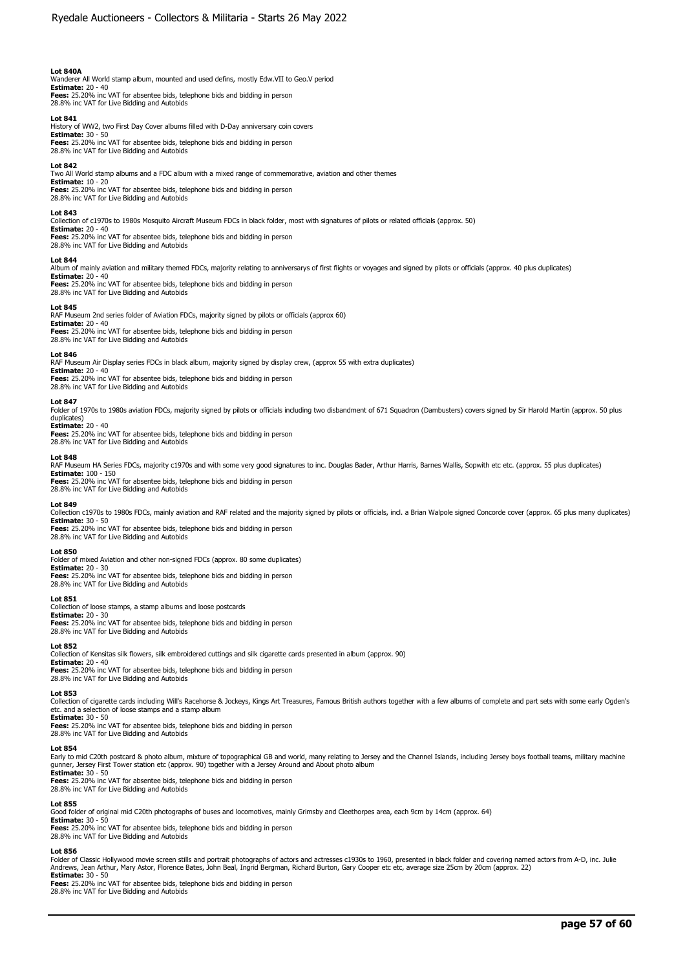# **Lot 840A**

Wanderer All World stamp album, mounted and used defins, mostly Edw.VII to Geo.V period **Estimate:** 20 - 40 **Fees:** 25.20% inc VAT for absentee bids, telephone bids and bidding in person

28.8% inc VAT for Live Bidding and Autobids

**Lot 841** 

History of WW2, two First Day Cover albums filled with D-Day anniversary coin covers **Estimate:** 30 - 50

**Fees:** 25.20% inc VAT for absentee bids, telephone bids and bidding in person 28.8% inc VAT for Live Bidding and Autobids

#### **Lot 842**

Two All World stamp albums and a FDC album with a mixed range of commemorative, aviation and other themes **Estimate:** 10 - 20 **Fees:** 25.20% inc VAT for absentee bids, telephone bids and bidding in person 28.8% inc VAT for Live Bidding and Autobids

**Lot 843** 

Collection of c1970s to 1980s Mosquito Aircraft Museum FDCs in black folder, most with signatures of pilots or related officials (approx. 50)

**Estimate:** 20 - 40 **Fees:** 25.20% inc VAT for absentee bids, telephone bids and bidding in person 28.8% inc VAT for Live Bidding and Autobids

#### **Lot 844**

Album of mainly aviation and military themed FDCs, majority relating to anniversarys of first flights or voyages and signed by pilots or officials (approx. 40 plus duplicates)<br>**Estimate:** 20 - 40

**Fees:** 25.20% inc VAT for absentee bids, telephone bids and bidding in person 28.8% inc VAT for Live Bidding and Autobids

## **Lot 845**

RAF Museum 2nd series folder of Aviation FDCs, majority signed by pilots or officials (approx 60) **Estimate:** 20 - 40

**Fees:** 25.20% inc VAT for absentee bids, telephone bids and bidding in person 28.8% inc VAT for Live Bidding and Autobids

#### **Lot 846**

RAF Museum Air Display series FDCs in black album, majority signed by display crew, (approx 55 with extra duplicates) **Estimate:** 20 - 40

**Fees:** 25.20% inc VAT for absentee bids, telephone bids and bidding in person 28.8% inc VAT for Live Bidding and Autobids

# **Lot 847**

Folder of 1970s to 1980s aviation FDCs, majority signed by pilots or officials including two disbandment of 671 Squadron (Dambusters) covers signed by Sir Harold Martin (approx. 50 plus duplicates) **Estimate:** 20 - 40

**Fees:** 25.20% inc VAT for absentee bids, telephone bids and bidding in person 28.8% inc VAT for Live Bidding and Autobids

#### **Lot 848**

RAF Museum HA Series FDCs, majority c1970s and with some very good signatures to inc. Douglas Bader, Arthur Harris, Barnes Wallis, Sopwith etc etc. (approx. 55 plus duplicates) **Estimate:** 100 - 150

**Fees:** 25.20% inc VAT for absentee bids, telephone bids and bidding in person

28.8% inc VAT for Live Bidding and Autobids

#### **Lot 849**

Collection c1970s to 1980s FDCs, mainly aviation and RAF related and the majority signed by pilots or officials, incl. a Brian Walpole signed Concorde cover (approx. 65 plus many duplicates) **Estimate:** 30 - 50

**Fees:** 25.20% inc VAT for absentee bids, telephone bids and bidding in person 28.8% inc VAT for Live Bidding and Autobids

#### **Lot 850**

Folder of mixed Aviation and other non-signed FDCs (approx. 80 some duplicates) **Estimate:** 20 - 30

**Fees:** 25.20% inc VAT for absentee bids, telephone bids and bidding in person 28.8% inc VAT for Live Bidding and Autobids

### **Lot 851**

Collection of loose stamps, a stamp albums and loose postcards **Estimate:** 20 - 30 **Fees:** 25.20% inc VAT for absentee bids, telephone bids and bidding in person 28.8% inc VAT for Live Bidding and Autobids

#### **Lot 852**

Collection of Kensitas silk flowers, silk embroidered cuttings and silk cigarette cards presented in album (approx. 90) **Estimate:** 20 - 40

**Fees:** 25.20% inc VAT for absentee bids, telephone bids and bidding in person 28.8% inc VAT for Live Bidding and Autobids

#### **Lot 853**

Collection of cigarette cards including Will's Racehorse & Jockeys, Kings Art Treasures, Famous British authors together with a few albums of complete and part sets with some early Ogden's etc. and a selection of loose stamps and a stamp album

**Estimate:** 30 - 50 **Fees:** 25.20% inc VAT for absentee bids, telephone bids and bidding in person

28.8% inc VAT for Live Bidding and Autobids

#### **Lot 854**

Early to mid C20th postcard & photo album, mixture of topographical GB and world, many relating to Jersey and the Channel Islands, including Jersey boys football teams, military machine gunner, Jersey First Tower station etc (approx. 90) together with a Jersey Around and About photo album **Estimate:** 30 - 50

**Fees:** 25.20% inc VAT for absentee bids, telephone bids and bidding in person 28.8% inc VAT for Live Bidding and Autobids

# **Lot 855**

Good folder of original mid C20th photographs of buses and locomotives, mainly Grimsby and Cleethorpes area, each 9cm by 14cm (approx. 64)

**Estimate:** 30 - 50 **Fees:** 25.20% inc VAT for absentee bids, telephone bids and bidding in person

28.8% inc VAT for Live Bidding and Autobids

#### **Lot 856**

Folder of Classic Hollywood movie screen stills and portrait photographs of actors and actresses c1930s to 1960, presented in black folder and covering named actors from A-D, inc. Julie<br>Andrews, Jean Arthur, Mary Astor, Fl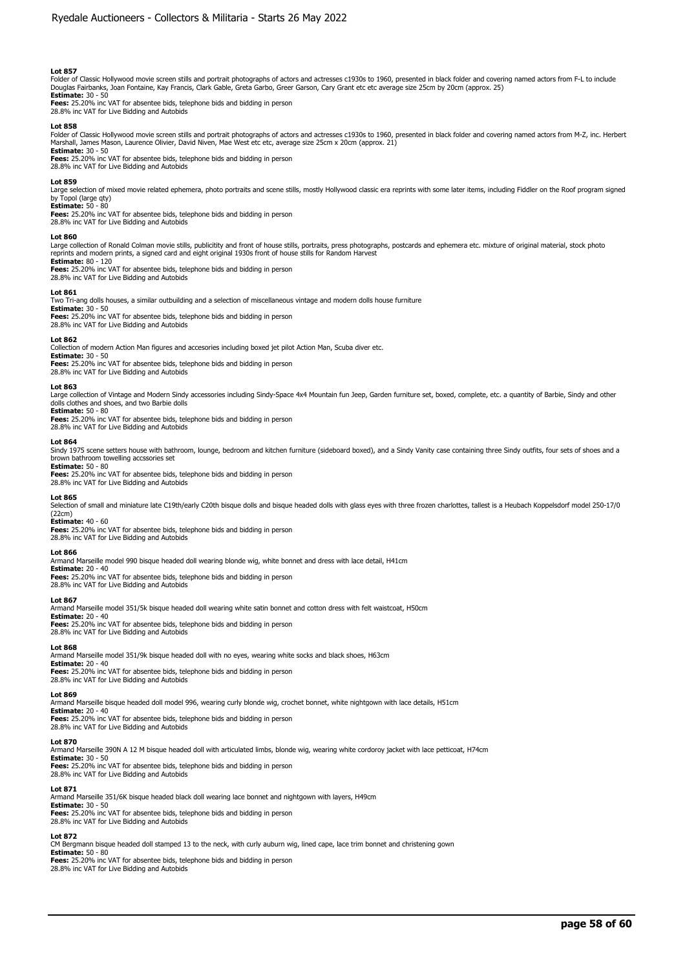Folder of Classic Hollywood movie screen stills and portrait photographs of actors and actresses c1930s to 1960, presented in black folder and covering named actors from F-L to include<br>Douglas Fairbanks, Joan Fontaine, Kay

**Fees:** 25.20% inc VAT for absentee bids, telephone bids and bidding in person 28.8% inc VAT for Live Bidding and Autobids

#### **Lot 858**

Folder of Classic Hollywood movie screen stills and portrait photographs of actors and actresses c1930s to 1960, presented in black folder and covering named actors from M-Z, inc. Herbert<br>Marshall, James Mason, Laurence Ol **Estimate:** 30 - 50

**Fees:** 25.20% inc VAT for absentee bids, telephone bids and bidding in person 28.8% inc VAT for Live Bidding and Autobids

#### **Lot 859**

Large selection of mixed movie related ephemera, photo portraits and scene stills, mostly Hollywood classic era reprints with some later items, including Fiddler on the Roof program signed<br>by Topol (large qty)<br>**Estimate:**

**Fees:** 25.20% inc VAT for absentee bids, telephone bids and bidding in person 28.8% inc VAT for Live Bidding and Autobids

#### **Lot 860**

Large collection of Ronald Colman movie stills, publicitity and front of house stills, portraits, press photographs, postcards and ephemera etc. mixture of original material, stock photo<br>reprints and modern prints, a signe

#### **Estimate:** 80 - 120 **Fees:** 25.20% inc VAT for absentee bids, telephone bids and bidding in person 28.8% inc VAT for Live Bidding and Autobids

# **Lot 861**

Two Tri-ang dolls houses, a similar outbuilding and a selection of miscellaneous vintage and modern dolls house furniture **Estimate:** 30 - 50

**Fees:** 25.20% inc VAT for absentee bids, telephone bids and bidding in person 28.8% inc VAT for Live Bidding and Autobids

# **Lot 862**

Collection of modern Action Man figures and accesories including boxed jet pilot Action Man, Scuba diver etc. **Estimate:** 30 - 50 **Fees:** 25.20% inc VAT for absentee bids, telephone bids and bidding in person

28.8% inc VAT for Live Bidding and Autobids

### **Lot 863**

Large collection of Vintage and Modern Sindy accessories including Sindy-Space 4x4 Mountain fun Jeep, Garden furniture set, boxed, complete, etc. a quantity of Barbie, Sindy and other dolls clothes and shoes, and two Barbie dolls **Estimate:** 50 - 80

**Fees:** 25.20% inc VAT for absentee bids, telephone bids and bidding in person 28.8% inc VAT for Live Bidding and Autobids

## **Lot 864**

Sindy 1975 scene setters house with bathroom, lounge, bedroom and kitchen furniture (sideboard boxed), and a Sindy Vanity case containing three Sindy outfits, four sets of shoes and a brown bathroom towelling accssories set

#### **Estimate:** 50 - 80

**Fees:** 25.20% inc VAT for absentee bids, telephone bids and bidding in person 28.8% inc VAT for Live Bidding and Autobids

# **Lot 865**

Selection of small and miniature late C19th/early C20th bisque dolls and bisque headed dolls with glass eyes with three frozen charlottes, tallest is a Heubach Koppelsdorf model 250-17/0 (22cm)

# **Estimate:** 40 - 60

**Fees:** 25.20% inc VAT for absentee bids, telephone bids and bidding in person 28.8% inc VAT for Live Bidding and Autobids

#### **Lot 866**

Armand Marseille model 990 bisque headed doll wearing blonde wig, white bonnet and dress with lace detail, H41cm

**Estimate:** 20 - 40 **Fees:** 25.20% inc VAT for absentee bids, telephone bids and bidding in person 28.8% inc VAT for Live Bidding and Autobids

#### **Lot 867**

Armand Marseille model 351/5k bisque headed doll wearing white satin bonnet and cotton dress with felt waistcoat, H50cm

# **Estimate:** 20 - 40

**Fees:** 25.20% inc VAT for absentee bids, telephone bids and bidding in person 28.8% inc VAT for Live Bidding and Autobids

# **Lot 868**

Armand Marseille model 351/9k bisque headed doll with no eyes, wearing white socks and black shoes, H63cm **Estimate:** 20 - 40

**Fees:** 25.20% inc VAT for absentee bids, telephone bids and bidding in person<br>28.8% inc VAT for Live Bidding and Autobids

# **Lot 869**

Armand Marseille bisque headed doll model 996, wearing curly blonde wig, crochet bonnet, white nightgown with lace details, H51cm

**Estimate:** 20 - 40 **Fees:** 25.20% inc VAT for absentee bids, telephone bids and bidding in person 28.8% inc VAT for Live Bidding and Autobids

#### **Lot 870**

Armand Marseille 390N A 12 M bisque headed doll with articulated limbs, blonde wig, wearing white cordoroy jacket with lace petticoat, H74cm

**Estimate:** 30 - 50<br>**Fees:** 25.20% inc VAT for absentee bids, telephone bids and bidding in person<br>28.8% inc VAT for Live Bidding and Autobids

### **Lot 871**

Armand Marseille 351/6K bisque headed black doll wearing lace bonnet and nightgown with layers, H49cm **Estimate:** 30 - 50 **Fees:** 25.20% inc VAT for absentee bids, telephone bids and bidding in person 28.8% inc VAT for Live Bidding and Autobids

#### **Lot 872**

CM Bergmann bisque headed doll stamped 13 to the neck, with curly auburn wig, lined cape, lace trim bonnet and christening gown **Estimate:** 50 - 80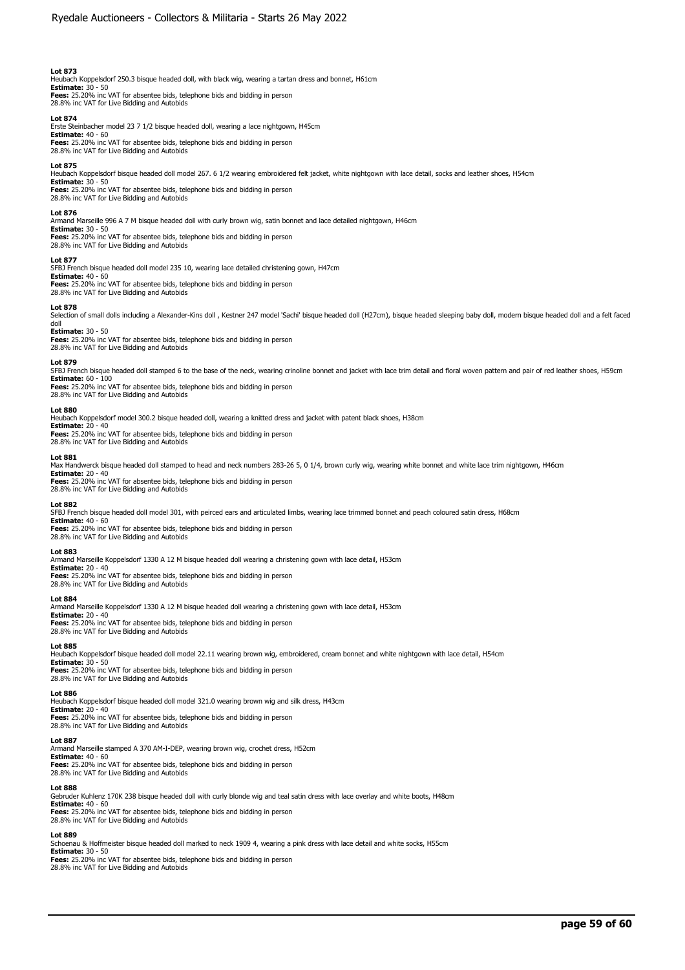Heubach Koppelsdorf 250.3 bisque headed doll, with black wig, wearing a tartan dress and bonnet, H61cm **Estimate:** 30 - 50 **Fees:** 25.20% inc VAT for absentee bids, telephone bids and bidding in person 28.8% inc VAT for Live Bidding and Autobids

**Lot 874** 

Erste Steinbacher model 23 7 1/2 bisque headed doll, wearing a lace nightgown, H45cm **Estimate:** 40 - 60

**Fees:** 25.20% inc VAT for absentee bids, telephone bids and bidding in person 28.8% inc VAT for Live Bidding and Autobids

### **Lot 875**

Heubach Koppelsdorf bisque headed doll model 267. 6 1/2 wearing embroidered felt jacket, white nightgown with lace detail, socks and leather shoes, H54cm **Estimate:** 30 - 50

**Fees:** 25.20% inc VAT for absentee bids, telephone bids and bidding in person 28.8% inc VAT for Live Bidding and Autobids

#### **Lot 876**

Armand Marseille 996 A 7 M bisque headed doll with curly brown wig, satin bonnet and lace detailed nightgown, H46cm

**Estimate:** 30 - 50 **Fees:** 25.20% inc VAT for absentee bids, telephone bids and bidding in person 28.8% inc VAT for Live Bidding and Autobids

#### **Lot 877**

SFBJ French bisque headed doll model 235 10, wearing lace detailed christening gown, H47cm **Estimate:** 40 - 60 **Fees:** 25.20% inc VAT for absentee bids, telephone bids and bidding in person 28.8% inc VAT for Live Bidding and Autobids

## **Lot 878**

Selection of small dolls including a Alexander-Kins doll , Kestner 247 model 'Sachi' bisque headed doll (H27cm), bisque headed sleeping baby doll, modern bisque headed doll and a felt faced doll

# **Estimate:** 30 - 50

**Fees:** 25.20% inc VAT for absentee bids, telephone bids and bidding in person 28.8% inc VAT for Live Bidding and Autobids

#### **Lot 879**

SFBJ French bisque headed doll stamped 6 to the base of the neck, wearing crinoline bonnet and jacket with lace trim detail and floral woven pattern and pair of red leather shoes, H59cm **Estimate:** 60 - 100

**Fees:** 25.20% inc VAT for absentee bids, telephone bids and bidding in person 28.8% inc VAT for Live Bidding and Autobids

# **Lot 880**

Heubach Koppelsdorf model 300.2 bisque headed doll, wearing a knitted dress and jacket with patent black shoes, H38cm **Estimate:** 20 - 40

**Fees:** 25.20% inc VAT for absentee bids, telephone bids and bidding in person 28.8% inc VAT for Live Bidding and Autobids

#### **Lot 881**

Max Handwerck bisque headed doll stamped to head and neck numbers 283-26 5, 0 1/4, brown curly wig, wearing white bonnet and white lace trim nightgown, H46cm

**Estimate:** 20 - 40 **Fees:** 25.20% inc VAT for absentee bids, telephone bids and bidding in person

28.8% inc VAT for Live Bidding and Autobids

### **Lot 882**

SFBJ French bisque headed doll model 301, with peirced ears and articulated limbs, wearing lace trimmed bonnet and peach coloured satin dress, H68cm

**Estimate:** 40 - 60

**Fees:** 25.20% inc VAT for absentee bids, telephone bids and bidding in person 28.8% inc VAT for Live Bidding and Autobids

### **Lot 883**

Armand Marseille Koppelsdorf 1330 A 12 M bisque headed doll wearing a christening gown with lace detail, H53cm **Estimate:** 20 - 40

**Fees:** 25.20% inc VAT for absentee bids, telephone bids and bidding in person 28.8% inc VAT for Live Bidding and Autobids

### **Lot 884**

Armand Marseille Koppelsdorf 1330 A 12 M bisque headed doll wearing a christening gown with lace detail, H53cm<br>Estimate: 20 - 40

**Estimate:** 20 - 40 **Fees:** 25.20% inc VAT for absentee bids, telephone bids and bidding in person 28.8% inc VAT for Live Bidding and Autobids

#### **Lot 885**

Heubach Koppelsdorf bisque headed doll model 22.11 wearing brown wig, embroidered, cream bonnet and white nightgown with lace detail, H54cm **Estimate:** 30 - 50

**Fees:** 25.20% inc VAT for absentee bids, telephone bids and bidding in person 28.8% inc VAT for Live Bidding and Autobids

#### **Lot 886**

Heubach Koppelsdorf bisque headed doll model 321.0 wearing brown wig and silk dress, H43cm **Estimate:** 20 - 40

**Fees:** 25.20% inc VAT for absentee bids, telephone bids and bidding in person 28.8% inc VAT for Live Bidding and Autobids

#### **Lot 887**

Armand Marseille stamped A 370 AM-I-DEP, wearing brown wig, crochet dress, H52cm

**Estimate:** 40 - 60

**Fees:** 25.20% inc VAT for absentee bids, telephone bids and bidding in person 28.8% inc VAT for Live Bidding and Autobids

# **Lot 888**

Gebruder Kuhlenz 170K 238 bisque headed doll with curly blonde wig and teal satin dress with lace overlay and white boots, H48cm

**Estimate:** 40 - 60 **Fees:** 25.20% inc VAT for absentee bids, telephone bids and bidding in person 28.8% inc VAT for Live Bidding and Autobids

# **Lot 889**

Schoenau & Hoffmeister bisque headed doll marked to neck 1909 4, wearing a pink dress with lace detail and white socks, H55cm **Estimate:** 30 - 50